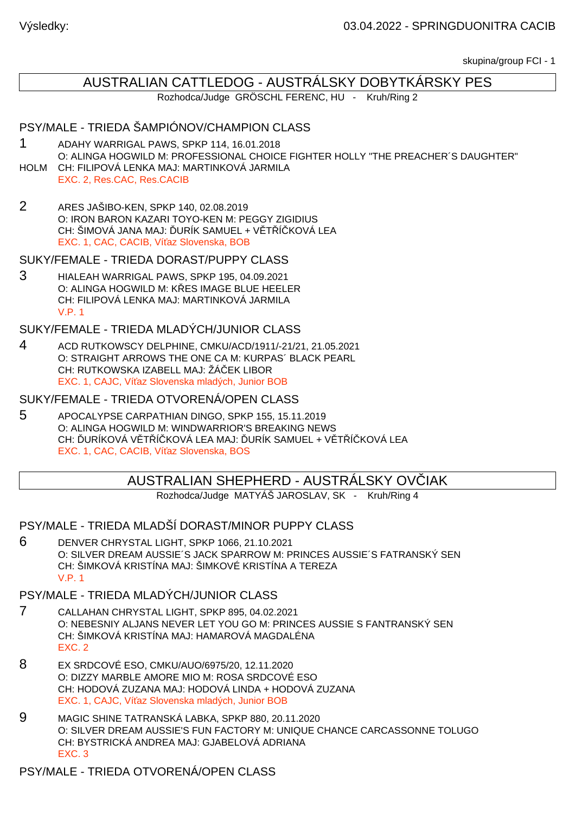skupina/group FCI - 1

# AUSTRALIAN CATTLEDOG - AUSTRÁLSKY DOBYTKÁRSKY PES

Rozhodca/Judge GRÖSCHL FERENC, HU - Kruh/Ring 2

## PSY/MALE - TRIEDA ŠAMPIÓNOV/CHAMPION CLASS

- 1 ADAHY WARRIGAL PAWS, SPKP 114, 16.01.2018 O: ALINGA HOGWILD M: PROFESSIONAL CHOICE FIGHTER HOLLY "THE PREACHER´S DAUGHTER" HOLM CH: FILIPOVÁ LENKA MAJ: MARTINKOVÁ JARMILA
- EXC. 2, Res.CAC, Res.CACIB
- 2 ARES JAŠIBO-KEN, SPKP 140, 02.08.2019 O: IRON BARON KAZARI TOYO-KEN M: PEGGY ZIGIDIUS CH: ŠIMOVÁ JANA MAJ: URÍK SAMUEL + V T Í KOVÁ LEA EXC. 1, CAC, CACIB, Ví az Slovenska, BOB

### SUKY/FEMALE - TRIEDA DORAST/PUPPY CLASS

3 HIALEAH WARRIGAL PAWS, SPKP 195, 04.09.2021 O: ALINGA HOGWILD M: K ES IMAGE BLUE HEELER CH: FILIPOVÁ LENKA MAJ: MARTINKOVÁ JARMILA V.P. 1

### SUKY/FEMALE - TRIEDA MLADÝCH/JUNIOR CLASS

4 ACD RUTKOWSCY DELPHINE, CMKU/ACD/1911/-21/21, 21.05.2021 O: STRAIGHT ARROWS THE ONE CA M: KURPAS´ BLACK PEARL CH: RUTKOWSKA IZABELL MAJ: ŽÁ EK LIBOR EXC. 1, CAJC, Ví az Slovenska mladých, Junior BOB

### SUKY/FEMALE - TRIEDA OTVORENÁ/OPEN CLASS

5 APOCALYPSE CARPATHIAN DINGO, SPKP 155, 15.11.2019 O: ALINGA HOGWILD M: WINDWARRIOR'S BREAKING NEWS CH: URÍKOVÁ V TÍKOVÁ LEA MAJ: URÍK SAMUEL + V TÍKOVÁ LEA EXC. 1, CAC, CACIB, Ví az Slovenska, BOS

# AUSTRALIAN SHEPHERD - AUSTRÁLSKY OV IAK

Rozhodca/Judge MATYÁŠ JAROSLAV, SK - Kruh/Ring 4

PSY/MALE - TRIEDA MLADŠÍ DORAST/MINOR PUPPY CLASS

6 DENVER CHRYSTAL LIGHT, SPKP 1066, 21.10.2021 O: SILVER DREAM AUSSIE´S JACK SPARROW M: PRINCES AUSSIE´S FATRANSKÝ SEN CH: ŠIMKOVÁ KRISTÍNA MAJ: ŠIMKOVÉ KRISTÍNA A TEREZA V.P. 1

## PSY/MALE - TRIEDA MLADÝCH/JUNIOR CLASS

- 7 CALLAHAN CHRYSTAL LIGHT, SPKP 895, 04.02.2021 O: NEBESNIY ALJANS NEVER LET YOU GO M: PRINCES AUSSIE S FANTRANSKÝ SEN CH: ŠIMKOVÁ KRISTÍNA MAJ: HAMAROVÁ MAGDALÉNA EXC. 2
- 8 EX SRDCOVÉ ESO, CMKU/AUO/6975/20, 12.11.2020 O: DIZZY MARBLE AMORE MIO M: ROSA SRDCOVÉ ESO CH: HODOVÁ ZUZANA MAJ: HODOVÁ LINDA + HODOVÁ ZUZANA EXC. 1, CAJC, Ví az Slovenska mladých, Junior BOB
- 9 MAGIC SHINE TATRANSKÁ LABKA, SPKP 880, 20.11.2020 O: SILVER DREAM AUSSIE'S FUN FACTORY M: UNIQUE CHANCE CARCASSONNE TOLUGO CH: BYSTRICKÁ ANDREA MAJ: GJABELOVÁ ADRIANA EXC. 3

PSY/MALE - TRIEDA OTVORENÁ/OPEN CLASS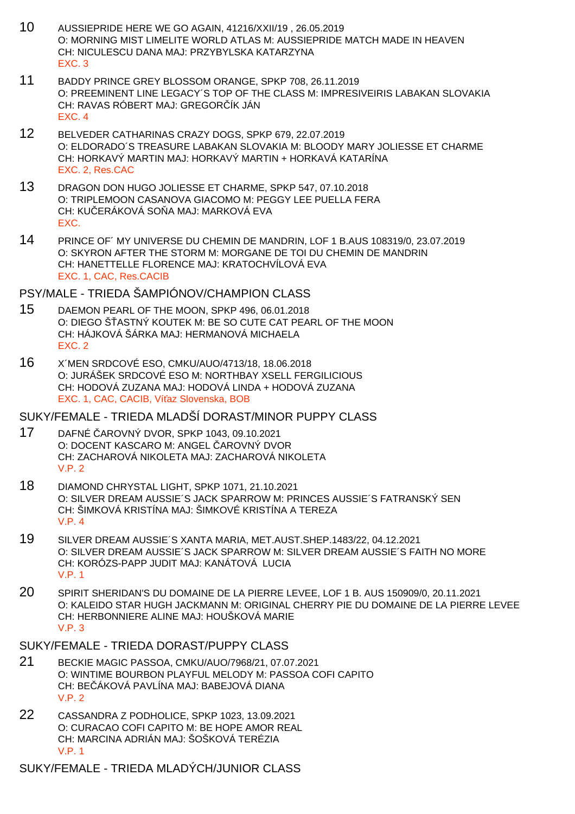- 10 AUSSIEPRIDE HERE WE GO AGAIN, 41216/XXII/19 , 26.05.2019 O: MORNING MIST LIMELITE WORLD ATLAS M: AUSSIEPRIDE MATCH MADE IN HEAVEN CH: NICULESCU DANA MAJ: PRZYBYLSKA KATARZYNA EXC. 3
- 11 BADDY PRINCE GREY BLOSSOM ORANGE, SPKP 708, 26.11.2019 O: PREEMINENT LINE LEGACY´S TOP OF THE CLASS M: IMPRESIVEIRIS LABAKAN SLOVAKIA CH: RAVAS RÓBERT MAJ: GREGOR ÍK JÁN EXC. 4
- 12 BELVEDER CATHARINAS CRAZY DOGS, SPKP 679, 22.07.2019 O: ELDORADO´S TREASURE LABAKAN SLOVAKIA M: BLOODY MARY JOLIESSE ET CHARME CH: HORKAVÝ MARTIN MAJ: HORKAVÝ MARTIN + HORKAVÁ KATARÍNA EXC. 2, Res.CAC
- 13 DRAGON DON HUGO JOLIESSE ET CHARME, SPKP 547, 07.10.2018 O: TRIPLEMOON CASANOVA GIACOMO M: PEGGY LEE PUELLA FERA CH: KU ERÁKOVÁ SO A MAJ: MARKOVÁ EVA EXC.
- 14 PRINCE OF´ MY UNIVERSE DU CHEMIN DE MANDRIN, LOF 1 B.AUS 108319/0, 23.07.2019 O: SKYRON AFTER THE STORM M: MORGANE DE TOI DU CHEMIN DE MANDRIN CH: HANETTELLE FLORENCE MAJ: KRATOCHVÍLOVÁ EVA EXC. 1, CAC, Res.CACIB

## PSY/MALE - TRIEDA ŠAMPIÓNOV/CHAMPION CLASS

- 15 DAEMON PEARL OF THE MOON, SPKP 496, 06.01.2018 O: DIEGO ŠASTNÝ KOUTEK M: BE SO CUTE CAT PEARL OF THE MOON CH: HÁJKOVÁ ŠÁRKA MAJ: HERMANOVÁ MICHAELA EXC. 2
- 16 X´MEN SRDCOVÉ ESO, CMKU/AUO/4713/18, 18.06.2018 O: JURÁŠEK SRDCOVÉ ESO M: NORTHBAY XSELL FERGILICIOUS CH: HODOVÁ ZUZANA MAJ: HODOVÁ LINDA + HODOVÁ ZUZANA EXC. 1, CAC, CACIB, Ví az Slovenska, BOB

#### SUKY/FEMALE - TRIEDA MLADŠÍ DORAST/MINOR PUPPY CLASS

- 17 DAFNÉ ČAROVNÝ DVOR, SPKP 1043, 09.10.2021 O: DOCENT KASCARO M: ANGEL AROVNÝ DVOR CH: ZACHAROVÁ NIKOLETA MAJ: ZACHAROVÁ NIKOLETA V.P. 2
- 18 DIAMOND CHRYSTAL LIGHT, SPKP 1071, 21.10.2021 O: SILVER DREAM AUSSIE´S JACK SPARROW M: PRINCES AUSSIE´S FATRANSKÝ SEN CH: ŠIMKOVÁ KRISTÍNA MAJ: ŠIMKOVÉ KRISTÍNA A TEREZA V.P. 4
- 19 SILVER DREAM AUSSIE´S XANTA MARIA, MET.AUST.SHEP.1483/22, 04.12.2021 O: SILVER DREAM AUSSIE´S JACK SPARROW M: SILVER DREAM AUSSIE´S FAITH NO MORE CH: KORÓZS-PAPP JUDIT MAJ: KANÁTOVÁ LUCIA V.P. 1
- 20 SPIRIT SHERIDAN'S DU DOMAINE DE LA PIERRE LEVEE, LOF 1 B. AUS 150909/0, 20.11.2021 O: KALEIDO STAR HUGH JACKMANN M: ORIGINAL CHERRY PIE DU DOMAINE DE LA PIERRE LEVEE CH: HERBONNIERE ALINE MAJ: HOUŠKOVÁ MARIE V.P. 3

## SUKY/FEMALE - TRIEDA DORAST/PUPPY CLASS

- 21 BECKIE MAGIC PASSOA, CMKU/AUO/7968/21, 07.07.2021 O: WINTIME BOURBON PLAYFUL MELODY M: PASSOA COFI CAPITO CH: BE ÁKOVÁ PAVLÍNA MAJ: BABEJOVÁ DIANA V.P. 2
- 22 CASSANDRA Z PODHOLICE, SPKP 1023, 13.09.2021 O: CURACAO COFI CAPITO M: BE HOPE AMOR REAL CH: MARCINA ADRIÁN MAJ: ŠOŠKOVÁ TERÉZIA V.P. 1

SUKY/FEMALE - TRIEDA MLADÝCH/JUNIOR CLASS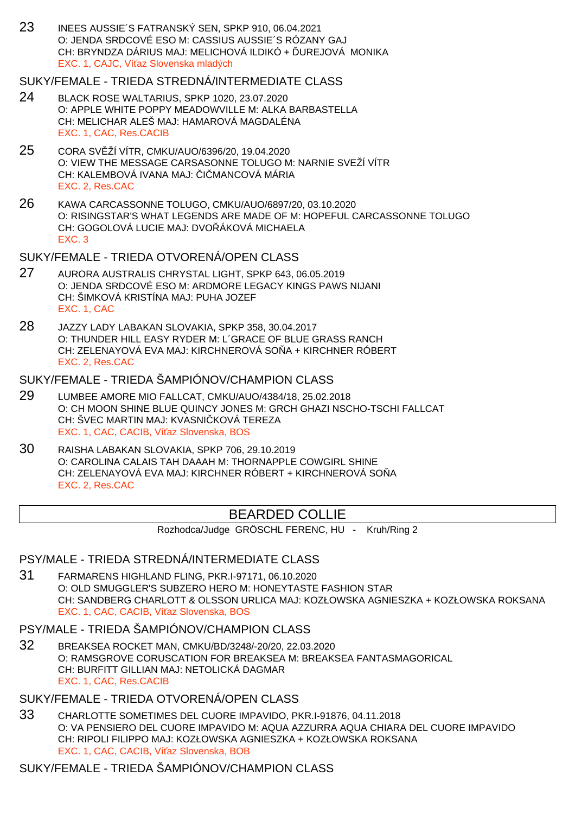23 INEES AUSSIE´S FATRANSKÝ SEN, SPKP 910, 06.04.2021 O: JENDA SRDCOVÉ ESO M: CASSIUS AUSSIE´S RÓZANY GAJ CH: BRYNDZA DÁRIUS MAJ: MELICHOVÁ ILDIKÓ + UREJOVÁ MONIKA EXC. 1, CAJC, Ví az Slovenska mladých

# SUKY/FEMALE - TRIEDA STREDNÁ/INTERMEDIATE CLASS

- 24 BLACK ROSE WALTARIUS, SPKP 1020, 23.07.2020 O: APPLE WHITE POPPY MEADOWVILLE M: ALKA BARBASTELLA CH: MELICHAR ALEŠ MAJ: HAMAROVÁ MAGDALÉNA EXC. 1, CAC, Res.CACIB
- 25 CORA SVĚŽÍ VÍTR, CMKU/AUO/6396/20, 19.04.2020 O: VIEW THE MESSAGE CARSASONNE TOLUGO M: NARNIE SVEŽÍ VÍTR CH: KALEMBOVÁ IVANA MAJ: I MANCOVÁ MÁRIA EXC. 2, Res.CAC
- 26 KAWA CARCASSONNE TOLUGO, CMKU/AUO/6897/20, 03.10.2020 O: RISINGSTAR'S WHAT LEGENDS ARE MADE OF M: HOPEFUL CARCASSONNE TOLUGO CH: GOGOLOVÁ LUCIE MAJ: DVO ÁKOVÁ MICHAELA EXC. 3

# SUKY/FEMALE - TRIEDA OTVORENÁ/OPEN CLASS

- 27 AURORA AUSTRALIS CHRYSTAL LIGHT, SPKP 643, 06.05.2019 O: JENDA SRDCOVÉ ESO M: ARDMORE LEGACY KINGS PAWS NIJANI CH: ŠIMKOVÁ KRISTÍNA MAJ: PUHA JOZEF EXC. 1, CAC
- 28 JAZZY LADY LABAKAN SLOVAKIA, SPKP 358, 30.04.2017 O: THUNDER HILL EASY RYDER M: L´GRACE OF BLUE GRASS RANCH CH: ZELENAYOVÁ EVA MAJ: KIRCHNEROVÁ SO A + KIRCHNER RÓBERT EXC. 2, Res.CAC

# SUKY/FEMALE - TRIEDA ŠAMPIÓNOV/CHAMPION CLASS

- 29 LUMBEE AMORE MIO FALLCAT, CMKU/AUO/4384/18, 25.02.2018 O: CH MOON SHINE BLUE QUINCY JONES M: GRCH GHAZI NSCHO-TSCHI FALLCAT CH: ŠVEC MARTIN MAJ: KVASNI, KOVÁ TEREZA EXC. 1, CAC, CACIB, Ví az Slovenska, BOS
- 30 RAISHA LABAKAN SLOVAKIA, SPKP 706, 29.10.2019 O: CAROLINA CALAIS TAH DAAAH M: THORNAPPLE COWGIRL SHINE CH: ZELENAYOVÁ EVA MAJ: KIRCHNER RÓBERT + KIRCHNEROVÁ SO A EXC. 2, Res.CAC

# BEARDED COLLIE

Rozhodca/Judge GRÖSCHL FERENC, HU - Kruh/Ring 2

# PSY/MALE - TRIEDA STREDNÁ/INTERMEDIATE CLASS

31 FARMARENS HIGHLAND FLING, PKR.I-97171, 06.10.2020 O: OLD SMUGGLER'S SUBZERO HERO M: HONEYTASTE FASHION STAR CH: SANDBERG CHARLOTT & OLSSON URLICA MAJ: KOZŁOWSKA AGNIESZKA + KOZŁOWSKA ROKSANA EXC. 1, CAC, CACIB, Ví az Slovenska, BOS

# PSY/MALE - TRIEDA ŠAMPIÓNOV/CHAMPION CLASS

32 BREAKSEA ROCKET MAN, CMKU/BD/3248/-20/20, 22.03.2020 O: RAMSGROVE CORUSCATION FOR BREAKSEA M: BREAKSEA FANTASMAGORICAL CH: BURFITT GILLIAN MAJ: NETOLICKÁ DAGMAR EXC. 1, CAC, Res.CACIB

# SUKY/FEMALE - TRIEDA OTVORENÁ/OPEN CLASS

33 CHARLOTTE SOMETIMES DEL CUORE IMPAVIDO, PKR.I-91876, 04.11.2018 O: VA PENSIERO DEL CUORE IMPAVIDO M: AQUA AZZURRA AQUA CHIARA DEL CUORE IMPAVIDO CH: RIPOLI FILIPPO MAJ: KOZŁOWSKA AGNIESZKA + KOZŁOWSKA ROKSANA EXC. 1, CAC, CACIB, Ví az Slovenska, BOB

# SUKY/FEMALE - TRIEDA ŠAMPIÓNOV/CHAMPION CLASS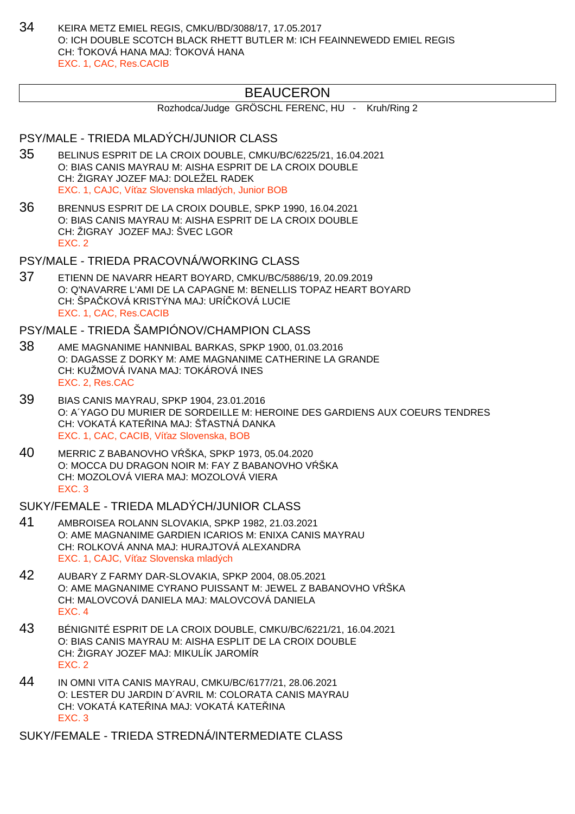34 KEIRA METZ EMIEL REGIS, CMKU/BD/3088/17, 17.05.2017 O: ICH DOUBLE SCOTCH BLACK RHETT BUTLER M: ICH FEAINNEWEDD EMIEL REGIS CH: OKOVÁ HANA MAJ: OKOVÁ HANA EXC. 1, CAC, Res.CACIB

# BEAUCERON

Rozhodca/Judge GRÖSCHL FERENC, HU - Kruh/Ring 2

# PSY/MALE - TRIEDA MLADÝCH/JUNIOR CLASS

- 35 BELINUS ESPRIT DE LA CROIX DOUBLE, CMKU/BC/6225/21, 16.04.2021 O: BIAS CANIS MAYRAU M: AISHA ESPRIT DE LA CROIX DOUBLE CH: ŽIGRAY JOZEF MAJ: DOLEŽEL RADEK EXC. 1, CAJC, Ví az Slovenska mladých, Junior BOB
- 36 BRENNUS ESPRIT DE LA CROIX DOUBLE, SPKP 1990, 16.04.2021 O: BIAS CANIS MAYRAU M: AISHA ESPRIT DE LA CROIX DOUBLE CH: ŽIGRAY JOZEF MAJ: ŠVEC LGOR EXC. 2

PSY/MALE - TRIEDA PRACOVNÁ/WORKING CLASS

37 ETIENN DE NAVARR HEART BOYARD, CMKU/BC/5886/19, 20.09.2019 O: Q'NAVARRE L'AMI DE LA CAPAGNE M: BENELLIS TOPAZ HEART BOYARD CH: ŠPA KOVÁ KRISTÝNA MAJ: URÍ KOVÁ LUCIE EXC. 1, CAC, Res.CACIB

PSY/MALE - TRIEDA ŠAMPIÓNOV/CHAMPION CLASS

- 38 AME MAGNANIME HANNIBAL BARKAS, SPKP 1900, 01.03.2016 O: DAGASSE Z DORKY M: AME MAGNANIME CATHERINE LA GRANDE CH: KUŽMOVÁ IVANA MAJ: TOKÁROVÁ INES EXC. 2, Res.CAC
- 39 BIAS CANIS MAYRAU, SPKP 1904, 23.01.2016 O: A´YAGO DU MURIER DE SORDEILLE M: HEROINE DES GARDIENS AUX COEURS TENDRES CH: VOKATÁ KATE INA MAJ: Š ASTNÁ DANKA EXC. 1, CAC, CACIB, Ví az Slovenska, BOB
- 40 MERRIC Z BABANOVHO V ŠKA, SPKP 1973, 05.04.2020 O: MOCCA DU DRAGON NOIR M: FAY Z BABANOVHO V ŠKA CH: MOZOLOVÁ VIERA MAJ: MOZOLOVÁ VIERA EXC. 3

SUKY/FEMALE - TRIEDA MLADÝCH/JUNIOR CLASS

- 41 AMBROISEA ROLANN SLOVAKIA, SPKP 1982, 21.03.2021 O: AME MAGNANIME GARDIEN ICARIOS M: ENIXA CANIS MAYRAU CH: ROLKOVÁ ANNA MAJ: HURAJTOVÁ ALEXANDRA EXC. 1, CAJC, Ví az Slovenska mladých
- 42 AUBARY Z FARMY DAR-SLOVAKIA, SPKP 2004, 08.05.2021 O: AME MAGNANIME CYRANO PUISSANT M: JEWEL Z BABANOVHO V ŠKA CH: MALOVCOVÁ DANIELA MAJ: MALOVCOVÁ DANIELA EXC. 4
- 43 BÉNIGNITÉ ESPRIT DE LA CROIX DOUBLE, CMKU/BC/6221/21, 16.04.2021 O: BIAS CANIS MAYRAU M: AISHA ESPLIT DE LA CROIX DOUBLE CH: ŽIGRAY JOZEF MAJ: MIKULÍK JAROMÍR EXC. 2
- 44 IN OMNI VITA CANIS MAYRAU, CMKU/BC/6177/21, 28.06.2021 O: LESTER DU JARDIN D´AVRIL M: COLORATA CANIS MAYRAU CH: VOKATÁ KATELINA MAJ: VOKATÁ KATELINA EXC. 3

SUKY/FEMALE - TRIEDA STREDNÁ/INTERMEDIATE CLASS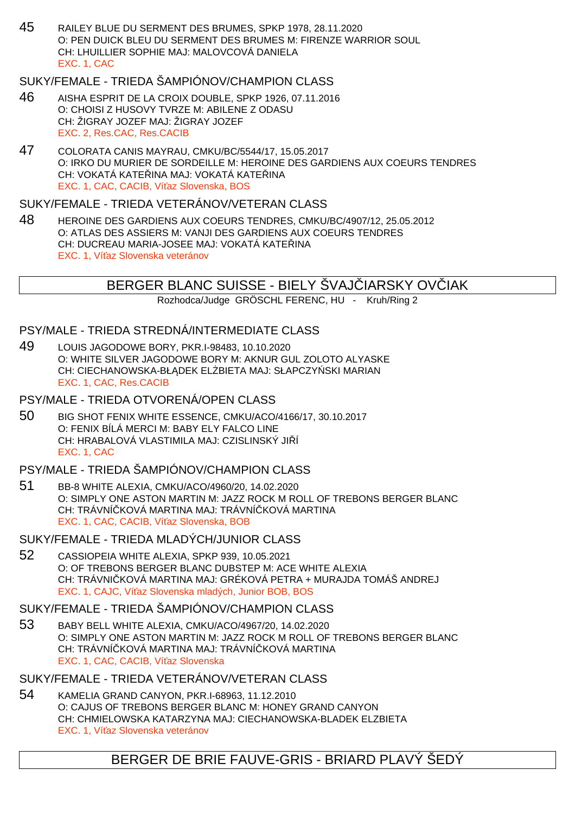45 RAILEY BLUE DU SERMENT DES BRUMES, SPKP 1978, 28.11.2020 O: PEN DUICK BLEU DU SERMENT DES BRUMES M: FIRENZE WARRIOR SOUL CH: LHUILLIER SOPHIE MAJ: MALOVCOVÁ DANIELA EXC. 1, CAC

# SUKY/FEMALE - TRIEDA ŠAMPIÓNOV/CHAMPION CLASS

- 46 AISHA ESPRIT DE LA CROIX DOUBLE, SPKP 1926, 07.11.2016 O: CHOISI Z HUSOVY TVRZE M: ABILENE Z ODASU CH: ŽIGRAY JOZEF MAJ: ŽIGRAY JOZEF EXC. 2, Res.CAC, Res.CACIB
- 47 COLORATA CANIS MAYRAU, CMKU/BC/5544/17, 15.05.2017 O: IRKO DU MURIER DE SORDEILLE M: HEROINE DES GARDIENS AUX COEURS TENDRES CH: VOKATÁ KATE INA MAJ: VOKATÁ KATE INA EXC. 1, CAC, CACIB, Ví az Slovenska, BOS

### SUKY/FEMALE - TRIEDA VETERÁNOV/VETERAN CLASS

48 HEROINE DES GARDIENS AUX COEURS TENDRES, CMKU/BC/4907/12, 25.05.2012 O: ATLAS DES ASSIERS M: VANJI DES GARDIENS AUX COEURS TENDRES CH: DUCREAU MARIA-JOSEE MAJ: VOKATÁ KATE INA EXC. 1, Ví az Slovenska veteránov

## BERGER BLANC SUISSE - BIELY ŠVAJ IARSKY OVIJAK

Rozhodca/Judge GRÖSCHL FERENC, HU - Kruh/Ring 2

## PSY/MALE - TRIEDA STREDNÁ/INTERMEDIATE CLASS

49 LOUIS JAGODOWE BORY, PKR.I-98483, 10.10.2020 O: WHITE SILVER JAGODOWE BORY M: AKNUR GUL ZOLOTO ALYASKE CH: CIECHANOWSKA-BŁ DEK EL BIETA MAJ: SŁAPCZY SKI MARIAN EXC. 1, CAC, Res.CACIB

# PSY/MALE - TRIEDA OTVORENÁ/OPEN CLASS

50 BIG SHOT FENIX WHITE ESSENCE, CMKU/ACO/4166/17, 30.10.2017 O: FENIX BÍLÁ MERCI M: BABY ELY FALCO LINE CH: HRABALOVÁ VLASTIMILA MAJ: CZISLINSKÝ JI Í EXC. 1, CAC

## PSY/MALE - TRIEDA ŠAMPIÓNOV/CHAMPION CLASS

51 BB-8 WHITE ALEXIA, CMKU/ACO/4960/20, 14.02.2020 O: SIMPLY ONE ASTON MARTIN M: JAZZ ROCK M ROLL OF TREBONS BERGER BLANC CH: TRÁVNÍ KOVÁ MARTINA MAJ: TRÁVNÍ KOVÁ MARTINA EXC. 1, CAC, CACIB, Ví az Slovenska, BOB

### SUKY/FEMALE - TRIEDA MLADÝCH/JUNIOR CLASS

52 CASSIOPEIA WHITE ALEXIA, SPKP 939, 10.05.2021 O: OF TREBONS BERGER BLANC DUBSTEP M: ACE WHITE ALEXIA CH: TRÁVNI KOVÁ MARTINA MAJ: GRÉKOVÁ PETRA + MURAJDA TOMÁŠ ANDREJ EXC. 1, CAJC, Ví az Slovenska mladých, Junior BOB, BOS

#### SUKY/FEMALE - TRIEDA ŠAMPIÓNOV/CHAMPION CLASS

53 BABY BELL WHITE ALEXIA, CMKU/ACO/4967/20, 14.02.2020 O: SIMPLY ONE ASTON MARTIN M: JAZZ ROCK M ROLL OF TREBONS BERGER BLANC CH: TRÁVNÍ KOVÁ MARTINA MAJ: TRÁVNÍ KOVÁ MARTINA EXC. 1, CAC, CACIB, Ví az Slovenska

# SUKY/FEMALE - TRIEDA VETERÁNOV/VETERAN CLASS

54 KAMELIA GRAND CANYON, PKR.I-68963, 11.12.2010 O: CAJUS OF TREBONS BERGER BLANC M: HONEY GRAND CANYON CH: CHMIELOWSKA KATARZYNA MAJ: CIECHANOWSKA-BLADEK ELZBIETA EXC. 1, Ví az Slovenska veteránov

# BERGER DE BRIE FAUVE-GRIS - BRIARD PLAVÝ ŠEDÝ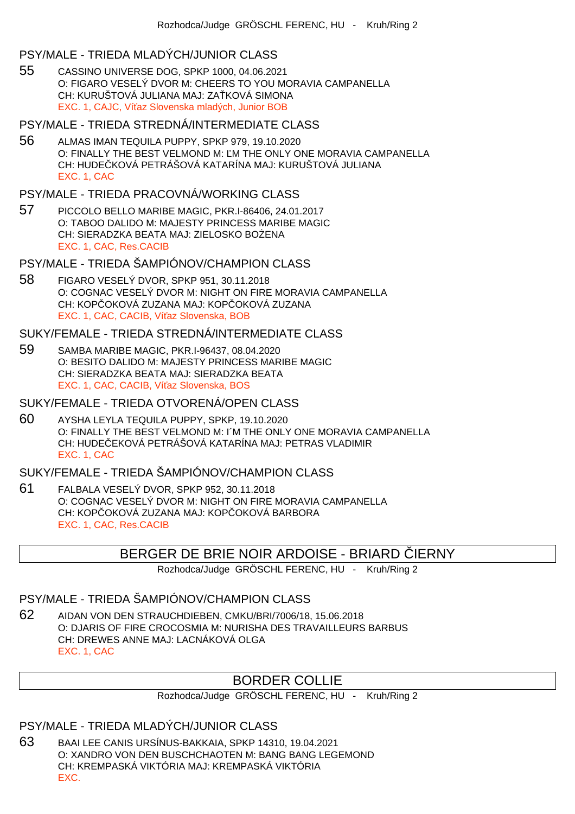## PSY/MALE - TRIEDA MLADÝCH/JUNIOR CLASS

55 CASSINO UNIVERSE DOG, SPKP 1000, 04.06.2021 O: FIGARO VESELÝ DVOR M: CHEERS TO YOU MORAVIA CAMPANELLA CH: KURUŠTOVÁ JULIANA MAJ: ZA KOVÁ SIMONA EXC. 1, CAJC, Ví az Slovenska mladých, Junior BOB

## PSY/MALE - TRIEDA STREDNÁ/INTERMEDIATE CLASS

56 ALMAS IMAN TEQUILA PUPPY, SPKP 979, 19.10.2020 O: FINALLY THE BEST VELMOND M: M THE ONLY ONE MORAVIA CAMPANELLA CH: HUDE KOVÁ PETRÁŠOVÁ KATARÍNA MAJ: KURUŠTOVÁ JULIANA EXC. 1, CAC

## PSY/MALE - TRIEDA PRACOVNÁ/WORKING CLASS

57 PICCOLO BELLO MARIBE MAGIC, PKR.I-86406, 24.01.2017 O: TABOO DALIDO M: MAJESTY PRINCESS MARIBE MAGIC CH: SIERADZKA BEATA MAJ: ZIELOSKO BOLENA EXC. 1, CAC, Res.CACIB

## PSY/MALE - TRIEDA ŠAMPIÓNOV/CHAMPION CLASS

58 FIGARO VESELÝ DVOR, SPKP 951, 30.11.2018 O: COGNAC VESELÝ DVOR M: NIGHT ON FIRE MORAVIA CAMPANELLA CH: KOPČOKOVÁ ZUZANA MAJ: KOPČOKOVÁ ZUZANA EXC. 1, CAC, CACIB, Ví az Slovenska, BOB

# SUKY/FEMALE - TRIEDA STREDNÁ/INTERMEDIATE CLASS

- 59 SAMBA MARIBE MAGIC, PKR.I-96437, 08.04.2020 O: BESITO DALIDO M: MAJESTY PRINCESS MARIBE MAGIC CH: SIERADZKA BEATA MAJ: SIERADZKA BEATA EXC. 1, CAC, CACIB, Ví az Slovenska, BOS
- SUKY/FEMALE TRIEDA OTVORENÁ/OPEN CLASS
- 60 AYSHA LEYLA TEQUILA PUPPY, SPKP, 19.10.2020 O: FINALLY THE BEST VELMOND M: I´M THE ONLY ONE MORAVIA CAMPANELLA CH: HUDE EKOVÁ PETRÁŠOVÁ KATARÍNA MAJ: PETRAS VLADIMIR EXC. 1, CAC

### SUKY/FEMALE - TRIEDA ŠAMPIÓNOV/CHAMPION CLASS

61 FALBALA VESELÝ DVOR, SPKP 952, 30.11.2018 O: COGNAC VESELÝ DVOR M: NIGHT ON FIRE MORAVIA CAMPANELLA CH: KOP OKOVÁ ZUZANA MAJ: KOP OKOVÁ BARBORA EXC. 1, CAC, Res.CACIB

# BERGER DE BRIE NOIR ARDOISE - BRIARD LERNY

Rozhodca/Judge GRÖSCHL FERENC, HU - Kruh/Ring 2

# PSY/MALE - TRIEDA ŠAMPIÓNOV/CHAMPION CLASS

62 AIDAN VON DEN STRAUCHDIEBEN, CMKU/BRI/7006/18, 15.06.2018 O: DJARIS OF FIRE CROCOSMIA M: NURISHA DES TRAVAILLEURS BARBUS CH: DREWES ANNE MAJ: LACNÁKOVÁ OLGA EXC. 1, CAC

# BORDER COLLIE

Rozhodca/Judge GRÖSCHL FERENC, HU - Kruh/Ring 2

# PSY/MALE - TRIEDA MLADÝCH/JUNIOR CLASS

63 BAAI LEE CANIS URSÍNUS-BAKKAIA, SPKP 14310, 19.04.2021 O: XANDRO VON DEN BUSCHCHAOTEN M: BANG BANG LEGEMOND CH: KREMPASKÁ VIKTÓRIA MAJ: KREMPASKÁ VIKTÓRIA EXC.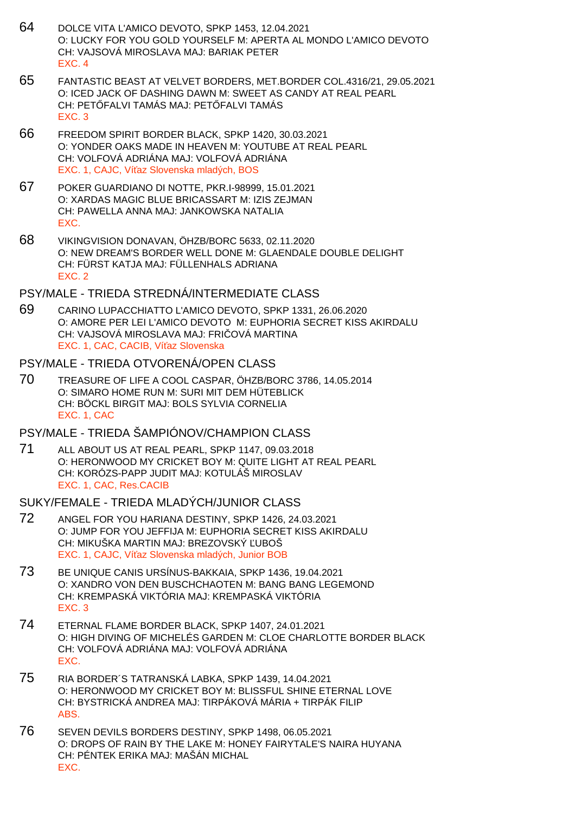- 64 DOLCE VITA L'AMICO DEVOTO, SPKP 1453, 12.04.2021 O: LUCKY FOR YOU GOLD YOURSELF M: APERTA AL MONDO L'AMICO DEVOTO CH: VAJSOVÁ MIROSLAVA MAJ: BARIAK PETER EXC. 4
- 65 FANTASTIC BEAST AT VELVET BORDERS, MET.BORDER COL.4316/21, 29.05.2021 O: ICED JACK OF DASHING DAWN M: SWEET AS CANDY AT REAL PEARL CH: PET FALVI TAMÁS MAJ: PET FALVI TAMÁS EXC. 3
- 66 FREEDOM SPIRIT BORDER BLACK, SPKP 1420, 30.03.2021 O: YONDER OAKS MADE IN HEAVEN M: YOUTUBE AT REAL PEARL CH: VOLFOVÁ ADRIÁNA MAJ: VOLFOVÁ ADRIÁNA EXC. 1, CAJC, Ví az Slovenska mladých, BOS
- 67 POKER GUARDIANO DI NOTTE, PKR.I-98999, 15.01.2021 O: XARDAS MAGIC BLUE BRICASSART M: IZIS ZEJMAN CH: PAWELLA ANNA MAJ: JANKOWSKA NATALIA EXC.
- 68 VIKINGVISION DONAVAN, ÖHZB/BORC 5633, 02.11.2020 O: NEW DREAM'S BORDER WELL DONE M: GLAENDALE DOUBLE DELIGHT CH: FÜRST KATJA MAJ: FÜLLENHALS ADRIANA EXC. 2

## PSY/MALE - TRIEDA STREDNÁ/INTERMEDIATE CLASS

69 CARINO LUPACCHIATTO L'AMICO DEVOTO, SPKP 1331, 26.06.2020 O: AMORE PER LEI L'AMICO DEVOTO M: EUPHORIA SECRET KISS AKIRDALU CH: VAJSOVÁ MIROSLAVA MAJ: FRI OVÁ MARTINA EXC. 1, CAC, CACIB, Ví az Slovenska

### PSY/MALE - TRIEDA OTVORENÁ/OPEN CLASS

70 TREASURE OF LIFE A COOL CASPAR, ÖHZB/BORC 3786, 14.05.2014 O: SIMARO HOME RUN M: SURI MIT DEM HÜTEBLICK CH: BÖCKL BIRGIT MAJ: BOLS SYLVIA CORNELIA EXC. 1, CAC

## PSY/MALE - TRIEDA ŠAMPIÓNOV/CHAMPION CLASS

71 ALL ABOUT US AT REAL PEARL, SPKP 1147, 09.03.2018 O: HERONWOOD MY CRICKET BOY M: QUITE LIGHT AT REAL PEARL CH: KORÓZS-PAPP JUDIT MAJ: KOTULÁŠ MIROSLAV EXC. 1, CAC, Res.CACIB

## SUKY/FEMALE - TRIEDA MLADÝCH/JUNIOR CLASS

- 72 ANGEL FOR YOU HARIANA DESTINY, SPKP 1426, 24.03.2021 O: JUMP FOR YOU JEFFIJA M: EUPHORIA SECRET KISS AKIRDALU CH: MIKUŠKA MARTIN MAJ: BREZOVSKÝ UBOŠ EXC. 1, CAJC, Ví az Slovenska mladých, Junior BOB
- 73 BE UNIQUE CANIS URSÍNUS-BAKKAIA, SPKP 1436, 19.04.2021 O: XANDRO VON DEN BUSCHCHAOTEN M: BANG BANG LEGEMOND CH: KREMPASKÁ VIKTÓRIA MAJ: KREMPASKÁ VIKTÓRIA EXC. 3
- 74 ETERNAL FLAME BORDER BLACK, SPKP 1407, 24.01.2021 O: HIGH DIVING OF MICHELÉS GARDEN M: CLOE CHARLOTTE BORDER BLACK CH: VOLFOVÁ ADRIÁNA MAJ: VOLFOVÁ ADRIÁNA EXC.
- 75 RIA BORDER´S TATRANSKÁ LABKA, SPKP 1439, 14.04.2021 O: HERONWOOD MY CRICKET BOY M: BLISSFUL SHINE ETERNAL LOVE CH: BYSTRICKÁ ANDREA MAJ: TIRPÁKOVÁ MÁRIA + TIRPÁK FILIP ABS.
- 76 SEVEN DEVILS BORDERS DESTINY, SPKP 1498, 06.05.2021 O: DROPS OF RAIN BY THE LAKE M: HONEY FAIRYTALE'S NAIRA HUYANA CH: PÉNTEK ERIKA MAJ: MAŠÁN MICHAL EXC.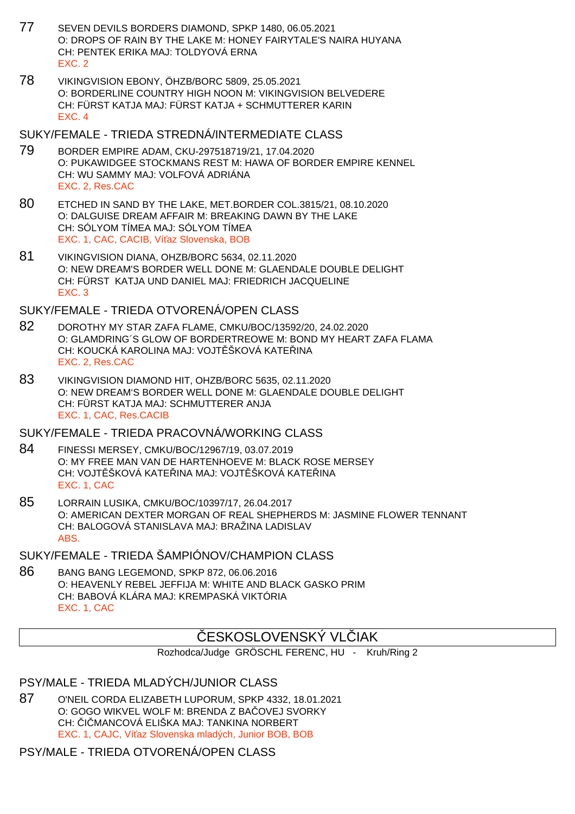- 77 SEVEN DEVILS BORDERS DIAMOND, SPKP 1480, 06.05.2021 O: DROPS OF RAIN BY THE LAKE M: HONEY FAIRYTALE'S NAIRA HUYANA CH: PENTEK ERIKA MAJ: TOLDYOVÁ ERNA EXC. 2
- 78 VIKINGVISION EBONY, ÖHZB/BORC 5809, 25.05.2021 O: BORDERLINE COUNTRY HIGH NOON M: VIKINGVISION BELVEDERE CH: FÜRST KATJA MAJ: FÜRST KATJA + SCHMUTTERER KARIN EXC. 4

#### SUKY/FEMALE - TRIEDA STREDNÁ/INTERMEDIATE CLASS

- 79 BORDER EMPIRE ADAM, CKU-297518719/21, 17.04.2020 O: PUKAWIDGEE STOCKMANS REST M: HAWA OF BORDER EMPIRE KENNEL CH: WU SAMMY MAJ: VOLFOVÁ ADRIÁNA EXC. 2, Res.CAC
- 80 ETCHED IN SAND BY THE LAKE, MET.BORDER COL.3815/21, 08.10.2020 O: DALGUISE DREAM AFFAIR M: BREAKING DAWN BY THE LAKE CH: SÓLYOM TÍMEA MAJ: SÓLYOM TÍMEA EXC. 1, CAC, CACIB, Ví az Slovenska, BOB
- 81 VIKINGVISION DIANA, OHZB/BORC 5634, 02.11.2020 O: NEW DREAM'S BORDER WELL DONE M: GLAENDALE DOUBLE DELIGHT CH: FÜRST KATJA UND DANIEL MAJ: FRIEDRICH JACQUELINE EXC. 3

## SUKY/FEMALE - TRIEDA OTVORENÁ/OPEN CLASS

- 82 DOROTHY MY STAR ZAFA FLAME, CMKU/BOC/13592/20, 24.02.2020 O: GLAMDRING´S GLOW OF BORDERTREOWE M: BOND MY HEART ZAFA FLAMA CH: KOUCKÁ KAROLINA MAJ: VOJT ŠKOVÁ KATELINA EXC. 2, Res.CAC
- 83 VIKINGVISION DIAMOND HIT, OHZB/BORC 5635, 02.11.2020 O: NEW DREAM'S BORDER WELL DONE M: GLAENDALE DOUBLE DELIGHT CH: FÜRST KATJA MAJ: SCHMUTTERER ANJA EXC. 1, CAC, Res.CACIB

## SUKY/FEMALE - TRIEDA PRACOVNÁ/WORKING CLASS

- 84 FINESSI MERSEY, CMKU/BOC/12967/19, 03.07.2019 O: MY FREE MAN VAN DE HARTENHOEVE M: BLACK ROSE MERSEY CH: VOJT ŠKOVÁ KATE INA MAJ: VOJT ŠKOVÁ KATE INA EXC. 1, CAC
- 85 LORRAIN LUSIKA, CMKU/BOC/10397/17, 26.04.2017 O: AMERICAN DEXTER MORGAN OF REAL SHEPHERDS M: JASMINE FLOWER TENNANT CH: BALOGOVÁ STANISLAVA MAJ: BRAŽINA LADISLAV ABS.

# SUKY/FEMALE - TRIEDA ŠAMPIÓNOV/CHAMPION CLASS

86 BANG BANG LEGEMOND, SPKP 872, 06.06.2016 O: HEAVENLY REBEL JEFFIJA M: WHITE AND BLACK GASKO PRIM CH: BABOVÁ KLÁRA MAJ: KREMPASKÁ VIKTÓRIA EXC. 1, CAC

# ESKOSLOVENSKÝ VL JAK

Rozhodca/Judge GRÖSCHL FERENC, HU - Kruh/Ring 2

## PSY/MALE - TRIEDA MLADÝCH/JUNIOR CLASS

87 O'NEIL CORDA ELIZABETH LUPORUM, SPKP 4332, 18.01.2021 O: GOGO WIKVEL WOLF M: BRENDA Z BA QVEJ SVORKY CH: I MANCOVÁ ELIŠKA MAJ: TANKINA NORBERT EXC. 1, CAJC, Ví az Slovenska mladých, Junior BOB, BOB

# PSY/MALE - TRIEDA OTVORENÁ/OPEN CLASS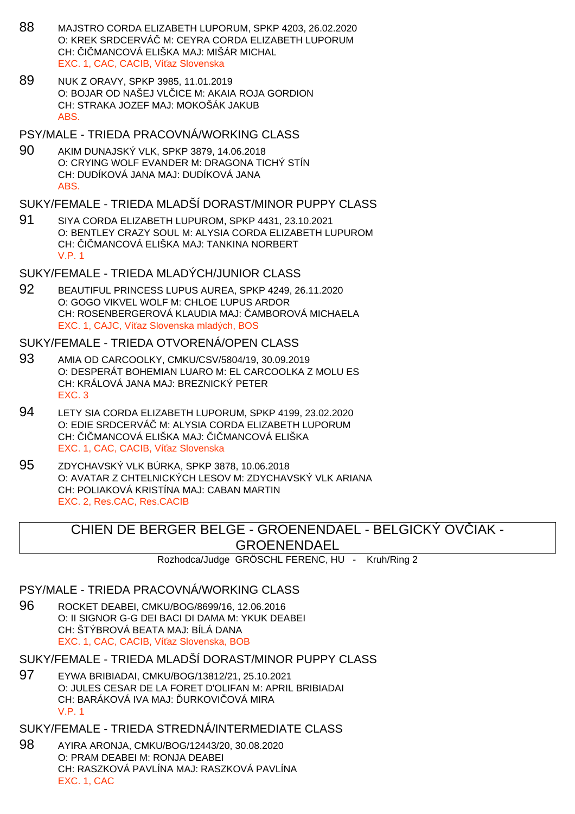- 88 MAJSTRO CORDA ELIZABETH LUPORUM, SPKP 4203, 26.02.2020 O: KREK SRDCERVÁ M: CEYRA CORDA ELIZABETH LUPORUM CH: I MANCOVÁ ELIŠKA MAJ: MIŠÁR MICHAL EXC. 1, CAC, CACIB, Ví az Slovenska
- 89 NUK Z ORAVY, SPKP 3985, 11.01.2019 O: BOJAR OD NAŠEJ VLICE M: AKAIA ROJA GORDION CH: STRAKA JOZEF MAJ: MOKOŠÁK JAKUB ABS.
- PSY/MALE TRIEDA PRACOVNÁ/WORKING CLASS
- 90 AKIM DUNAJSKÝ VLK, SPKP 3879, 14.06.2018 O: CRYING WOLF EVANDER M: DRAGONA TICHÝ STÍN CH: DUDÍKOVÁ JANA MAJ: DUDÍKOVÁ JANA ABS.
- SUKY/FEMALE TRIEDA MLADŠÍ DORAST/MINOR PUPPY CLASS
- 91 SIYA CORDA ELIZABETH LUPUROM, SPKP 4431, 23.10.2021 O: BENTLEY CRAZY SOUL M: ALYSIA CORDA ELIZABETH LUPUROM CH: I MANCOVÁ ELIŠKA MAJ: TANKINA NORBERT V.P. 1
- SUKY/FEMALE TRIEDA MLADÝCH/JUNIOR CLASS
- 92 BEAUTIFUL PRINCESS LUPUS AUREA, SPKP 4249, 26.11.2020 O: GOGO VIKVEL WOLF M: CHLOE LUPUS ARDOR CH: ROSENBERGEROVÁ KLAUDIA MAJ: AMBOROVÁ MICHAELA EXC. 1, CAJC, Ví az Slovenska mladých, BOS

#### SUKY/FEMALE - TRIEDA OTVORENÁ/OPEN CLASS

- 93 AMIA OD CARCOOLKY, CMKU/CSV/5804/19, 30.09.2019 O: DESPERÁT BOHEMIAN LUARO M: EL CARCOOLKA Z MOLU ES CH: KRÁLOVÁ JANA MAJ: BREZNICKÝ PETER EXC. 3
- 94 LETY SIA CORDA ELIZABETH LUPORUM, SPKP 4199, 23.02.2020 O: EDIE SRDCERVÁ M: ALYSIA CORDA ELIZABETH LUPORUM CH: I MANCOVÁ ELIŠKA MAJ: I MANCOVÁ ELIŠKA EXC. 1, CAC, CACIB, Ví az Slovenska
- 95 ZDYCHAVSKÝ VLK BÚRKA, SPKP 3878, 10.06.2018 O: AVATAR Z CHTELNICKÝCH LESOV M: ZDYCHAVSKÝ VLK ARIANA CH: POLIAKOVÁ KRISTÍNA MAJ: CABAN MARTIN EXC. 2, Res.CAC, Res.CACIB

# CHIEN DE BERGER BELGE - GROENENDAEL - BELGICKÝ OVÍJAK -GROENENDAEL

Rozhodca/Judge GRÖSCHL FERENC, HU - Kruh/Ring 2

# PSY/MALE - TRIEDA PRACOVNÁ/WORKING CLASS

- 96 ROCKET DEABEI, CMKU/BOG/8699/16, 12.06.2016 O: II SIGNOR G-G DEI BACI DI DAMA M: YKUK DEABEI CH: ŠTÝBROVÁ BEATA MAJ: BÍLÁ DANA EXC. 1, CAC, CACIB, Ví az Slovenska, BOB
- SUKY/FEMALE TRIEDA MLADŠÍ DORAST/MINOR PUPPY CLASS
- 97 EYWA BRIBIADAI, CMKU/BOG/13812/21, 25.10.2021 O: JULES CESAR DE LA FORET D'OLIFAN M: APRIL BRIBIADAI CH: BARÁKOVÁ IVA MAJ: URKOVI OVÁ MIRA V.P. 1

SUKY/FEMALE - TRIEDA STREDNÁ/INTERMEDIATE CLASS

98 AYIRA ARONJA, CMKU/BOG/12443/20, 30.08.2020 O: PRAM DEABEI M: RONJA DEABEI CH: RASZKOVÁ PAVLÍNA MAJ: RASZKOVÁ PAVLÍNA EXC. 1, CAC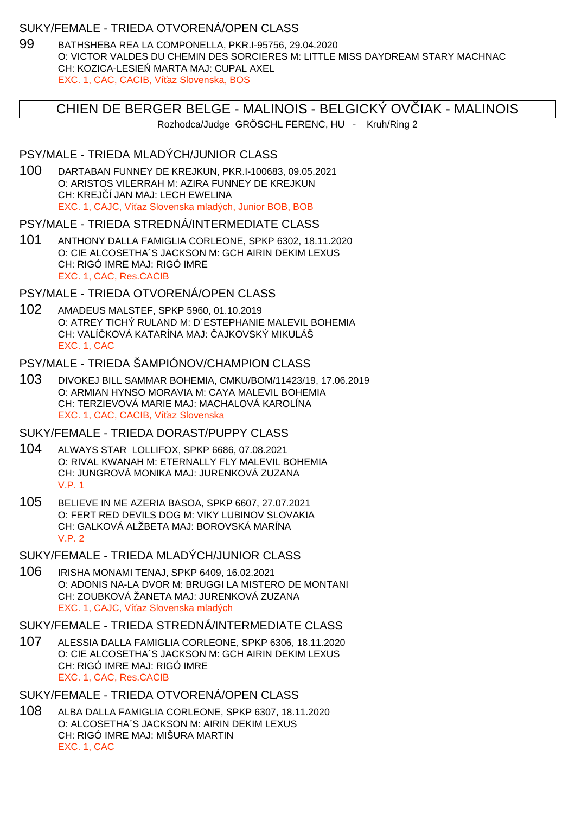## SUKY/FEMALE - TRIEDA OTVORENÁ/OPEN CLASS

99 BATHSHEBA REA LA COMPONELLA, PKR.I-95756, 29.04.2020 O: VICTOR VALDES DU CHEMIN DES SORCIERES M: LITTLE MISS DAYDREAM STARY MACHNAC CH: KOZICA-LESIE MARTA MAJ: CUPAL AXEL EXC. 1, CAC, CACIB, Ví az Slovenska, BOS

# CHIEN DE BERGER BELGE - MALINOIS - BELGICKÝ OVČIAK - MALINOIS

Rozhodca/Judge GRÖSCHL FERENC, HU - Kruh/Ring 2

## PSY/MALE - TRIEDA MLADÝCH/JUNIOR CLASS

100 DARTABAN FUNNEY DE KREJKUN, PKR.I-100683, 09.05.2021 O: ARISTOS VILERRAH M: AZIRA FUNNEY DE KREJKUN CH: KREJ Í JAN MAJ: LECH EWELINA EXC. 1, CAJC, Ví az Slovenska mladých, Junior BOB, BOB

### PSY/MALE - TRIEDA STREDNÁ/INTERMEDIATE CLASS

101 ANTHONY DALLA FAMIGLIA CORLEONE, SPKP 6302, 18.11.2020 O: CIE ALCOSETHA´S JACKSON M: GCH AIRIN DEKIM LEXUS CH: RIGÓ IMRE MAJ: RIGÓ IMRE EXC. 1, CAC, Res.CACIB

## PSY/MALE - TRIEDA OTVORENÁ/OPEN CLASS

102 AMADEUS MALSTEF, SPKP 5960, 01.10.2019 O: ATREY TICHÝ RULAND M: D´ESTEPHANIE MALEVIL BOHEMIA CH: VALÍ KOVÁ KATARÍNA MAJ: AJKOVSKÝ MIKULÁŠ EXC. 1, CAC

## PSY/MALE - TRIEDA ŠAMPIÓNOV/CHAMPION CLASS

103 DIVOKEJ BILL SAMMAR BOHEMIA, CMKU/BOM/11423/19, 17.06.2019 O: ARMIAN HYNSO MORAVIA M: CAYA MALEVIL BOHEMIA CH: TERZIEVOVÁ MARIE MAJ: MACHALOVÁ KAROLÍNA EXC. 1, CAC, CACIB, Ví az Slovenska

## SUKY/FEMALE - TRIEDA DORAST/PUPPY CLASS

- 104 ALWAYS STAR LOLLIFOX, SPKP 6686, 07.08.2021 O: RIVAL KWANAH M: ETERNALLY FLY MALEVIL BOHEMIA CH: JUNGROVÁ MONIKA MAJ: JURENKOVÁ ZUZANA V.P. 1
- 105 BELIEVE IN ME AZERIA BASOA, SPKP 6607, 27.07.2021 O: FERT RED DEVILS DOG M: VIKY LUBINOV SLOVAKIA CH: GALKOVÁ ALŽBETA MAJ: BOROVSKÁ MARÍNA  $V.P. 2$

# SUKY/FEMALE - TRIEDA MLADÝCH/JUNIOR CLASS

106 IRISHA MONAMI TENAJ, SPKP 6409, 16.02.2021 O: ADONIS NA-LA DVOR M: BRUGGI LA MISTERO DE MONTANI CH: ZOUBKOVÁ ŽANETA MAJ: JURENKOVÁ ZUZANA EXC. 1, CAJC. Ví az Slovenska mladých

## SUKY/FEMALE - TRIEDA STREDNÁ/INTERMEDIATE CLASS

107 ALESSIA DALLA FAMIGLIA CORLEONE, SPKP 6306, 18.11.2020 O: CIE ALCOSETHA´S JACKSON M: GCH AIRIN DEKIM LEXUS CH: RIGÓ IMRE MAJ: RIGÓ IMRE EXC. 1, CAC, Res.CACIB

## SUKY/FEMALE - TRIEDA OTVORENÁ/OPEN CLASS

108 ALBA DALLA FAMIGLIA CORLEONE, SPKP 6307, 18.11.2020 O: ALCOSETHA´S JACKSON M: AIRIN DEKIM LEXUS CH: RIGÓ IMRE MAJ: MIŠURA MARTIN EXC. 1, CAC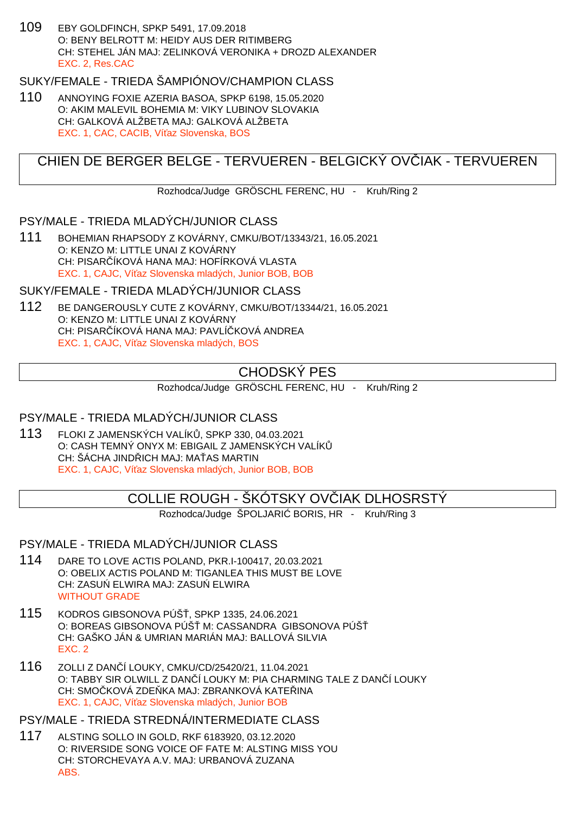109 EBY GOLDFINCH, SPKP 5491, 17.09.2018 O: BENY BELROTT M: HEIDY AUS DER RITIMBERG CH: STEHEL JÁN MAJ: ZELINKOVÁ VERONIKA + DROZD ALEXANDER EXC. 2, Res.CAC

# SUKY/FEMALE - TRIEDA ŠAMPIÓNOV/CHAMPION CLASS

110 ANNOYING FOXIE AZERIA BASOA, SPKP 6198, 15.05.2020 O: AKIM MALEVIL BOHEMIA M: VIKY LUBINOV SLOVAKIA CH: GALKOVÁ ALŽBETA MAJ: GALKOVÁ ALŽBETA EXC. 1, CAC, CACIB, Ví az Slovenska, BOS

# CHIEN DE BERGER BELGE - TERVUEREN - BELGICKÝ OVČIAK - TERVUEREN

Rozhodca/Judge GRÖSCHL FERENC, HU - Kruh/Ring 2

## PSY/MALE - TRIEDA MLADÝCH/JUNIOR CLASS

111 BOHEMIAN RHAPSODY Z KOVÁRNY, CMKU/BOT/13343/21, 16.05.2021 O: KENZO M: LITTLE UNAI Z KOVÁRNY CH: PISAR ÍKOVÁ HANA MAJ: HOFÍRKOVÁ VLASTA EXC. 1, CAJC, Ví az Slovenska mladých, Junior BOB, BOB

## SUKY/FEMALE - TRIEDA MLADÝCH/JUNIOR CLASS

112 BE DANGEROUSLY CUTE Z KOVÁRNY, CMKU/BOT/13344/21, 16.05.2021 O: KENZO M: LITTLE UNAI Z KOVÁRNY CH: PISAR ÍKOVÁ HANA MAJ: PAVLÍ KOVÁ ANDREA EXC. 1, CAJC, Ví az Slovenska mladých, BOS

# CHODSKÝ PES

Rozhodca/Judge GRÖSCHL FERENC, HU - Kruh/Ring 2

## PSY/MALE - TRIEDA MLADÝCH/JUNIOR CLASS

113 FLOKI Z JAMENSKÝCH VALÍK, SPKP 330, 04.03.2021 O: CASH TEMNÝ ONYX M: EBIGAIL Z JAMENSKÝCH VALÍK CH: ŠÁCHA JIND ICH MAJ: MA AS MARTIN EXC. 1, CAJC, Ví az Slovenska mladých, Junior BOB, BOB

# COLLIE ROUGH - ŠKÓTSKY OV IAK DLHOSRSTÝ

Rozhodca/Judge ŠPOLJARI BORIS, HR - Kruh/Ring 3

#### PSY/MALE - TRIEDA MLADÝCH/JUNIOR CLASS

- 114 DARE TO LOVE ACTIS POLAND, PKR.I-100417, 20.03.2021 O: OBELIX ACTIS POLAND M: TIGANLEA THIS MUST BE LOVE CH: ZASU ELWIRA MAJ: ZASU ELWIRA WITHOUT GRADE
- 115 KODROS GIBSONOVA PÚŠ, SPKP 1335, 24.06.2021 O: BOREAS GIBSONOVA PÚŠ M: CASSANDRA GIBSONOVA PÚŠ CH: GAŠKO JÁN & UMRIAN MARIÁN MAJ: BALLOVÁ SILVIA EXC. 2
- 116 ZOLLI Z DANČÍ LOUKY, CMKU/CD/25420/21, 11.04.2021 O: TABBY SIR OLWILL Z DAN Í LOUKY M: PIA CHARMING TALE Z DAN Í LOUKY CH: SMO KOVÁ ZDE KA MAJ: ZBRANKOVÁ KATE INA EXC. 1, CAJC, Ví az Slovenska mladých, Junior BOB

#### PSY/MALE - TRIEDA STREDNÁ/INTERMEDIATE CLASS

117 ALSTING SOLLO IN GOLD, RKF 6183920, 03.12.2020 O: RIVERSIDE SONG VOICE OF FATE M: ALSTING MISS YOU CH: STORCHEVAYA A.V. MAJ: URBANOVÁ ZUZANA ABS.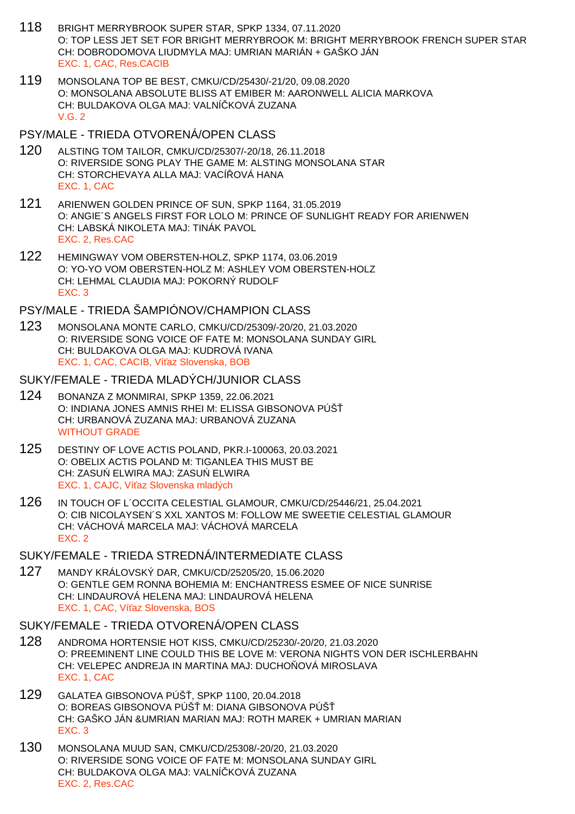- 118 BRIGHT MERRYBROOK SUPER STAR, SPKP 1334, 07.11.2020 O: TOP LESS JET SET FOR BRIGHT MERRYBROOK M: BRIGHT MERRYBROOK FRENCH SUPER STAR CH: DOBRODOMOVA LIUDMYLA MAJ: UMRIAN MARIÁN + GAŠKO JÁN EXC. 1, CAC, Res.CACIB
- 119 MONSOLANA TOP BE BEST, CMKU/CD/25430/-21/20, 09.08.2020 O: MONSOLANA ABSOLUTE BLISS AT EMIBER M: AARONWELL ALICIA MARKOVA CH: BULDAKOVA OLGA MAJ: VALNÍ KOVÁ ZUZANA V.G. 2

#### PSY/MALE - TRIEDA OTVORENÁ/OPEN CLASS

- 120 ALSTING TOM TAILOR, CMKU/CD/25307/-20/18, 26.11.2018 O: RIVERSIDE SONG PLAY THE GAME M: ALSTING MONSOLANA STAR CH: STORCHEVAYA ALLA MAJ: VACÍ OVÁ HANA EXC. 1, CAC
- 121 ARIENWEN GOLDEN PRINCE OF SUN, SPKP 1164, 31.05.2019 O: ANGIE´S ANGELS FIRST FOR LOLO M: PRINCE OF SUNLIGHT READY FOR ARIENWEN CH: LABSKÁ NIKOLETA MAJ: TINÁK PAVOL EXC. 2, Res.CAC
- 122 HEMINGWAY VOM OBERSTEN-HOLZ, SPKP 1174, 03.06.2019 O: YO-YO VOM OBERSTEN-HOLZ M: ASHLEY VOM OBERSTEN-HOLZ CH: LEHMAL CLAUDIA MAJ: POKORNÝ RUDOLF EXC. 3

## PSY/MALE - TRIEDA ŠAMPIÓNOV/CHAMPION CLASS

123 MONSOLANA MONTE CARLO, CMKU/CD/25309/-20/20, 21.03.2020 O: RIVERSIDE SONG VOICE OF FATE M: MONSOLANA SUNDAY GIRL CH: BULDAKOVA OLGA MAJ: KUDROVÁ IVANA EXC. 1, CAC, CACIB, Ví az Slovenska, BOB

#### SUKY/FEMALE - TRIEDA MLADÝCH/JUNIOR CLASS

- 124 BONANZA Z MONMIRAI, SPKP 1359, 22.06.2021 O: INDIANA JONES AMNIS RHEI M: ELISSA GIBSONOVA PÚŠ CH: URBANOVÁ ZUZANA MAJ: URBANOVÁ ZUZANA WITHOUT GRADE
- 125 DESTINY OF LOVE ACTIS POLAND, PKR.I-100063, 20.03.2021 O: OBELIX ACTIS POLAND M: TIGANLEA THIS MUST BE CH: ZASU ELWIRA MAJ: ZASU ELWIRA EXC. 1, CAJC, Ví az Slovenska mladých
- 126 IN TOUCH OF L´OCCITA CELESTIAL GLAMOUR, CMKU/CD/25446/21, 25.04.2021 O: CIB NICOLAYSEN´S XXL XANTOS M: FOLLOW ME SWEETIE CELESTIAL GLAMOUR CH: VÁCHOVÁ MARCELA MAJ: VÁCHOVÁ MARCELA EXC. 2

# SUKY/FEMALE - TRIEDA STREDNÁ/INTERMEDIATE CLASS

127 MANDY KRÁLOVSKÝ DAR, CMKU/CD/25205/20, 15.06.2020 O: GENTLE GEM RONNA BOHEMIA M: ENCHANTRESS ESMEE OF NICE SUNRISE CH: LINDAUROVÁ HELENA MAJ: LINDAUROVÁ HELENA EXC. 1, CAC, Ví az Slovenska, BOS

#### SUKY/FEMALE - TRIEDA OTVORENÁ/OPEN CLASS

- 128 ANDROMA HORTENSIE HOT KISS, CMKU/CD/25230/-20/20, 21.03.2020 O: PREEMINENT LINE COULD THIS BE LOVE M: VERONA NIGHTS VON DER ISCHLERBAHN CH: VELEPEC ANDREJA IN MARTINA MAJ: DUCHO OVÁ MIROSLAVA EXC. 1, CAC
- 129 GALATEA GIBSONOVA PÚŠ, SPKP 1100, 20.04.2018 O: BOREAS GIBSONOVA PÚŠ M: DIANA GIBSONOVA PÚŠ CH: GAŠKO JÁN &UMRIAN MARIAN MAJ: ROTH MAREK + UMRIAN MARIAN EXC. 3
- 130 MONSOLANA MUUD SAN, CMKU/CD/25308/-20/20, 21.03.2020 O: RIVERSIDE SONG VOICE OF FATE M: MONSOLANA SUNDAY GIRL CH: BULDAKOVA OLGA MAJ: VALNÍ KOVÁ ZUZANA EXC. 2, Res.CAC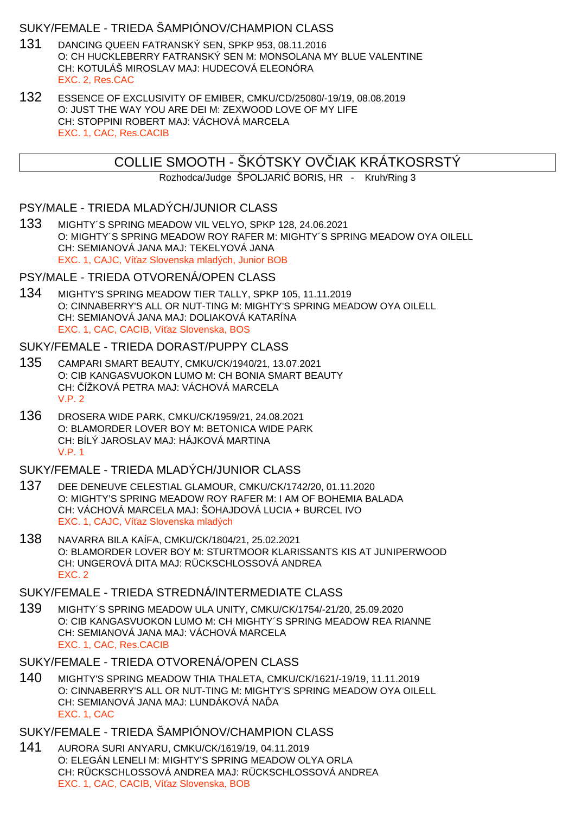## SUKY/FEMALE - TRIEDA ŠAMPIÓNOV/CHAMPION CLASS

- 131 DANCING QUEEN FATRANSKÝ SEN, SPKP 953, 08.11.2016 O: CH HUCKLEBERRY FATRANSKÝ SEN M: MONSOLANA MY BLUE VALENTINE CH: KOTULÁŠ MIROSLAV MAJ: HUDECOVÁ ELEONÓRA EXC. 2, Res.CAC
- 132 ESSENCE OF EXCLUSIVITY OF EMIBER, CMKU/CD/25080/-19/19, 08.08.2019 O: JUST THE WAY YOU ARE DEI M: ZEXWOOD LOVE OF MY LIFE CH: STOPPINI ROBERT MAJ: VÁCHOVÁ MARCELA EXC. 1, CAC, Res.CACIB

# COLLIE SMOOTH - ŠKÓTSKY OV IAK KRÁTKOSRSTÝ

Rozhodca/Judge ŠPOLJARI BORIS, HR - Kruh/Ring 3

## PSY/MALE - TRIEDA MLADÝCH/JUNIOR CLASS

133 MIGHTY´S SPRING MEADOW VIL VELYO, SPKP 128, 24.06.2021 O: MIGHTY´S SPRING MEADOW ROY RAFER M: MIGHTY´S SPRING MEADOW OYA OILELL CH: SEMIANOVÁ JANA MAJ: TEKELYOVÁ JANA EXC. 1, CAJC, Ví az Slovenska mladých, Junior BOB

### PSY/MALE - TRIEDA OTVORENÁ/OPEN CLASS

134 MIGHTY'S SPRING MEADOW TIER TALLY, SPKP 105, 11.11.2019 O: CINNABERRY'S ALL OR NUT-TING M: MIGHTY'S SPRING MEADOW OYA OILELL CH: SEMIANOVÁ JANA MAJ: DOLIAKOVÁ KATARÍNA EXC. 1, CAC, CACIB, Ví az Slovenska, BOS

### SUKY/FEMALE - TRIEDA DORAST/PUPPY CLASS

- 135 CAMPARI SMART BEAUTY, CMKU/CK/1940/21, 13.07.2021 O: CIB KANGASVUOKON LUMO M: CH BONIA SMART BEAUTY CH: ČÍŽKOVÁ PETRA MAJ: VÁCHOVÁ MARCELA V.P. 2
- 136 DROSERA WIDE PARK, CMKU/CK/1959/21, 24.08.2021 O: BLAMORDER LOVER BOY M: BETONICA WIDE PARK CH: BÍLÝ JAROSLAV MAJ: HÁJKOVÁ MARTINA V.P. 1

# SUKY/FEMALE - TRIEDA MLADÝCH/JUNIOR CLASS

- 137 DEE DENEUVE CELESTIAL GLAMOUR, CMKU/CK/1742/20, 01.11.2020 O: MIGHTY'S SPRING MEADOW ROY RAFER M: I AM OF BOHEMIA BALADA CH: VÁCHOVÁ MARCELA MAJ: ŠOHAJDOVÁ LUCIA + BURCEL IVO EXC. 1, CAJC, Ví az Slovenska mladých
- 138 NAVARRA BILA KAÍFA, CMKU/CK/1804/21, 25.02.2021 O: BLAMORDER LOVER BOY M: STURTMOOR KLARISSANTS KIS AT JUNIPERWOOD CH: UNGEROVÁ DITA MAJ: RÜCKSCHLOSSOVÁ ANDREA EXC. 2

## SUKY/FEMALE - TRIEDA STREDNÁ/INTERMEDIATE CLASS

139 MIGHTY´S SPRING MEADOW ULA UNITY, CMKU/CK/1754/-21/20, 25.09.2020 O: CIB KANGASVUOKON LUMO M: CH MIGHTY´S SPRING MEADOW REA RIANNE CH: SEMIANOVÁ JANA MAJ: VÁCHOVÁ MARCELA EXC. 1, CAC, Res.CACIB

## SUKY/FEMALE - TRIEDA OTVORENÁ/OPEN CLASS

140 MIGHTY'S SPRING MEADOW THIA THALETA, CMKU/CK/1621/-19/19, 11.11.2019 O: CINNABERRY'S ALL OR NUT-TING M: MIGHTY'S SPRING MEADOW OYA OILELL CH: SEMIANOVÁ JANA MAJ: LUNDÁKOVÁ NA A EXC. 1, CAC

## SUKY/FEMALE - TRIEDA ŠAMPIÓNOV/CHAMPION CLASS

141 AURORA SURI ANYARU, CMKU/CK/1619/19, 04.11.2019 O: ELEGÁN LENELI M: MIGHTY'S SPRING MEADOW OLYA ORLA CH: RÜCKSCHLOSSOVÁ ANDREA MAJ: RÜCKSCHLOSSOVÁ ANDREA EXC. 1, CAC, CACIB, Ví az Slovenska, BOB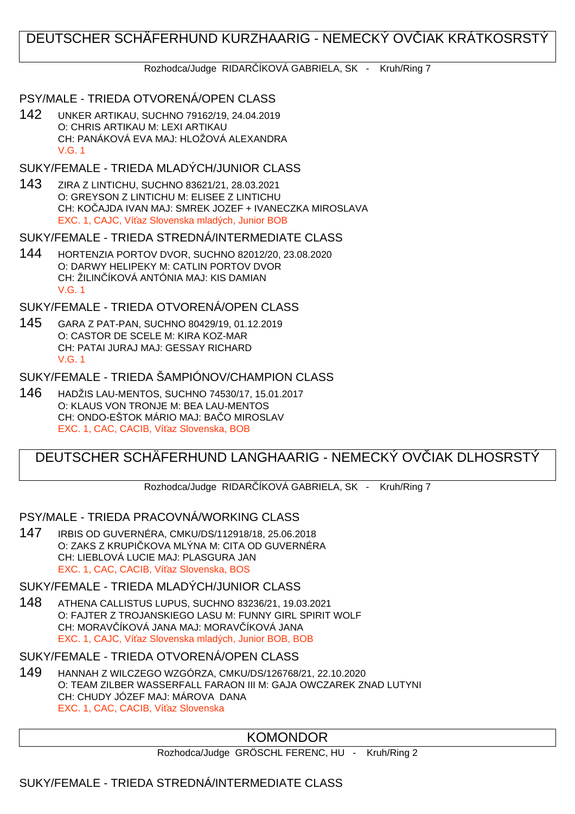# DEUTSCHER SCHÄFERHUND KURZHAARIG - NEMECKÝ OVČIAK KRÁTKOSRSTÝ

### Rozhodca/Judge RIDAR ÍKOVÁ GABRIELA, SK - Kruh/Ring 7

## PSY/MALE - TRIEDA OTVORENÁ/OPEN CLASS

142 UNKER ARTIKAU, SUCHNO 79162/19, 24.04.2019 O: CHRIS ARTIKAU M: LEXI ARTIKAU CH: PANÁKOVÁ EVA MAJ: HLOŽOVÁ ALEXANDRA V.G. 1

## SUKY/FEMALE - TRIEDA MLADÝCH/JUNIOR CLASS

143 ZIRA Z LINTICHU, SUCHNO 83621/21, 28.03.2021 O: GREYSON Z LINTICHU M: ELISEE Z LINTICHU CH: KOČAJDA IVAN MAJ: SMREK JOZEF + IVANECZKA MIROSLAVA EXC. 1, CAJC, Ví az Slovenska mladých, Junior BOB

### SUKY/FEMALE - TRIEDA STREDNÁ/INTERMEDIATE CLASS

144 HORTENZIA PORTOV DVOR, SUCHNO 82012/20, 23.08.2020 O: DARWY HELIPEKY M: CATLIN PORTOV DVOR CH: ŽILIN ÍKOVÁ ANTÓNIA MAJ: KIS DAMIAN V.G. 1

# SUKY/FEMALE - TRIEDA OTVORENÁ/OPEN CLASS

145 GARA Z PAT-PAN, SUCHNO 80429/19, 01.12.2019 O: CASTOR DE SCELE M: KIRA KOZ-MAR CH: PATAI JURAJ MAJ: GESSAY RICHARD V.G. 1

# SUKY/FEMALE - TRIEDA ŠAMPIÓNOV/CHAMPION CLASS

146 HADŽIS LAU-MENTOS, SUCHNO 74530/17, 15.01.2017 O: KLAUS VON TRONJE M: BEA LAU-MENTOS CH: ONDO-EŠTOK MÁRIO MAJ: BA O MIROSLAV EXC. 1, CAC, CACIB, Ví az Slovenska, BOB

# DEUTSCHER SCHÄFERHUND LANGHAARIG - NEMECKÝ OVČIAK DLHOSRSTÝ

Rozhodca/Judge RIDAR ÍKOVÁ GABRIELA, SK - Kruh/Ring 7

## PSY/MALE - TRIEDA PRACOVNÁ/WORKING CLASS

147 IRBIS OD GUVERNÉRA, CMKU/DS/112918/18, 25.06.2018 O: ZAKS Z KRUPI KOVA MLÝNA M: CITA OD GUVERNÉRA CH: LIEBLOVÁ LUCIE MAJ: PLASGURA JAN EXC. 1, CAC, CACIB, Ví az Slovenska, BOS

# SUKY/FEMALE - TRIEDA MLADÝCH/JUNIOR CLASS

148 ATHENA CALLISTUS LUPUS, SUCHNO 83236/21, 19.03.2021 O: FAJTER Z TROJANSKIEGO LASU M: FUNNY GIRL SPIRIT WOLF CH: MORAVIÍKOVÁ JANA MAJ: MORAVIÍKOVÁ JANA EXC. 1, CAJC, Ví az Slovenska mladých, Junior BOB, BOB

# SUKY/FEMALE - TRIEDA OTVORENÁ/OPEN CLASS

149 HANNAH Z WILCZEGO WZGÓRZA, CMKU/DS/126768/21, 22.10.2020 O: TEAM ZILBER WASSERFALL FARAON III M: GAJA OWCZAREK ZNAD LUTYNI CH: CHUDY JÓZEF MAJ: MÁROVA DANA EXC. 1, CAC, CACIB, Ví az Slovenska

# KOMONDOR

Rozhodca/Judge GRÖSCHL FERENC, HU - Kruh/Ring 2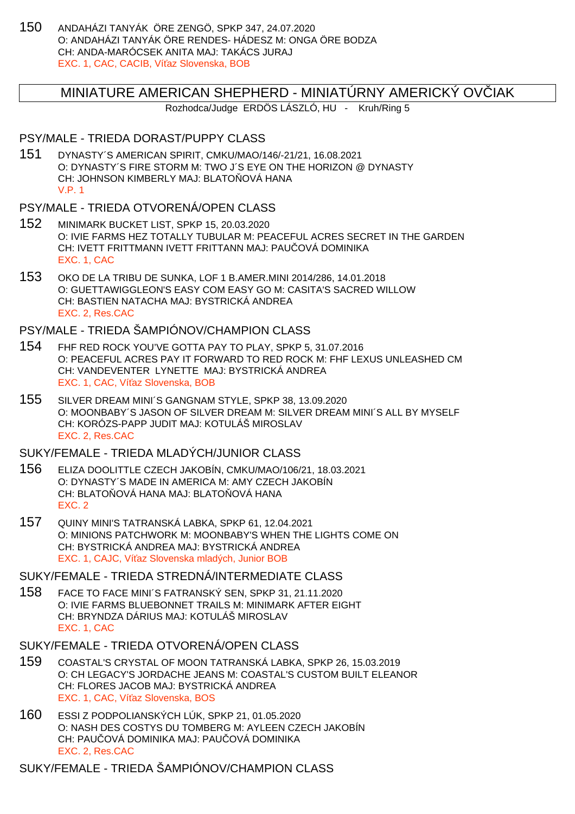150 ANDAHÁZI TANYÁK ÖRE ZENGÖ, SPKP 347, 24.07.2020 O: ANDAHÁZI TANYÁK ÖRE RENDES- HÁDESZ M: ONGA ÖRE BODZA CH: ANDA-MARÓCSEK ANITA MAJ: TAKÁCS JURAJ EXC. 1, CAC, CACIB, Ví az Slovenska, BOB

## MINIATURE AMERICAN SHEPHERD - MINIATÚRNY AMERICKÝ OV IAK

Rozhodca/Judge ERDÖS LÁSZLÓ, HU - Kruh/Ring 5

#### PSY/MALE - TRIEDA DORAST/PUPPY CLASS

151 DYNASTY´S AMERICAN SPIRIT, CMKU/MAO/146/-21/21, 16.08.2021 O: DYNASTY´S FIRE STORM M: TWO J´S EYE ON THE HORIZON @ DYNASTY CH: JOHNSON KIMBERLY MAJ: BLATO OVÁ HANA V.P. 1

### PSY/MALE - TRIEDA OTVORENÁ/OPEN CLASS

- 152 MINIMARK BUCKET LIST, SPKP 15, 20.03.2020 O: IVIE FARMS HEZ TOTALLY TUBULAR M: PEACEFUL ACRES SECRET IN THE GARDEN CH: IVETT FRITTMANN IVETT FRITTANN MAJ: PAU OVÁ DOMINIKA EXC. 1, CAC
- 153 OKO DE LA TRIBU DE SUNKA, LOF 1 B.AMER.MINI 2014/286, 14.01.2018 O: GUETTAWIGGLEON'S EASY COM EASY GO M: CASITA'S SACRED WILLOW CH: BASTIEN NATACHA MAJ: BYSTRICKÁ ANDREA EXC. 2, Res.CAC

## PSY/MALE - TRIEDA ŠAMPIÓNOV/CHAMPION CLASS

- 154 FHF RED ROCK YOU'VE GOTTA PAY TO PLAY, SPKP 5, 31.07.2016 O: PEACEFUL ACRES PAY IT FORWARD TO RED ROCK M: FHF LEXUS UNLEASHED CM CH: VANDEVENTER LYNETTE MAJ: BYSTRICKÁ ANDREA EXC. 1, CAC, Ví az Slovenska, BOB
- 155 SILVER DREAM MINI´S GANGNAM STYLE, SPKP 38, 13.09.2020 O: MOONBABY´S JASON OF SILVER DREAM M: SILVER DREAM MINI´S ALL BY MYSELF CH: KORÓZS-PAPP JUDIT MAJ: KOTULÁŠ MIROSLAV EXC. 2, Res.CAC

# SUKY/FEMALE - TRIEDA MLADÝCH/JUNIOR CLASS

- 156 ELIZA DOOLITTLE CZECH JAKOBÍN, CMKU/MAO/106/21, 18.03.2021 O: DYNASTY´S MADE IN AMERICA M: AMY CZECH JAKOBÍN CH: BLATO OVÁ HANA MAJ: BLATO OVÁ HANA EXC. 2
- 157 QUINY MINI'S TATRANSKÁ LABKA, SPKP 61, 12.04.2021 O: MINIONS PATCHWORK M: MOONBABY'S WHEN THE LIGHTS COME ON CH: BYSTRICKÁ ANDREA MAJ: BYSTRICKÁ ANDREA EXC. 1, CAJC, Ví az Slovenska mladých, Junior BOB

#### SUKY/FEMALE - TRIEDA STREDNÁ/INTERMEDIATE CLASS

158 FACE TO FACE MINI´S FATRANSKÝ SEN, SPKP 31, 21.11.2020 O: IVIE FARMS BLUEBONNET TRAILS M: MINIMARK AFTER EIGHT CH: BRYNDZA DÁRIUS MAJ: KOTULÁŠ MIROSLAV EXC. 1, CAC

## SUKY/FEMALE - TRIEDA OTVORENÁ/OPEN CLASS

- 159 COASTAL'S CRYSTAL OF MOON TATRANSKÁ LABKA, SPKP 26, 15.03.2019 O: CH LEGACY'S JORDACHE JEANS M: COASTAL'S CUSTOM BUILT ELEANOR CH: FLORES JACOB MAJ: BYSTRICKÁ ANDREA EXC. 1, CAC, Ví az Slovenska, BOS
- 160 ESSI Z PODPOLIANSKÝCH LÚK, SPKP 21, 01.05.2020 O: NASH DES COSTYS DU TOMBERG M: AYLEEN CZECH JAKOBÍN CH: PAU OVÁ DOMINIKA MAJ: PAU OVÁ DOMINIKA EXC. 2, Res.CAC

SUKY/FEMALE - TRIEDA ŠAMPIÓNOV/CHAMPION CLASS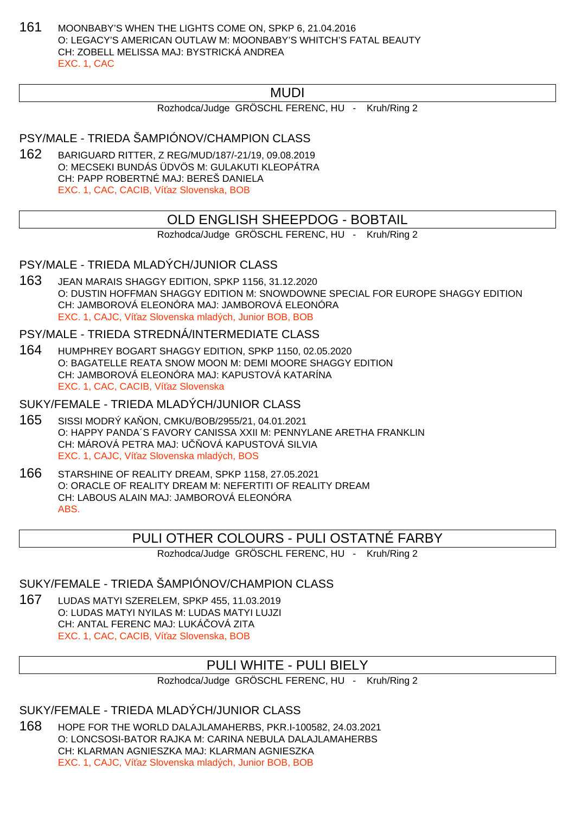161 MOONBABY'S WHEN THE LIGHTS COME ON, SPKP 6, 21.04.2016 O: LEGACY'S AMERICAN OUTLAW M: MOONBABY'S WHITCH'S FATAL BEAUTY CH: ZOBELL MELISSA MAJ: BYSTRICKÁ ANDREA EXC. 1, CAC

# MUDI

Rozhodca/Judge GRÖSCHL FERENC, HU - Kruh/Ring 2

PSY/MALE - TRIEDA ŠAMPIÓNOV/CHAMPION CLASS

162 BARIGUARD RITTER, Z REG/MUD/187/-21/19, 09.08.2019 O: MECSEKI BUNDÁS ÜDVÖS M: GULAKUTI KLEOPÁTRA CH: PAPP ROBERTNÉ MAJ: BEREŠ DANIELA EXC. 1, CAC, CACIB, Ví az Slovenska, BOB

# OLD ENGLISH SHEEPDOG - BOBTAIL

Rozhodca/Judge GRÖSCHL FERENC, HU - Kruh/Ring 2

PSY/MALE - TRIEDA MLADÝCH/JUNIOR CLASS

163 JEAN MARAIS SHAGGY EDITION, SPKP 1156, 31.12.2020 O: DUSTIN HOFFMAN SHAGGY EDITION M: SNOWDOWNE SPECIAL FOR EUROPE SHAGGY EDITION CH: JAMBOROVÁ ELEONÓRA MAJ: JAMBOROVÁ ELEONÓRA EXC. 1, CAJC, Ví az Slovenska mladých, Junior BOB, BOB

PSY/MALE - TRIEDA STREDNÁ/INTERMEDIATE CLASS

164 HUMPHREY BOGART SHAGGY EDITION, SPKP 1150, 02.05.2020 O: BAGATELLE REATA SNOW MOON M: DEMI MOORE SHAGGY EDITION CH: JAMBOROVÁ ELEONÓRA MAJ: KAPUSTOVÁ KATARÍNA EXC. 1, CAC, CACIB, Ví az Slovenska

SUKY/FEMALE - TRIEDA MLADÝCH/JUNIOR CLASS

- 165 SISSI MODRÝ KAŇON, CMKU/BOB/2955/21, 04.01.2021 O: HAPPY PANDA´S FAVORY CANISSA XXII M: PENNYLANE ARETHA FRANKLIN CH: MÁROVÁ PETRA MAJ: U OVÁ KAPUSTOVÁ SILVIA EXC. 1, CAJC, Ví az Slovenska mladých, BOS
- 166 STARSHINE OF REALITY DREAM, SPKP 1158, 27.05.2021 O: ORACLE OF REALITY DREAM M: NEFERTITI OF REALITY DREAM CH: LABOUS ALAIN MAJ: JAMBOROVÁ ELEONÓRA ABS.

# PULI OTHER COLOURS - PULI OSTATNÉ FARBY

Rozhodca/Judge GRÖSCHL FERENC, HU - Kruh/Ring 2

SUKY/FEMALE - TRIEDA ŠAMPIÓNOV/CHAMPION CLASS

167 LUDAS MATYI SZERELEM, SPKP 455, 11.03.2019 O: LUDAS MATYI NYILAS M: LUDAS MATYI LUJZI CH: ANTAL FERENC MAJ: LUKÁ OVÁ ZITA EXC. 1, CAC, CACIB, Ví az Slovenska, BOB

# PULI WHITE - PULI BIELY

Rozhodca/Judge GRÖSCHL FERENC, HU - Kruh/Ring 2

SUKY/FEMALE - TRIEDA MLADÝCH/JUNIOR CLASS

168 HOPE FOR THE WORLD DALAJLAMAHERBS, PKR.I-100582, 24.03.2021 O: LONCSOSI-BATOR RAJKA M: CARINA NEBULA DALAJLAMAHERBS CH: KLARMAN AGNIESZKA MAJ: KLARMAN AGNIESZKA EXC. 1, CAJC, Ví az Slovenska mladých, Junior BOB, BOB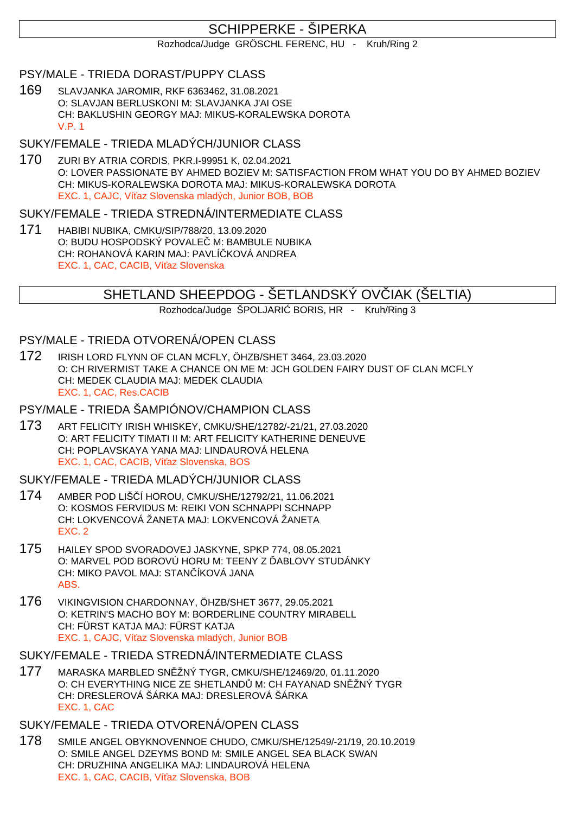# SCHIPPERKE - ŠIPERKA

Rozhodca/Judge GRÖSCHL FERENC, HU - Kruh/Ring 2

## PSY/MALE - TRIEDA DORAST/PUPPY CLASS

169 SLAVJANKA JAROMIR, RKF 6363462, 31.08.2021 O: SLAVJAN BERLUSKONI M: SLAVJANKA J'AI OSE CH: BAKLUSHIN GEORGY MAJ: MIKUS-KORALEWSKA DOROTA V.P. 1

# SUKY/FEMALE - TRIEDA MLADÝCH/JUNIOR CLASS

170 ZURI BY ATRIA CORDIS, PKR.I-99951 K, 02.04.2021 O: LOVER PASSIONATE BY AHMED BOZIEV M: SATISFACTION FROM WHAT YOU DO BY AHMED BOZIEV CH: MIKUS-KORALEWSKA DOROTA MAJ: MIKUS-KORALEWSKA DOROTA EXC. 1, CAJC, Ví az Slovenska mladých, Junior BOB, BOB

## SUKY/FEMALE - TRIEDA STREDNÁ/INTERMEDIATE CLASS

171 HABIBI NUBIKA, CMKU/SIP/788/20, 13.09.2020 O: BUDU HOSPODSKÝ POVALE M: BAMBULE NUBIKA CH: ROHANOVÁ KARIN MAJ: PAVLÍ KOVÁ ANDREA EXC. 1, CAC, CACIB, Ví az Slovenska

# SHETLAND SHEEPDOG - ŠETLANDSKÝ OVIJAK (ŠELTIA)

Rozhodca/Judge ŠPOLJARI BORIS, HR - Kruh/Ring 3

## PSY/MALE - TRIEDA OTVORENÁ/OPEN CLASS

172 IRISH LORD FLYNN OF CLAN MCFLY, ÖHZB/SHET 3464, 23.03.2020 O: CH RIVERMIST TAKE A CHANCE ON ME M: JCH GOLDEN FAIRY DUST OF CLAN MCFLY CH: MEDEK CLAUDIA MAJ: MEDEK CLAUDIA EXC. 1, CAC, Res.CACIB

# PSY/MALE - TRIEDA ŠAMPIÓNOV/CHAMPION CLASS

173 ART FELICITY IRISH WHISKEY, CMKU/SHE/12782/-21/21, 27.03.2020 O: ART FELICITY TIMATI II M: ART FELICITY KATHERINE DENEUVE CH: POPLAVSKAYA YANA MAJ: LINDAUROVÁ HELENA EXC. 1, CAC, CACIB, Ví az Slovenska, BOS

## SUKY/FEMALE - TRIEDA MLADÝCH/JUNIOR CLASS

- 174 AMBER POD LIŠČÍ HOROU, CMKU/SHE/12792/21, 11.06.2021 O: KOSMOS FERVIDUS M: REIKI VON SCHNAPPI SCHNAPP CH: LOKVENCOVÁ ŽANETA MAJ: LOKVENCOVÁ ŽANETA EXC. 2
- 175 HAILEY SPOD SVORADOVEJ JASKYNE, SPKP 774, 08.05.2021 O: MARVEL POD BOROVÚ HORU M: TEENY Z ABLOVY STUDÁNKY CH: MIKO PAVOL MAJ: STAN ÍKOVÁ JANA ABS.
- 176 VIKINGVISION CHARDONNAY, ÖHZB/SHET 3677, 29.05.2021 O: KETRIN'S MACHO BOY M: BORDERLINE COUNTRY MIRABELL CH: FÜRST KATJA MAJ: FÜRST KATJA EXC. 1, CAJC, Ví az Slovenska mladých, Junior BOB

# SUKY/FEMALE - TRIEDA STREDNÁ/INTERMEDIATE CLASS

177 MARASKA MARBLED SNĚŽNÝ TYGR, CMKU/SHE/12469/20, 01.11.2020 O: CH EVERYTHING NICE ZE SHETLAND M: CH FAYANAD SN ŽNÝ TYGR CH: DRESLEROVÁ ŠÁRKA MAJ: DRESLEROVÁ ŠÁRKA EXC. 1, CAC

# SUKY/FEMALE - TRIEDA OTVORENÁ/OPEN CLASS

178 SMILE ANGEL OBYKNOVENNOE CHUDO, CMKU/SHE/12549/-21/19, 20.10.2019 O: SMILE ANGEL DZEYMS BOND M: SMILE ANGEL SEA BLACK SWAN CH: DRUZHINA ANGELIKA MAJ: LINDAUROVÁ HELENA EXC. 1, CAC, CACIB, Ví az Slovenska, BOB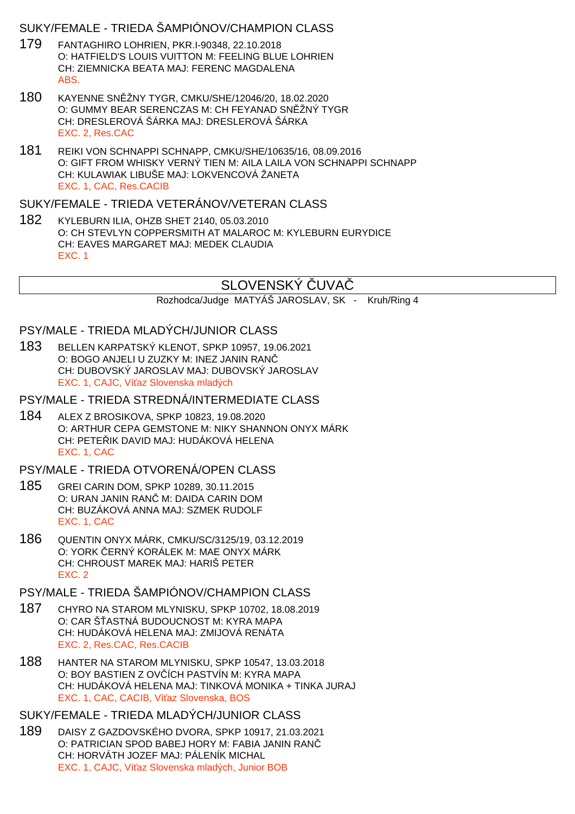## SUKY/FEMALE - TRIEDA ŠAMPIÓNOV/CHAMPION CLASS

- 179 FANTAGHIRO LOHRIEN, PKR.I-90348, 22.10.2018 O: HATFIELD'S LOUIS VUITTON M: FEELING BLUE LOHRIEN CH: ZIEMNICKA BEATA MAJ: FERENC MAGDALENA ABS.
- 180 KAYENNE SNĚŽNY TYGR, CMKU/SHE/12046/20, 18.02.2020 O: GUMMY BEAR SERENCZAS M: CH FEYANAD SN ŽNÝ TYGR CH: DRESLEROVÁ ŠÁRKA MAJ: DRESLEROVÁ ŠÁRKA EXC. 2, Res.CAC
- 181 REIKI VON SCHNAPPI SCHNAPP, CMKU/SHE/10635/16, 08.09.2016 O: GIFT FROM WHISKY VERNÝ TIEN M: AILA LAILA VON SCHNAPPI SCHNAPP CH: KULAWIAK LIBUŠE MAJ: LOKVENCOVÁ ŽANETA EXC. 1, CAC, Res.CACIB

#### SUKY/FEMALE - TRIEDA VETERÁNOV/VETERAN CLASS

182 KYLEBURN ILIA, OHZB SHET 2140, 05.03.2010 O: CH STEVLYN COPPERSMITH AT MALAROC M: KYLEBURN EURYDICE CH: EAVES MARGARET MAJ: MEDEK CLAUDIA EXC. 1

# SLOVENSKÝ UVA

Rozhodca/Judge MATYÁŠ JAROSLAV, SK - Kruh/Ring 4

# PSY/MALE - TRIEDA MLADÝCH/JUNIOR CLASS

183 BELLEN KARPATSKÝ KLENOT, SPKP 10957, 19.06.2021 O: BOGO ANJELI U ZUZKY M: INEZ JANIN RANČ CH: DUBOVSKÝ JAROSLAV MAJ: DUBOVSKÝ JAROSLAV EXC. 1, CAJC, Ví az Slovenska mladých

### PSY/MALE - TRIEDA STREDNÁ/INTERMEDIATE CLASS

184 ALEX Z BROSIKOVA, SPKP 10823, 19.08.2020 O: ARTHUR CEPA GEMSTONE M: NIKY SHANNON ONYX MÁRK CH: PETE IK DAVID MAJ: HUDÁKOVÁ HELENA EXC. 1, CAC

### PSY/MALE - TRIEDA OTVORENÁ/OPEN CLASS

- 185 GREI CARIN DOM, SPKP 10289, 30.11.2015 O: URAN JANIN RAN M: DAIDA CARIN DOM CH: BUZÁKOVÁ ANNA MAJ: SZMEK RUDOLF EXC. 1, CAC
- 186 QUENTIN ONYX MÁRK, CMKU/SC/3125/19, 03.12.2019 O: YORK ERNÝ KORÁLEK M: MAE ONYX MÁRK CH: CHROUST MAREK MAJ: HARIŠ PETER EXC. 2

# PSY/MALE - TRIEDA ŠAMPIÓNOV/CHAMPION CLASS

- 187 CHYRO NA STAROM MLYNISKU, SPKP 10702, 18.08.2019 O: CAR Š ASTNÁ BUDOUCNOST M: KYRA MAPA CH: HUDÁKOVÁ HELENA MAJ: ZMIJOVÁ RENÁTA EXC. 2, Res.CAC, Res.CACIB
- 188 HANTER NA STAROM MLYNISKU, SPKP 10547, 13.03.2018 O: BOY BASTIEN Z OVIÍCH PASTVÍN M: KYRA MAPA CH: HUDÁKOVÁ HELENA MAJ: TINKOVÁ MONIKA + TINKA JURAJ EXC. 1, CAC, CACIB, Ví az Slovenska, BOS

# SUKY/FEMALE - TRIEDA MLADÝCH/JUNIOR CLASS

189 DAISY Z GAZDOVSKÉHO DVORA, SPKP 10917, 21.03.2021 O: PATRICIAN SPOD BABEJ HORY M: FABIA JANIN RANČ CH: HORVÁTH JOZEF MAJ: PÁLENÍK MICHAL EXC. 1, CAJC, Ví az Slovenska mladých, Junior BOB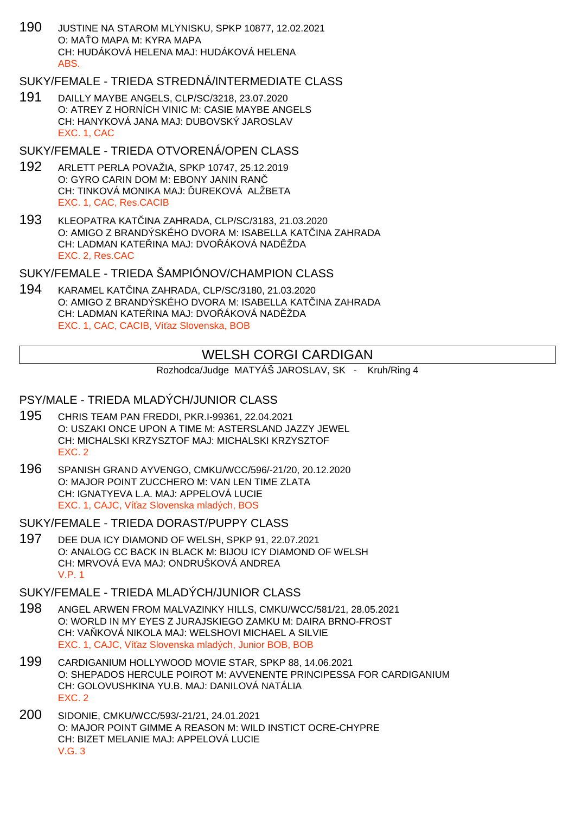190 JUSTINE NA STAROM MLYNISKU, SPKP 10877, 12.02.2021 O: MA O MAPA M: KYRA MAPA CH: HUDÁKOVÁ HELENA MAJ: HUDÁKOVÁ HELENA ABS.

## SUKY/FEMALE - TRIEDA STREDNÁ/INTERMEDIATE CLASS

191 DAILLY MAYBE ANGELS, CLP/SC/3218, 23.07.2020 O: ATREY Z HORNÍCH VINIC M: CASIE MAYBE ANGELS CH: HANYKOVÁ JANA MAJ: DUBOVSKÝ JAROSLAV EXC. 1, CAC

### SUKY/FEMALE - TRIEDA OTVORENÁ/OPEN CLASS

- 192 ARLETT PERLA POVAŽIA, SPKP 10747, 25.12.2019 O: GYRO CARIN DOM M: EBONY JANIN RANČ CH: TINKOVÁ MONIKA MAJ: UREKOVÁ ALŽBETA EXC. 1, CAC, Res.CACIB
- 193 KLEOPATRA KATČINA ZAHRADA, CLP/SC/3183, 21.03.2020 O: AMIGO Z BRANDÝSKÉHO DVORA M: ISABELLA KATINA ZAHRADA CH: LADMAN KATELINA MAJ: DVOLÁKOVÁ NADĚŽDA EXC. 2, Res.CAC

SUKY/FEMALE - TRIEDA ŠAMPIÓNOV/CHAMPION CLASS

194 KARAMEL KATČINA ZAHRADA, CLP/SC/3180, 21.03.2020 O: AMIGO Z BRANDÝSKÉHO DVORA M: ISABELLA KATINA ZAHRADA CH: LADMAN KATE INA MAJ: DVO ÁKOVÁ NADĚDA EXC. 1, CAC, CACIB, Ví az Slovenska, BOB

# WELSH CORGI CARDIGAN

Rozhodca/Judge MATYÁŠ JAROSLAV, SK - Kruh/Ring 4

# PSY/MALE - TRIEDA MLADÝCH/JUNIOR CLASS

- 195 CHRIS TEAM PAN FREDDI, PKR.I-99361, 22.04.2021 O: USZAKI ONCE UPON A TIME M: ASTERSLAND JAZZY JEWEL CH: MICHALSKI KRZYSZTOF MAJ: MICHALSKI KRZYSZTOF EXC. 2
- 196 SPANISH GRAND AYVENGO, CMKU/WCC/596/-21/20, 20.12.2020 O: MAJOR POINT ZUCCHERO M: VAN LEN TIME ZLATA CH: IGNATYEVA L.A. MAJ: APPELOVÁ LUCIE EXC. 1, CAJC, Ví az Slovenska mladých, BOS

SUKY/FEMALE - TRIEDA DORAST/PUPPY CLASS

197 DEE DUA ICY DIAMOND OF WELSH, SPKP 91, 22.07.2021 O: ANALOG CC BACK IN BLACK M: BIJOU ICY DIAMOND OF WELSH CH: MRVOVÁ EVA MAJ: ONDRUŠKOVÁ ANDREA V.P. 1

# SUKY/FEMALE - TRIEDA MLADÝCH/JUNIOR CLASS

- 198 ANGEL ARWEN FROM MALVAZINKY HILLS, CMKU/WCC/581/21, 28.05.2021 O: WORLD IN MY EYES Z JURAJSKIEGO ZAMKU M: DAIRA BRNO-FROST CH: VA KOVÁ NIKOLA MAJ: WELSHOVI MICHAEL A SILVIE EXC. 1, CAJC, Ví az Slovenska mladých, Junior BOB, BOB
- 199 CARDIGANIUM HOLLYWOOD MOVIE STAR, SPKP 88, 14.06.2021 O: SHEPADOS HERCULE POIROT M: AVVENENTE PRINCIPESSA FOR CARDIGANIUM CH: GOLOVUSHKINA YU.B. MAJ: DANILOVÁ NATÁLIA EXC. 2
- 200 SIDONIE, CMKU/WCC/593/-21/21, 24.01.2021 O: MAJOR POINT GIMME A REASON M: WILD INSTICT OCRE-CHYPRE CH: BIZET MELANIE MAJ: APPELOVÁ LUCIE V.G. 3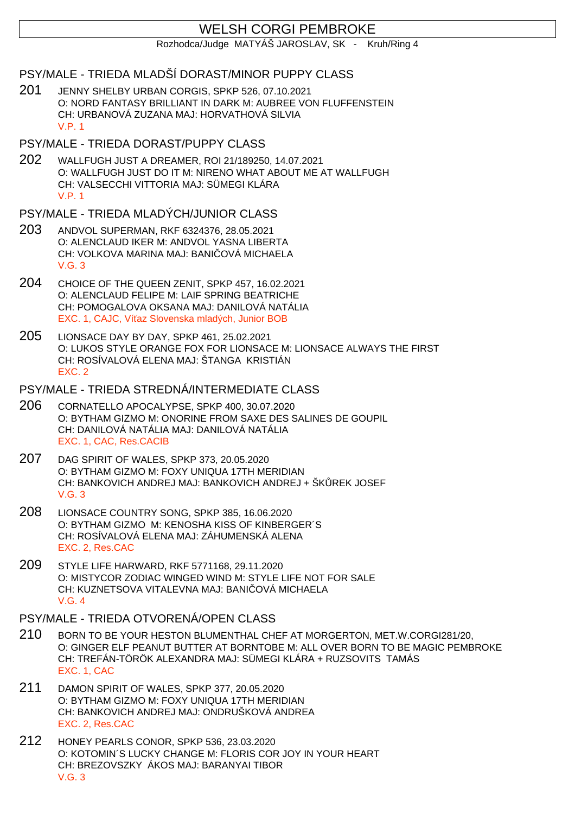# WELSH CORGI PEMBROKE

Rozhodca/Judge MATYÁŠ JAROSLAV, SK - Kruh/Ring 4

# PSY/MALE - TRIEDA MLADŠÍ DORAST/MINOR PUPPY CLASS

201 JENNY SHELBY URBAN CORGIS, SPKP 526, 07.10.2021 O: NORD FANTASY BRILLIANT IN DARK M: AUBREE VON FLUFFENSTEIN CH: URBANOVÁ ZUZANA MAJ: HORVATHOVÁ SILVIA V.P. 1

### PSY/MALE - TRIEDA DORAST/PUPPY CLASS

202 WALLFUGH JUST A DREAMER, ROI 21/189250, 14.07.2021 O: WALLFUGH JUST DO IT M: NIRENO WHAT ABOUT ME AT WALLFUGH CH: VALSECCHI VITTORIA MAJ: SÜMEGI KLÁRA V.P. 1

## PSY/MALE - TRIEDA MLADÝCH/JUNIOR CLASS

- 203 ANDVOL SUPERMAN, RKF 6324376, 28.05.2021 O: ALENCLAUD IKER M: ANDVOL YASNA LIBERTA CH: VOLKOVA MARINA MAJ: BANI OVÁ MICHAELA V.G. 3
- 204 CHOICE OF THE QUEEN ZENIT, SPKP 457, 16.02.2021 O: ALENCLAUD FELIPE M: LAIF SPRING BEATRICHE CH: POMOGALOVA OKSANA MAJ: DANILOVÁ NATÁLIA EXC. 1, CAJC, Ví az Slovenska mladých, Junior BOB
- 205 LIONSACE DAY BY DAY, SPKP 461, 25.02.2021 O: LUKOS STYLE ORANGE FOX FOR LIONSACE M: LIONSACE ALWAYS THE FIRST CH: ROSÍVALOVÁ ELENA MAJ: ŠTANGA KRISTIÁN EXC. 2

### PSY/MALE - TRIEDA STREDNÁ/INTERMEDIATE CLASS

- 206 CORNATELLO APOCALYPSE, SPKP 400, 30.07.2020 O: BYTHAM GIZMO M: ONORINE FROM SAXE DES SALINES DE GOUPIL CH: DANILOVÁ NATÁLIA MAJ: DANILOVÁ NATÁLIA EXC. 1, CAC, Res.CACIB
- 207 DAG SPIRIT OF WALES, SPKP 373, 20.05.2020 O: BYTHAM GIZMO M: FOXY UNIQUA 17TH MERIDIAN CH: BANKOVICH ANDREJ MAJ: BANKOVICH ANDREJ + ŠK REK JOSEF V.G. 3
- 208 LIONSACE COUNTRY SONG, SPKP 385, 16.06.2020 O: BYTHAM GIZMO M: KENOSHA KISS OF KINBERGER´S CH: ROSÍVALOVÁ ELENA MAJ: ZÁHUMENSKÁ ALENA EXC. 2, Res.CAC
- 209 STYLE LIFE HARWARD, RKF 5771168, 29.11.2020 O: MISTYCOR ZODIAC WINGED WIND M: STYLE LIFE NOT FOR SALE CH: KUZNETSOVA VITALEVNA MAJ: BANI, OVÁ MICHAELA V.G. 4

## PSY/MALE - TRIEDA OTVORENÁ/OPEN CLASS

- 210 BORN TO BE YOUR HESTON BLUMENTHAL CHEF AT MORGERTON, MET.W.CORGI281/20, O: GINGER ELF PEANUT BUTTER AT BORNTOBE M: ALL OVER BORN TO BE MAGIC PEMBROKE CH: TREFÁN-TÖRÖK ALEXANDRA MAJ: SÜMEGI KLÁRA + RUZSOVITS TAMÁS EXC. 1, CAC
- 211 DAMON SPIRIT OF WALES, SPKP 377, 20.05.2020 O: BYTHAM GIZMO M: FOXY UNIQUA 17TH MERIDIAN CH: BANKOVICH ANDREJ MAJ: ONDRUŠKOVÁ ANDREA EXC. 2, Res.CAC
- 212 HONEY PEARLS CONOR, SPKP 536, 23.03.2020 O: KOTOMIN´S LUCKY CHANGE M: FLORIS COR JOY IN YOUR HEART CH: BREZOVSZKY ÁKOS MAJ: BARANYAI TIBOR V.G. 3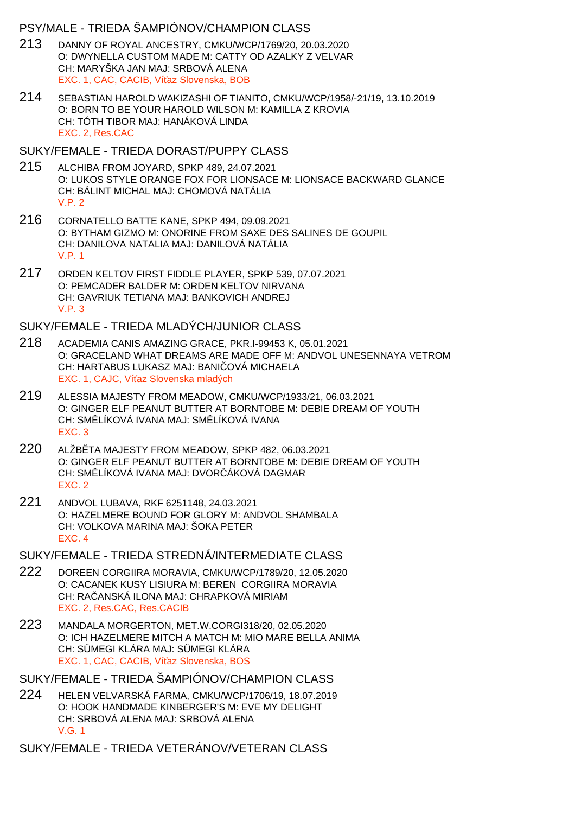### PSY/MALE - TRIEDA ŠAMPIÓNOV/CHAMPION CLASS

- 213 DANNY OF ROYAL ANCESTRY, CMKU/WCP/1769/20, 20.03.2020 O: DWYNELLA CUSTOM MADE M: CATTY OD AZALKY Z VELVAR CH: MARYŠKA JAN MAJ: SRBOVÁ ALENA EXC. 1, CAC, CACIB, Ví az Slovenska, BOB
- 214 SEBASTIAN HAROLD WAKIZASHI OF TIANITO, CMKU/WCP/1958/-21/19, 13.10.2019 O: BORN TO BE YOUR HAROLD WILSON M: KAMILLA Z KROVIA CH: TÓTH TIBOR MAJ: HANÁKOVÁ LINDA EXC. 2, Res.CAC

#### SUKY/FEMALE - TRIEDA DORAST/PUPPY CLASS

- 215 ALCHIBA FROM JOYARD, SPKP 489, 24.07.2021 O: LUKOS STYLE ORANGE FOX FOR LIONSACE M: LIONSACE BACKWARD GLANCE CH: BÁLINT MICHAL MAJ: CHOMOVÁ NATÁLIA V.P. 2
- 216 CORNATELLO BATTE KANE, SPKP 494, 09.09.2021 O: BYTHAM GIZMO M: ONORINE FROM SAXE DES SALINES DE GOUPIL CH: DANILOVA NATALIA MAJ: DANILOVÁ NATÁLIA V.P. 1
- 217 ORDEN KELTOV FIRST FIDDLE PLAYER, SPKP 539, 07.07.2021 O: PEMCADER BALDER M: ORDEN KELTOV NIRVANA CH: GAVRIUK TETIANA MAJ: BANKOVICH ANDREJ V.P. 3

### SUKY/FEMALE - TRIEDA MLADÝCH/JUNIOR CLASS

- 218 ACADEMIA CANIS AMAZING GRACE, PKR.I-99453 K, 05.01.2021 O: GRACELAND WHAT DREAMS ARE MADE OFF M: ANDVOL UNESENNAYA VETROM CH: HARTABUS LUKASZ MAJ: BANI OVÁ MICHAELA EXC. 1, CAJC, Ví az Slovenska mladých
- 219 ALESSIA MAJESTY FROM MEADOW, CMKU/WCP/1933/21, 06.03.2021 O: GINGER ELF PEANUT BUTTER AT BORNTOBE M: DEBIE DREAM OF YOUTH CH: SM. LÍKOVÁ IVANA MAJ: SM. LÍKOVÁ IVANA EXC. 3
- 220 ALŽB TA MAJESTY FROM MEADOW, SPKP 482, 06.03.2021 O: GINGER ELF PEANUT BUTTER AT BORNTOBE M: DEBIE DREAM OF YOUTH CH: SM. LÍKOVÁ IVANA MAJ: DVOR. ÁKOVÁ DAGMAR EXC. 2
- 221 ANDVOL LUBAVA, RKF 6251148, 24.03.2021 O: HAZELMERE BOUND FOR GLORY M: ANDVOL SHAMBALA CH: VOLKOVA MARINA MAJ: ŠOKA PETER EXC. 4
- SUKY/FEMALE TRIEDA STREDNÁ/INTERMEDIATE CLASS
- 222 DOREEN CORGIIRA MORAVIA, CMKU/WCP/1789/20, 12.05.2020 O: CACANEK KUSY LISIURA M: BEREN CORGIIRA MORAVIA CH: RAČANSKÁ ILONA MAJ: CHRAPKOVÁ MIRIAM EXC. 2, Res.CAC, Res.CACIB
- 223 MANDALA MORGERTON, MET.W.CORGI318/20, 02.05.2020 O: ICH HAZELMERE MITCH A MATCH M: MIO MARE BELLA ANIMA CH: SÜMEGI KLÁRA MAJ: SÜMEGI KLÁRA EXC. 1, CAC, CACIB, Ví az Slovenska, BOS
- SUKY/FEMALE TRIEDA ŠAMPIÓNOV/CHAMPION CLASS
- 224 HELEN VELVARSKÁ FARMA, CMKU/WCP/1706/19, 18.07.2019 O: HOOK HANDMADE KINBERGER'S M: EVE MY DELIGHT CH: SRBOVÁ ALENA MAJ: SRBOVÁ ALENA V.G. 1
- SUKY/FEMALE TRIEDA VETERÁNOV/VETERAN CLASS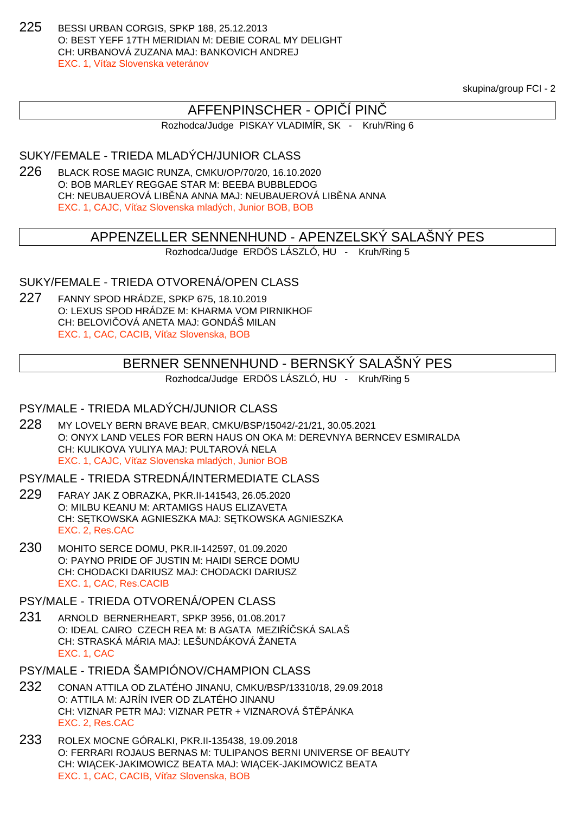225 BESSI URBAN CORGIS, SPKP 188, 25.12.2013 O: BEST YEFF 17TH MERIDIAN M: DEBIE CORAL MY DELIGHT CH: URBANOVÁ ZUZANA MAJ: BANKOVICH ANDREJ EXC. 1, Ví az Slovenska veteránov

skupina/group FCI - 2

# AFFENPINSCHER - OPI I PIN

Rozhodca/Judge PISKAY VLADIMÍR, SK - Kruh/Ring 6

SUKY/FEMALE - TRIEDA MLADÝCH/JUNIOR CLASS

226 BLACK ROSE MAGIC RUNZA, CMKU/OP/70/20, 16.10.2020 O: BOB MARLEY REGGAE STAR M: BEEBA BUBBLEDOG CH: NEUBAUEROVÁ LIB NA ANNA MAJ: NEUBAUEROVÁ LIB NA ANNA EXC. 1, CAJC, Ví az Slovenska mladých, Junior BOB, BOB

# APPENZELLER SENNENHUND - APENZELSKÝ SALAŠNÝ PES

Rozhodca/Judge ERDÖS LÁSZLÓ, HU - Kruh/Ring 5

## SUKY/FEMALE - TRIEDA OTVORENÁ/OPEN CLASS

227 FANNY SPOD HRÁDZE, SPKP 675, 18.10.2019 O: LEXUS SPOD HRÁDZE M: KHARMA VOM PIRNIKHOF CH: BELOVI OVÁ ANETA MAJ: GONDÁŠ MILAN EXC. 1, CAC, CACIB, Ví az Slovenska, BOB

# BERNER SENNENHUND - BERNSKÝ SALAŠNÝ PES

Rozhodca/Judge ERDÖS LÁSZLÓ, HU - Kruh/Ring 5

## PSY/MALE - TRIEDA MLADÝCH/JUNIOR CLASS

228 MY LOVELY BERN BRAVE BEAR, CMKU/BSP/15042/-21/21, 30.05.2021 O: ONYX LAND VELES FOR BERN HAUS ON OKA M: DEREVNYA BERNCEV ESMIRALDA CH: KULIKOVA YULIYA MAJ: PULTAROVÁ NELA EXC. 1, CAJC. Ví az Slovenska mladých, Junior BOB

#### PSY/MALE - TRIEDA STREDNÁ/INTERMEDIATE CLASS

- 229 FARAY JAK Z OBRAZKA, PKR.II-141543, 26.05.2020 O: MILBU KEANU M: ARTAMIGS HAUS ELIZAVETA CH: S TKOWSKA AGNIESZKA MAJ: S TKOWSKA AGNIESZKA EXC. 2, Res.CAC
- 230 MOHITO SERCE DOMU, PKR.II-142597, 01.09.2020 O: PAYNO PRIDE OF JUSTIN M: HAIDI SERCE DOMU CH: CHODACKI DARIUSZ MAJ: CHODACKI DARIUSZ EXC. 1, CAC, Res.CACIB

## PSY/MALE - TRIEDA OTVORENÁ/OPEN CLASS

231 ARNOLD BERNERHEART, SPKP 3956, 01.08.2017 O: IDEAL CAIRO CZECH REA M: B AGATA MEZI Í SKÁ SALAŠ CH: STRASKÁ MÁRIA MAJ: LEŠUNDÁKOVÁ ŽANETA EXC. 1, CAC

PSY/MALE - TRIEDA ŠAMPIÓNOV/CHAMPION CLASS

- 232 CONAN ATTILA OD ZLATÉHO JINANU, CMKU/BSP/13310/18, 29.09.2018 O: ATTILA M: AJRÍN IVER OD ZLATÉHO JINANU CH: VIZNAR PETR MAJ: VIZNAR PETR + VIZNAROVÁ ŠT PÁNKA EXC. 2, Res.CAC
- 233 ROLEX MOCNE GÓRALKI, PKR.II-135438, 19.09.2018 O: FERRARI ROJAUS BERNAS M: TULIPANOS BERNI UNIVERSE OF BEAUTY CH: WIĄCEK-JAKIMOWICZ BEATA MAJ: WIĄCEK-JAKIMOWICZ BEATA EXC. 1, CAC, CACIB, Ví az Slovenska, BOB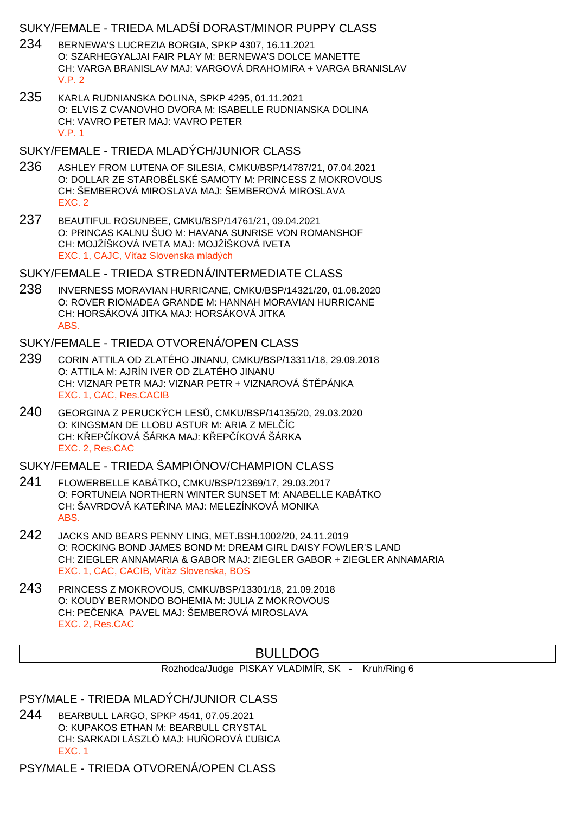## SUKY/FEMALE - TRIEDA MLADŠÍ DORAST/MINOR PUPPY CLASS

- 234 BERNEWA'S LUCREZIA BORGIA, SPKP 4307, 16.11.2021 O: SZARHEGYALJAI FAIR PLAY M: BERNEWA'S DOLCE MANETTE CH: VARGA BRANISLAV MAJ: VARGOVÁ DRAHOMIRA + VARGA BRANISLAV V.P. 2
- 235 KARLA RUDNIANSKA DOLINA, SPKP 4295, 01.11.2021 O: ELVIS Z CVANOVHO DVORA M: ISABELLE RUDNIANSKA DOLINA CH: VAVRO PETER MAJ: VAVRO PETER V.P. 1

#### SUKY/FEMALE - TRIEDA MLADÝCH/JUNIOR CLASS

- 236 ASHLEY FROM LUTENA OF SILESIA, CMKU/BSP/14787/21, 07.04.2021 O: DOLLAR ZE STAROBLISKÉ SAMOTY M: PRINCESS Z MOKROVOUS CH: ŠEMBEROVÁ MIROSLAVA MAJ: ŠEMBEROVÁ MIROSLAVA EXC. 2
- 237 BEAUTIFUL ROSUNBEE, CMKU/BSP/14761/21, 09.04.2021 O: PRINCAS KALNU ŠUO M: HAVANA SUNRISE VON ROMANSHOF CH: MOJŽÍŠKOVÁ IVETA MAJ: MOJŽÍŠKOVÁ IVETA EXC. 1, CAJC, Ví az Slovenska mladých

### SUKY/FEMALE - TRIEDA STREDNÁ/INTERMEDIATE CLASS

238 INVERNESS MORAVIAN HURRICANE, CMKU/BSP/14321/20, 01.08.2020 O: ROVER RIOMADEA GRANDE M: HANNAH MORAVIAN HURRICANE CH: HORSÁKOVÁ JITKA MAJ: HORSÁKOVÁ JITKA ABS.

### SUKY/FEMALE - TRIEDA OTVORENÁ/OPEN CLASS

- 239 CORIN ATTILA OD ZLATÉHO JINANU, CMKU/BSP/13311/18, 29.09.2018 O: ATTILA M: AJRÍN IVER OD ZLATÉHO JINANU CH: VIZNAR PETR MAJ: VIZNAR PETR + VIZNAROVÁ ŠT PÁNKA EXC. 1, CAC, Res.CACIB
- 240 GEORGINA Z PERUCKÝCH LESŮ, CMKU/BSP/14135/20, 29.03.2020 O: KINGSMAN DE LLOBU ASTUR M: ARIA Z MELÍC CH: KŘEPŘÍKOVÁ ŠÁRKA MAJ: KŘEPŘÍKOVÁ ŠÁRKA EXC. 2, Res.CAC

## SUKY/FEMALE - TRIEDA ŠAMPIÓNOV/CHAMPION CLASS

- 241 FLOWERBELLE KABÁTKO, CMKU/BSP/12369/17, 29.03.2017 O: FORTUNEIA NORTHERN WINTER SUNSET M: ANABELLE KABÁTKO CH: ŠAVRDOVÁ KATE INA MAJ: MELEZÍNKOVÁ MONIKA ABS.
- 242 JACKS AND BEARS PENNY LING, MET.BSH.1002/20, 24.11.2019 O: ROCKING BOND JAMES BOND M: DREAM GIRL DAISY FOWLER'S LAND CH: ZIEGLER ANNAMARIA & GABOR MAJ: ZIEGLER GABOR + ZIEGLER ANNAMARIA EXC. 1, CAC, CACIB, Ví az Slovenska, BOS
- 243 PRINCESS Z MOKROVOUS, CMKU/BSP/13301/18, 21.09.2018 O: KOUDY BERMONDO BOHEMIA M: JULIA Z MOKROVOUS CH: PE ENKA PAVEL MAJ: ŠEMBEROVÁ MIROSLAVA EXC. 2, Res.CAC

# BULLDOG

Rozhodca/Judge PISKAY VLADIMÍR, SK - Kruh/Ring 6

PSY/MALE - TRIEDA MLADÝCH/JUNIOR CLASS

244 BEARBULL LARGO, SPKP 4541, 07.05.2021 O: KUPAKOS ETHAN M: BEARBULL CRYSTAL CH: SARKADI LÁSZLÓ MAJ: HU OROVÁ UBICA EXC. 1

PSY/MALE - TRIEDA OTVORENÁ/OPEN CLASS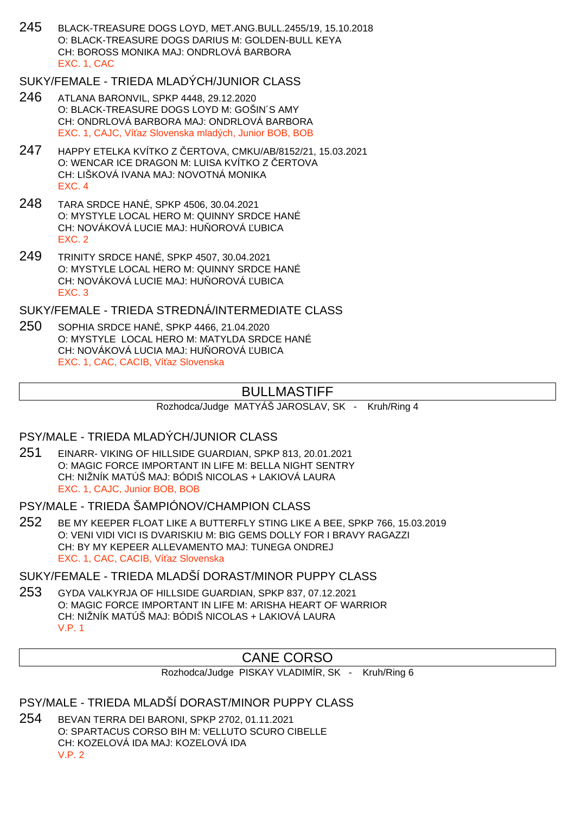245 BLACK-TREASURE DOGS LOYD, MET.ANG.BULL.2455/19, 15.10.2018 O: BLACK-TREASURE DOGS DARIUS M: GOLDEN-BULL KEYA CH: BOROSS MONIKA MAJ: ONDRLOVÁ BARBORA EXC. 1, CAC

# SUKY/FEMALE - TRIEDA MLADÝCH/JUNIOR CLASS

- 246 ATLANA BARONVIL, SPKP 4448, 29.12.2020 O: BLACK-TREASURE DOGS LOYD M: GOŠIN´S AMY CH: ONDRLOVÁ BARBORA MAJ: ONDRLOVÁ BARBORA EXC. 1, CAJC, Ví az Slovenska mladých, Junior BOB, BOB
- 247 HAPPY ETELKA KVÍTKO Z ČERTOVA, CMKU/AB/8152/21, 15.03.2021 O: WENCAR ICE DRAGON M: LUISA KVÍTKO Z ERTOVA CH: LIŠKOVÁ IVANA MAJ: NOVOTNÁ MONIKA EXC. 4
- 248 TARA SRDCE HANÉ, SPKP 4506, 30.04.2021 O: MYSTYLE LOCAL HERO M: QUINNY SRDCE HANÉ CH: NOVÁKOVÁ LUCIE MAJ: HU OROVÁ UBICA EXC. 2
- 249 TRINITY SRDCE HANÉ, SPKP 4507, 30.04.2021 O: MYSTYLE LOCAL HERO M: QUINNY SRDCE HANÉ CH: NOVÁKOVÁ LUCIE MAJ: HU OROVÁ UBICA EXC. 3

SUKY/FEMALE - TRIEDA STREDNÁ/INTERMEDIATE CLASS

250 SOPHIA SRDCE HANÉ, SPKP 4466, 21.04.2020 O: MYSTYLE LOCAL HERO M: MATYLDA SRDCE HANÉ CH: NOVÁKOVÁ LUCIA MAJ: HU OROVÁ UBICA EXC. 1, CAC, CACIB, Ví az Slovenska

# BULLMASTIFF

Rozhodca/Judge MATYÁŠ JAROSLAV, SK - Kruh/Ring 4

## PSY/MALE - TRIEDA MLADÝCH/JUNIOR CLASS

- 251 EINARR- VIKING OF HILLSIDE GUARDIAN, SPKP 813, 20.01.2021 O: MAGIC FORCE IMPORTANT IN LIFE M: BELLA NIGHT SENTRY CH: NIŽNÍK MATÚŠ MAJ: BÓDIŠ NICOLAS + LAKIOVÁ LAURA EXC. 1, CAJC, Junior BOB, BOB
- PSY/MALE TRIEDA ŠAMPIÓNOV/CHAMPION CLASS
- 252 BE MY KEEPER FLOAT LIKE A BUTTERFLY STING LIKE A BEE, SPKP 766, 15.03.2019 O: VENI VIDI VICI IS DVARISKIU M: BIG GEMS DOLLY FOR I BRAVY RAGAZZI CH: BY MY KEPEER ALLEVAMENTO MAJ: TUNEGA ONDREJ EXC. 1, CAC, CACIB, Ví az Slovenska

### SUKY/FEMALE - TRIEDA MLADŠÍ DORAST/MINOR PUPPY CLASS

253 GYDA VALKYRJA OF HILLSIDE GUARDIAN, SPKP 837, 07.12.2021 O: MAGIC FORCE IMPORTANT IN LIFE M: ARISHA HEART OF WARRIOR CH: NIŽNÍK MATÚŠ MAJ: BÓDIŠ NICOLAS + LAKIOVÁ LAURA V.P. 1

# CANE CORSO

Rozhodca/Judge PISKAY VLADIMÍR, SK - Kruh/Ring 6

### PSY/MALE - TRIEDA MLADŠÍ DORAST/MINOR PUPPY CLASS

254 BEVAN TERRA DEI BARONI, SPKP 2702, 01.11.2021 O: SPARTACUS CORSO BIH M: VELLUTO SCURO CIBELLE CH: KOZELOVÁ IDA MAJ: KOZELOVÁ IDA V.P. 2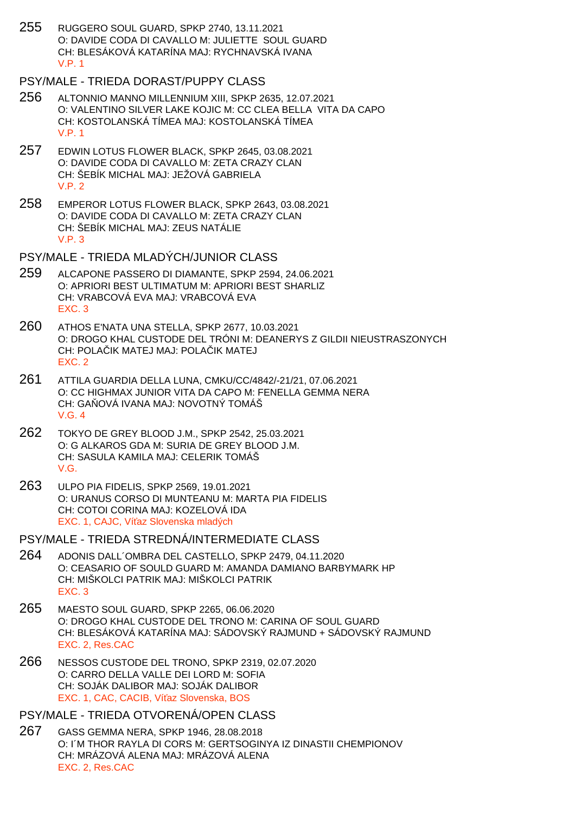- 255 RUGGERO SOUL GUARD, SPKP 2740, 13.11.2021 O: DAVIDE CODA DI CAVALLO M: JULIETTE SOUL GUARD CH: BLESÁKOVÁ KATARÍNA MAJ: RYCHNAVSKÁ IVANA V.P. 1
- PSY/MALE TRIEDA DORAST/PUPPY CLASS
- 256 ALTONNIO MANNO MILLENNIUM XIII, SPKP 2635, 12.07.2021 O: VALENTINO SILVER LAKE KOJIC M: CC CLEA BELLA VITA DA CAPO CH: KOSTOLANSKÁ TÍMEA MAJ: KOSTOLANSKÁ TÍMEA V.P. 1
- 257 EDWIN LOTUS FLOWER BLACK, SPKP 2645, 03.08.2021 O: DAVIDE CODA DI CAVALLO M: ZETA CRAZY CLAN CH: ŠEBÍK MICHAL MAJ: JEŽOVÁ GABRIELA V.P. 2
- 258 EMPEROR LOTUS FLOWER BLACK, SPKP 2643, 03.08.2021 O: DAVIDE CODA DI CAVALLO M: ZETA CRAZY CLAN CH: ŠEBÍK MICHAL MAJ: ZEUS NATÁLIE V.P. 3
- PSY/MALE TRIEDA MLADÝCH/JUNIOR CLASS
- 259 ALCAPONE PASSERO DI DIAMANTE, SPKP 2594, 24.06.2021 O: APRIORI BEST ULTIMATUM M: APRIORI BEST SHARLIZ CH: VRABCOVÁ EVA MAJ: VRABCOVÁ EVA EXC. 3
- 260 ATHOS E'NATA UNA STELLA, SPKP 2677, 10.03.2021 O: DROGO KHAL CUSTODE DEL TRÓNI M: DEANERYS Z GILDII NIEUSTRASZONYCH CH: POLA IK MATEJ MAJ: POLA IK MATEJ EXC. 2
- 261 ATTILA GUARDIA DELLA LUNA, CMKU/CC/4842/-21/21, 07.06.2021 O: CC HIGHMAX JUNIOR VITA DA CAPO M: FENELLA GEMMA NERA CH: GA OVÁ IVANA MAJ: NOVOTNÝ TOMÁŠ V.G. 4
- 262 TOKYO DE GREY BLOOD J.M., SPKP 2542, 25.03.2021 O: G ALKAROS GDA M: SURIA DE GREY BLOOD J.M. CH: SASULA KAMILA MAJ: CELERIK TOMÁŠ V.G.
- 263 ULPO PIA FIDELIS, SPKP 2569, 19.01.2021 O: URANUS CORSO DI MUNTEANU M: MARTA PIA FIDELIS CH: COTOI CORINA MAJ: KOZELOVÁ IDA EXC. 1, CAJC, Ví az Slovenska mladých
- PSY/MALE TRIEDA STREDNÁ/INTERMEDIATE CLASS
- 264 ADONIS DALL´OMBRA DEL CASTELLO, SPKP 2479, 04.11.2020 O: CEASARIO OF SOULD GUARD M: AMANDA DAMIANO BARBYMARK HP CH: MIŠKOLCI PATRIK MAJ: MIŠKOLCI PATRIK EXC. 3
- 265 MAESTO SOUL GUARD, SPKP 2265, 06.06.2020 O: DROGO KHAL CUSTODE DEL TRONO M: CARINA OF SOUL GUARD CH: BLESÁKOVÁ KATARÍNA MAJ: SÁDOVSKÝ RAJMUND + SÁDOVSKÝ RAJMUND EXC. 2, Res.CAC
- 266 NESSOS CUSTODE DEL TRONO, SPKP 2319, 02.07.2020 O: CARRO DELLA VALLE DEI LORD M: SOFIA CH: SOJÁK DALIBOR MAJ: SOJÁK DALIBOR EXC. 1, CAC, CACIB, Ví az Slovenska, BOS
- PSY/MALE TRIEDA OTVORENÁ/OPEN CLASS
- 267 GASS GEMMA NERA, SPKP 1946, 28.08.2018 O: I´M THOR RAYLA DI CORS M: GERTSOGINYA IZ DINASTII CHEMPIONOV CH: MRÁZOVÁ ALENA MAJ: MRÁZOVÁ ALENA EXC. 2, Res.CAC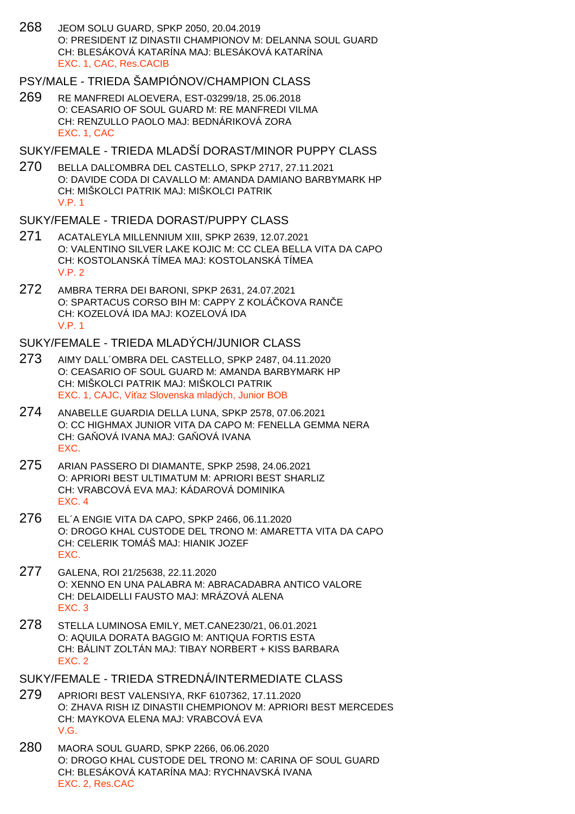268 JEOM SOLU GUARD, SPKP 2050, 20.04.2019 O: PRESIDENT IZ DINASTII CHAMPIONOV M: DELANNA SOUL GUARD CH: BLESÁKOVÁ KATARÍNA MAJ: BLESÁKOVÁ KATARÍNA EXC. 1, CAC, Res.CACIB

# PSY/MALE - TRIEDA ŠAMPIÓNOV/CHAMPION CLASS

269 RE MANFREDI ALOEVERA, EST-03299/18, 25.06.2018 O: CEASARIO OF SOUL GUARD M: RE MANFREDI VILMA CH: RENZULLO PAOLO MAJ: BEDNÁRIKOVÁ ZORA EXC. 1, CAC

### SUKY/FEMALE - TRIEDA MLADŠÍ DORAST/MINOR PUPPY CLASS

270 BELLA DAL OMBRA DEL CASTELLO, SPKP 2717, 27.11.2021 O: DAVIDE CODA DI CAVALLO M: AMANDA DAMIANO BARBYMARK HP CH: MIŠKOLCI PATRIK MAJ: MIŠKOLCI PATRIK V.P. 1

#### SUKY/FEMALE - TRIEDA DORAST/PUPPY CLASS

- 271 ACATALEYLA MILLENNIUM XIII, SPKP 2639, 12.07.2021 O: VALENTINO SILVER LAKE KOJIC M: CC CLEA BELLA VITA DA CAPO CH: KOSTOLANSKÁ TÍMEA MAJ: KOSTOLANSKÁ TÍMEA  $V.P. 2$
- 272 AMBRA TERRA DEI BARONI, SPKP 2631, 24.07.2021 O: SPARTACUS CORSO BIH M: CAPPY Z KOLÁ KOVA RANE CH: KOZELOVÁ IDA MAJ: KOZELOVÁ IDA V.P. 1

#### SUKY/FEMALE - TRIEDA MLADÝCH/JUNIOR CLASS

- 273 AIMY DALL´OMBRA DEL CASTELLO, SPKP 2487, 04.11.2020 O: CEASARIO OF SOUL GUARD M: AMANDA BARBYMARK HP CH: MIŠKOLCI PATRIK MAJ: MIŠKOLCI PATRIK EXC. 1, CAJC, Ví az Slovenska mladých, Junior BOB
- 274 ANABELLE GUARDIA DELLA LUNA, SPKP 2578, 07.06.2021 O: CC HIGHMAX JUNIOR VITA DA CAPO M: FENELLA GEMMA NERA CH: GA OVÁ IVANA MAJ: GA OVÁ IVANA EXC.
- 275 ARIAN PASSERO DI DIAMANTE, SPKP 2598, 24.06.2021 O: APRIORI BEST ULTIMATUM M: APRIORI BEST SHARLIZ CH: VRABCOVÁ EVA MAJ: KÁDAROVÁ DOMINIKA EXC. 4
- 276 EL´A ENGIE VITA DA CAPO, SPKP 2466, 06.11.2020 O: DROGO KHAL CUSTODE DEL TRONO M: AMARETTA VITA DA CAPO CH: CELERIK TOMÁŠ MAJ: HIANIK JOZEF EXC.
- 277 GALENA, ROI 21/25638, 22.11.2020 O: XENNO EN UNA PALABRA M: ABRACADABRA ANTICO VALORE CH: DELAIDELLI FAUSTO MAJ: MRÁZOVÁ ALENA EXC. 3
- 278 STELLA LUMINOSA EMILY, MET.CANE230/21, 06.01.2021 O: AQUILA DORATA BAGGIO M: ANTIQUA FORTIS ESTA CH: BÁLINT ZOLTÁN MAJ: TIBAY NORBERT + KISS BARBARA EXC. 2
- SUKY/FEMALE TRIEDA STREDNÁ/INTERMEDIATE CLASS
- 279 APRIORI BEST VALENSIYA, RKF 6107362, 17.11.2020 O: ZHAVA RISH IZ DINASTII CHEMPIONOV M: APRIORI BEST MERCEDES CH: MAYKOVA ELENA MAJ: VRABCOVÁ EVA V.G.
- 280 MAORA SOUL GUARD, SPKP 2266, 06.06.2020 O: DROGO KHAL CUSTODE DEL TRONO M: CARINA OF SOUL GUARD CH: BLESÁKOVÁ KATARÍNA MAJ: RYCHNAVSKÁ IVANA EXC. 2, Res.CAC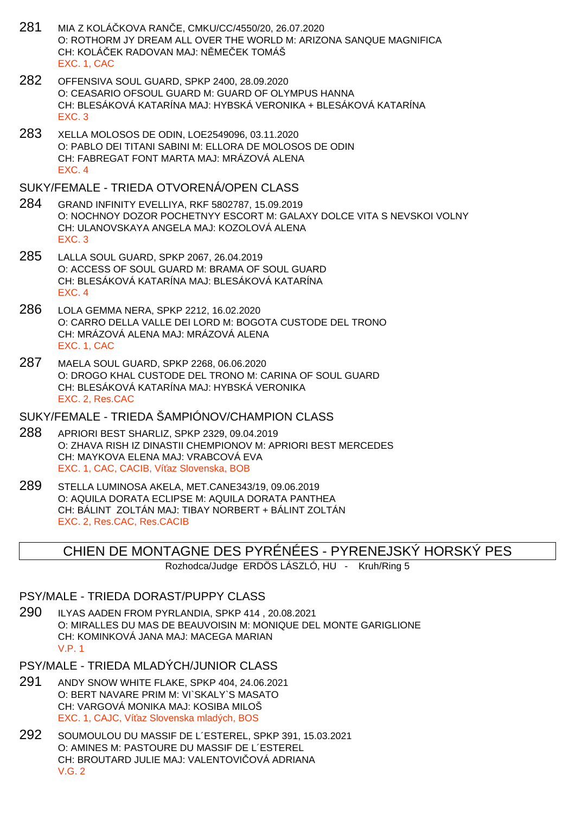- 281 MIA Z KOLÁČKOVA RANČE, CMKU/CC/4550/20, 26.07.2020 O: ROTHORM JY DREAM ALL OVER THE WORLD M: ARIZONA SANQUE MAGNIFICA CH: KOLÁ EK RADOVAN MAJ: N MELEK TOMÁŠ EXC. 1, CAC
- 282 OFFENSIVA SOUL GUARD, SPKP 2400, 28.09.2020 O: CEASARIO OFSOUL GUARD M: GUARD OF OLYMPUS HANNA CH: BLESÁKOVÁ KATARÍNA MAJ: HYBSKÁ VERONIKA + BLESÁKOVÁ KATARÍNA EXC. 3
- 283 XELLA MOLOSOS DE ODIN, LOE2549096, 03.11.2020 O: PABLO DEI TITANI SABINI M: ELLORA DE MOLOSOS DE ODIN CH: FABREGAT FONT MARTA MAJ: MRÁZOVÁ ALENA EXC. 4

### SUKY/FEMALE - TRIEDA OTVORENÁ/OPEN CLASS

- 284 GRAND INFINITY EVELLIYA, RKF 5802787, 15.09.2019 O: NOCHNOY DOZOR POCHETNYY ESCORT M: GALAXY DOLCE VITA S NEVSKOI VOLNY CH: ULANOVSKAYA ANGELA MAJ: KOZOLOVÁ ALENA EXC. 3
- 285 LALLA SOUL GUARD, SPKP 2067, 26.04.2019 O: ACCESS OF SOUL GUARD M: BRAMA OF SOUL GUARD CH: BLESÁKOVÁ KATARÍNA MAJ: BLESÁKOVÁ KATARÍNA EXC. 4
- 286 LOLA GEMMA NERA, SPKP 2212, 16.02.2020 O: CARRO DELLA VALLE DEI LORD M: BOGOTA CUSTODE DEL TRONO CH: MRÁZOVÁ ALENA MAJ: MRÁZOVÁ ALENA EXC. 1, CAC
- 287 MAELA SOUL GUARD, SPKP 2268, 06.06.2020 O: DROGO KHAL CUSTODE DEL TRONO M: CARINA OF SOUL GUARD CH: BLESÁKOVÁ KATARÍNA MAJ: HYBSKÁ VERONIKA EXC. 2, Res.CAC

### SUKY/FEMALE - TRIEDA ŠAMPIÓNOV/CHAMPION CLASS

- 288 APRIORI BEST SHARLIZ, SPKP 2329, 09.04.2019 O: ZHAVA RISH IZ DINASTII CHEMPIONOV M: APRIORI BEST MERCEDES CH: MAYKOVA ELENA MAJ: VRABCOVÁ EVA EXC. 1, CAC, CACIB, Ví az Slovenska, BOB
- 289 STELLA LUMINOSA AKELA, MET.CANE343/19, 09.06.2019 O: AQUILA DORATA ECLIPSE M: AQUILA DORATA PANTHEA CH: BÁLINT ZOLTÁN MAJ: TIBAY NORBERT + BÁLINT ZOLTÁN EXC. 2, Res.CAC, Res.CACIB

# CHIEN DE MONTAGNE DES PYRÉNÉES - PYRENEJSKÝ HORSKÝ PES

Rozhodca/Judge ERDÖS LÁSZLÓ, HU - Kruh/Ring 5

## PSY/MALE - TRIEDA DORAST/PUPPY CLASS

- 290 ILYAS AADEN FROM PYRLANDIA, SPKP 414 , 20.08.2021 O: MIRALLES DU MAS DE BEAUVOISIN M: MONIQUE DEL MONTE GARIGLIONE CH: KOMINKOVÁ JANA MAJ: MACEGA MARIAN V.P. 1
- PSY/MALE TRIEDA MLADÝCH/JUNIOR CLASS
- 291 ANDY SNOW WHITE FLAKE, SPKP 404, 24.06.2021 O: BERT NAVARE PRIM M: VI`SKALY`S MASATO CH: VARGOVÁ MONIKA MAJ: KOSIBA MILOŠ EXC. 1, CAJC. Ví az Slovenska mladých, BOS
- 292 SOUMOULOU DU MASSIF DE L´ESTEREL, SPKP 391, 15.03.2021 O: AMINES M: PASTOURE DU MASSIF DE L´ESTEREL CH: BROUTARD JULIE MAJ: VALENTOVI OVÁ ADRIANA V.G. 2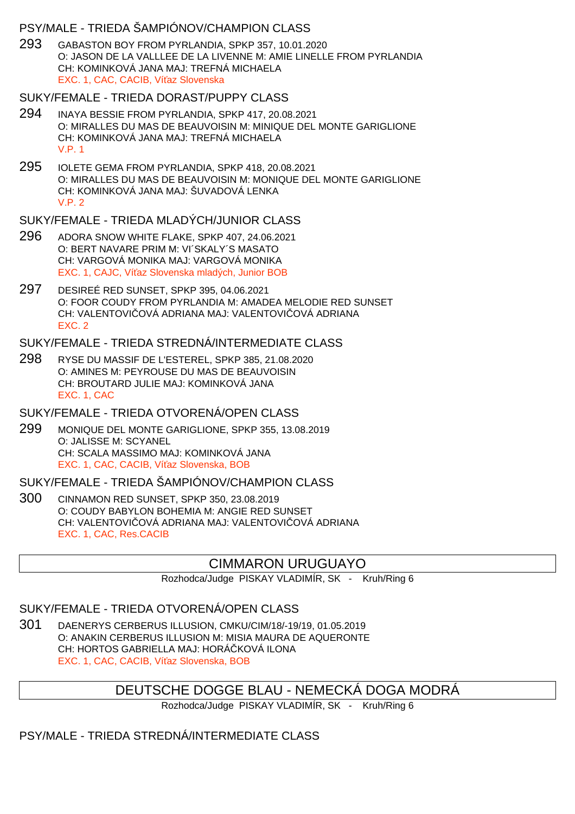## PSY/MALE - TRIEDA ŠAMPIÓNOV/CHAMPION CLASS

293 GABASTON BOY FROM PYRLANDIA, SPKP 357, 10.01.2020 O: JASON DE LA VALLLEE DE LA LIVENNE M: AMIE LINELLE FROM PYRLANDIA CH: KOMINKOVÁ JANA MAJ: TREFNÁ MICHAELA EXC. 1, CAC, CACIB, Ví az Slovenska

### SUKY/FEMALE - TRIEDA DORAST/PUPPY CLASS

- 294 INAYA BESSIE FROM PYRLANDIA, SPKP 417, 20.08.2021 O: MIRALLES DU MAS DE BEAUVOISIN M: MINIQUE DEL MONTE GARIGLIONE CH: KOMINKOVÁ JANA MAJ: TREFNÁ MICHAELA V.P. 1
- 295 IOLETE GEMA FROM PYRLANDIA, SPKP 418, 20.08.2021 O: MIRALLES DU MAS DE BEAUVOISIN M: MONIQUE DEL MONTE GARIGLIONE CH: KOMINKOVÁ JANA MAJ: ŠUVADOVÁ LENKA V.P. 2

### SUKY/FEMALE - TRIEDA MLADÝCH/JUNIOR CLASS

- 296 ADORA SNOW WHITE FLAKE, SPKP 407, 24.06.2021 O: BERT NAVARE PRIM M: VI´SKALY´S MASATO CH: VARGOVÁ MONIKA MAJ: VARGOVÁ MONIKA EXC. 1, CAJC. Ví az Slovenska mladých, Junior BOB
- 297 DESIREÉ RED SUNSET, SPKP 395, 04.06.2021 O: FOOR COUDY FROM PYRLANDIA M: AMADEA MELODIE RED SUNSET CH: VALENTOVI OVÁ ADRIANA MAJ: VALENTOVI OVÁ ADRIANA EXC. 2

### SUKY/FEMALE - TRIEDA STREDNÁ/INTERMEDIATE CLASS

298 RYSE DU MASSIF DE L'ESTEREL, SPKP 385, 21.08.2020 O: AMINES M: PEYROUSE DU MAS DE BEAUVOISIN CH: BROUTARD JULIE MAJ: KOMINKOVÁ JANA EXC. 1, CAC

#### SUKY/FEMALE - TRIEDA OTVORENÁ/OPEN CLASS

299 MONIQUE DEL MONTE GARIGLIONE, SPKP 355, 13.08.2019 O: JALISSE M: SCYANEL CH: SCALA MASSIMO MAJ: KOMINKOVÁ JANA EXC. 1, CAC, CACIB, Ví az Slovenska, BOB

# SUKY/FEMALE - TRIEDA ŠAMPIÓNOV/CHAMPION CLASS

300 CINNAMON RED SUNSET, SPKP 350, 23.08.2019 O: COUDY BABYLON BOHEMIA M: ANGIE RED SUNSET CH: VALENTOVI OVÁ ADRIANA MAJ: VALENTOVI OVÁ ADRIANA EXC. 1, CAC, Res.CACIB

# CIMMARON URUGUAYO

Rozhodca/Judge PISKAY VLADIMÍR, SK - Kruh/Ring 6

# SUKY/FEMALE - TRIEDA OTVORENÁ/OPEN CLASS

301 DAENERYS CERBERUS ILLUSION, CMKU/CIM/18/-19/19, 01.05.2019 O: ANAKIN CERBERUS ILLUSION M: MISIA MAURA DE AQUERONTE CH: HORTOS GABRIELLA MAJ: HORÁ KOVÁ ILONA EXC. 1, CAC, CACIB, Ví az Slovenska, BOB

# DEUTSCHE DOGGE BLAU - NEMECKÁ DOGA MODRÁ

Rozhodca/Judge PISKAY VLADIMÍR, SK - Kruh/Ring 6

# PSY/MALE - TRIEDA STREDNÁ/INTERMEDIATE CLASS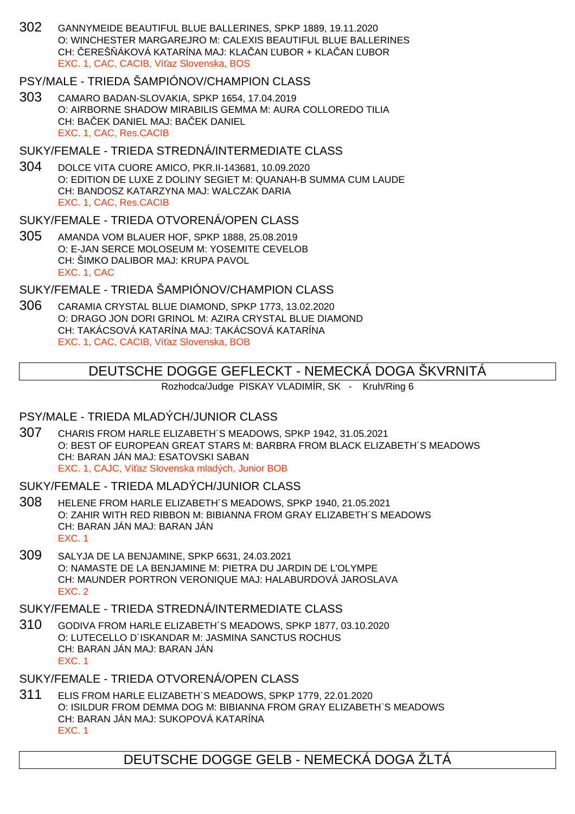302 GANNYMEIDE BEAUTIFUL BLUE BALLERINES, SPKP 1889, 19.11.2020 O: WINCHESTER MARGAREJRO M: CALEXIS BEAUTIFUL BLUE BALLERINES CH: EREŠÁKOVÁ KATARÍNA MAJ: KLA AN UBOR + KLA AN UBOR EXC. 1, CAC, CACIB, Ví az Slovenska, BOS

# PSY/MALE - TRIEDA ŠAMPIÓNOV/CHAMPION CLASS

303 CAMARO BADAN-SLOVAKIA, SPKP 1654, 17.04.2019 O: AIRBORNE SHADOW MIRABILIS GEMMA M: AURA COLLOREDO TILIA CH: BAEK DANIEL MAJ: BAEK DANIEL EXC. 1, CAC, Res.CACIB

### SUKY/FEMALE - TRIEDA STREDNÁ/INTERMEDIATE CLASS

304 DOLCE VITA CUORE AMICO, PKR.II-143681, 10.09.2020 O: EDITION DE LUXE Z DOLINY SEGIET M: QUANAH-B SUMMA CUM LAUDE CH: BANDOSZ KATARZYNA MAJ: WALCZAK DARIA EXC. 1, CAC, Res.CACIB

### SUKY/FEMALE - TRIEDA OTVORENÁ/OPEN CLASS

305 AMANDA VOM BLAUER HOF, SPKP 1888, 25.08.2019 O: E-JAN SERCE MOLOSEUM M: YOSEMITE CEVELOB CH: ŠIMKO DALIBOR MAJ: KRUPA PAVOL EXC. 1, CAC

## SUKY/FEMALE - TRIEDA ŠAMPIÓNOV/CHAMPION CLASS

306 CARAMIA CRYSTAL BLUE DIAMOND, SPKP 1773, 13.02.2020 O: DRAGO JON DORI GRINOL M: AZIRA CRYSTAL BLUE DIAMOND CH: TAKÁCSOVÁ KATARÍNA MAJ: TAKÁCSOVÁ KATARÍNA EXC. 1, CAC, CACIB, Ví az Slovenska, BOB

## DEUTSCHE DOGGE GEFLECKT - NEMECKÁ DOGA ŠKVRNITÁ

Rozhodca/Judge PISKAY VLADIMÍR, SK - Kruh/Ring 6

## PSY/MALE - TRIEDA MLADÝCH/JUNIOR CLASS

307 CHARIS FROM HARLE ELIZABETH´S MEADOWS, SPKP 1942, 31.05.2021 O: BEST OF EUROPEAN GREAT STARS M: BARBRA FROM BLACK ELIZABETH´S MEADOWS CH: BARAN JÁN MAJ: ESATOVSKI SABAN EXC. 1, CAJC, Ví az Slovenska mladých, Junior BOB

#### SUKY/FEMALE - TRIEDA MLADÝCH/JUNIOR CLASS

- 308 HELENE FROM HARLE ELIZABETH´S MEADOWS, SPKP 1940, 21.05.2021 O: ZAHIR WITH RED RIBBON M: BIBIANNA FROM GRAY ELIZABETH´S MEADOWS CH: BARAN JÁN MAJ: BARAN JÁN EXC. 1
- 309 SALYJA DE LA BENJAMINE, SPKP 6631, 24.03.2021 O: NAMASTE DE LA BENJAMINE M: PIETRA DU JARDIN DE L'OLYMPE CH: MAUNDER PORTRON VERONIQUE MAJ: HALABURDOVÁ JAROSLAVA EXC. 2

#### SUKY/FEMALE - TRIEDA STREDNÁ/INTERMEDIATE CLASS

310 GODIVA FROM HARLE ELIZABETH´S MEADOWS, SPKP 1877, 03.10.2020 O: LUTECELLO D´ISKANDAR M: JASMINA SANCTUS ROCHUS CH: BARAN JÁN MAJ: BARAN JÁN EXC. 1

## SUKY/FEMALE - TRIEDA OTVORENÁ/OPEN CLASS

311 ELIS FROM HARLE ELIZABETH`S MEADOWS, SPKP 1779, 22.01.2020 O: ISILDUR FROM DEMMA DOG M: BIBIANNA FROM GRAY ELIZABETH`S MEADOWS CH: BARAN JÁN MAJ: SUKOPOVÁ KATARÍNA EXC. 1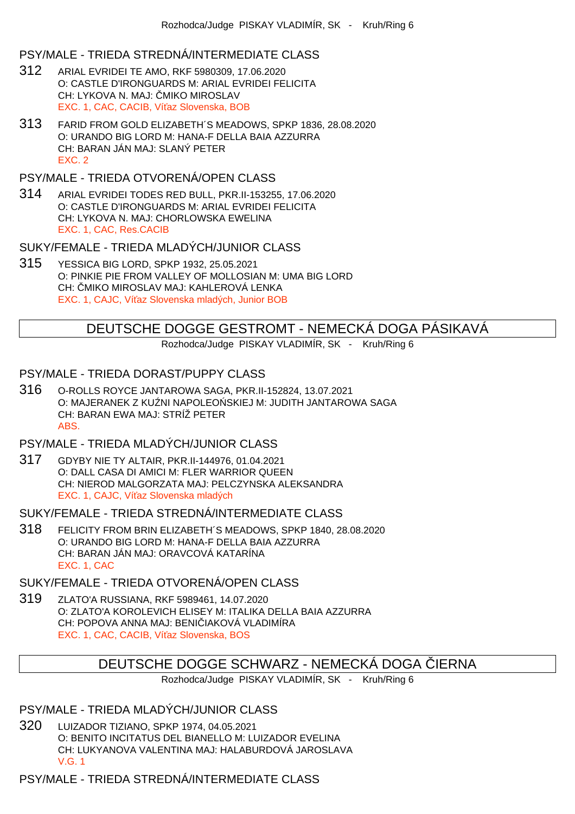## PSY/MALE - TRIEDA STREDNÁ/INTERMEDIATE CLASS

- 312 ARIAL EVRIDEI TE AMO, RKF 5980309, 17.06.2020 O: CASTLE D'IRONGUARDS M: ARIAL EVRIDEI FELICITA CH: LYKOVA N. MAJ: MIKO MIROSLAV EXC. 1, CAC, CACIB, Ví az Slovenska, BOB
- 313 FARID FROM GOLD ELIZABETH´S MEADOWS, SPKP 1836, 28.08.2020 O: URANDO BIG LORD M: HANA-F DELLA BAIA AZZURRA CH: BARAN JÁN MAJ: SLANÝ PETER EXC. 2

# PSY/MALE - TRIEDA OTVORENÁ/OPEN CLASS

314 ARIAL EVRIDEI TODES RED BULL, PKR.II-153255, 17.06.2020 O: CASTLE D'IRONGUARDS M: ARIAL EVRIDEI FELICITA CH: LYKOVA N. MAJ: CHORLOWSKA EWELINA EXC. 1, CAC, Res.CACIB

## SUKY/FEMALE - TRIEDA MLADÝCH/JUNIOR CLASS

315 YESSICA BIG LORD, SPKP 1932, 25.05.2021 O: PINKIE PIE FROM VALLEY OF MOLLOSIAN M: UMA BIG LORD CH: MIKO MIROSLAV MAJ: KAHLEROVÁ LENKA EXC. 1, CAJC, Ví az Slovenska mladých, Junior BOB

# DEUTSCHE DOGGE GESTROMT - NEMECKÁ DOGA PÁSIKAVÁ

Rozhodca/Judge PISKAY VLADIMÍR, SK - Kruh/Ring 6

## PSY/MALE - TRIEDA DORAST/PUPPY CLASS

316 O-ROLLS ROYCE JANTAROWA SAGA, PKR.II-152824, 13.07.2021 O: MAJERANEK Z KU NI NAPOLEO SKIEJ M: JUDITH JANTAROWA SAGA CH: BARAN EWA MAJ: STRÍŽ PETER ABS.

## PSY/MALE - TRIEDA MLADÝCH/JUNIOR CLASS

317 GDYBY NIE TY ALTAIR, PKR.II-144976, 01.04.2021 O: DALL CASA DI AMICI M: FLER WARRIOR QUEEN CH: NIEROD MALGORZATA MAJ: PELCZYNSKA ALEKSANDRA EXC. 1, CAJC, Ví az Slovenska mladých

## SUKY/FEMALE - TRIEDA STREDNÁ/INTERMEDIATE CLASS

318 FELICITY FROM BRIN ELIZABETH´S MEADOWS, SPKP 1840, 28.08.2020 O: URANDO BIG LORD M: HANA-F DELLA BAIA AZZURRA CH: BARAN JÁN MAJ: ORAVCOVÁ KATARÍNA EXC. 1, CAC

## SUKY/FEMALE - TRIEDA OTVORENÁ/OPEN CLASS

319 ZLATO'A RUSSIANA, RKF 5989461, 14.07.2020 O: ZLATO'A KOROLEVICH ELISEY M: ITALIKA DELLA BAIA AZZURRA CH: POPOVA ANNA MAJ: BENI IAKOVÁ VLADIMÍRA EXC. 1, CAC, CACIB, Ví az Slovenska, BOS

# DEUTSCHE DOGGE SCHWARZ - NEMECKÁ DOGA LERNA

Rozhodca/Judge PISKAY VLADIMÍR, SK - Kruh/Ring 6

# PSY/MALE - TRIEDA MLADÝCH/JUNIOR CLASS

320 LUIZADOR TIZIANO, SPKP 1974, 04.05.2021 O: BENITO INCITATUS DEL BIANELLO M: LUIZADOR EVELINA CH: LUKYANOVA VALENTINA MAJ: HALABURDOVÁ JAROSLAVA V.G. 1

## PSY/MALE - TRIEDA STREDNÁ/INTERMEDIATE CLASS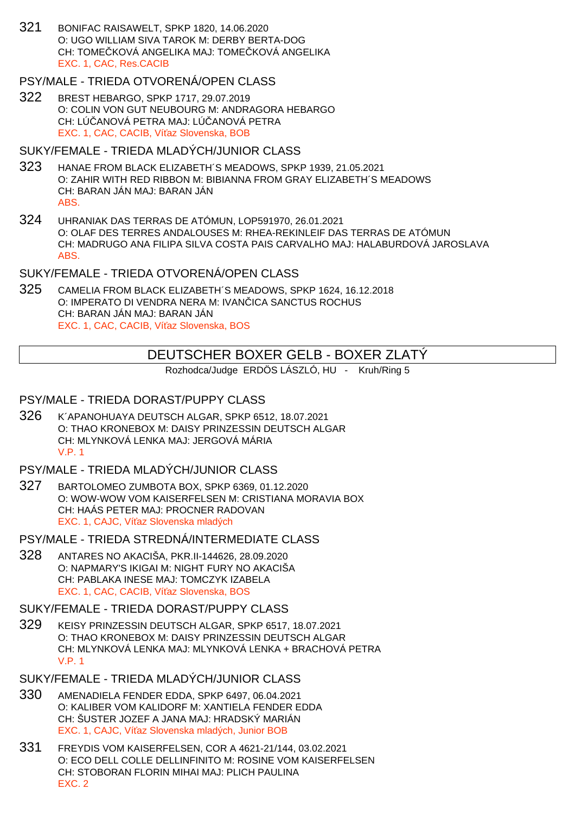321 BONIFAC RAISAWELT, SPKP 1820, 14.06.2020 O: UGO WILLIAM SIVA TAROK M: DERBY BERTA-DOG CH: TOME KOVÁ ANGELIKA MAJ: TOME KOVÁ ANGELIKA EXC. 1, CAC, Res.CACIB

## PSY/MALE - TRIEDA OTVORENÁ/OPEN CLASS

322 BREST HEBARGO, SPKP 1717, 29.07.2019 O: COLIN VON GUT NEUBOURG M: ANDRAGORA HEBARGO CH: LÚ ANOVÁ PETRA MAJ: LÚ ANOVÁ PETRA EXC. 1, CAC, CACIB, Ví az Slovenska, BOB

### SUKY/FEMALE - TRIEDA MLADÝCH/JUNIOR CLASS

- 323 HANAE FROM BLACK ELIZABETH´S MEADOWS, SPKP 1939, 21.05.2021 O: ZAHIR WITH RED RIBBON M: BIBIANNA FROM GRAY ELIZABETH´S MEADOWS CH: BARAN JÁN MAJ: BARAN JÁN ABS.
- 324 UHRANIAK DAS TERRAS DE ATÓMUN, LOP591970, 26.01.2021 O: OLAF DES TERRES ANDALOUSES M: RHEA-REKINLEIF DAS TERRAS DE ATÓMUN CH: MADRUGO ANA FILIPA SILVA COSTA PAIS CARVALHO MAJ: HALABURDOVÁ JAROSLAVA ABS.

# SUKY/FEMALE - TRIEDA OTVORENÁ/OPEN CLASS

325 CAMELIA FROM BLACK ELIZABETH´S MEADOWS, SPKP 1624, 16.12.2018 O: IMPERATO DI VENDRA NERA M: IVAN ICA SANCTUS ROCHUS CH: BARAN JÁN MAJ: BARAN JÁN EXC. 1, CAC, CACIB, Ví az Slovenska, BOS

# DEUTSCHER BOXER GELB - BOXER ZLATÝ

Rozhodca/Judge ERDÖS LÁSZLÓ, HU - Kruh/Ring 5

### PSY/MALE - TRIEDA DORAST/PUPPY CLASS

326 K´APANOHUAYA DEUTSCH ALGAR, SPKP 6512, 18.07.2021 O: THAO KRONEBOX M: DAISY PRINZESSIN DEUTSCH ALGAR CH: MLYNKOVÁ LENKA MAJ: JERGOVÁ MÁRIA V.P. 1

### PSY/MALE - TRIEDA MLADÝCH/JUNIOR CLASS

- 327 BARTOLOMEO ZUMBOTA BOX, SPKP 6369, 01.12.2020 O: WOW-WOW VOM KAISERFELSEN M: CRISTIANA MORAVIA BOX CH: HAÁS PETER MAJ: PROCNER RADOVAN EXC. 1, CAJC, Ví az Slovenska mladých
- PSY/MALE TRIEDA STREDNÁ/INTERMEDIATE CLASS
- 328 ANTARES NO AKACIŠA, PKR.II-144626, 28.09.2020 O: NAPMARY'S IKIGAI M: NIGHT FURY NO AKACIŠA CH: PABLAKA INESE MAJ: TOMCZYK IZABELA EXC. 1, CAC, CACIB, Ví az Slovenska, BOS

#### SUKY/FEMALE - TRIEDA DORAST/PUPPY CLASS

- 329 KEISY PRINZESSIN DEUTSCH ALGAR, SPKP 6517, 18.07.2021 O: THAO KRONEBOX M: DAISY PRINZESSIN DEUTSCH ALGAR CH: MLYNKOVÁ LENKA MAJ: MLYNKOVÁ LENKA + BRACHOVÁ PETRA V.P. 1
- SUKY/FEMALE TRIEDA MLADÝCH/JUNIOR CLASS
- 330 AMENADIELA FENDER EDDA, SPKP 6497, 06.04.2021 O: KALIBER VOM KALIDORF M: XANTIELA FENDER EDDA CH: ŠUSTER JOZEF A JANA MAJ: HRADSKÝ MARIÁN EXC. 1, CAJC, Ví az Slovenska mladých, Junior BOB
- 331 FREYDIS VOM KAISERFELSEN, COR A 4621-21/144, 03.02.2021 O: ECO DELL COLLE DELLINFINITO M: ROSINE VOM KAISERFELSEN CH: STOBORAN FLORIN MIHAI MAJ: PLICH PAULINA EXC. 2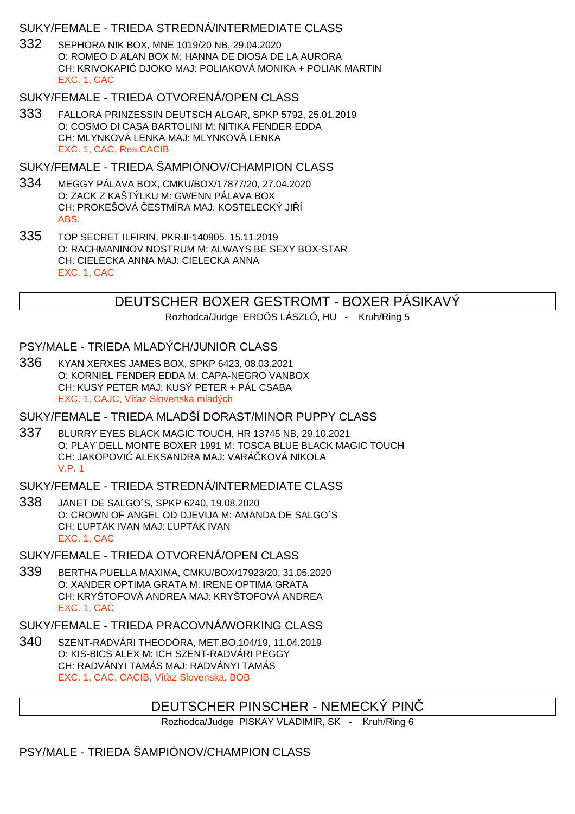# SUKY/FEMALE - TRIEDA STREDNÁ/INTERMEDIATE CLASS

332 SEPHORA NIK BOX, MNE 1019/20 NB, 29.04.2020 O: ROMEO D´ALAN BOX M: HANNA DE DIOSA DE LA AURORA CH: KRIVOKAPIĆ DJOKO MAJ: POLIAKOVÁ MONIKA + POLIAK MARTIN EXC. 1, CAC

## SUKY/FEMALE - TRIEDA OTVORENÁ/OPEN CLASS

333 FALLORA PRINZESSIN DEUTSCH ALGAR, SPKP 5792, 25.01.2019 O: COSMO DI CASA BARTOLINI M: NITIKA FENDER EDDA CH: MLYNKOVÁ LENKA MAJ: MLYNKOVÁ LENKA EXC. 1, CAC, Res.CACIB

## SUKY/FEMALE - TRIEDA ŠAMPIÓNOV/CHAMPION CLASS

- 334 MEGGY PÁLAVA BOX, CMKU/BOX/17877/20, 27.04.2020 O: ZACK Z KAŠTÝLKU M: GWENN PÁLAVA BOX CH: PROKEŠOVÁ ESTMÍRA MAJ: KOSTELECKÝ JI Í ABS.
- 335 TOP SECRET ILFIRIN, PKR.II-140905, 15.11.2019 O: RACHMANINOV NOSTRUM M: ALWAYS BE SEXY BOX-STAR CH: CIELECKA ANNA MAJ: CIELECKA ANNA EXC. 1, CAC

# DEUTSCHER BOXER GESTROMT - BOXER PÁSIKAVÝ

Rozhodca/Judge ERDÖS LÁSZLÓ, HU - Kruh/Ring 5

## PSY/MALE - TRIEDA MLADÝCH/JUNIOR CLASS

336 KYAN XERXES JAMES BOX, SPKP 6423, 08.03.2021 O: KORNIEL FENDER EDDA M: CAPA-NEGRO VANBOX CH: KUSÝ PETER MAJ: KUSÝ PETER + PÁL CSABA EXC. 1, CAJC. Ví az Slovenska mladých

## SUKY/FEMALE - TRIEDA MLADŠÍ DORAST/MINOR PUPPY CLASS

337 BLURRY EYES BLACK MAGIC TOUCH, HR 13745 NB, 29.10.2021 O: PLAY´DELL MONTE BOXER 1991 M: TOSCA BLUE BLACK MAGIC TOUCH CH: JAKOPOVI ALEKSANDRA MAJ: VARÁ KOVÁ NIKOLA V.P. 1

## SUKY/FEMALE - TRIEDA STREDNÁ/INTERMEDIATE CLASS

338 JANET DE SALGO´S, SPKP 6240, 19.08.2020 O: CROWN OF ANGEL OD DJEVIJA M: AMANDA DE SALGO´S CH: ĽUPTÁK IVAN MAJ: ĽUPTÁK IVAN EXC. 1, CAC

# SUKY/FEMALE - TRIEDA OTVORENÁ/OPEN CLASS

339 BERTHA PUELLA MAXIMA, CMKU/BOX/17923/20, 31.05.2020 O: XANDER OPTIMA GRATA M: IRENE OPTIMA GRATA CH: KRYŠTOFOVÁ ANDREA MAJ: KRYŠTOFOVÁ ANDREA EXC. 1, CAC

# SUKY/FEMALE - TRIEDA PRACOVNÁ/WORKING CI ASS

340 SZENT-RADVÁRI THEODÓRA, MET.BO.104/19, 11.04.2019 O: KIS-BICS ALEX M: ICH SZENT-RADVÁRI PEGGY CH: RADVÁNYI TAMÁS MAJ: RADVÁNYI TAMÁS EXC. 1, CAC, CACIB, Ví az Slovenska, BOB

# DEUTSCHER PINSCHER - NEMECKÝ PINČ

Rozhodca/Judge PISKAY VLADIMÍR, SK - Kruh/Ring 6

# PSY/MALE - TRIEDA ŠAMPIÓNOV/CHAMPION CLASS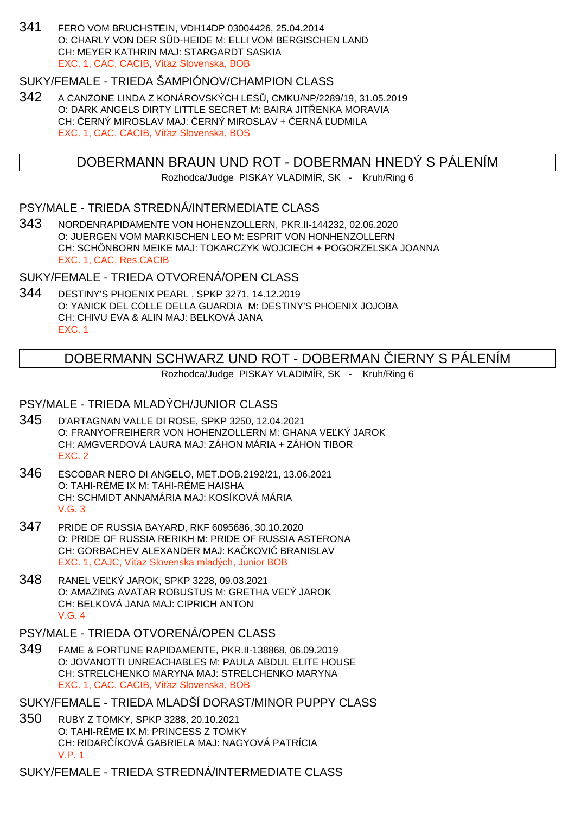341 FERO VOM BRUCHSTEIN, VDH14DP 03004426, 25.04.2014 O: CHARLY VON DER SÜD-HEIDE M: ELLI VOM BERGISCHEN LAND CH: MEYER KATHRIN MAJ: STARGARDT SASKIA EXC. 1, CAC, CACIB, Ví az Slovenska, BOB

## SUKY/FEMALE - TRIEDA ŠAMPIÓNOV/CHAMPION CLASS

342 A CANZONE LINDA Z KONÁROVSKÝCH LES , CMKU/NP/2289/19, 31.05.2019 O: DARK ANGELS DIRTY LITTLE SECRET M: BAIRA JIT ENKA MORAVIA CH: ERNÝ MIROSLAV MAJ: ERNÝ MIROSLAV + ERNÁ UDMILA EXC. 1, CAC, CACIB, Ví az Slovenska, BOS

# DOBERMANN BRAUN UND ROT - DOBERMAN HNEDÝ S PÁLENÍM

Rozhodca/Judge PISKAY VLADIMÍR, SK - Kruh/Ring 6

#### PSY/MALE - TRIEDA STREDNÁ/INTERMEDIATE CLASS

343 NORDENRAPIDAMENTE VON HOHENZOLLERN, PKR.II-144232, 02.06.2020 O: JUERGEN VOM MARKISCHEN LEO M: ESPRIT VON HONHENZOLLERN CH: SCHÖNBORN MEIKE MAJ: TOKARCZYK WOJCIECH + POGORZELSKA JOANNA EXC. 1, CAC, Res.CACIB

SUKY/FEMALE - TRIEDA OTVORENÁ/OPEN CLASS

344 DESTINY'S PHOENIX PEARL , SPKP 3271, 14.12.2019 O: YANICK DEL COLLE DELLA GUARDIA M: DESTINY'S PHOENIX JOJOBA CH: CHIVU EVA & ALIN MAJ: BELKOVÁ JANA EXC. 1

# DOBERMANN SCHWARZ UND ROT - DOBERMAN IERNY S PÁLENÍM

Rozhodca/Judge PISKAY VLADIMÍR, SK - Kruh/Ring 6

### PSY/MALE - TRIEDA MLADÝCH/JUNIOR CLASS

- 345 D'ARTAGNAN VALLE DI ROSE, SPKP 3250, 12.04.2021 O: FRANYOFREIHERR VON HOHENZOLLERN M: GHANA VE KÝ JAROK CH: AMGVERDOVÁ LAURA MAJ: ZÁHON MÁRIA + ZÁHON TIBOR EXC. 2
- 346 ESCOBAR NERO DI ANGELO, MET.DOB.2192/21, 13.06.2021 O: TAHI-RÉME IX M: TAHI-RÉME HAISHA CH: SCHMIDT ANNAMÁRIA MAJ: KOSÍKOVÁ MÁRIA V.G. 3
- 347 PRIDE OF RUSSIA BAYARD, RKF 6095686, 30.10.2020 O: PRIDE OF RUSSIA RERIKH M: PRIDE OF RUSSIA ASTERONA CH: GORBACHEV ALEXANDER MAJ: KA KOVI BRANISLAV EXC. 1, CAJC, Ví az Slovenska mladých, Junior BOB
- 348 RANEL VE KÝ JAROK, SPKP 3228, 09.03.2021 O: AMAZING AVATAR ROBUSTUS M: GRETHA VE Ý JAROK CH: BELKOVÁ JANA MAJ: CIPRICH ANTON V.G. 4

#### PSY/MALE - TRIEDA OTVORENÁ/OPEN CLASS

- 349 FAME & FORTUNE RAPIDAMENTE, PKR.II-138868, 06.09.2019 O: JOVANOTTI UNREACHABLES M: PAULA ABDUL ELITE HOUSE CH: STRELCHENKO MARYNA MAJ: STRELCHENKO MARYNA EXC. 1, CAC, CACIB, Ví az Slovenska, BOB
- SUKY/FEMALE TRIEDA MLADŠÍ DORAST/MINOR PUPPY CLASS
- 350 RUBY Z TOMKY, SPKP 3288, 20.10.2021 O: TAHI-RÉME IX M: PRINCESS Z TOMKY CH: RIDAR ÍKOVÁ GABRIELA MAJ: NAGYOVÁ PATRÍCIA V.P. 1

SUKY/FEMALE - TRIEDA STREDNÁ/INTERMEDIATE CLASS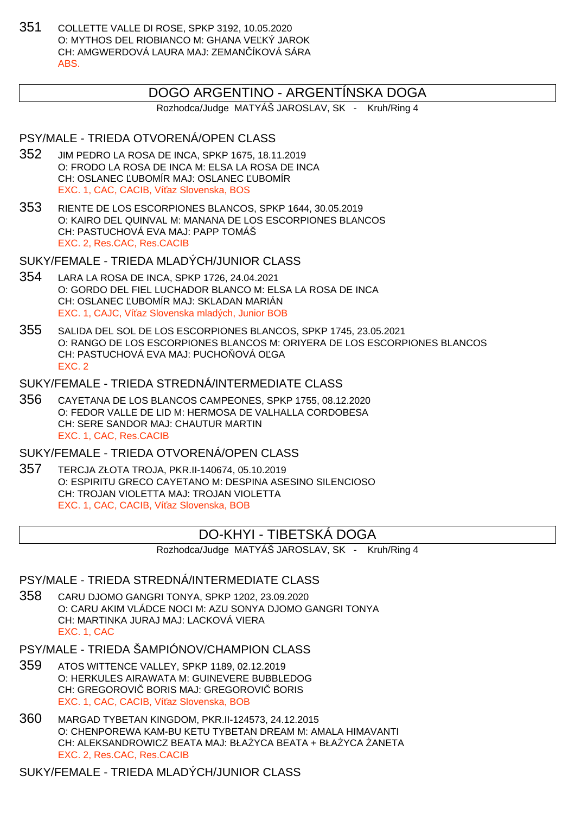351 COLLETTE VALLE DI ROSE, SPKP 3192, 10.05.2020 O: MYTHOS DEL RIOBIANCO M: GHANA VE KÝ JAROK CH: AMGWERDOVÁ LAURA MAJ: ZEMANČÍKOVÁ SÁRA ABS.

# DOGO ARGENTINO - ARGENTÍNSKA DOGA

Rozhodca/Judge MATYÁŠ JAROSLAV, SK - Kruh/Ring 4

## PSY/MALE - TRIEDA OTVORENÁ/OPEN CLASS

- 352 JIM PEDRO LA ROSA DE INCA, SPKP 1675, 18.11.2019 O: FRODO LA ROSA DE INCA M: ELSA LA ROSA DE INCA CH: OSLANEC UBOMÍR MAJ: OSLANEC UBOMÍR EXC. 1, CAC, CACIB, Ví az Slovenska, BOS
- 353 RIENTE DE LOS ESCORPIONES BLANCOS, SPKP 1644, 30.05.2019 O: KAIRO DEL QUINVAL M: MANANA DE LOS ESCORPIONES BLANCOS CH: PASTUCHOVÁ EVA MAJ: PAPP TOMÁŠ EXC. 2, Res.CAC, Res.CACIB

SUKY/FEMALE - TRIEDA MLADÝCH/JUNIOR CLASS

- 354 LARA LA ROSA DE INCA, SPKP 1726, 24.04.2021 O: GORDO DEL FIEL LUCHADOR BLANCO M: ELSA LA ROSA DE INCA CH: OSLANEC ĽUBOMÍR MAJ: SKLADAN MARIÁN EXC. 1, CAJC, Ví az Slovenska mladých, Junior BOB
- 355 SALIDA DEL SOL DE LOS ESCORPIONES BLANCOS, SPKP 1745, 23.05.2021 O: RANGO DE LOS ESCORPIONES BLANCOS M: ORIYERA DE LOS ESCORPIONES BLANCOS CH: PASTUCHOVÁ EVA MAJ: PUCHO OVÁ O GA EXC. 2

## SUKY/FEMALE - TRIEDA STREDNÁ/INTERMEDIATE CLASS

356 CAYETANA DE LOS BLANCOS CAMPEONES, SPKP 1755, 08.12.2020 O: FEDOR VALLE DE LID M: HERMOSA DE VALHALLA CORDOBESA CH: SERE SANDOR MAJ: CHAUTUR MARTIN EXC. 1, CAC, Res.CACIB

## SUKY/FEMALE - TRIEDA OTVORENÁ/OPEN CLASS

357 TERCJA ZŁOTA TROJA, PKR.II-140674, 05.10.2019 O: ESPIRITU GRECO CAYETANO M: DESPINA ASESINO SILENCIOSO CH: TROJAN VIOLETTA MAJ: TROJAN VIOLETTA EXC. 1, CAC, CACIB, Ví az Slovenska, BOB

# DO-KHYI - TIBETSKÁ DOGA

Rozhodca/Judge MATYÁŠ JAROSLAV, SK - Kruh/Ring 4

PSY/MALE - TRIEDA STREDNÁ/INTERMEDIATE CLASS

- 358 CARU DJOMO GANGRI TONYA, SPKP 1202, 23.09.2020 O: CARU AKIM VLÁDCE NOCI M: AZU SONYA DJOMO GANGRI TONYA CH: MARTINKA JURAJ MAJ: LACKOVÁ VIERA EXC. 1, CAC
- PSY/MALE TRIEDA ŠAMPIÓNOV/CHAMPION CLASS
- 359 ATOS WITTENCE VALLEY, SPKP 1189, 02.12.2019 O: HERKULES AIRAWATA M: GUINEVERE BUBBLEDOG CH: GREGOROVI BORIS MAJ: GREGOROVI BORIS EXC. 1, CAC, CACIB, Ví az Slovenska, BOB
- 360 MARGAD TYBETAN KINGDOM, PKR.II-124573, 24.12.2015 O: CHENPOREWA KAM-BU KETU TYBETAN DREAM M: AMALA HIMAVANTI CH: ALEKSANDROWICZ BEATA MAJ: BŁA YCA BEATA + BŁA YCA ANETA EXC. 2, Res.CAC, Res.CACIB

SUKY/FEMALE - TRIEDA MLADÝCH/JUNIOR CLASS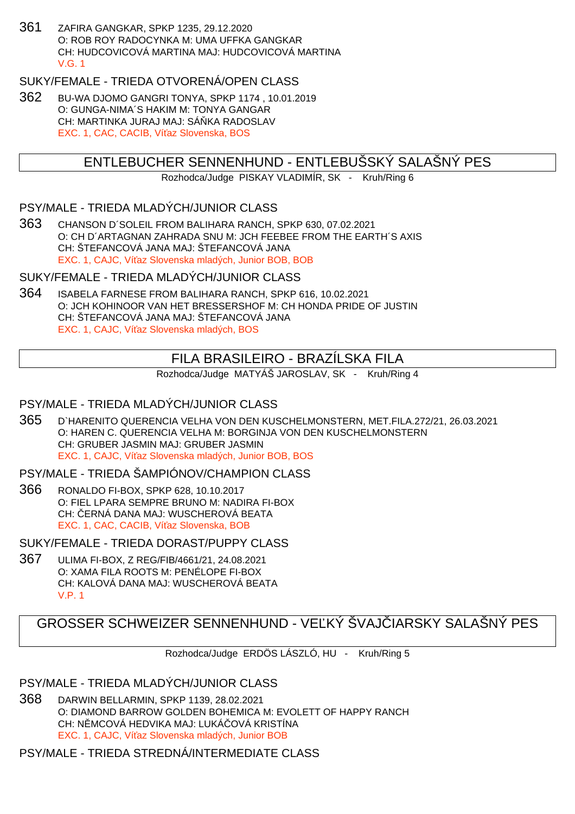361 ZAFIRA GANGKAR, SPKP 1235, 29.12.2020 O: ROB ROY RADOCYNKA M: UMA UFFKA GANGKAR CH: HUDCOVICOVÁ MARTINA MAJ: HUDCOVICOVÁ MARTINA V.G. 1

# SUKY/FEMALE - TRIEDA OTVORENÁ/OPEN CLASS

362 BU-WA DJOMO GANGRI TONYA, SPKP 1174 , 10.01.2019 O: GUNGA-NIMA´S HAKIM M: TONYA GANGAR CH: MARTINKA JURAJ MAJ: SÁ KA RADOSLAV EXC. 1, CAC, CACIB, Ví az Slovenska, BOS

# ENTLEBUCHER SENNENHUND - ENTLEBUŠSKÝ SALAŠNÝ PES

Rozhodca/Judge PISKAY VLADIMÍR, SK - Kruh/Ring 6

## PSY/MALE - TRIEDA MLADÝCH/JUNIOR CLASS

363 CHANSON D´SOLEIL FROM BALIHARA RANCH, SPKP 630, 07.02.2021 O: CH D´ARTAGNAN ZAHRADA SNU M: JCH FEEBEE FROM THE EARTH´S AXIS CH: ŠTEFANCOVÁ JANA MAJ: ŠTEFANCOVÁ JANA EXC. 1, CAJC, Ví az Slovenska mladých, Junior BOB, BOB

#### SUKY/FEMALE - TRIEDA MLADÝCH/JUNIOR CLASS

364 ISABELA FARNESE FROM BALIHARA RANCH, SPKP 616, 10.02.2021 O: JCH KOHINOOR VAN HET BRESSERSHOF M: CH HONDA PRIDE OF JUSTIN CH: ŠTEFANCOVÁ JANA MAJ: ŠTEFANCOVÁ JANA EXC. 1, CAJC, Ví az Slovenska mladých, BOS

# FILA BRASILEIRO - BRAZÍLSKA FILA

Rozhodca/Judge MATYÁŠ JAROSLAV, SK - Kruh/Ring 4

### PSY/MALE - TRIEDA MLADÝCH/JUNIOR CLASS

365 D`HARENITO QUERENCIA VELHA VON DEN KUSCHELMONSTERN, MET.FILA.272/21, 26.03.2021 O: HAREN C. QUERENCIA VELHA M: BORGINJA VON DEN KUSCHELMONSTERN CH: GRUBER JASMIN MAJ: GRUBER JASMIN EXC. 1, CAJC, Ví az Slovenska mladých, Junior BOB, BOS

## PSY/MALE - TRIEDA ŠAMPIÓNOV/CHAMPION CLASS

366 RONALDO FI-BOX, SPKP 628, 10.10.2017 O: FIEL LPARA SEMPRE BRUNO M: NADIRA FI-BOX CH: ERNÁ DANA MAJ: WUSCHEROVÁ BEATA EXC. 1, CAC, CACIB, Ví az Slovenska, BOB

SUKY/FEMALE - TRIEDA DORAST/PUPPY CLASS

367 ULIMA FI-BOX, Z REG/FIB/4661/21, 24.08.2021 O: XAMA FILA ROOTS M: PENÉLOPE FI-BOX CH: KALOVÁ DANA MAJ: WUSCHEROVÁ BEATA V.P. 1

# GROSSER SCHWEIZER SENNENHUND - VELKÝ ŠVAJ JARSKY SALAŠNÝ PES

Rozhodca/Judge ERDÖS LÁSZLÓ, HU - Kruh/Ring 5

## PSY/MALE - TRIEDA MLADÝCH/JUNIOR CLASS

368 DARWIN BELLARMIN, SPKP 1139, 28.02.2021 O: DIAMOND BARROW GOLDEN BOHEMICA M: EVOLETT OF HAPPY RANCH CH: N MCOVÁ HEDVIKA MAJ: LUKÁ OVÁ KRISTÍNA EXC. 1, CAJC. Ví az Slovenska mladých, Junior BOB

PSY/MALE - TRIEDA STREDNÁ/INTERMEDIATE CLASS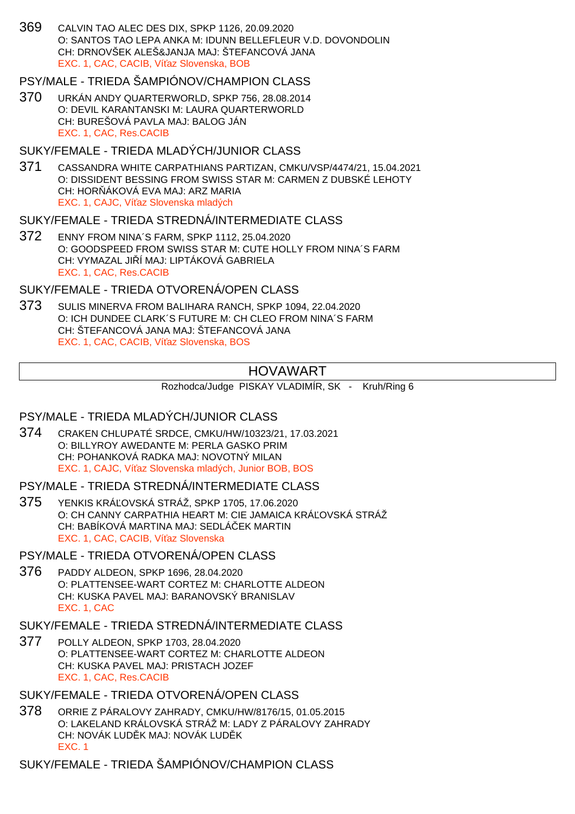369 CALVIN TAO ALEC DES DIX, SPKP 1126, 20.09.2020 O: SANTOS TAO LEPA ANKA M: IDUNN BELLEFLEUR V.D. DOVONDOLIN CH: DRNOVŠEK ALEŠ&JANJA MAJ: ŠTEFANCOVÁ JANA EXC. 1, CAC, CACIB, Ví az Slovenska, BOB

## PSY/MALE - TRIEDA ŠAMPIÓNOV/CHAMPION CLASS

370 URKÁN ANDY QUARTERWORLD, SPKP 756, 28.08.2014 O: DEVIL KARANTANSKI M: LAURA QUARTERWORLD CH: BUREŠOVÁ PAVLA MAJ: BALOG JÁN EXC. 1, CAC, Res.CACIB

### SUKY/FEMALE - TRIEDA MLADÝCH/JUNIOR CLASS

371 CASSANDRA WHITE CARPATHIANS PARTIZAN, CMKU/VSP/4474/21, 15.04.2021 O: DISSIDENT BESSING FROM SWISS STAR M: CARMEN Z DUBSKÉ LEHOTY CH: HOR ÁKOVÁ EVA MAJ: ARZ MARIA EXC. 1, CAJC, Ví az Slovenska mladých

#### SUKY/FEMALE - TRIEDA STREDNÁ/INTERMEDIATE CLASS

372 ENNY FROM NINA´S FARM, SPKP 1112, 25.04.2020 O: GOODSPEED FROM SWISS STAR M: CUTE HOLLY FROM NINA´S FARM CH: VYMAZAL JI Í MAJ: LIPTÁKOVÁ GABRIELA EXC. 1, CAC, Res.CACIB

## SUKY/FEMALE - TRIEDA OTVORENÁ/OPEN CLASS

373 SULIS MINERVA FROM BALIHARA RANCH, SPKP 1094, 22.04.2020 O: ICH DUNDEE CLARK´S FUTURE M: CH CLEO FROM NINA´S FARM CH: ŠTEFANCOVÁ JANA MAJ: ŠTEFANCOVÁ JANA EXC. 1, CAC, CACIB, Ví az Slovenska, BOS

# HOVAWART

Rozhodca/Judge PISKAY VLADIMÍR, SK - Kruh/Ring 6

## PSY/MALE - TRIEDA MLADÝCH/JUNIOR CLASS

374 CRAKEN CHLUPATÉ SRDCE, CMKU/HW/10323/21, 17.03.2021 O: BILLYROY AWEDANTE M: PERLA GASKO PRIM CH: POHANKOVÁ RADKA MAJ: NOVOTNÝ MILAN EXC. 1, CAJC, Ví az Slovenska mladých, Junior BOB, BOS

PSY/MALE - TRIEDA STREDNÁ/INTERMEDIATE CLASS

375 YENKIS KRÁĽOVSKÁ STRÁŽ, SPKP 1705, 17.06.2020 O: CH CANNY CARPATHIA HEART M: CIE JAMAICA KRÁ OVSKÁ STRÁŽ CH: BABÍKOVÁ MARTINA MAJ: SEDLÁČEK MARTIN EXC. 1, CAC, CACIB, Ví az Slovenska

PSY/MALE - TRIEDA OTVORENÁ/OPEN CLASS

376 PADDY ALDEON, SPKP 1696, 28.04.2020 O: PLATTENSEE-WART CORTEZ M: CHARLOTTE ALDEON CH: KUSKA PAVEL MAJ: BARANOVSKÝ BRANISLAV EXC. 1, CAC

SUKY/FEMALE - TRIEDA STREDNÁ/INTERMEDIATE CLASS

377 POLLY ALDEON, SPKP 1703, 28.04.2020 O: PLATTENSEE-WART CORTEZ M: CHARLOTTE ALDEON CH: KUSKA PAVEL MAJ: PRISTACH JOZEF EXC. 1, CAC, Res.CACIB

SUKY/FEMALE - TRIEDA OTVORENÁ/OPEN CLASS

378 ORRIE Z PÁRALOVY ZAHRADY, CMKU/HW/8176/15, 01.05.2015 O: LAKELAND KRÁLOVSKÁ STRÁŽ M: LADY Z PÁRALOVY ZAHRADY CH: NOVÁK LUD K MAJ: NOVÁK LUD K EXC. 1

SUKY/FEMALE - TRIEDA ŠAMPIÓNOV/CHAMPION CLASS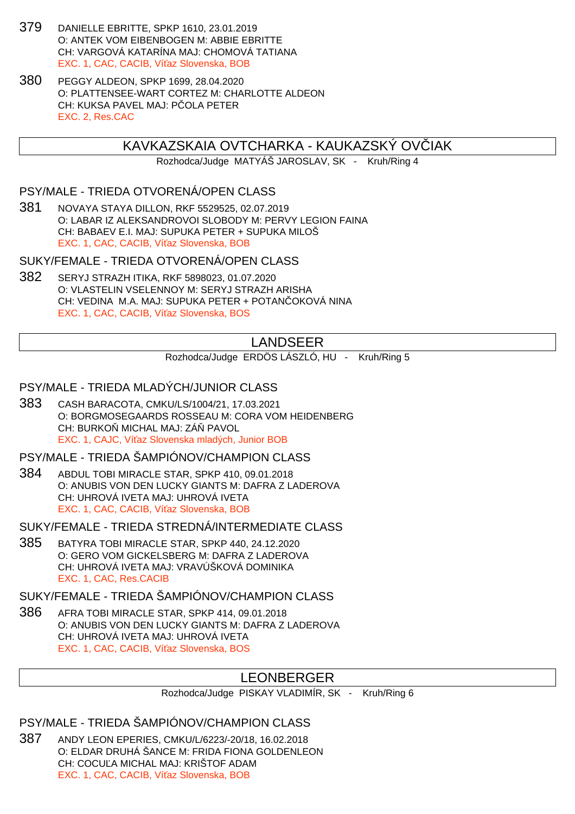- 379 DANIELLE EBRITTE, SPKP 1610, 23.01.2019 O: ANTEK VOM EIBENBOGEN M: ABBIE EBRITTE CH: VARGOVÁ KATARÍNA MAJ: CHOMOVÁ TATIANA EXC. 1, CAC, CACIB, Ví az Slovenska, BOB
- 380 PEGGY ALDEON, SPKP 1699, 28.04.2020 O: PLATTENSEE-WART CORTEZ M: CHARLOTTE ALDEON CH: KUKSA PAVEL MAJ: P OLA PETER EXC. 2, Res.CAC

### KAVKAZSKAIA OVTCHARKA - KAUKAZSKÝ OVLIAK

Rozhodca/Judge MATYÁŠ JAROSLAV, SK - Kruh/Ring 4

#### PSY/MALE - TRIEDA OTVORENÁ/OPEN CLASS

381 NOVAYA STAYA DILLON, RKF 5529525, 02.07.2019 O: LABAR IZ ALEKSANDROVOI SLOBODY M: PERVY LEGION FAINA CH: BABAEV E.I. MAJ: SUPUKA PETER + SUPUKA MILOŠ EXC. 1, CAC, CACIB, Ví az Slovenska, BOB

SUKY/FEMALE - TRIEDA OTVORENÁ/OPEN CLASS

382 SERYJ STRAZH ITIKA, RKF 5898023, 01.07.2020 O: VLASTELIN VSELENNOY M: SERYJ STRAZH ARISHA CH: VEDINA M.A. MAJ: SUPUKA PETER + POTAN OKOVÁ NINA EXC. 1, CAC, CACIB, Ví az Slovenska, BOS

## LANDSEER

Rozhodca/Judge ERDÖS LÁSZLÓ, HU - Kruh/Ring 5

#### PSY/MALE - TRIEDA MLADÝCH/JUNIOR CLASS

383 CASH BARACOTA, CMKU/LS/1004/21, 17.03.2021 O: BORGMOSEGAARDS ROSSEAU M: CORA VOM HEIDENBERG CH: BURKO MICHAL MAJ: ZÁ PAVOL EXC. 1, CAJC, Ví az Slovenska mladých, Junior BOB

PSY/MALE - TRIEDA ŠAMPIÓNOV/CHAMPION CLASS

384 ABDUL TOBI MIRACLE STAR, SPKP 410, 09.01.2018 O: ANUBIS VON DEN LUCKY GIANTS M: DAFRA Z LADEROVA CH: UHROVÁ IVETA MAJ: UHROVÁ IVETA EXC. 1, CAC, CACIB, Ví az Slovenska, BOB

SUKY/FEMALE - TRIEDA STREDNÁ/INTERMEDIATE CI ASS

385 BATYRA TOBI MIRACLE STAR, SPKP 440, 24.12.2020 O: GERO VOM GICKELSBERG M: DAFRA Z LADEROVA CH: UHROVÁ IVETA MAJ: VRAVÚŠKOVÁ DOMINIKA EXC. 1, CAC, Res.CACIB

SUKY/FEMALE - TRIEDA ŠAMPIÓNOV/CHAMPION CLASS

386 AFRA TOBI MIRACLE STAR, SPKP 414, 09.01.2018 O: ANUBIS VON DEN LUCKY GIANTS M: DAFRA Z LADEROVA CH: UHROVÁ IVETA MAJ: UHROVÁ IVETA EXC. 1, CAC, CACIB, Ví az Slovenska, BOS

## LEONBERGER

Rozhodca/Judge PISKAY VLADIMÍR, SK - Kruh/Ring 6

PSY/MALE - TRIEDA ŠAMPIÓNOV/CHAMPION CLASS

387 ANDY LEON EPERIES, CMKU/L/6223/-20/18, 16.02.2018 O: ELDAR DRUHÁ ŠANCE M: FRIDA FIONA GOLDENLEON CH: COCU A MICHAL MAJ: KRIŠTOF ADAM EXC. 1, CAC, CACIB, Ví az Slovenska, BOB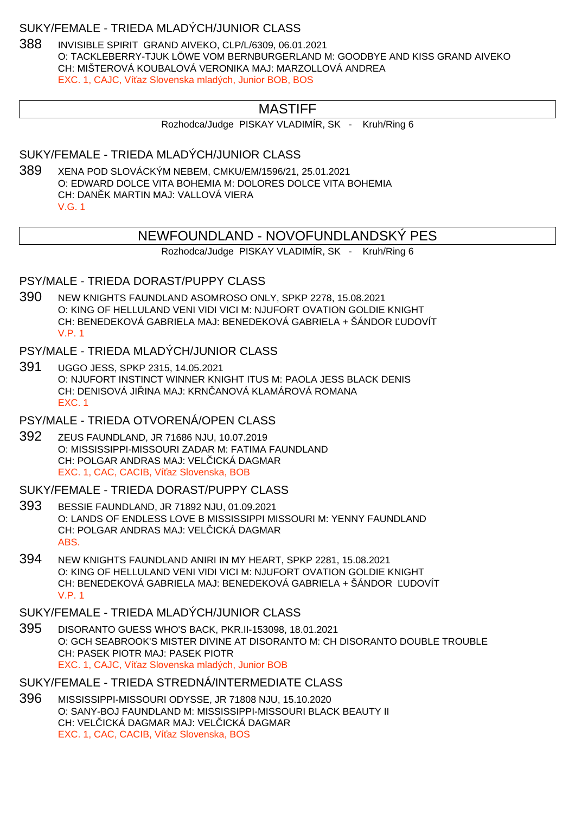#### SUKY/FEMALE - TRIEDA MLADÝCH/JUNIOR CLASS

388 INVISIBLE SPIRIT GRAND AIVEKO, CLP/L/6309, 06.01.2021 O: TACKLEBERRY-TJUK LÖWE VOM BERNBURGERLAND M: GOODBYE AND KISS GRAND AIVEKO CH: MIŠTEROVÁ KOUBALOVÁ VERONIKA MAJ: MARZOLLOVÁ ANDREA EXC. 1, CAJC, Ví az Slovenska mladých, Junior BOB, BOS

## MASTIFF

Rozhodca/Judge PISKAY VLADIMÍR, SK - Kruh/Ring 6

SUKY/FEMALE - TRIEDA MLADÝCH/JUNIOR CLASS

389 XENA POD SLOVÁCKÝM NEBEM, CMKU/EM/1596/21, 25.01.2021 O: EDWARD DOLCE VITA BOHEMIA M: DOLORES DOLCE VITA BOHEMIA CH: DAN K MARTIN MAJ: VALLOVÁ VIERA V.G. 1

### NEWFOUNDLAND - NOVOFUNDLANDSKÝ PES

Rozhodca/Judge PISKAY VLADIMÍR, SK - Kruh/Ring 6

#### PSY/MALE - TRIEDA DORAST/PUPPY CLASS

390 NEW KNIGHTS FAUNDLAND ASOMROSO ONLY, SPKP 2278, 15.08.2021 O: KING OF HELLULAND VENI VIDI VICI M: NJUFORT OVATION GOLDIE KNIGHT CH: BENEDEKOVÁ GABRIELA MAJ: BENEDEKOVÁ GABRIELA + ŠÁNDOR ĽUDOVÍT V.P. 1

## PSY/MALE - TRIEDA MLADÝCH/JUNIOR CLASS

391 UGGO JESS, SPKP 2315, 14.05.2021 O: NJUFORT INSTINCT WINNER KNIGHT ITUS M: PAOLA JESS BLACK DENIS CH: DENISOVÁ JILINA MAJ: KRNLANOVÁ KLAMÁROVÁ ROMANA EXC. 1

## PSY/MALE - TRIEDA OTVORENÁ/OPEN CLASS

392 ZEUS FAUNDLAND, JR 71686 NJU, 10.07.2019 O: MISSISSIPPI-MISSOURI ZADAR M: FATIMA FAUNDLAND CH: POLGAR ANDRAS MAJ: VEL ICKÁ DAGMAR EXC. 1, CAC, CACIB, Ví az Slovenska, BOB

#### SUKY/FEMALE - TRIEDA DORAST/PUPPY CLASS

- 393 BESSIE FAUNDLAND, JR 71892 NJU, 01.09.2021 O: LANDS OF ENDLESS LOVE B MISSISSIPPI MISSOURI M: YENNY FAUNDLAND CH: POLGAR ANDRAS MAJ: VEL ICKÁ DAGMAR ABS.
- 394 NEW KNIGHTS FAUNDLAND ANIRI IN MY HEART, SPKP 2281, 15.08.2021 O: KING OF HELLULAND VENI VIDI VICI M: NJUFORT OVATION GOLDIE KNIGHT CH: BENEDEKOVÁ GABRIELA MAJ: BENEDEKOVÁ GABRIELA + ŠÁNDOR ĽUDOVÍT V.P. 1

### SUKY/FEMALE - TRIEDA MLADÝCH/JUNIOR CLASS

395 DISORANTO GUESS WHO'S BACK, PKR.II-153098, 18.01.2021 O: GCH SEABROOK'S MISTER DIVINE AT DISORANTO M: CH DISORANTO DOUBLE TROUBLE CH: PASEK PIOTR MAJ: PASEK PIOTR EXC. 1, CAJC, Ví az Slovenska mladých, Junior BOB

## SUKY/FEMALE - TRIEDA STREDNÁ/INTERMEDIATE CLASS

396 MISSISSIPPI-MISSOURI ODYSSE, JR 71808 NJU, 15.10.2020 O: SANY-BOJ FAUNDLAND M: MISSISSIPPI-MISSOURI BLACK BEAUTY II CH: VELICKÁ DAGMAR MAJ: VELICKÁ DAGMAR EXC. 1, CAC, CACIB, Ví az Slovenska, BOS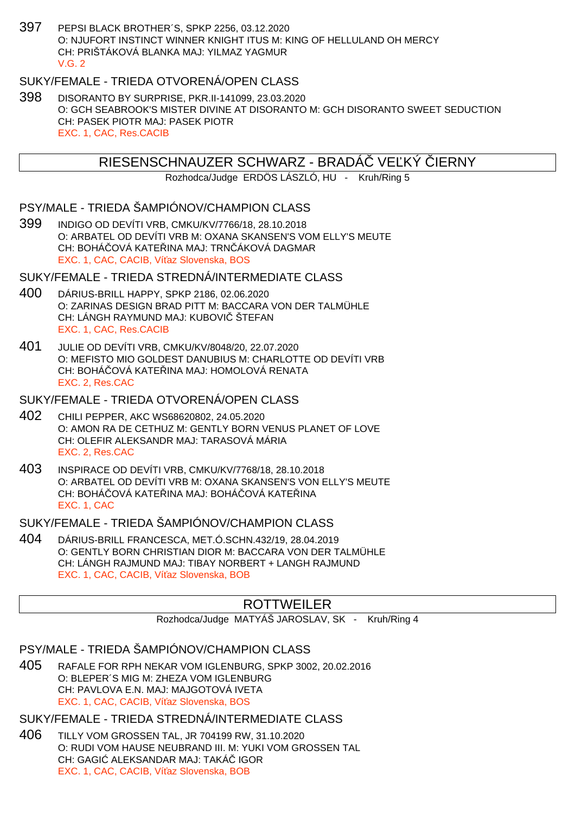397 PEPSI BLACK BROTHER´S, SPKP 2256, 03.12.2020 O: NJUFORT INSTINCT WINNER KNIGHT ITUS M: KING OF HELLULAND OH MERCY CH: PRIŠTÁKOVÁ BLANKA MAJ: YILMAZ YAGMUR  $V$  G  $2$ 

## SUKY/FEMALE - TRIEDA OTVORENÁ/OPEN CLASS

398 DISORANTO BY SURPRISE, PKR.II-141099, 23.03.2020 O: GCH SEABROOK'S MISTER DIVINE AT DISORANTO M: GCH DISORANTO SWEET SEDUCTION CH: PASEK PIOTR MAJ: PASEK PIOTR EXC. 1, CAC, Res.CACIB

### RIESENSCHNAUZER SCHWARZ - BRADA VE KÝ JERNY

Rozhodca/Judge ERDÖS LÁSZLÓ, HU - Kruh/Ring 5

## PSY/MALE - TRIEDA ŠAMPIÓNOV/CHAMPION CLASS

399 INDIGO OD DEVÍTI VRB, CMKU/KV/7766/18, 28.10.2018 O: ARBATEL OD DEVÍTI VRB M: OXANA SKANSEN'S VOM ELLY'S MEUTE CH: BOHÁ OVÁ KATE INA MAJ: TRN ÁKOVÁ DAGMAR EXC. 1, CAC, CACIB, Ví az Slovenska, BOS

#### SUKY/FEMALE - TRIEDA STREDNÁ/INTERMEDIATE CLASS

- 400 DÁRIUS-BRILL HAPPY, SPKP 2186, 02.06.2020 O: ZARINAS DESIGN BRAD PITT M: BACCARA VON DER TALMÜHLE CH: LÁNGH RAYMUND MAJ: KUBOVI ŠTEFAN EXC. 1, CAC, Res.CACIB
- 401 JULIE OD DEVÍTI VRB, CMKU/KV/8048/20, 22.07.2020 O: MEFISTO MIO GOLDEST DANUBIUS M: CHARLOTTE OD DEVÍTI VRB CH: BOHÁ OVÁ KATE INA MAJ: HOMOLOVÁ RENATA EXC. 2, Res.CAC

#### SUKY/FEMALE - TRIEDA OTVORENÁ/OPEN CLASS

- 402 CHILI PEPPER, AKC WS68620802, 24.05.2020 O: AMON RA DE CETHUZ M: GENTLY BORN VENUS PLANET OF LOVE CH: OLEFIR ALEKSANDR MAJ: TARASOVÁ MÁRIA EXC. 2, Res.CAC
- 403 INSPIRACE OD DEVÍTI VRB, CMKU/KV/7768/18, 28.10.2018 O: ARBATEL OD DEVÍTI VRB M: OXANA SKANSEN'S VON ELLY'S MEUTE CH: BOHÁ OVÁ KATE INA MAJ: BOHÁ OVÁ KATE INA EXC. 1, CAC

SUKY/FEMALE - TRIEDA ŠAMPIÓNOV/CHAMPION CLASS

404 DÁRIUS-BRILL FRANCESCA, MET.Ó.SCHN.432/19, 28.04.2019 O: GENTLY BORN CHRISTIAN DIOR M: BACCARA VON DER TALMÜHLE CH: LÁNGH RAJMUND MAJ: TIBAY NORBERT + LANGH RAJMUND EXC. 1, CAC, CACIB, Ví az Slovenska, BOB

## ROTTWEILER

Rozhodca/Judge MATYÁŠ JAROSLAV, SK - Kruh/Ring 4

PSY/MALE - TRIEDA ŠAMPIÓNOV/CHAMPION CLASS

405 RAFALE FOR RPH NEKAR VOM IGLENBURG, SPKP 3002, 20.02.2016 O: BLEPER´S MIG M: ZHEZA VOM IGLENBURG CH: PAVLOVA E.N. MAJ: MAJGOTOVÁ IVETA EXC. 1, CAC, CACIB, Ví az Slovenska, BOS

#### SUKY/FEMALE - TRIEDA STREDNÁ/INTERMEDIATE CLASS

406 TILLY VOM GROSSEN TAL, JR 704199 RW, 31.10.2020 O: RUDI VOM HAUSE NEUBRAND III. M: YUKI VOM GROSSEN TAL CH: GAGI ALEKSANDAR MAJ: TAKÁ IGOR EXC. 1, CAC, CACIB, Ví az Slovenska, BOB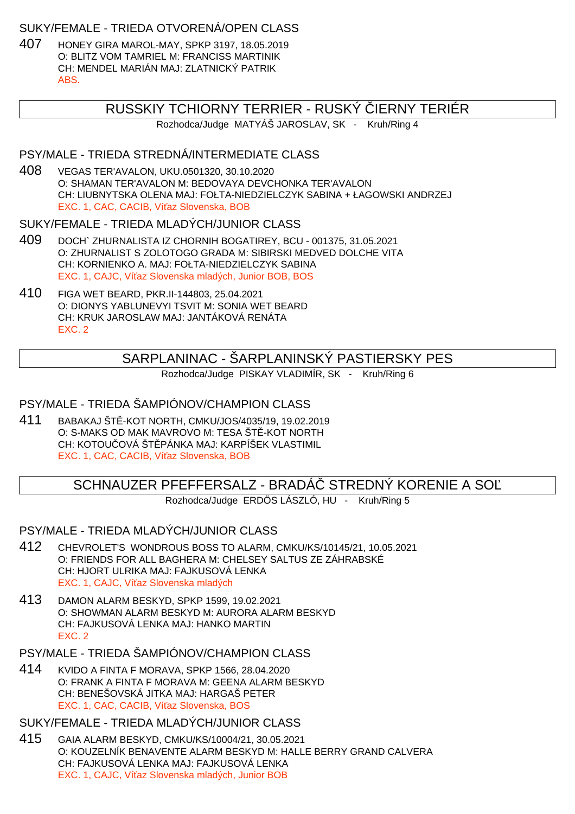### SUKY/FEMALE - TRIEDA OTVORENÁ/OPEN CLASS

407 HONEY GIRA MAROL-MAY, SPKP 3197, 18.05.2019 O: BLITZ VOM TAMRIEL M: FRANCISS MARTINIK CH: MENDEL MARIÁN MAJ: ZLATNICKÝ PATRIK ABS.

## RUSSKIY TCHIORNY TERRIER - RUSKÝ ČIERNY TERIÉR

Rozhodca/Judge MATYÁŠ JAROSLAV, SK - Kruh/Ring 4

### PSY/MALE - TRIEDA STREDNÁ/INTERMEDIATE CLASS

408 VEGAS TER'AVALON, UKU.0501320, 30.10.2020 O: SHAMAN TER'AVALON M: BEDOVAYA DEVCHONKA TER'AVALON CH: LIUBNYTSKA OLENA MAJ: FOŁTA-NIEDZIELCZYK SABINA + ŁAGOWSKI ANDRZEJ EXC. 1, CAC, CACIB, Ví az Slovenska, BOB

### SUKY/FEMALE - TRIEDA MLADÝCH/JUNIOR CLASS

- 409 DOCH` ZHURNALISTA IZ CHORNIH BOGATIREY, BCU 001375, 31.05.2021 O: ZHURNALIST S ZOLOTOGO GRADA M: SIBIRSKI MEDVED DOLCHE VITA CH: KORNIENKO A. MAJ: FOŁTA-NIEDZIELCZYK SABINA EXC. 1, CAJC, Ví az Slovenska mladých, Junior BOB, BOS
- 410 FIGA WET BEARD, PKR.II-144803, 25.04.2021 O: DIONYS YABLUNEVYI TSVIT M: SONIA WET BEARD CH: KRUK JAROSLAW MAJ: JANTÁKOVÁ RENÁTA EXC. 2

## SARPLANINAC - ŠARPLANINSKÝ PASTIERSKY PES

Rozhodca/Judge PISKAY VLADIMÍR, SK - Kruh/Ring 6

## PSY/MALE - TRIEDA ŠAMPIÓNOV/CHAMPION CLASS

411 BABAKAJ ŠT-KOT NORTH, CMKU/JOS/4035/19, 19.02.2019 O: S-MAKS OD MAK MAVROVO M: TESA ŠT -KOT NORTH CH: KOTOU OVÁ ŠT PÁNKA MAJ: KARPÍŠEK VLASTIMIL EXC. 1, CAC, CACIB, Ví az Slovenska, BOB

# SCHNAUZER PFEFFERSALZ - BRADÁ STREDNÝ KORENIE A SO

Rozhodca/Judge ERDÖS LÁSZLÓ, HU - Kruh/Ring 5

PSY/MALE - TRIEDA MLADÝCH/JUNIOR CLASS

- 412 CHEVROLET'S WONDROUS BOSS TO ALARM, CMKU/KS/10145/21, 10.05.2021 O: FRIENDS FOR ALL BAGHERA M: CHELSEY SALTUS ZE ZÁHRABSKÉ CH: HJORT ULRIKA MAJ: FAJKUSOVÁ LENKA EXC. 1, CAJC, Ví az Slovenska mladých
- 413 DAMON ALARM BESKYD, SPKP 1599, 19.02.2021 O: SHOWMAN ALARM BESKYD M: AURORA ALARM BESKYD CH: FAJKUSOVÁ LENKA MAJ: HANKO MARTIN EXC. 2

### PSY/MALE - TRIEDA ŠAMPIÓNOV/CHAMPION CLASS

414 KVIDO A FINTA F MORAVA, SPKP 1566, 28.04.2020 O: FRANK A FINTA F MORAVA M: GEENA ALARM BESKYD CH: BENEŠOVSKÁ JITKA MAJ: HARGAŠ PETER EXC. 1, CAC, CACIB, Ví az Slovenska, BOS

## SUKY/FEMALE - TRIEDA MLADÝCH/JUNIOR CLASS

415 GAIA ALARM BESKYD, CMKU/KS/10004/21, 30.05.2021 O: KOUZELNÍK BENAVENTE ALARM BESKYD M: HALLE BERRY GRAND CALVERA CH: FAJKUSOVÁ LENKA MAJ: FAJKUSOVÁ LENKA EXC. 1, CAJC, Ví az Slovenska mladých, Junior BOB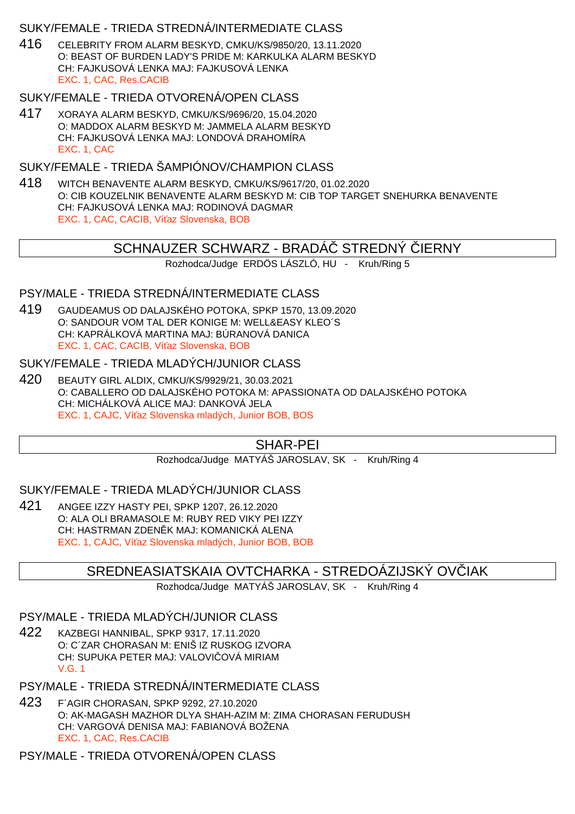### SUKY/FEMALE - TRIEDA STREDNÁ/INTERMEDIATE CLASS

416 CELEBRITY FROM ALARM BESKYD, CMKU/KS/9850/20, 13.11.2020 O: BEAST OF BURDEN LADY'S PRIDE M: KARKULKA ALARM BESKYD CH: FAJKUSOVÁ LENKA MAJ: FAJKUSOVÁ LENKA EXC. 1, CAC, Res.CACIB

### SUKY/FEMALE - TRIEDA OTVORENÁ/OPEN CLASS

417 XORAYA ALARM BESKYD, CMKU/KS/9696/20, 15.04.2020 O: MADDOX ALARM BESKYD M: JAMMELA ALARM BESKYD CH: FAJKUSOVÁ LENKA MAJ: LONDOVÁ DRAHOMÍRA EXC. 1, CAC

## SUKY/FEMALE - TRIEDA ŠAMPIÓNOV/CHAMPION CI ASS

418 WITCH BENAVENTE ALARM BESKYD, CMKU/KS/9617/20, 01.02.2020 O: CIB KOUZELNIK BENAVENTE ALARM BESKYD M: CIB TOP TARGET SNEHURKA BENAVENTE CH: FAJKUSOVÁ LENKA MAJ: RODINOVÁ DAGMAR EXC. 1, CAC, CACIB, Ví az Slovenska, BOB

## SCHNAUZER SCHWARZ - BRADA STREDNÝ JERNY

Rozhodca/Judge ERDÖS LÁSZLÓ, HU - Kruh/Ring 5

#### PSY/MALE - TRIEDA STREDNÁ/INTERMEDIATE CLASS

419 GAUDEAMUS OD DALAJSKÉHO POTOKA, SPKP 1570, 13.09.2020 O: SANDOUR VOM TAL DER KONIGE M: WELL&EASY KLEO´S CH: KAPRÁLKOVÁ MARTINA MAJ: BÚRANOVÁ DANICA EXC. 1, CAC, CACIB, Ví az Slovenska, BOB

#### SUKY/FEMALE - TRIEDA MLADÝCH/JUNIOR CLASS

420 BEAUTY GIRL ALDIX, CMKU/KS/9929/21, 30.03.2021 O: CABALLERO OD DALAJSKÉHO POTOKA M: APASSIONATA OD DALAJSKÉHO POTOKA CH: MICHÁLKOVÁ ALICE MAJ: DANKOVÁ JELA EXC. 1, CAJC, Ví az Slovenska mladých, Junior BOB, BOS

## SHAR-PEI

Rozhodca/Judge MATYÁŠ JAROSLAV, SK - Kruh/Ring 4

#### SUKY/FEMALE - TRIEDA MLADÝCH/JUNIOR CLASS

421 ANGEE IZZY HASTY PEI, SPKP 1207, 26.12.2020 O: ALA OLI BRAMASOLE M: RUBY RED VIKY PEI IZZY CH: HASTRMAN ZDEN K MAJ: KOMANICKÁ ALENA EXC. 1, CAJC, Ví az Slovenska mladých, Junior BOB, BOB

## SREDNEASIATSKAIA OVTCHARKA - STREDOÁZIJSKÝ OVÍJAK

Rozhodca/Judge MATYÁŠ JAROSLAV, SK - Kruh/Ring 4

#### PSY/MALE - TRIEDA MLADÝCH/JUNIOR CLASS

422 KAZBEGI HANNIBAL, SPKP 9317, 17.11.2020 O: C´ZAR CHORASAN M: ENIŠ IZ RUSKOG IZVORA CH: SUPUKA PETER MAJ: VALOVI OVÁ MIRIAM V.G. 1

## PSY/MALE - TRIEDA STREDNÁ/INTERMEDIATE CLASS

423 F´AGIR CHORASAN, SPKP 9292, 27.10.2020 O: AK-MAGASH MAZHOR DLYA SHAH-AZIM M: ZIMA CHORASAN FERUDUSH CH: VARGOVÁ DENISA MAJ: FABIANOVÁ BOŽENA EXC. 1, CAC, Res.CACIB

PSY/MALE - TRIEDA OTVORENÁ/OPEN CLASS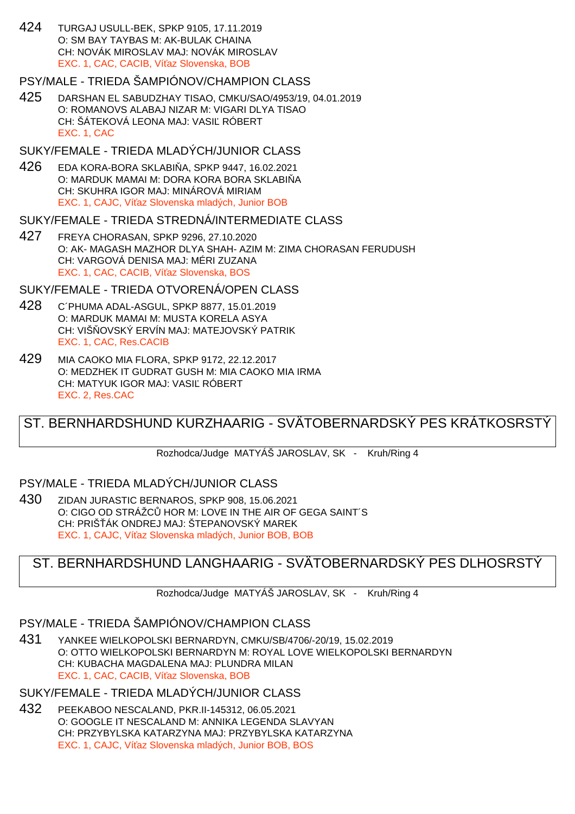424 TURGAJ USULL-BEK, SPKP 9105, 17.11.2019 O: SM BAY TAYBAS M: AK-BULAK CHAINA CH: NOVÁK MIROSLAV MAJ: NOVÁK MIROSLAV EXC. 1, CAC, CACIB, Ví az Slovenska, BOB

## PSY/MALE - TRIEDA ŠAMPIÓNOV/CHAMPION CLASS

425 DARSHAN EL SABUDZHAY TISAO, CMKU/SAO/4953/19, 04.01.2019 O: ROMANOVS ALABAJ NIZAR M: VIGARI DLYA TISAO CH: ŠÁTEKOVÁ LEONA MAJ: VASI RÓBERT EXC. 1, CAC

## SUKY/FEMALE - TRIEDA MLADÝCH/JUNIOR CLASS

426 EDA KORA-BORA SKLABI A, SPKP 9447, 16.02.2021 O: MARDUK MAMAI M: DORA KORA BORA SKLABI Å CH: SKUHRA IGOR MAJ: MINÁROVÁ MIRIAM EXC. 1, CAJC, Ví az Slovenska mladých, Junior BOB

## SUKY/FEMALE - TRIEDA STREDNÁ/INTERMEDIATE CLASS

427 FREYA CHORASAN, SPKP 9296, 27.10.2020 O: AK- MAGASH MAZHOR DLYA SHAH- AZIM M: ZIMA CHORASAN FERUDUSH CH: VARGOVÁ DENISA MAJ: MÉRI ZUZANA EXC. 1, CAC, CACIB, Ví az Slovenska, BOS

## SUKY/FEMALE - TRIEDA OTVORENÁ/OPEN CLASS

- 428 C´PHUMA ADAL-ASGUL, SPKP 8877, 15.01.2019 O: MARDUK MAMAI M: MUSTA KORELA ASYA CH: VIŠ OVSKÝ ERVÍN MAJ: MATEJOVSKÝ PATRIK EXC. 1, CAC, Res.CACIB
- 429 MIA CAOKO MIA FLORA, SPKP 9172, 22.12.2017 O: MEDZHEK IT GUDRAT GUSH M: MIA CAOKO MIA IRMA CH: MATYUK IGOR MAJ: VASIĽ RÓBERT EXC. 2, Res.CAC

# ST. BERNHARDSHUND KURZHAARIG - SVÄTOBERNARDSKÝ PES KRÁTKOSRSTÝ

Rozhodca/Judge MATYÁŠ JAROSLAV, SK - Kruh/Ring 4

## PSY/MALE - TRIEDA MLADÝCH/JUNIOR CLASS

430 ZIDAN JURASTIC BERNAROS, SPKP 908, 15.06.2021 O: CIGO OD STRÁŽC HOR M: LOVE IN THE AIR OF GEGA SAINT´S CH: PRIŠÁK ONDREJ MAJ: ŠTEPANOVSKÝ MAREK EXC. 1, CAJC. Ví az Slovenska mladých, Junior BOB, BOB

# ST. BERNHARDSHUND LANGHAARIG - SVÄTOBERNARDSKÝ PES DLHOSRSTÝ

Rozhodca/Judge MATYÁŠ JAROSLAV, SK - Kruh/Ring 4

# PSY/MALE - TRIEDA ŠAMPIÓNOV/CHAMPION CLASS

431 YANKEE WIELKOPOLSKI BERNARDYN, CMKU/SB/4706/-20/19, 15.02.2019 O: OTTO WIELKOPOLSKI BERNARDYN M: ROYAL LOVE WIELKOPOLSKI BERNARDYN CH: KUBACHA MAGDALENA MAJ: PLUNDRA MILAN EXC. 1, CAC, CACIB, Ví az Slovenska, BOB

## SUKY/FEMALE - TRIEDA MLADÝCH/JUNIOR CLASS

432 PEEKABOO NESCALAND, PKR.II-145312, 06.05.2021 O: GOOGLE IT NESCALAND M: ANNIKA LEGENDA SLAVYAN CH: PRZYBYLSKA KATARZYNA MAJ: PRZYBYLSKA KATARZYNA EXC. 1, CAJC, Ví az Slovenska mladých, Junior BOB, BOS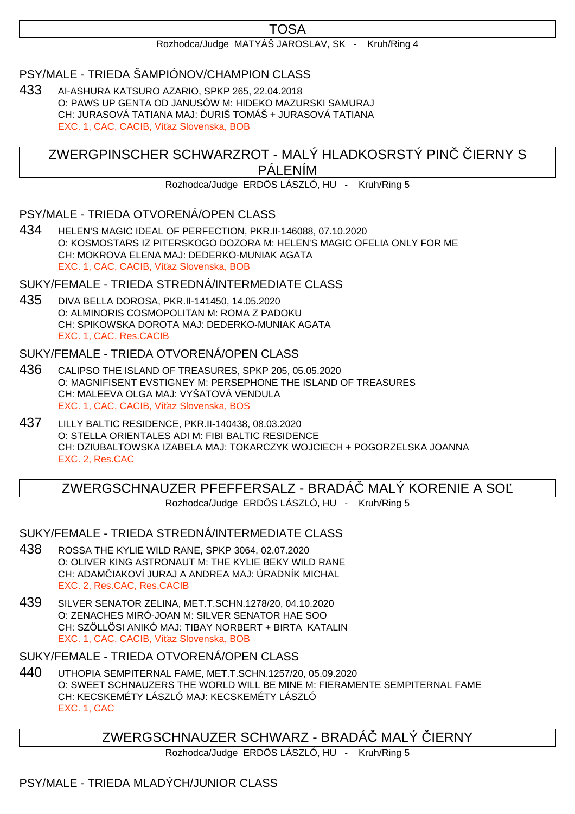# TOSA

#### Rozhodca/Judge MATYÁŠ JAROSLAV, SK - Kruh/Ring 4

## PSY/MALE - TRIEDA ŠAMPIÓNOV/CHAMPION CLASS

433 AI-ASHURA KATSURO AZARIO, SPKP 265, 22.04.2018 O: PAWS UP GENTA OD JANUSÓW M: HIDEKO MAZURSKI SAMURAJ CH: JURASOVÁ TATIANA MAJ: URIŠ TOMÁŠ + JURASOVÁ TATIANA EXC. 1, CAC, CACIB, Ví az Slovenska, BOB

ZWERGPINSCHER SCHWARZROT - MALÝ HLADKOSRSTÝ PINVERNY S PÁLENÍM

Rozhodca/Judge ERDÖS LÁSZLÓ, HU - Kruh/Ring 5

PSY/MALE - TRIEDA OTVORENÁ/OPEN CLASS

434 HELEN'S MAGIC IDEAL OF PERFECTION, PKR.II-146088, 07.10.2020 O: KOSMOSTARS IZ PITERSKOGO DOZORA M: HELEN'S MAGIC OFELIA ONLY FOR ME CH: MOKROVA ELENA MAJ: DEDERKO-MUNIAK AGATA EXC. 1, CAC, CACIB, Ví az Slovenska, BOB

SUKY/FEMALE - TRIEDA STREDNÁ/INTERMEDIATE CLASS

435 DIVA BELLA DOROSA, PKR.II-141450, 14.05.2020 O: ALMINORIS COSMOPOLITAN M: ROMA Z PADOKU CH: SPIKOWSKA DOROTA MAJ: DEDERKO-MUNIAK AGATA EXC. 1, CAC, Res.CACIB

#### SUKY/FEMALE - TRIEDA OTVORENÁ/OPEN CLASS

- 436 CALIPSO THE ISLAND OF TREASURES, SPKP 205, 05.05.2020 O: MAGNIFISENT EVSTIGNEY M: PERSEPHONE THE ISLAND OF TREASURES CH: MALEEVA OLGA MAJ: VYŠATOVÁ VENDULA EXC. 1, CAC, CACIB, Ví az Slovenska, BOS
- 437 LILLY BALTIC RESIDENCE, PKR.II-140438, 08.03.2020 O: STELLA ORIENTALES ADI M: FIBI BALTIC RESIDENCE CH: DZIUBALTOWSKA IZABELA MAJ: TOKARCZYK WOJCIECH + POGORZELSKA JOANNA EXC. 2, Res.CAC

# ZWERGSCHNAUZER PFEFFERSALZ - BRADÁ MALÝ KORENIE A SO

Rozhodca/Judge ERDÖS LÁSZLÓ, HU - Kruh/Ring 5

#### SUKY/FEMALE - TRIEDA STREDNÁ/INTERMEDIATE CLASS

- 438 ROSSA THE KYLIE WILD RANE, SPKP 3064, 02.07.2020 O: OLIVER KING ASTRONAUT M: THE KYLIE BEKY WILD RANE CH: ADAM IAKOVÍ JURAJ A ANDREA MAJ: ÚRADNÍK MICHAL EXC. 2, Res.CAC, Res.CACIB
- 439 SILVER SENATOR ZELINA, MET.T.SCHN.1278/20, 04.10.2020 O: ZENACHES MIRÓ-JOAN M: SILVER SENATOR HAE SOO CH: SZÖLLÖSI ANIKÓ MAJ: TIBAY NORBERT + BIRTA KATALIN EXC. 1, CAC, CACIB, Ví az Slovenska, BOB

## SUKY/FEMALE - TRIEDA OTVORENÁ/OPEN CLASS

440 UTHOPIA SEMPITERNAL FAME, MET.T.SCHN.1257/20, 05.09.2020 O: SWEET SCHNAUZERS THE WORLD WILL BE MINE M: FIERAMENTE SEMPITERNAL FAME CH: KECSKEMÉTY LÁSZLÓ MAJ: KECSKEMÉTY LÁSZLÓ EXC. 1, CAC

# ZWERGSCHNAUZER SCHWARZ - BRADÁ MALÝ JERNY

Rozhodca/Judge ERDÖS LÁSZLÓ, HU - Kruh/Ring 5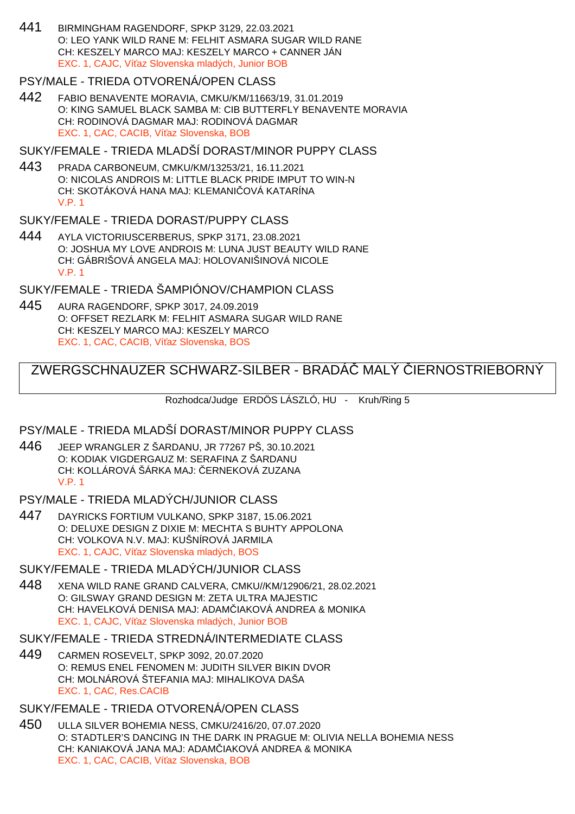441 BIRMINGHAM RAGENDORF, SPKP 3129, 22.03.2021 O: LEO YANK WILD RANE M: FELHIT ASMARA SUGAR WILD RANE CH: KESZELY MARCO MAJ: KESZELY MARCO + CANNER JÁN EXC. 1, CAJC. Ví az Slovenska mladých, Junior BOB

### PSY/MALE - TRIEDA OTVORENÁ/OPEN CLASS

442 FABIO BENAVENTE MORAVIA, CMKU/KM/11663/19, 31.01.2019 O: KING SAMUEL BLACK SAMBA M: CIB BUTTERFLY BENAVENTE MORAVIA CH: RODINOVÁ DAGMAR MAJ: RODINOVÁ DAGMAR EXC. 1, CAC, CACIB, Ví az Slovenska, BOB

SUKY/FEMALE - TRIEDA MLADŠÍ DORAST/MINOR PUPPY CLASS

443 PRADA CARBONEUM, CMKU/KM/13253/21, 16.11.2021 O: NICOLAS ANDROIS M: LITTLE BLACK PRIDE IMPUT TO WIN-N CH: SKOTÁKOVÁ HANA MAJ: KLEMANI CVÁ KATARÍNA V.P. 1

#### SUKY/FEMALE - TRIEDA DORAST/PUPPY CLASS

444 AYLA VICTORIUSCERBERUS, SPKP 3171, 23.08.2021 O: JOSHUA MY LOVE ANDROIS M: LUNA JUST BEAUTY WILD RANE CH: GÁBRIŠOVÁ ANGELA MAJ: HOLOVANIŠINOVÁ NICOLE V.P. 1

#### SUKY/FEMALE - TRIEDA ŠAMPIÓNOV/CHAMPION CLASS

445 AURA RAGENDORF, SPKP 3017, 24.09.2019 O: OFFSET REZLARK M: FELHIT ASMARA SUGAR WILD RANE CH: KESZELY MARCO MAJ: KESZELY MARCO EXC. 1, CAC, CACIB, Ví az Slovenska, BOS

# ZWERGSCHNAUZER SCHWARZ-SILBER - BRADÁČ MALÝ ČIERNOSTRIEBORNÝ

Rozhodca/Judge ERDÖS LÁSZLÓ, HU - Kruh/Ring 5

#### PSY/MALE - TRIEDA MLADŠÍ DORAST/MINOR PUPPY CLASS

446 JEEP WRANGLER Z ŠARDANU, JR 77267 PŠ, 30.10.2021 O: KODIAK VIGDERGAUZ M: SERAFINA Z ŠARDANU CH: KOLLÁROVÁ ŠÁRKA MAJ: ERNEKOVÁ ZUZANA V.P. 1

#### PSY/MALE - TRIEDA MLADÝCH/JUNIOR CLASS

447 DAYRICKS FORTIUM VULKANO, SPKP 3187, 15.06.2021 O: DELUXE DESIGN Z DIXIE M: MECHTA S BUHTY APPOLONA CH: VOLKOVA N.V. MAJ: KUŠNÍROVÁ JARMILA EXC. 1, CAJC, Ví az Slovenska mladých, BOS

### SUKY/FEMALE - TRIEDA MLADÝCH/JUNIOR CLASS

448 XENA WILD RANE GRAND CALVERA, CMKU//KM/12906/21, 28.02.2021 O: GILSWAY GRAND DESIGN M: ZETA ULTRA MAJESTIC CH: HAVELKOVÁ DENISA MAJ: ADAM JAKOVÁ ANDREA & MONIKA EXC. 1, CAJC. Ví az Slovenska mladých, Junior BOB

#### SUKY/FEMALE - TRIEDA STREDNÁ/INTERMEDIATE CLASS

449 CARMEN ROSEVELT, SPKP 3092, 20.07.2020 O: REMUS ENEL FENOMEN M: JUDITH SILVER BIKIN DVOR CH: MOLNÁROVÁ ŠTEFANIA MAJ: MIHALIKOVA DAŠA EXC. 1, CAC, Res.CACIB

#### SUKY/FEMALE - TRIEDA OTVORENÁ/OPEN CLASS

450 ULLA SILVER BOHEMIA NESS, CMKU/2416/20, 07.07.2020 O: STADTLER'S DANCING IN THE DARK IN PRAGUE M: OLIVIA NELLA BOHEMIA NESS CH: KANIAKOVÁ JANA MAJ: ADAM IAKOVÁ ANDREA & MONIKA EXC. 1, CAC, CACIB, Ví az Slovenska, BOB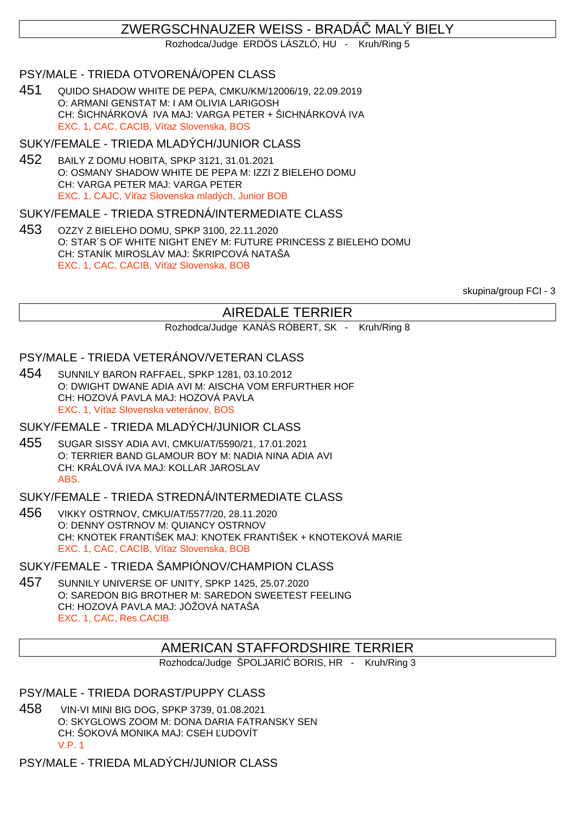# ZWERGSCHNAUZER WEISS - BRADÁČ MALÝ BIELY

Rozhodca/Judge ERDÖS LÁSZLÓ, HU - Kruh/Ring 5

### PSY/MALE - TRIEDA OTVORENÁ/OPEN CLASS

451 QUIDO SHADOW WHITE DE PEPA, CMKU/KM/12006/19, 22.09.2019 O: ARMANI GENSTAT M: I AM OLIVIA LARIGOSH CH: ŠICHNÁRKOVÁ IVA MAJ: VARGA PETER + ŠICHNÁRKOVÁ IVA EXC. 1, CAC, CACIB, Ví az Slovenska, BOS

#### SUKY/FEMALE - TRIEDA MLADÝCH/JUNIOR CLASS

452 BAILY Z DOMU HOBITA, SPKP 3121, 31.01.2021 O: OSMANY SHADOW WHITE DE PEPA M: IZZI Z BIELEHO DOMU CH: VARGA PETER MAJ: VARGA PETER EXC. 1, CAJC, Ví az Slovenska mladých, Junior BOB

#### SUKY/FEMALE - TRIEDA STREDNÁ/INTERMEDIATE CLASS

453 OZZY Z BIELEHO DOMU, SPKP 3100, 22.11.2020 O: STAR´S OF WHITE NIGHT ENEY M: FUTURE PRINCESS Z BIELEHO DOMU CH: STANÍK MIROSLAV MAJ: ŠKRIPCOVÁ NATAŠA EXC. 1, CAC, CACIB, Ví az Slovenska, BOB

skupina/group FCI - 3

# AIREDALE TERRIER

Rozhodca/Judge KANÁS RÓBERT, SK - Kruh/Ring 8

#### PSY/MALE - TRIEDA VETERÁNOV/VETERAN CLASS

454 SUNNILY BARON RAFFAEL, SPKP 1281, 03.10.2012 O: DWIGHT DWANE ADIA AVI M: AISCHA VOM ERFURTHER HOF CH: HOZOVÁ PAVLA MAJ: HOZOVÁ PAVLA EXC. 1, Ví az Slovenska veteránov, BOS

#### SUKY/FEMALE - TRIEDA MLADÝCH/JUNIOR CLASS

455 SUGAR SISSY ADIA AVI, CMKU/AT/5590/21, 17.01.2021 O: TERRIER BAND GLAMOUR BOY M: NADIA NINA ADIA AVI CH: KRÁLOVÁ IVA MAJ: KOLLAR JAROSLAV ABS.

#### SUKY/FEMALE - TRIEDA STREDNÁ/INTERMEDIATE CLASS

456 VIKKY OSTRNOV, CMKU/AT/5577/20, 28.11.2020 O: DENNY OSTRNOV M: QUIANCY OSTRNOV CH: KNOTEK FRANTIŠEK MAJ: KNOTEK FRANTIŠEK + KNOTEKOVÁ MARIE EXC. 1, CAC, CACIB, Ví az Slovenska, BOB

#### SUKY/FEMALE - TRIEDA ŠAMPIÓNOV/CHAMPION CLASS

457 SUNNILY UNIVERSE OF UNITY, SPKP 1425, 25.07.2020 O: SAREDON BIG BROTHER M: SAREDON SWEETEST FEELING CH: HOZOVÁ PAVLA MAJ: JÓŽOVÁ NATAŠA EXC. 1, CAC, Res.CACIB

## AMERICAN STAFFORDSHIRE TERRIER

Rozhodca/Judge ŠPOLJARI BORIS, HR - Kruh/Ring 3

#### PSY/MALE - TRIEDA DORAST/PUPPY CLASS

458 VIN-VI MINI BIG DOG, SPKP 3739, 01.08.2021 O: SKYGLOWS ZOOM M: DONA DARIA FATRANSKY SEN CH: ŠOKOVÁ MONIKA MAJ: CSEH UDOVÍT V.P. 1

PSY/MALE - TRIEDA MLADÝCH/JUNIOR CLASS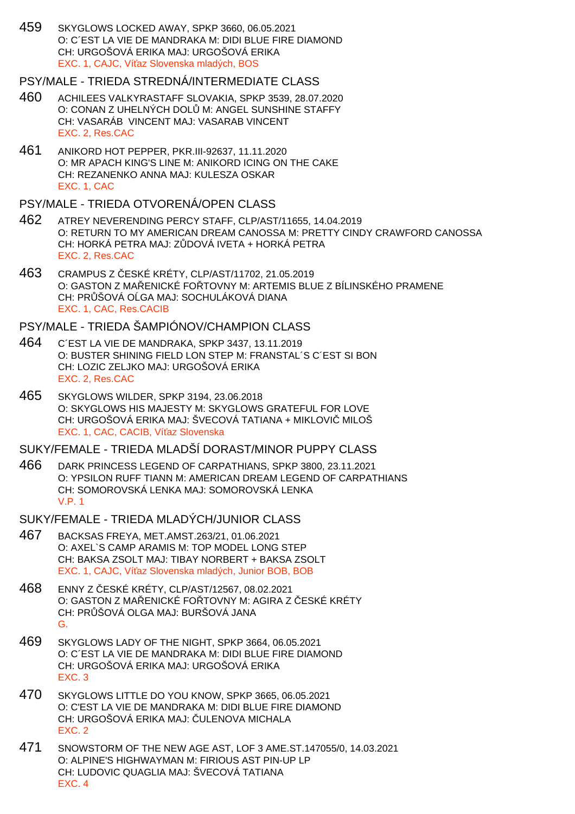459 SKYGLOWS LOCKED AWAY, SPKP 3660, 06.05.2021 O: C´EST LA VIE DE MANDRAKA M: DIDI BLUE FIRE DIAMOND CH: URGOŠOVÁ ERIKA MAJ: URGOŠOVÁ ERIKA EXC. 1, CAJC, Ví az Slovenska mladých, BOS

#### PSY/MALE - TRIEDA STREDNÁ/INTERMEDIATE CLASS

- 460 ACHILEES VALKYRASTAFF SLOVAKIA, SPKP 3539, 28.07.2020 O: CONAN Z UHELNÝCH DOL M: ANGEL SUNSHINE STAFFY CH: VASARÁB VINCENT MAJ: VASARAB VINCENT EXC. 2, Res.CAC
- 461 ANIKORD HOT PEPPER, PKR.III-92637, 11.11.2020 O: MR APACH KING'S LINE M: ANIKORD ICING ON THE CAKE CH: REZANENKO ANNA MAJ: KULESZA OSKAR EXC. 1, CAC

#### PSY/MALE - TRIEDA OTVORENÁ/OPEN CLASS

- 462 ATREY NEVERENDING PERCY STAFF, CLP/AST/11655, 14.04.2019 O: RETURN TO MY AMERICAN DREAM CANOSSA M: PRETTY CINDY CRAWFORD CANOSSA CH: HORKÁ PETRA MAJ: ZUDOVÁ IVETA + HORKÁ PETRA EXC. 2, Res.CAC
- 463 CRAMPUS Z ČESKÉ KRÉTY, CLP/AST/11702, 21.05.2019 O: GASTON Z MALENICKÉ FOLTOVNY M: ARTEMIS BLUE Z BÍLINSKÉHO PRAMENE CH: PR ŠOVÁ O GA MAJ: SOCHULÁKOVÁ DIANA EXC. 1, CAC, Res.CACIB

## PSY/MALE - TRIEDA ŠAMPIÓNOV/CHAMPION CLASS

- 464 C´EST LA VIE DE MANDRAKA, SPKP 3437, 13.11.2019 O: BUSTER SHINING FIELD LON STEP M: FRANSTAL´S C´EST SI BON CH: LOZIC ZELJKO MAJ: URGOŠOVÁ ERIKA EXC. 2, Res.CAC
- 465 SKYGLOWS WILDER, SPKP 3194, 23.06.2018 O: SKYGLOWS HIS MAJESTY M: SKYGLOWS GRATEFUL FOR LOVE CH: URGOŠOVÁ ERIKA MAJ: ŠVECOVÁ TATIANA + MIKLOVI MILOŠ EXC. 1, CAC, CACIB, Ví az Slovenska

### SUKY/FEMALE - TRIEDA MLADŠÍ DORAST/MINOR PUPPY CLASS

466 DARK PRINCESS LEGEND OF CARPATHIANS, SPKP 3800, 23.11.2021 O: YPSILON RUFF TIANN M: AMERICAN DREAM LEGEND OF CARPATHIANS CH: SOMOROVSKÁ LENKA MAJ: SOMOROVSKÁ LENKA V.P. 1

### SUKY/FEMALE - TRIEDA MLADÝCH/JUNIOR CLASS

- 467 BACKSAS FREYA, MET.AMST.263/21, 01.06.2021 O: AXEL`S CAMP ARAMIS M: TOP MODEL LONG STEP CH: BAKSA ZSOLT MAJ: TIBAY NORBERT + BAKSA ZSOLT EXC. 1, CAJC, Ví az Slovenska mladých, Junior BOB, BOB
- 468 ENNY Z ČESKÉ KRÉTY, CLP/AST/12567, 08.02.2021 O: GASTON Z MA ENICKÉ FO TOVNY M: AGIRA Z ESKÉ KRÉTY CH: PR ŠOVÁ OLGA MAJ: BURŠOVÁ JANA G.
- 469 SKYGLOWS LADY OF THE NIGHT, SPKP 3664, 06.05.2021 O: C´EST LA VIE DE MANDRAKA M: DIDI BLUE FIRE DIAMOND CH: URGOŠOVÁ ERIKA MAJ: URGOŠOVÁ ERIKA EXC. 3
- 470 SKYGLOWS LITTLE DO YOU KNOW, SPKP 3665, 06.05.2021 O: C'EST LA VIE DE MANDRAKA M: DIDI BLUE FIRE DIAMOND CH: URGOŠOVÁ ERIKA MAJ: ULENOVA MICHALA EXC. 2
- 471 SNOWSTORM OF THE NEW AGE AST, LOF 3 AME.ST.147055/0, 14.03.2021 O: ALPINE'S HIGHWAYMAN M: FIRIOUS AST PIN-UP LP CH: LUDOVIC QUAGLIA MAJ: ŠVECOVÁ TATIANA EXC. 4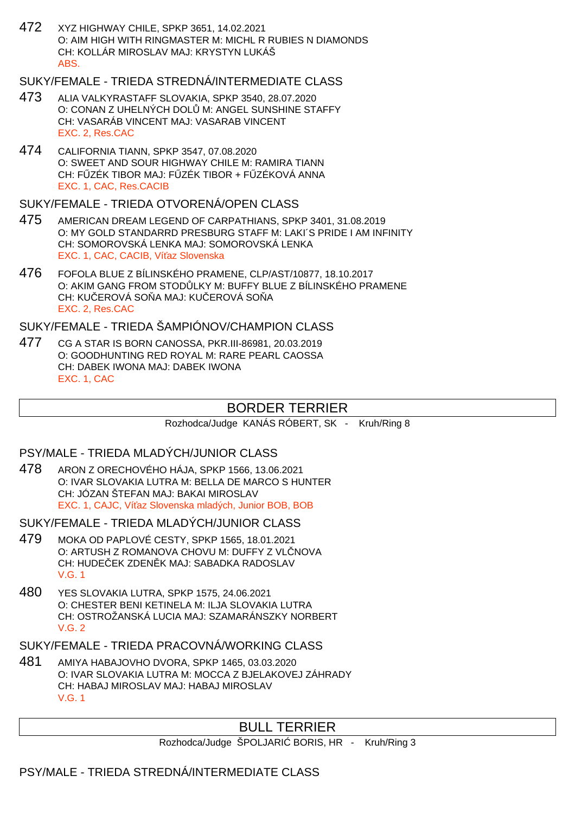472 XYZ HIGHWAY CHILE, SPKP 3651, 14.02.2021 O: AIM HIGH WITH RINGMASTER M: MICHL R RUBIES N DIAMONDS CH: KOLLÁR MIROSLAV MAJ: KRYSTYN LUKÁŠ ABS.

## SUKY/FEMALE - TRIEDA STREDNÁ/INTERMEDIATE CLASS

- 473 ALIA VALKYRASTAFF SLOVAKIA, SPKP 3540, 28.07.2020 O: CONAN Z UHELNÝCH DOL M: ANGEL SUNSHINE STAFFY CH: VASARÁB VINCENT MAJ: VASARAB VINCENT EXC. 2, Res.CAC
- 474 CALIFORNIA TIANN, SPKP 3547, 07.08.2020 O: SWEET AND SOUR HIGHWAY CHILE M: RAMIRA TIANN CH: F ZÉK TIBOR MAJ: F ZÉK TIBOR + F ZÉKOVÁ ANNA EXC. 1, CAC, Res.CACIB

SUKY/FEMALE - TRIEDA OTVORENÁ/OPEN CLASS

- 475 AMERICAN DREAM LEGEND OF CARPATHIANS, SPKP 3401, 31.08.2019 O: MY GOLD STANDARRD PRESBURG STAFF M: LAKI´S PRIDE I AM INFINITY CH: SOMOROVSKÁ LENKA MAJ: SOMOROVSKÁ LENKA EXC. 1, CAC, CACIB, Ví az Slovenska
- 476 FOFOLA BLUE Z BÍLINSKÉHO PRAMENE, CLP/AST/10877, 18.10.2017 O: AKIM GANG FROM STODŮLKY M: BUFFY BLUE Z BÍLINSKÉHO PRAMENE CH: KU EROVÁ SO A MAJ: KU EROVÁ SO A EXC. 2, Res.CAC

SUKY/FEMALE - TRIEDA ŠAMPIÓNOV/CHAMPION CLASS

477 CG A STAR IS BORN CANOSSA, PKR.III-86981, 20.03.2019 O: GOODHUNTING RED ROYAL M: RARE PEARL CAOSSA CH: DABEK IWONA MAJ: DABEK IWONA EXC. 1, CAC

## BORDER TERRIER

Rozhodca/Judge KANÁS RÓBERT, SK - Kruh/Ring 8

#### PSY/MALE - TRIEDA MLADÝCH/JUNIOR CLASS

478 ARON Z ORECHOVÉHO HÁJA, SPKP 1566, 13.06.2021 O: IVAR SLOVAKIA LUTRA M: BELLA DE MARCO S HUNTER CH: JÓZAN ŠTEFAN MAJ: BAKAI MIROSLAV EXC. 1, CAJC, Ví az Slovenska mladých, Junior BOB, BOB

SUKY/FEMALE - TRIEDA MLADÝCH/JUNIOR CLASS

- 479 MOKA OD PAPLOVÉ CESTY, SPKP 1565, 18.01.2021 O: ARTUSH Z ROMANOVA CHOVU M: DUFFY Z VL NOVA CH: HUDE EK ZDEN K MAJ: SABADKA RADOSLAV V.G. 1
- 480 YES SLOVAKIA LUTRA, SPKP 1575, 24.06.2021 O: CHESTER BENI KETINELA M: ILJA SLOVAKIA LUTRA CH: OSTROŽANSKÁ LUCIA MAJ: SZAMARÁNSZKY NORBERT V.G. 2

SUKY/FEMALE - TRIEDA PRACOVNÁ/WORKING CLASS

481 AMIYA HABAJOVHO DVORA, SPKP 1465, 03.03.2020 O: IVAR SLOVAKIA LUTRA M: MOCCA Z BJELAKOVEJ ZÁHRADY CH: HABAJ MIROSLAV MAJ: HABAJ MIROSLAV V.G. 1

## BULL TERRIER

Rozhodca/Judge ŠPOLJARI BORIS, HR - Kruh/Ring 3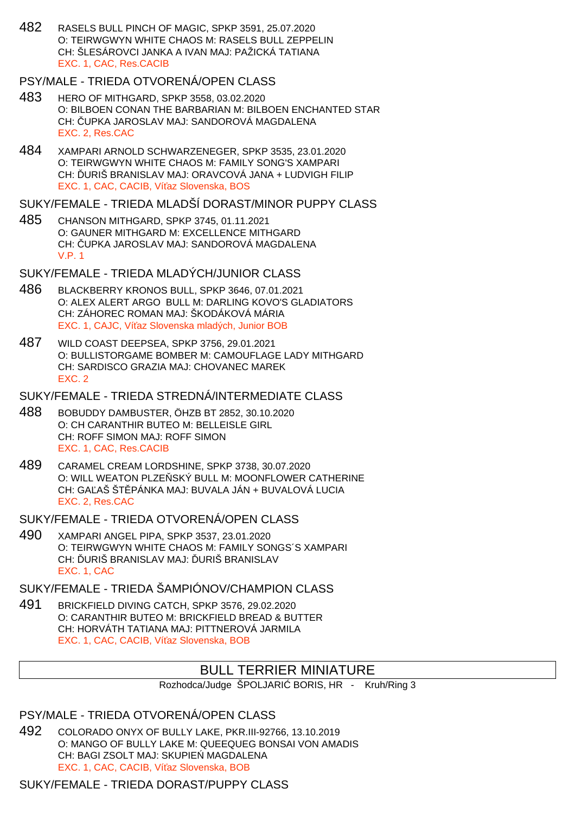482 RASELS BULL PINCH OF MAGIC, SPKP 3591, 25.07.2020 O: TEIRWGWYN WHITE CHAOS M: RASELS BULL ZEPPELIN CH: ŠLESÁROVCI JANKA A IVAN MAJ: PAŽICKÁ TATIANA EXC. 1, CAC, Res.CACIB

## PSY/MALE - TRIEDA OTVORENÁ/OPEN CLASS

- 483 HERO OF MITHGARD, SPKP 3558, 03.02.2020 O: BILBOEN CONAN THE BARBARIAN M: BILBOEN ENCHANTED STAR CH: UPKA JAROSLAV MAJ: SANDOROVÁ MAGDALENA EXC. 2, Res.CAC
- 484 XAMPARI ARNOLD SCHWARZENEGER, SPKP 3535, 23.01.2020 O: TEIRWGWYN WHITE CHAOS M: FAMILY SONG'S XAMPARI CH: URIŠ BRANISLAV MAJ: ORAVCOVÁ JANA + LUDVIGH FILIP EXC. 1, CAC, CACIB, Ví az Slovenska, BOS

SUKY/FEMALE - TRIEDA MLADŠÍ DORAST/MINOR PUPPY CLASS

485 CHANSON MITHGARD, SPKP 3745, 01.11.2021 O: GAUNER MITHGARD M: EXCELLENCE MITHGARD CH: UPKA JAROSLAV MAJ: SANDOROVÁ MAGDALENA V.P. 1

## SUKY/FEMALE - TRIEDA MLADÝCH/JUNIOR CLASS

- 486 BLACKBERRY KRONOS BULL, SPKP 3646, 07.01.2021 O: ALEX ALERT ARGO BULL M: DARLING KOVO'S GLADIATORS CH: ZÁHOREC ROMAN MAJ: ŠKODÁKOVÁ MÁRIA EXC. 1, CAJC, Ví az Slovenska mladých, Junior BOB
- 487 WILD COAST DEEPSEA, SPKP 3756, 29.01.2021 O: BULLISTORGAME BOMBER M: CAMOUFLAGE LADY MITHGARD CH: SARDISCO GRAZIA MAJ: CHOVANEC MAREK EXC. 2

## SUKY/FEMALE - TRIEDA STREDNÁ/INTERMEDIATE CLASS

- 488 BOBUDDY DAMBUSTER, ÖHZB BT 2852, 30.10.2020 O: CH CARANTHIR BUTEO M: BELLEISLE GIRL CH: ROFF SIMON MAJ: ROFF SIMON EXC. 1, CAC, Res.CACIB
- 489 CARAMEL CREAM LORDSHINE, SPKP 3738, 30.07.2020 O: WILL WEATON PLZE SKÝ BULL M: MOONFLOWER CATHERINE CH: GA AŠ ŠT PÁNKA MAJ: BUVALA JÁN + BUVALOVÁ LUCIA EXC. 2, Res.CAC

# SUKY/FEMALE - TRIEDA OTVORENÁ/OPEN CLASS

490 XAMPARI ANGEL PIPA, SPKP 3537, 23.01.2020 O: TEIRWGWYN WHITE CHAOS M: FAMILY SONGS´S XAMPARI CH: URIŠ BRANISLAV MAJ: URIŠ BRANISLAV EXC. 1, CAC

# SUKY/FEMALE - TRIEDA ŠAMPIÓNOV/CHAMPION CLASS

491 BRICKFIELD DIVING CATCH, SPKP 3576, 29.02.2020 O: CARANTHIR BUTEO M: BRICKFIELD BREAD & BUTTER CH: HORVÁTH TATIANA MAJ: PITTNEROVÁ JARMILA EXC. 1, CAC, CACIB, Ví az Slovenska, BOB

# BULL TERRIER MINIATURE

Rozhodca/Judge ŠPOLJARI BORIS, HR - Kruh/Ring 3

PSY/MALE - TRIEDA OTVORENÁ/OPEN CLASS

492 COLORADO ONYX OF BULLY LAKE, PKR.III-92766, 13.10.2019 O: MANGO OF BULLY LAKE M: QUEEQUEG BONSAI VON AMADIS CH: BAGI ZSOLT MAJ: SKUPIE MAGDALENA EXC. 1, CAC, CACIB, Ví az Slovenska, BOB

# SUKY/FEMALE - TRIEDA DORAST/PUPPY CLASS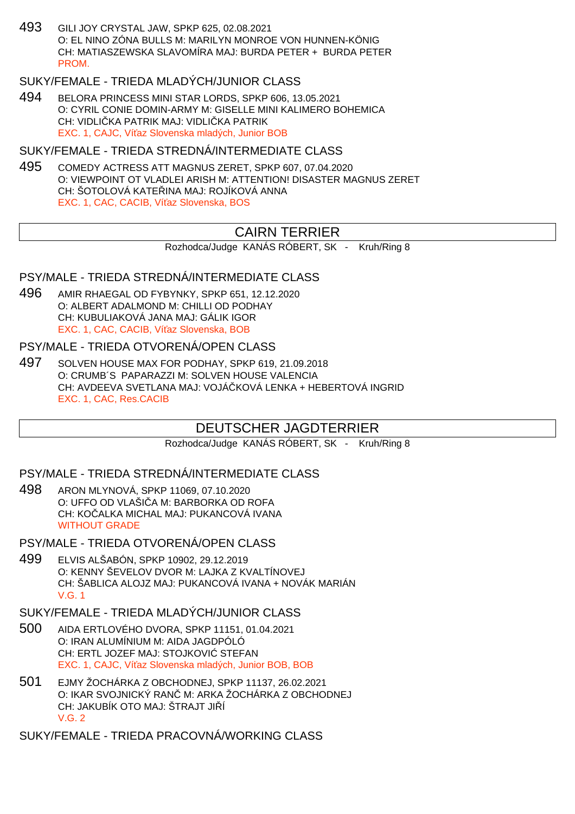493 GILI JOY CRYSTAL JAW, SPKP 625, 02.08.2021 O: EL NINO ZÓNA BULLS M: MARILYN MONROE VON HUNNEN-KÖNIG CH: MATIASZEWSKA SLAVOMÍRA MAJ: BURDA PETER + BURDA PETER **PROM** 

### SUKY/FEMALE - TRIEDA MLADÝCH/JUNIOR CLASS

494 BELORA PRINCESS MINI STAR LORDS, SPKP 606, 13.05.2021 O: CYRIL CONIE DOMIN-ARMY M: GISELLE MINI KALIMERO BOHEMICA CH: VIDLI KA PATRIK MAJ: VIDLI KA PATRIK EXC. 1, CAJC. Ví az Slovenska mladých, Junior BOB

#### SUKY/FEMALE - TRIEDA STREDNÁ/INTERMEDIATE CLASS

495 COMEDY ACTRESS ATT MAGNUS ZERET, SPKP 607, 07.04.2020 O: VIEWPOINT OT VLADLEI ARISH M: ATTENTION! DISASTER MAGNUS ZERET CH: ŠOTOLOVÁ KATE INA MAJ: ROJÍKOVÁ ANNA EXC. 1, CAC, CACIB, Ví az Slovenska, BOS

## CAIRN TERRIER

Rozhodca/Judge KANÁS RÓBERT, SK - Kruh/Ring 8

#### PSY/MALE - TRIEDA STREDNÁ/INTERMEDIATE CLASS

496 AMIR RHAEGAL OD FYBYNKY, SPKP 651, 12.12.2020 O: ALBERT ADALMOND M: CHILLI OD PODHAY CH: KUBULIAKOVÁ JANA MAJ: GÁLIK IGOR EXC. 1, CAC, CACIB, Ví az Slovenska, BOB

#### PSY/MALE - TRIEDA OTVORENÁ/OPEN CLASS

497 SOLVEN HOUSE MAX FOR PODHAY, SPKP 619, 21.09.2018 O: CRUMB´S PAPARAZZI M: SOLVEN HOUSE VALENCIA CH: AVDEEVA SVETLANA MAJ: VOJÁ KOVÁ LENKA + HEBERTOVÁ INGRID EXC. 1, CAC, Res.CACIB

## DEUTSCHER JAGDTERRIER

Rozhodca/Judge KANÁS RÓBERT, SK - Kruh/Ring 8

#### PSY/MALE - TRIEDA STREDNÁ/INTERMEDIATE CLASS

- 498 ARON MLYNOVÁ, SPKP 11069, 07.10.2020 O: UFFO OD VLAŠI A M: BARBORKA OD ROFA CH: KO ALKA MICHAL MAJ: PUKANCOVÁ IVANA WITHOUT GRADE
- PSY/MALE TRIEDA OTVORENÁ/OPEN CLASS
- 499 ELVIS ALŠABÓN, SPKP 10902, 29.12.2019 O: KENNY ŠEVELOV DVOR M: LAJKA Z KVALTÍNOVEJ CH: ŠABLICA ALOJZ MAJ: PUKANCOVÁ IVANA + NOVÁK MARIÁN V.G. 1

### SUKY/FEMALE - TRIEDA MLADÝCH/JUNIOR CLASS

- 500 AIDA ERTLOVÉHO DVORA, SPKP 11151, 01.04.2021 O: IRAN ALUMÍNIUM M: AIDA JAGDPÓLÓ CH: ERTL JOZEF MAJ: STOJKOVI STEFAN EXC. 1, CAJC, Ví az Slovenska mladých, Junior BOB, BOB
- 501 EJMY ŽOCHÁRKA Z OBCHODNEJ, SPKP 11137, 26.02.2021 O: IKAR SVOJNICKÝ RANOM: ARKA ŽOCHÁRKA Z OBCHODNEJ CH: JAKUBÍK OTO MAJ: ŠTRAJT JI Í V.G. 2

SUKY/FEMALE - TRIEDA PRACOVNÁ/WORKING CLASS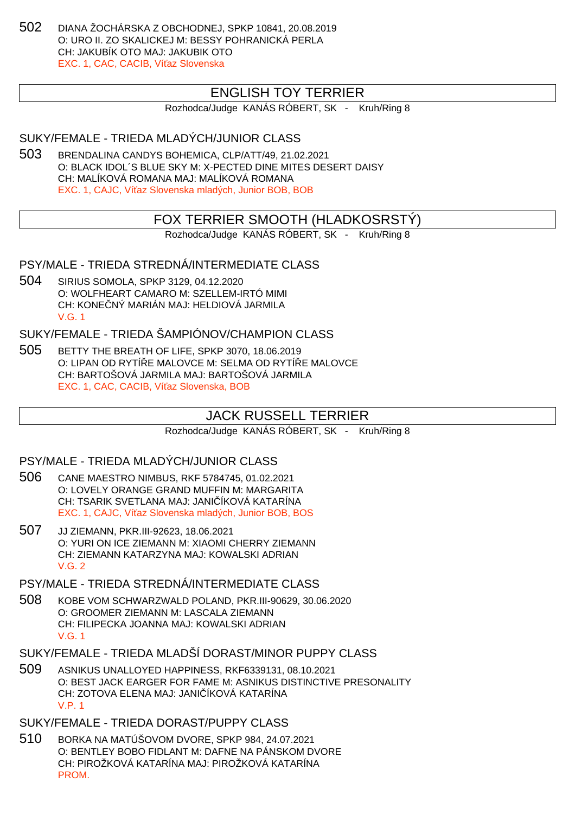502 DIANA ŽOCHÁRSKA Z OBCHODNEJ, SPKP 10841, 20.08.2019 O: URO II. ZO SKALICKEJ M: BESSY POHRANICKÁ PERLA CH: JAKUBÍK OTO MAJ: JAKUBIK OTO EXC. 1, CAC, CACIB, Ví az Slovenska

## ENGLISH TOY TERRIER

Rozhodca/Judge KANÁS RÓBERT, SK - Kruh/Ring 8

SUKY/FEMALE - TRIEDA MLADÝCH/JUNIOR CLASS

503 BRENDALINA CANDYS BOHEMICA, CLP/ATT/49, 21.02.2021 O: BLACK IDOL´S BLUE SKY M: X-PECTED DINE MITES DESERT DAISY CH: MALÍKOVÁ ROMANA MAJ: MALÍKOVÁ ROMANA EXC. 1, CAJC, Ví az Slovenska mladých, Junior BOB, BOB

## FOX TERRIER SMOOTH (HLADKOSRSTÝ)

Rozhodca/Judge KANÁS RÓBERT, SK - Kruh/Ring 8

PSY/MALE - TRIEDA STREDNÁ/INTERMEDIATE CLASS

504 SIRIUS SOMOLA, SPKP 3129, 04.12.2020 O: WOLFHEART CAMARO M: SZELLEM-IRTÓ MIMI CH: KONE NÝ MARIÁN MAJ: HELDIOVÁ JARMILA V.G. 1

SUKY/FEMALE - TRIEDA ŠAMPIÓNOV/CHAMPION CLASS

505 BETTY THE BREATH OF LIFE, SPKP 3070, 18.06.2019 O: LIPAN OD RYTÍ E MALOVCE M: SELMA OD RYTÍ E MALOVCE CH: BARTOŠOVÁ JARMILA MAJ: BARTOŠOVÁ JARMILA EXC. 1, CAC, CACIB, Ví az Slovenska, BOB

## JACK RUSSELL TERRIER

Rozhodca/Judge KANÁS RÓBERT, SK - Kruh/Ring 8

PSY/MALE - TRIEDA MLADÝCH/JUNIOR CLASS

- 506 CANE MAESTRO NIMBUS, RKF 5784745, 01.02.2021 O: LOVELY ORANGE GRAND MUFFIN M: MARGARITA CH: TSARIK SVETLANA MAJ: JANI ÍKOVÁ KATARÍNA EXC. 1, CAJC, Ví az Slovenska mladých, Junior BOB, BOS
- 507 JJ ZIEMANN, PKR.III-92623, 18.06.2021 O: YURI ON ICE ZIEMANN M: XIAOMI CHERRY ZIEMANN CH: ZIEMANN KATARZYNA MAJ: KOWALSKI ADRIAN V.G. 2
- PSY/MALE TRIEDA STREDNÁ/INTERMEDIATE CLASS
- 508 KOBE VOM SCHWARZWALD POLAND, PKR.III-90629, 30.06.2020 O: GROOMER ZIEMANN M: LASCALA ZIEMANN CH: FILIPECKA JOANNA MAJ: KOWALSKI ADRIAN V.G. 1
- SUKY/FEMALE TRIEDA MLADŠÍ DORAST/MINOR PUPPY CLASS
- 509 ASNIKUS UNALLOYED HAPPINESS, RKF6339131, 08.10.2021 O: BEST JACK EARGER FOR FAME M: ASNIKUS DISTINCTIVE PRESONALITY CH: ZOTOVA ELENA MAJ: JANI ÍKOVÁ KATARÍNA V.P. 1
- SUKY/FEMALE TRIEDA DORAST/PUPPY CLASS
- 510 BORKA NA MATÚŠOVOM DVORE, SPKP 984, 24.07.2021 O: BENTLEY BOBO FIDLANT M: DAFNE NA PÁNSKOM DVORE CH: PIROŽKOVÁ KATARÍNA MAJ: PIROŽKOVÁ KATARÍNA PROM.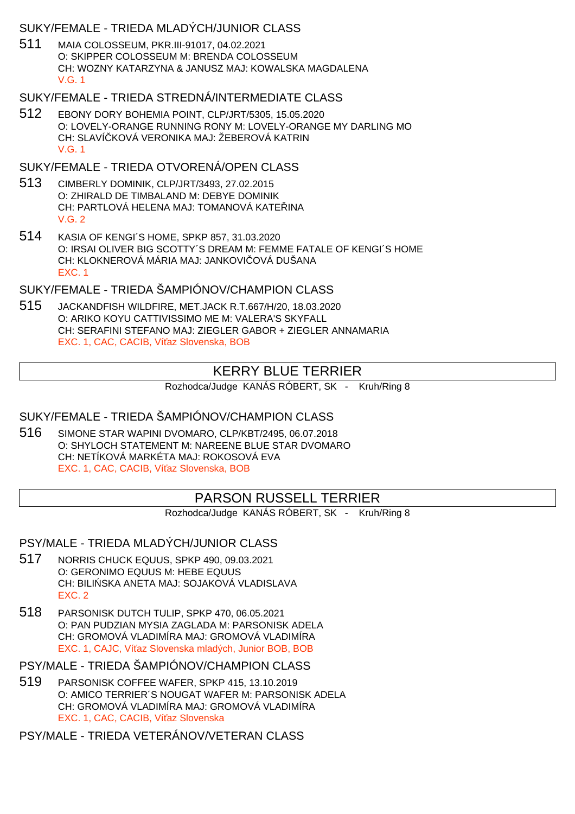### SUKY/FEMALE - TRIEDA MLADÝCH/JUNIOR CLASS

511 MAIA COLOSSEUM, PKR.III-91017, 04.02.2021 O: SKIPPER COLOSSEUM M: BRENDA COLOSSEUM CH: WOZNY KATARZYNA & JANUSZ MAJ: KOWALSKA MAGDALENA V.G. 1

## SUKY/FEMALE - TRIEDA STREDNÁ/INTERMEDIATE CLASS

512 EBONY DORY BOHEMIA POINT, CLP/JRT/5305, 15.05.2020 O: LOVELY-ORANGE RUNNING RONY M: LOVELY-ORANGE MY DARLING MO CH: SLAVÍ KOVÁ VERONIKA MAJ: ŽEBEROVÁ KATRIN V.G. 1

## SUKY/FEMALE - TRIEDA OTVORENÁ/OPEN CLASS

- 513 CIMBERLY DOMINIK, CLP/JRT/3493, 27.02.2015 O: ZHIRALD DE TIMBALAND M: DEBYE DOMINIK CH: PARTLOVÁ HELENA MAJ: TOMANOVÁ KATE INA V.G. 2
- 514 KASIA OF KENGI´S HOME, SPKP 857, 31.03.2020 O: IRSAI OLIVER BIG SCOTTY´S DREAM M: FEMME FATALE OF KENGI´S HOME CH: KLOKNEROVÁ MÁRIA MAJ: JANKOVI OVÁ DUŠANA EXC. 1

## SUKY/FEMALE - TRIEDA ŠAMPIÓNOV/CHAMPION CLASS

515 JACKANDFISH WILDFIRE, MET.JACK R.T.667/H/20, 18.03.2020 O: ARIKO KOYU CATTIVISSIMO ME M: VALERA'S SKYFALL CH: SERAFINI STEFANO MAJ: ZIEGLER GABOR + ZIEGLER ANNAMARIA EXC. 1, CAC, CACIB, Ví az Slovenska, BOB

# KERRY BLUE TERRIER

Rozhodca/Judge KANÁS RÓBERT, SK - Kruh/Ring 8

# SUKY/FEMALE - TRIEDA ŠAMPIÓNOV/CHAMPION CLASS

516 SIMONE STAR WAPINI DVOMARO, CLP/KBT/2495, 06.07.2018 O: SHYLOCH STATEMENT M: NAREENE BLUE STAR DVOMARO CH: NETÍKOVÁ MARKÉTA MAJ: ROKOSOVÁ EVA EXC. 1, CAC, CACIB, Ví az Slovenska, BOB

# PARSON RUSSELL TERRIER

Rozhodca/Judge KANÁS RÓBERT, SK - Kruh/Ring 8

PSY/MALE - TRIEDA MLADÝCH/JUNIOR CLASS

- 517 NORRIS CHUCK EQUUS, SPKP 490, 09.03.2021 O: GERONIMO EQUUS M: HEBE EQUUS CH: BILI SKA ANETA MAJ: SOJAKOVÁ VLADISLAVA EXC. 2
- 518 PARSONISK DUTCH TULIP, SPKP 470, 06.05.2021 O: PAN PUDZIAN MYSIA ZAGLADA M: PARSONISK ADELA CH: GROMOVÁ VLADIMÍRA MAJ: GROMOVÁ VLADIMÍRA EXC. 1, CAJC. Ví az Slovenska mladých, Junior BOB, BOB

PSY/MALE - TRIEDA ŠAMPIÓNOV/CHAMPION CLASS

519 PARSONISK COFFEE WAFER, SPKP 415, 13.10.2019 O: AMICO TERRIER´S NOUGAT WAFER M: PARSONISK ADELA CH: GROMOVÁ VLADIMÍRA MAJ: GROMOVÁ VLADIMÍRA EXC. 1, CAC, CACIB, Ví az Slovenska

PSY/MALE - TRIEDA VETERÁNOV/VETERAN CLASS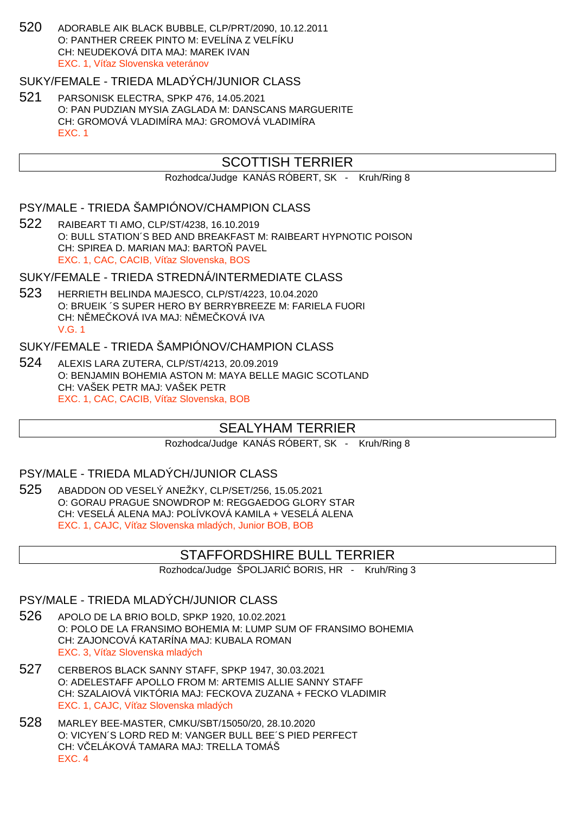520 ADORABLE AIK BLACK BUBBLE, CLP/PRT/2090, 10.12.2011 O: PANTHER CREEK PINTO M: EVELÍNA Z VELFÍKU CH: NEUDEKOVÁ DITA MAJ: MAREK IVAN EXC. 1, Ví az Slovenska veteránov

#### SUKY/FEMALE - TRIEDA MLADÝCH/JUNIOR CLASS

521 PARSONISK ELECTRA, SPKP 476, 14.05.2021 O: PAN PUDZIAN MYSIA ZAGLADA M: DANSCANS MARGUERITE CH: GROMOVÁ VLADIMÍRA MAJ: GROMOVÁ VLADIMÍRA EXC. 1

## SCOTTISH TERRIER

Rozhodca/Judge KANÁS RÓBERT, SK - Kruh/Ring 8

### PSY/MALE - TRIEDA ŠAMPIÓNOV/CHAMPION CLASS

522 RAIBEART TI AMO, CLP/ST/4238, 16.10.2019 O: BULL STATION´S BED AND BREAKFAST M: RAIBEART HYPNOTIC POISON CH: SPIREA D. MARIAN MAJ: BARTO PAVEL EXC. 1, CAC, CACIB, Ví az Slovenska, BOS

#### SUKY/FEMALE - TRIEDA STREDNÁ/INTERMEDIATE CLASS

523 HERRIETH BELINDA MAJESCO, CLP/ST/4223, 10.04.2020 O: BRUEIK ´S SUPER HERO BY BERRYBREEZE M: FARIELA FUORI CH: NŘMEČKOVÁ IVA MAJ: NŘMEČKOVÁ IVA V.G. 1

## SUKY/FEMALE - TRIEDA ŠAMPIÓNOV/CHAMPION CLASS

524 ALEXIS LARA ZUTERA, CLP/ST/4213, 20.09.2019 O: BENJAMIN BOHEMIA ASTON M: MAYA BELLE MAGIC SCOTLAND CH: VAŠEK PETR MAJ: VAŠEK PETR EXC. 1, CAC, CACIB, Ví az Slovenska, BOB

## SEALYHAM TERRIER

Rozhodca/Judge KANÁS RÓBERT, SK - Kruh/Ring 8

#### PSY/MALE - TRIEDA MLADÝCH/JUNIOR CLASS

525 ABADDON OD VESELÝ ANEŽKY, CLP/SET/256, 15.05.2021 O: GORAU PRAGUE SNOWDROP M: REGGAEDOG GLORY STAR CH: VESELÁ ALENA MAJ: POLÍVKOVÁ KAMILA + VESELÁ ALENA EXC. 1, CAJC, Ví az Slovenska mladých, Junior BOB, BOB

## STAFFORDSHIRE BULL TERRIER

Rozhodca/Judge ŠPOLJARI BORIS, HR - Kruh/Ring 3

### PSY/MALE - TRIEDA MLADÝCH/JUNIOR CLASS

- 526 APOLO DE LA BRIO BOLD, SPKP 1920, 10.02.2021 O: POLO DE LA FRANSIMO BOHEMIA M: LUMP SUM OF FRANSIMO BOHEMIA CH: ZAJONCOVÁ KATARÍNA MAJ: KUBALA ROMAN EXC. 3, Ví az Slovenska mladých
- 527 CERBEROS BLACK SANNY STAFF, SPKP 1947, 30.03.2021 O: ADELESTAFF APOLLO FROM M: ARTEMIS ALLIE SANNY STAFF CH: SZALAIOVÁ VIKTÓRIA MAJ: FECKOVA ZUZANA + FECKO VLADIMIR EXC. 1, CAJC. Ví az Slovenska mladých
- 528 MARLEY BEE-MASTER, CMKU/SBT/15050/20, 28.10.2020 O: VICYEN´S LORD RED M: VANGER BULL BEE´S PIED PERFECT CH: V ELÁKOVÁ TAMARA MAJ: TRELLA TOMÁŠ EXC. 4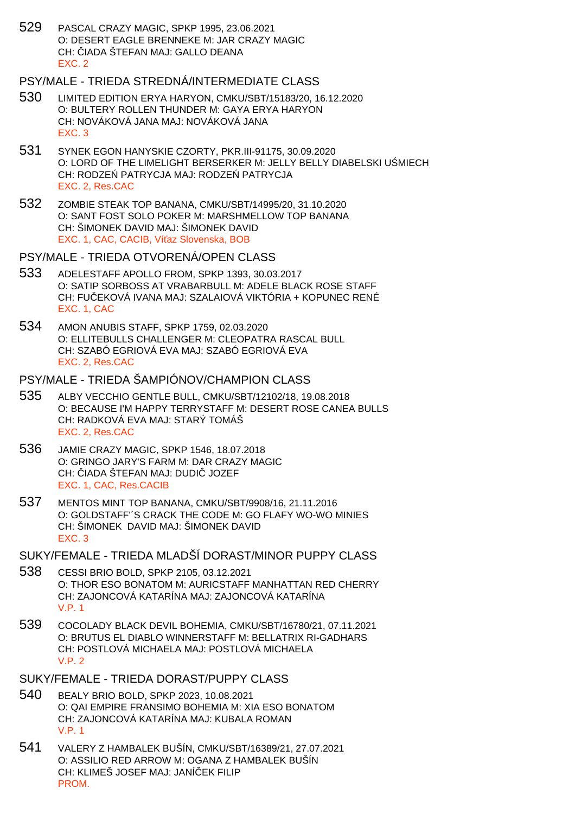529 PASCAL CRAZY MAGIC, SPKP 1995, 23.06.2021 O: DESERT EAGLE BRENNEKE M: JAR CRAZY MAGIC CH: IADA ŠTEFAN MAJ: GALLO DEANA EXC. 2

### PSY/MALE - TRIEDA STREDNÁ/INTERMEDIATE CLASS

- 530 LIMITED EDITION ERYA HARYON, CMKU/SBT/15183/20, 16.12.2020 O: BULTERY ROLLEN THUNDER M: GAYA ERYA HARYON CH: NOVÁKOVÁ JANA MAJ: NOVÁKOVÁ JANA EXC. 3
- 531 SYNEK EGON HANYSKIE CZORTY, PKR.III-91175, 30.09.2020 O: LORD OF THE LIMELIGHT BERSERKER M: JELLY BELLY DIABELSKI U MIECH CH: RODZE PATRYCJA MAJ: RODZE PATRYCJA EXC. 2, Res.CAC
- 532 ZOMBIE STEAK TOP BANANA, CMKU/SBT/14995/20, 31.10.2020 O: SANT FOST SOLO POKER M: MARSHMELLOW TOP BANANA CH: ŠIMONEK DAVID MAJ: ŠIMONEK DAVID EXC. 1, CAC, CACIB, Ví az Slovenska, BOB
- PSY/MALE TRIEDA OTVORENÁ/OPEN CLASS
- 533 ADELESTAFF APOLLO FROM, SPKP 1393, 30.03.2017 O: SATIP SORBOSS AT VRABARBULL M: ADELE BLACK ROSE STAFF CH: FU EKOVÁ IVANA MAJ: SZALAIOVÁ VIKTÓRIA + KOPUNEC RENÉ EXC. 1, CAC
- 534 AMON ANUBIS STAFF, SPKP 1759, 02.03.2020 O: ELLITEBULLS CHALLENGER M: CLEOPATRA RASCAL BULL CH: SZABÓ EGRIOVÁ EVA MAJ: SZABÓ EGRIOVÁ EVA EXC. 2, Res.CAC

#### PSY/MALE - TRIEDA ŠAMPIÓNOV/CHAMPION CLASS

- 535 ALBY VECCHIO GENTLE BULL, CMKU/SBT/12102/18, 19.08.2018 O: BECAUSE I'M HAPPY TERRYSTAFF M: DESERT ROSE CANEA BULLS CH: RADKOVÁ EVA MAJ: STARÝ TOMÁŠ EXC. 2, Res.CAC
- 536 JAMIE CRAZY MAGIC, SPKP 1546, 18.07.2018 O: GRINGO JARY'S FARM M: DAR CRAZY MAGIC CH: IADA ŠTEFAN MAJ: DUDI JOZEF EXC. 1, CAC, Res.CACIB
- 537 MENTOS MINT TOP BANANA, CMKU/SBT/9908/16, 21.11.2016 O: GOLDSTAFF'´S CRACK THE CODE M: GO FLAFY WO-WO MINIES CH: ŠIMONEK DAVID MAJ: ŠIMONEK DAVID EXC. 3

SUKY/FEMALE - TRIEDA MLADŠÍ DORAST/MINOR PUPPY CLASS

- 538 CESSI BRIO BOLD, SPKP 2105, 03.12.2021 O: THOR ESO BONATOM M: AURICSTAFF MANHATTAN RED CHERRY CH: ZAJONCOVÁ KATARÍNA MAJ: ZAJONCOVÁ KATARÍNA V.P. 1
- 539 COCOLADY BLACK DEVIL BOHEMIA, CMKU/SBT/16780/21, 07.11.2021 O: BRUTUS EL DIABLO WINNERSTAFF M: BELLATRIX RI-GADHARS CH: POSTLOVÁ MICHAELA MAJ: POSTLOVÁ MICHAELA V.P. 2
- SUKY/FEMALE TRIEDA DORAST/PUPPY CLASS
- 540 BEALY BRIO BOLD, SPKP 2023, 10.08.2021 O: QAI EMPIRE FRANSIMO BOHEMIA M: XIA ESO BONATOM CH: ZAJONCOVÁ KATARÍNA MAJ: KUBALA ROMAN V.P. 1
- 541 VALERY Z HAMBALEK BUŠÍN, CMKU/SBT/16389/21, 27.07.2021 O: ASSILIO RED ARROW M: OGANA Z HAMBALEK BUŠÍN CH: KLIMEŠ JOSEF MAJ: JANÍ EK FILIP PROM.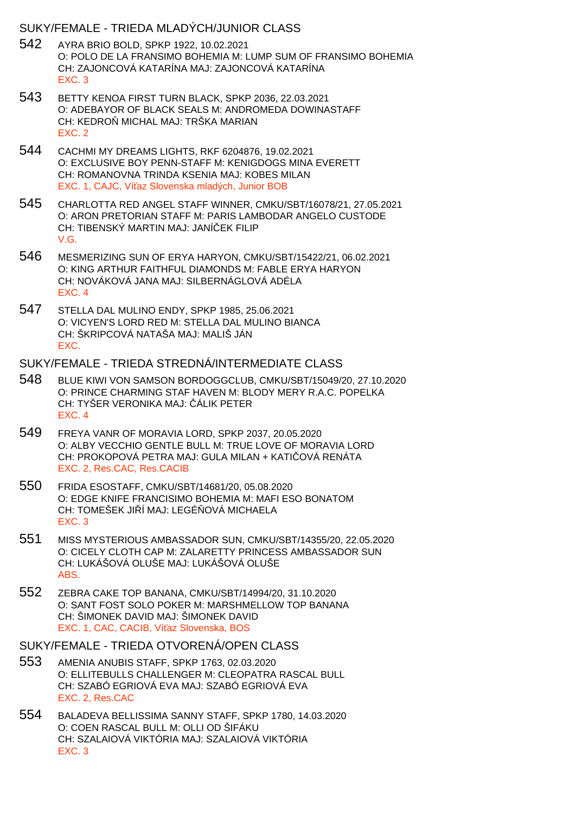#### SUKY/FEMALE - TRIEDA MLADÝCH/JUNIOR CLASS

- 542 AYRA BRIO BOLD, SPKP 1922, 10.02.2021 O: POLO DE LA FRANSIMO BOHEMIA M: LUMP SUM OF FRANSIMO BOHEMIA CH: ZAJONCOVÁ KATARÍNA MAJ: ZAJONCOVÁ KATARÍNA EXC. 3
- 543 BETTY KENOA FIRST TURN BLACK, SPKP 2036, 22.03.2021 O: ADEBAYOR OF BLACK SEALS M: ANDROMEDA DOWINASTAFF CH: KEDRO MICHAL MAJ: TRŠKA MARIAN EXC. 2
- 544 CACHMI MY DREAMS LIGHTS, RKF 6204876, 19.02.2021 O: EXCLUSIVE BOY PENN-STAFF M: KENIGDOGS MINA EVERETT CH: ROMANOVNA TRINDA KSENIA MAJ: KOBES MILAN EXC. 1, CAJC, Ví az Slovenska mladých, Junior BOB
- 545 CHARLOTTA RED ANGEL STAFF WINNER, CMKU/SBT/16078/21, 27.05.2021 O: ARON PRETORIAN STAFF M: PARIS LAMBODAR ANGELO CUSTODE CH: TIBENSKÝ MARTIN MAJ: JANÍ EK FILIP V.G.
- 546 MESMERIZING SUN OF ERYA HARYON, CMKU/SBT/15422/21, 06.02.2021 O: KING ARTHUR FAITHFUL DIAMONDS M: FABLE ERYA HARYON CH: NOVÁKOVÁ JANA MAJ: SILBERNÁGLOVÁ ADÉLA EXC. 4
- 547 STELLA DAL MULINO ENDY, SPKP 1985, 25.06.2021 O: VICYEN'S LORD RED M: STELLA DAL MULINO BIANCA CH: ŠKRIPCOVÁ NATAŠA MAJ: MALIŠ JÁN EXC.

#### SUKY/FEMALE - TRIEDA STREDNÁ/INTERMEDIATE CLASS

- 548 BLUE KIWI VON SAMSON BORDOGGCLUB, CMKU/SBT/15049/20, 27.10.2020 O: PRINCE CHARMING STAF HAVEN M: BLODY MERY R.A.C. POPELKA CH: TYŠER VERONIKA MAJ: ÁLIK PETER EXC. 4
- 549 FREYA VANR OF MORAVIA LORD, SPKP 2037, 20.05.2020 O: ALBY VECCHIO GENTLE BULL M: TRUE LOVE OF MORAVIA LORD CH: PROKOPOVÁ PETRA MAJ: GULA MILAN + KATI OVÁ RENÁTA EXC. 2, Res.CAC, Res.CACIB
- 550 FRIDA ESOSTAFF, CMKU/SBT/14681/20, 05.08.2020 O: EDGE KNIFE FRANCISIMO BOHEMIA M: MAFI ESO BONATOM CH: TOMEŠEK JI Í MAJ: LEGÉ OVÁ MICHAELA EXC. 3
- 551 MISS MYSTERIOUS AMBASSADOR SUN, CMKU/SBT/14355/20, 22.05.2020 O: CICELY CLOTH CAP M: ZALARETTY PRINCESS AMBASSADOR SUN CH: LUKÁŠOVÁ OLUŠE MAJ: LUKÁŠOVÁ OLUŠE ABS.
- 552 ZEBRA CAKE TOP BANANA, CMKU/SBT/14994/20, 31.10.2020 O: SANT FOST SOLO POKER M: MARSHMELLOW TOP BANANA CH: ŠIMONEK DAVID MAJ: ŠIMONEK DAVID EXC. 1, CAC, CACIB, Ví az Slovenska, BOS

#### SUKY/FEMALE - TRIEDA OTVORENÁ/OPEN CLASS

- 553 AMENIA ANUBIS STAFF, SPKP 1763, 02.03.2020 O: ELLITEBULLS CHALLENGER M: CLEOPATRA RASCAL BULL CH: SZABÓ EGRIOVÁ EVA MAJ: SZABÓ EGRIOVÁ EVA EXC. 2, Res.CAC
- 554 BALADEVA BELLISSIMA SANNY STAFF, SPKP 1780, 14.03.2020 O: COEN RASCAL BULL M: OLLI OD ŠIFÁKU CH: SZALAIOVÁ VIKTÓRIA MAJ: SZALAIOVÁ VIKTÓRIA EXC. 3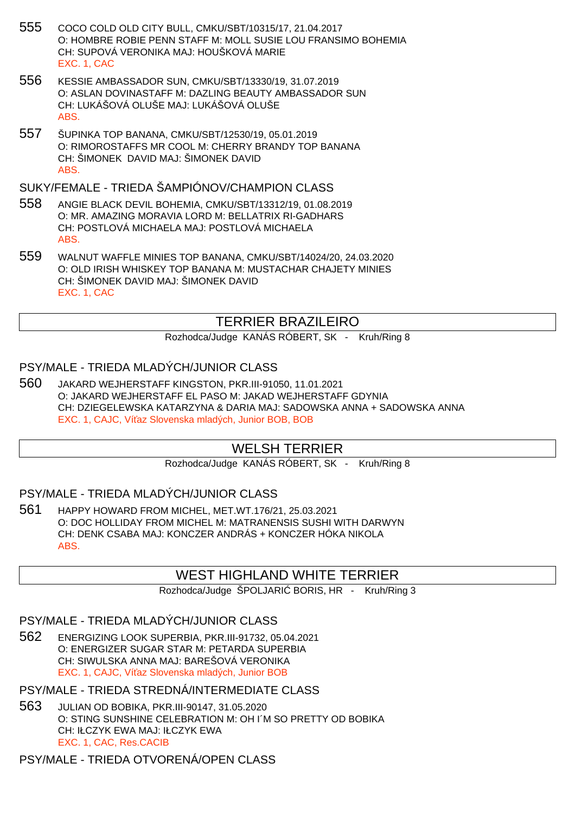- 555 COCO COLD OLD CITY BULL, CMKU/SBT/10315/17, 21.04.2017 O: HOMBRE ROBIE PENN STAFF M: MOLL SUSIE LOU FRANSIMO BOHEMIA CH: SUPOVÁ VERONIKA MAJ: HOUŠKOVÁ MARIE EXC. 1, CAC
- 556 KESSIE AMBASSADOR SUN, CMKU/SBT/13330/19, 31.07.2019 O: ASLAN DOVINASTAFF M: DAZLING BEAUTY AMBASSADOR SUN CH: LUKÁŠOVÁ OLUŠE MAJ: LUKÁŠOVÁ OLUŠE ABS.
- 557 ŠUPINKA TOP BANANA, CMKU/SBT/12530/19, 05.01.2019 O: RIMOROSTAFFS MR COOL M: CHERRY BRANDY TOP BANANA CH: ŠIMONEK DAVID MAJ: ŠIMONEK DAVID ABS.

SUKY/FEMALE - TRIEDA ŠAMPIÓNOV/CHAMPION CLASS

- 558 ANGIE BLACK DEVIL BOHEMIA, CMKU/SBT/13312/19, 01.08.2019 O: MR. AMAZING MORAVIA LORD M: BELLATRIX RI-GADHARS CH: POSTLOVÁ MICHAELA MAJ: POSTLOVÁ MICHAELA ABS.
- 559 WALNUT WAFFLE MINIES TOP BANANA, CMKU/SBT/14024/20, 24.03.2020 O: OLD IRISH WHISKEY TOP BANANA M: MUSTACHAR CHAJETY MINIES CH: ŠIMONEK DAVID MAJ: ŠIMONEK DAVID EXC. 1, CAC

# TERRIER BRAZILEIRO

Rozhodca/Judge KANÁS RÓBERT, SK - Kruh/Ring 8

## PSY/MALE - TRIEDA MLADÝCH/JUNIOR CLASS

560 JAKARD WEJHERSTAFF KINGSTON, PKR.III-91050, 11.01.2021 O: JAKARD WEJHERSTAFF EL PASO M: JAKAD WEJHERSTAFF GDYNIA CH: DZIEGELEWSKA KATARZYNA & DARIA MAJ: SADOWSKA ANNA + SADOWSKA ANNA EXC. 1, CAJC, Ví az Slovenska mladých, Junior BOB, BOB

# WELSH TERRIER

Rozhodca/Judge KANÁS RÓBERT, SK - Kruh/Ring 8

## PSY/MALE - TRIEDA MLADÝCH/JUNIOR CLASS

561 HAPPY HOWARD FROM MICHEL, MET.WT.176/21, 25.03.2021 O: DOC HOLLIDAY FROM MICHEL M: MATRANENSIS SUSHI WITH DARWYN CH: DENK CSABA MAJ: KONCZER ANDRÁS + KONCZER HÓKA NIKOLA ABS.

## WEST HIGHLAND WHITE TERRIER

Rozhodca/Judge ŠPOLJARI BORIS, HR - Kruh/Ring 3

PSY/MALE - TRIEDA MLADÝCH/JUNIOR CLASS

562 ENERGIZING LOOK SUPERBIA, PKR.III-91732, 05.04.2021 O: ENERGIZER SUGAR STAR M: PETARDA SUPERBIA CH: SIWULSKA ANNA MAJ: BAREŠOVÁ VERONIKA EXC. 1, CAJC. Ví az Slovenska mladých, Junior BOB

PSY/MALE - TRIEDA STREDNÁ/INTERMEDIATE CLASS

563 JULIAN OD BOBIKA, PKR.III-90147, 31.05.2020 O: STING SUNSHINE CELEBRATION M: OH I´M SO PRETTY OD BOBIKA CH: IŁCZYK EWA MAJ: IŁCZYK EWA EXC. 1, CAC, Res.CACIB

PSY/MALE - TRIEDA OTVORENÁ/OPEN CLASS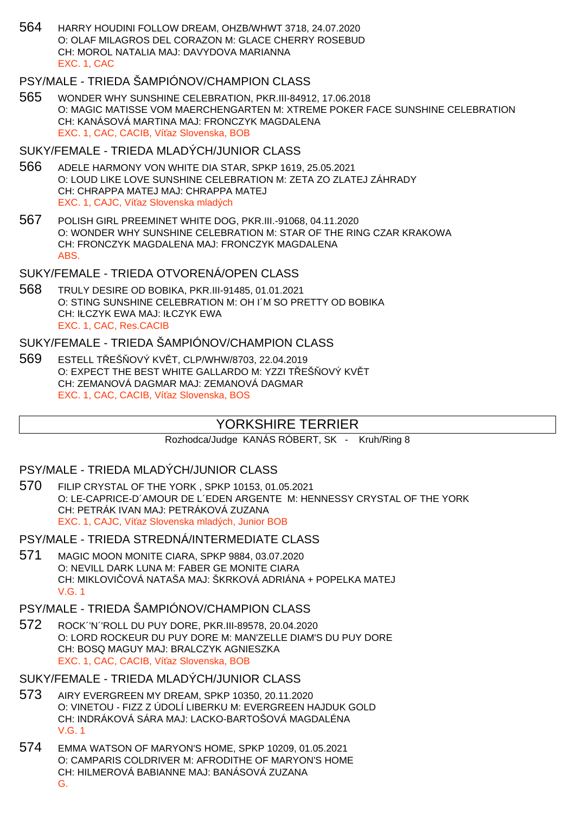564 HARRY HOUDINI FOLLOW DREAM, OHZB/WHWT 3718, 24.07.2020 O: OLAF MILAGROS DEL CORAZON M: GLACE CHERRY ROSEBUD CH: MOROL NATALIA MAJ: DAVYDOVA MARIANNA EXC. 1, CAC

## PSY/MALE - TRIEDA ŠAMPIÓNOV/CHAMPION CLASS

565 WONDER WHY SUNSHINE CELEBRATION, PKR.III-84912, 17.06.2018 O: MAGIC MATISSE VOM MAERCHENGARTEN M: XTREME POKER FACE SUNSHINE CELEBRATION CH: KANÁSOVÁ MARTINA MAJ: FRONCZYK MAGDALENA EXC. 1, CAC, CACIB, Ví az Slovenska, BOB

#### SUKY/FEMALE - TRIEDA MLADÝCH/JUNIOR CLASS

- 566 ADELE HARMONY VON WHITE DIA STAR, SPKP 1619, 25.05.2021 O: LOUD LIKE LOVE SUNSHINE CELEBRATION M: ZETA ZO ZLATEJ ZÁHRADY CH: CHRAPPA MATEJ MAJ: CHRAPPA MATEJ EXC. 1, CAJC, Ví az Slovenska mladých
- 567 POLISH GIRL PREEMINET WHITE DOG, PKR.III.-91068, 04.11.2020 O: WONDER WHY SUNSHINE CELEBRATION M: STAR OF THE RING CZAR KRAKOWA CH: FRONCZYK MAGDALENA MAJ: FRONCZYK MAGDALENA ABS.

## SUKY/FEMALE - TRIEDA OTVORENÁ/OPEN CLASS

568 TRULY DESIRE OD BOBIKA, PKR.III-91485, 01.01.2021 O: STING SUNSHINE CELEBRATION M: OH I´M SO PRETTY OD BOBIKA CH: IŁCZYK EWA MAJ: IŁCZYK EWA EXC. 1, CAC, Res.CACIB

#### SUKY/FEMALE - TRIEDA ŠAMPIÓNOV/CHAMPION CLASS

569 ESTELL T EŠ OVÝ KV T. CLP/WHW/8703, 22.04.2019 O: EXPECT THE BEST WHITE GALLARDO M: YZZI TEŠOVÝ KVÍT CH: ZEMANOVÁ DAGMAR MAJ: ZEMANOVÁ DAGMAR EXC. 1, CAC, CACIB, Ví az Slovenska, BOS

## YORKSHIRE TERRIER

Rozhodca/Judge KANÁS RÓBERT, SK - Kruh/Ring 8

## PSY/MALE - TRIEDA MLADÝCH/JUNIOR CLASS

570 FILIP CRYSTAL OF THE YORK , SPKP 10153, 01.05.2021 O: LE-CAPRICE-D´AMOUR DE L´EDEN ARGENTE M: HENNESSY CRYSTAL OF THE YORK CH: PETRÁK IVAN MAJ: PETRÁKOVÁ ZUZANA EXC. 1, CAJC, Ví az Slovenska mladých, Junior BOB

PSY/MALE - TRIEDA STREDNÁ/INTERMEDIATE CLASS

571 MAGIC MOON MONITE CIARA, SPKP 9884, 03.07.2020 O: NEVILL DARK LUNA M: FABER GE MONITE CIARA CH: MIKLOVI OVÁ NATAŠA MAJ: ŠKRKOVÁ ADRIÁNA + POPELKA MATEJ V.G. 1

#### PSY/MALE - TRIEDA ŠAMPIÓNOV/CHAMPION CLASS

572 ROCK´'N´'ROLL DU PUY DORE, PKR.III-89578, 20.04.2020 O: LORD ROCKEUR DU PUY DORE M: MAN'ZELLE DIAM'S DU PUY DORE CH: BOSQ MAGUY MAJ: BRALCZYK AGNIESZKA EXC. 1, CAC, CACIB, Ví az Slovenska, BOB

### SUKY/FEMALE - TRIEDA MLADÝCH/JUNIOR CLASS

- 573 AIRY EVERGREEN MY DREAM, SPKP 10350, 20.11.2020 O: VINETOU - FIZZ Z ÚDOLÍ LIBERKU M: EVERGREEN HAJDUK GOLD CH: INDRÁKOVÁ SÁRA MAJ: LACKO-BARTOŠOVÁ MAGDALÉNA V.G. 1
- 574 EMMA WATSON OF MARYON'S HOME, SPKP 10209, 01.05.2021 O: CAMPARIS COLDRIVER M: AFRODITHE OF MARYON'S HOME CH: HILMEROVÁ BABIANNE MAJ: BANÁSOVÁ ZUZANA G.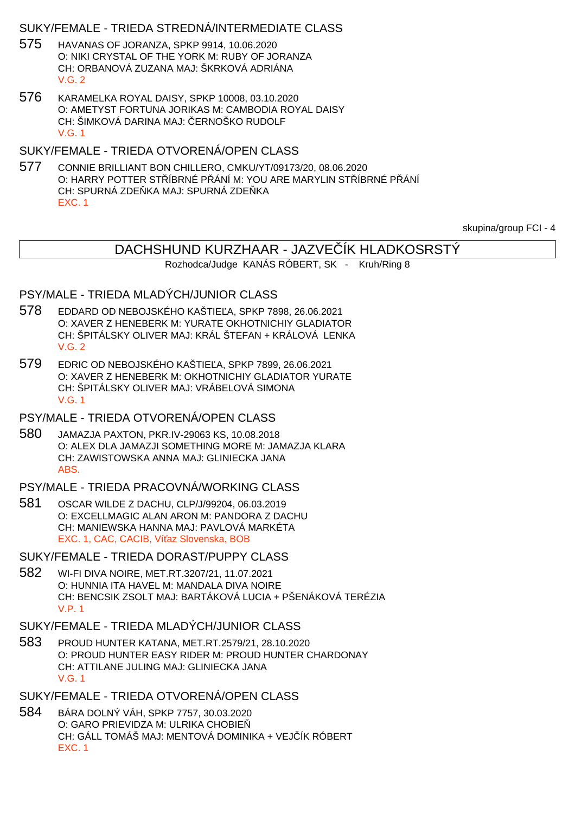### SUKY/FEMALE - TRIEDA STREDNÁ/INTERMEDIATE CLASS

- 575 HAVANAS OF JORANZA, SPKP 9914, 10.06.2020 O: NIKI CRYSTAL OF THE YORK M: RUBY OF JORANZA CH: ORBANOVÁ ZUZANA MAJ: ŠKRKOVÁ ADRIÁNA V.G. 2
- 576 KARAMELKA ROYAL DAISY, SPKP 10008, 03.10.2020 O: AMETYST FORTUNA JORIKAS M: CAMBODIA ROYAL DAISY CH: ŠIMKOVÁ DARINA MAJ: ERNOŠKO RUDOLF V.G. 1

SUKY/FEMALE - TRIEDA OTVORENÁ/OPEN CLASS

577 CONNIE BRILLIANT BON CHILLERO, CMKU/YT/09173/20, 08.06.2020 O: HARRY POTTER STÁBRNÉ PŘÁNÍ M: YOU ARE MARYLIN STÁBRNÉ PŘÁNÍ CH: SPURNÁ ZDE KA MAJ: SPURNÁ ZDE KA EXC. 1

skupina/group FCI - 4

# DACHSHUND KURZHAAR - JAZVE ÍK HLADKOSRSTÝ

Rozhodca/Judge KANÁS RÓBERT, SK - Kruh/Ring 8

### PSY/MALE - TRIEDA MLADÝCH/JUNIOR CLASS

- 578 EDDARD OD NEBOJSKÉHO KAŠTIE A, SPKP 7898, 26.06.2021 O: XAVER Z HENEBERK M: YURATE OKHOTNICHIY GLADIATOR CH: ŠPITÁLSKY OLIVER MAJ: KRÁL ŠTEFAN + KRÁLOVÁ LENKA V.G. 2
- 579 EDRIC OD NEBOJSKÉHO KAŠTIE A, SPKP 7899, 26.06.2021 O: XAVER Z HENEBERK M: OKHOTNICHIY GLADIATOR YURATE CH: ŠPITÁLSKY OLIVER MAJ: VRÁBELOVÁ SIMONA V.G. 1
- PSY/MALE TRIEDA OTVORENÁ/OPEN CLASS
- 580 JAMAZJA PAXTON, PKR.IV-29063 KS, 10.08.2018 O: ALEX DLA JAMAZJI SOMETHING MORE M: JAMAZJA KLARA CH: ZAWISTOWSKA ANNA MAJ: GLINIECKA JANA ABS.

### PSY/MALE - TRIEDA PRACOVNÁ/WORKING CLASS

581 OSCAR WILDE Z DACHU, CLP/J/99204, 06.03.2019 O: EXCELLMAGIC ALAN ARON M: PANDORA Z DACHU CH: MANIEWSKA HANNA MAJ: PAVLOVÁ MARKÉTA EXC. 1, CAC, CACIB, Ví az Slovenska, BOB

SUKY/FEMALE - TRIEDA DORAST/PUPPY CLASS

- 582 WI-FI DIVA NOIRE, MET.RT.3207/21, 11.07.2021 O: HUNNIA ITA HAVEL M: MANDALA DIVA NOIRE CH: BENCSIK ZSOLT MAJ: BARTÁKOVÁ LUCIA + PŠENÁKOVÁ TERÉZIA V.P. 1
- SUKY/FEMALE TRIEDA MLADÝCH/JUNIOR CLASS
- 583 PROUD HUNTER KATANA, MET.RT.2579/21, 28.10.2020 O: PROUD HUNTER EASY RIDER M: PROUD HUNTER CHARDONAY CH: ATTILANE JULING MAJ: GLINIECKA JANA V.G. 1
- SUKY/FEMALE TRIEDA OTVORENÁ/OPEN CLASS
- 584 BÁRA DOLNÝ VÁH, SPKP 7757, 30.03.2020 O: GARO PRIEVIDZA M: ULRIKA CHOBIE CH: GÁLL TOMÁŠ MAJ: MENTOVÁ DOMINIKA + VEJ ÍK RÓBERT EXC. 1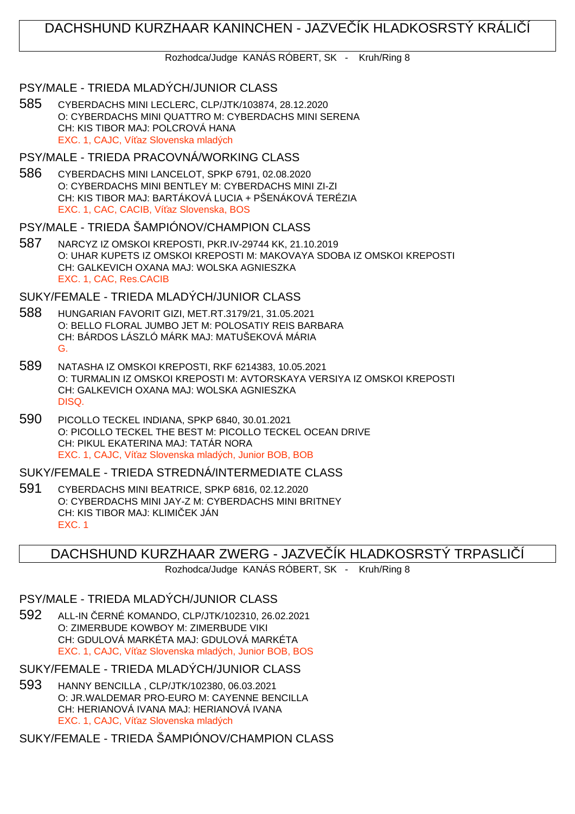# DACHSHUND KURZHAAR KANINCHEN - JAZVE ÍK HLADKOSRSTÝ KRÁLICÍ

Rozhodca/Judge KANÁS RÓBERT, SK - Kruh/Ring 8

#### PSY/MALE - TRIEDA MLADÝCH/JUNIOR CLASS

585 CYBERDACHS MINI LECLERC, CLP/JTK/103874, 28.12.2020 O: CYBERDACHS MINI QUATTRO M: CYBERDACHS MINI SERENA CH: KIS TIBOR MAJ: POLCROVÁ HANA EXC. 1, CAJC, Ví az Slovenska mladých

### PSY/MALE - TRIEDA PRACOVNÁ/WORKING CLASS

586 CYBERDACHS MINI LANCELOT, SPKP 6791, 02.08.2020 O: CYBERDACHS MINI BENTLEY M: CYBERDACHS MINI ZI-ZI CH: KIS TIBOR MAJ: BARTÁKOVÁ LUCIA + PŠENÁKOVÁ TERÉZIA EXC. 1, CAC, CACIB, Ví az Slovenska, BOS

#### PSY/MALE - TRIEDA ŠAMPIÓNOV/CHAMPION CLASS

587 NARCYZ IZ OMSKOI KREPOSTI, PKR.IV-29744 KK, 21.10.2019 O: UHAR KUPETS IZ OMSKOI KREPOSTI M: MAKOVAYA SDOBA IZ OMSKOI KREPOSTI CH: GALKEVICH OXANA MAJ: WOLSKA AGNIESZKA EXC. 1, CAC, Res.CACIB

#### SUKY/FEMALE - TRIEDA MLADÝCH/JUNIOR CLASS

- 588 HUNGARIAN FAVORIT GIZI, MET.RT.3179/21, 31.05.2021 O: BELLO FLORAL JUMBO JET M: POLOSATIY REIS BARBARA CH: BÁRDOS LÁSZLÓ MÁRK MAJ: MATUŠEKOVÁ MÁRIA G.
- 589 NATASHA IZ OMSKOI KREPOSTI, RKF 6214383, 10.05.2021 O: TURMALIN IZ OMSKOI KREPOSTI M: AVTORSKAYA VERSIYA IZ OMSKOI KREPOSTI CH: GALKEVICH OXANA MAJ: WOLSKA AGNIESZKA DISQ.
- 590 PICOLLO TECKEL INDIANA, SPKP 6840, 30.01.2021 O: PICOLLO TECKEL THE BEST M: PICOLLO TECKEL OCEAN DRIVE CH: PIKUL EKATERINA MAJ: TATÁR NORA EXC. 1, CAJC, Ví az Slovenska mladých, Junior BOB, BOB

SUKY/FEMALE - TRIEDA STREDNÁ/INTERMEDIATE CLASS

591 CYBERDACHS MINI BEATRICE, SPKP 6816, 02.12.2020 O: CYBERDACHS MINI JAY-Z M: CYBERDACHS MINI BRITNEY CH: KIS TIBOR MAJ: KLIMI EK JÁN EXC. 1

## DACHSHUND KURZHAAR ZWERG - JAZVE ÍK HLADKOSRSTÝ TRPASLIÍÍ

Rozhodca/Judge KANÁS RÓBERT, SK - Kruh/Ring 8

### PSY/MALE - TRIEDA MLADÝCH/JUNIOR CLASS

592 ALL-IN ČERNÉ KOMANDO, CLP/JTK/102310, 26.02.2021 O: ZIMERBUDE KOWBOY M: ZIMERBUDE VIKI CH: GDULOVÁ MARKÉTA MAJ: GDULOVÁ MARKÉTA EXC. 1, CAJC. Ví az Slovenska mladých, Junior BOB, BOS

SUKY/FEMALE - TRIEDA MLADÝCH/JUNIOR CLASS

593 HANNY BENCILLA , CLP/JTK/102380, 06.03.2021 O: JR.WALDEMAR PRO-EURO M: CAYENNE BENCILLA CH: HERIANOVÁ IVANA MAJ: HERIANOVÁ IVANA EXC. 1, CAJC. Ví az Slovenska mladých

SUKY/FEMALE - TRIEDA ŠAMPIÓNOV/CHAMPION CLASS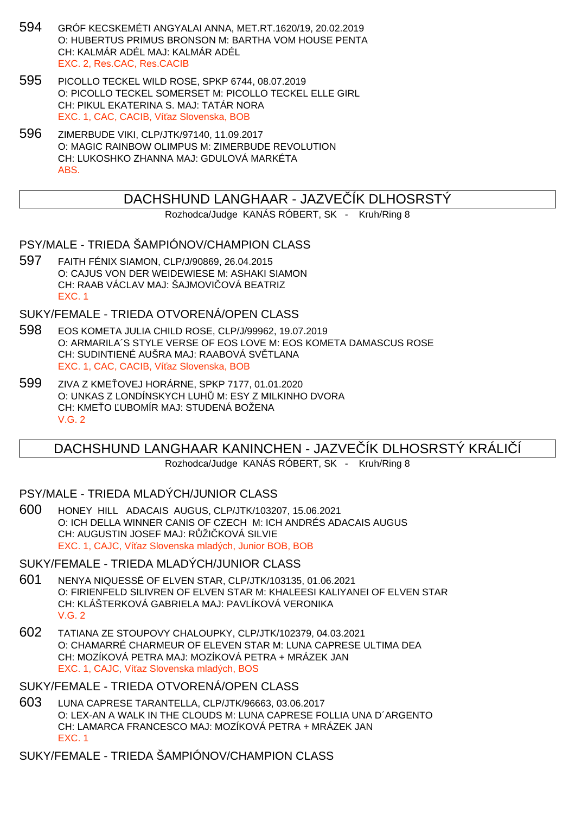- 594 GRÓF KECSKEMÉTI ANGYALAI ANNA, MET.RT.1620/19, 20.02.2019 O: HUBERTUS PRIMUS BRONSON M: BARTHA VOM HOUSE PENTA CH: KALMÁR ADÉL MAJ: KALMÁR ADÉL EXC. 2, Res.CAC, Res.CACIB
- 595 PICOLLO TECKEL WILD ROSE, SPKP 6744, 08.07.2019 O: PICOLLO TECKEL SOMERSET M: PICOLLO TECKEL ELLE GIRL CH: PIKUL EKATERINA S. MAJ: TATÁR NORA EXC. 1, CAC, CACIB, Ví az Slovenska, BOB
- 596 ZIMERBUDE VIKI, CLP/JTK/97140, 11.09.2017 O: MAGIC RAINBOW OLIMPUS M: ZIMERBUDE REVOLUTION CH: LUKOSHKO ZHANNA MAJ: GDULOVÁ MARKÉTA ABS.

## DACHSHUND LANGHAAR - JAZVE ÍK DLHOSRSTÝ

Rozhodca/Judge KANÁS RÓBERT, SK - Kruh/Ring 8

### PSY/MALE - TRIEDA ŠAMPIÓNOV/CHAMPION CLASS

597 FAITH FÉNIX SIAMON, CLP/J/90869, 26.04.2015 O: CAJUS VON DER WEIDEWIESE M: ASHAKI SIAMON CH: RAAB VÁCLAV MAJ: ŠAJMOVI OVÁ BEATRIZ EXC. 1

## SUKY/FEMALE - TRIEDA OTVORENÁ/OPEN CLASS

- 598 EOS KOMETA JULIA CHILD ROSE, CLP/J/99962, 19.07.2019 O: ARMARILA´S STYLE VERSE OF EOS LOVE M: EOS KOMETA DAMASCUS ROSE CH: SUDINTIENÉ AUŠRA MAJ: RAABOVÁ SV TLANA EXC. 1, CAC, CACIB, Ví az Slovenska, BOB
- 599 ZIVA Z KME OVEJ HORÁRNE, SPKP 7177, 01.01.2020 O: UNKAS Z LONDÍNSKYCH LUH M: ESY Z MILKINHO DVORA CH: KME<sub>O</sub> UBOMÍR MAJ: STUDENÁ BOŽENA V.G. 2

## DACHSHUND LANGHAAR KANINCHEN - JAZVE ÍK DLHOSRSTÝ KRÁLIÍÍ

Rozhodca/Judge KANÁS RÓBERT, SK - Kruh/Ring 8

#### PSY/MALE - TRIEDA MLADÝCH/JUNIOR CLASS

600 HONEY HILL ADACAIS AUGUS, CLP/JTK/103207, 15.06.2021 O: ICH DELLA WINNER CANIS OF CZECH M: ICH ANDRÉS ADACAIS AUGUS CH: AUGUSTIN JOSEF MAJ: RŽI KOVÁ SILVIE EXC. 1, CAJC, Ví az Slovenska mladých, Junior BOB, BOB

#### SUKY/FEMALE - TRIEDA MLADÝCH/JUNIOR CLASS

- 601 NENYA NIQUESSË OF ELVEN STAR, CLP/JTK/103135, 01.06.2021 O: FIRIENFELD SILIVREN OF ELVEN STAR M: KHALEESI KALIYANEI OF ELVEN STAR CH: KLÁŠTERKOVÁ GABRIELA MAJ: PAVLÍKOVÁ VERONIKA V.G. 2
- 602 TATIANA ZE STOUPOVY CHALOUPKY, CLP/JTK/102379, 04.03.2021 O: CHAMARRÉ CHARMEUR OF ELEVEN STAR M: LUNA CAPRESE ULTIMA DEA CH: MOZÍKOVÁ PETRA MAJ: MOZÍKOVÁ PETRA + MRÁZEK JAN EXC. 1, CAJC, Ví az Slovenska mladých, BOS

#### SUKY/FEMALE - TRIEDA OTVORENÁ/OPEN CLASS

603 LUNA CAPRESE TARANTELLA, CLP/JTK/96663, 03.06.2017 O: LEX-AN A WALK IN THE CLOUDS M: LUNA CAPRESE FOLLIA UNA D´ARGENTO CH: LAMARCA FRANCESCO MAJ: MOZÍKOVÁ PETRA + MRÁZEK JAN EXC. 1

# SUKY/FEMALE - TRIEDA ŠAMPIÓNOV/CHAMPION CLASS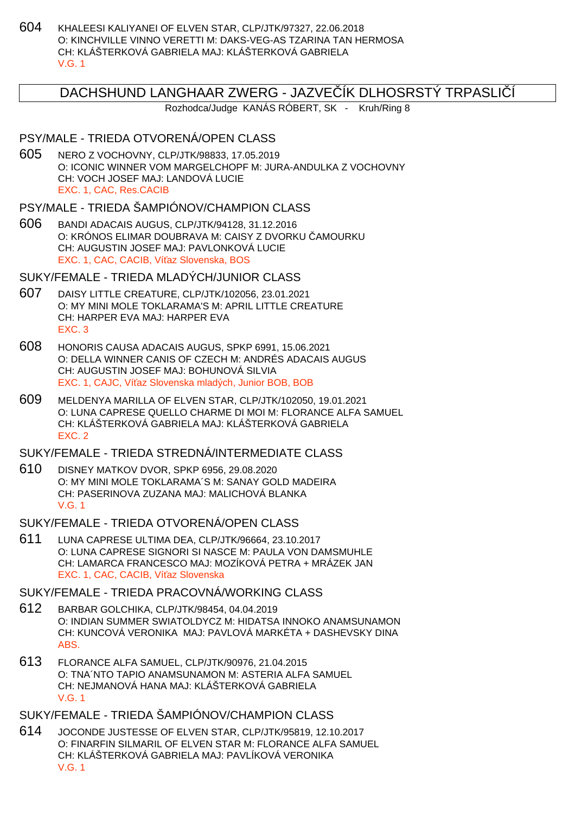604 KHALEESI KALIYANEI OF ELVEN STAR, CLP/JTK/97327, 22.06.2018 O: KINCHVILLE VINNO VERETTI M: DAKS-VEG-AS TZARINA TAN HERMOSA CH: KLÁŠTERKOVÁ GABRIELA MAJ: KLÁŠTERKOVÁ GABRIELA V.G. 1

### DACHSHUND LANGHAAR ZWERG - JAZVE ÍK DLHOSRSTÝ TRPASLIÍ

Rozhodca/Judge KANÁS RÓBERT, SK - Kruh/Ring 8

### PSY/MALE - TRIEDA OTVORENÁ/OPEN CLASS

605 NERO Z VOCHOVNY, CLP/JTK/98833, 17.05.2019 O: ICONIC WINNER VOM MARGELCHOPF M: JURA-ANDULKA Z VOCHOVNY CH: VOCH JOSEF MAJ: LANDOVÁ LUCIE EXC. 1, CAC, Res.CACIB

PSY/MALE - TRIEDA ŠAMPIÓNOV/CHAMPION CLASS

606 BANDI ADACAIS AUGUS, CLP/JTK/94128, 31.12.2016 O: KRÓNOS ELIMAR DOUBRAVA M: CAISY Z DVORKU AMOURKU CH: AUGUSTIN JOSEF MAJ: PAVLONKOVÁ LUCIE EXC. 1, CAC, CACIB, Ví az Slovenska, BOS

SUKY/FEMALE - TRIEDA MLADÝCH/JUNIOR CLASS

- 607 DAISY LITTLE CREATURE, CLP/JTK/102056, 23.01.2021 O: MY MINI MOLE TOKLARAMA'S M: APRIL LITTLE CREATURE CH: HARPER EVA MAJ: HARPER EVA EXC. 3
- 608 HONORIS CAUSA ADACAIS AUGUS, SPKP 6991, 15.06.2021 O: DELLA WINNER CANIS OF CZECH M: ANDRÉS ADACAIS AUGUS CH: AUGUSTIN JOSEF MAJ: BOHUNOVÁ SILVIA EXC. 1, CAJC, Ví az Slovenska mladých, Junior BOB, BOB
- 609 MELDENYA MARILLA OF ELVEN STAR, CLP/JTK/102050, 19.01.2021 O: LUNA CAPRESE QUELLO CHARME DI MOI M: FLORANCE ALFA SAMUEL CH: KLÁŠTERKOVÁ GABRIELA MAJ: KLÁŠTERKOVÁ GABRIELA EXC. 2

### SUKY/FEMALE - TRIEDA STREDNÁ/INTERMEDIATE CLASS

610 DISNEY MATKOV DVOR, SPKP 6956, 29.08.2020 O: MY MINI MOLE TOKLARAMA´S M: SANAY GOLD MADEIRA CH: PASERINOVA ZUZANA MAJ: MALICHOVÁ BLANKA V.G. 1

#### SUKY/FEMALE - TRIEDA OTVORENÁ/OPEN CLASS

611 LUNA CAPRESE ULTIMA DEA, CLP/JTK/96664, 23.10.2017 O: LUNA CAPRESE SIGNORI SI NASCE M: PAULA VON DAMSMUHLE CH: LAMARCA FRANCESCO MAJ: MOZÍKOVÁ PETRA + MRÁZEK JAN EXC. 1, CAC, CACIB, Ví az Slovenska

## SUKY/FEMALE - TRIEDA PRACOVNÁ/WORKING CLASS

- 612 BARBAR GOLCHIKA, CLP/JTK/98454, 04.04.2019 O: INDIAN SUMMER SWIATOLDYCZ M: HIDATSA INNOKO ANAMSUNAMON CH: KUNCOVÁ VERONIKA MAJ: PAVLOVÁ MARKÉTA + DASHEVSKY DINA ABS.
- 613 FLORANCE ALFA SAMUEL, CLP/JTK/90976, 21.04.2015 O: TNA´NTO TAPIO ANAMSUNAMON M: ASTERIA ALFA SAMUEL CH: NEJMANOVÁ HANA MAJ: KLÁŠTERKOVÁ GABRIELA V.G. 1

## SUKY/FEMALE - TRIEDA ŠAMPIÓNOV/CHAMPION CLASS

614 JOCONDE JUSTESSE OF ELVEN STAR, CLP/JTK/95819, 12.10.2017 O: FINARFIN SILMARIL OF ELVEN STAR M: FLORANCE ALFA SAMUEL CH: KLÁŠTERKOVÁ GABRIELA MAJ: PAVLÍKOVÁ VERONIKA V.G. 1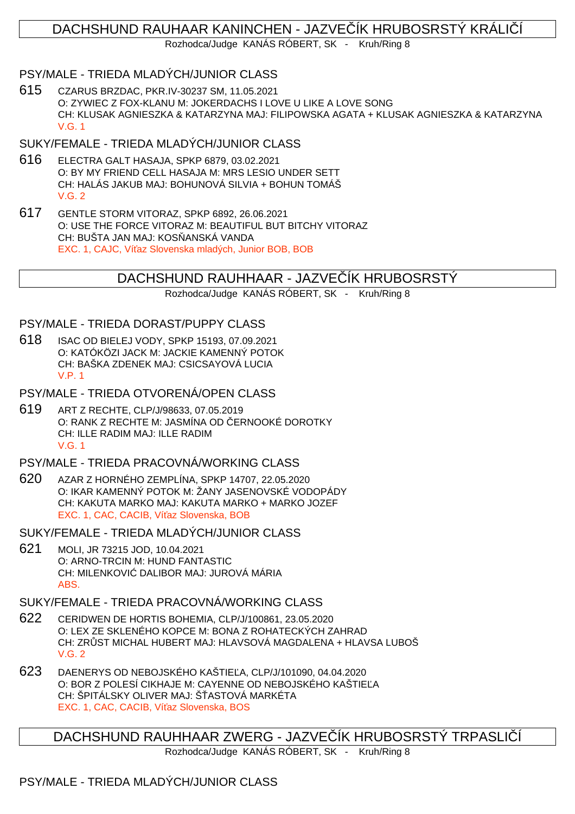# DACHSHUND RAUHAAR KANINCHEN - JAZVE ÍK HRUBOSRSTÝ KRÁLI Í

Rozhodca/Judge KANÁS RÓBERT, SK - Kruh/Ring 8

### PSY/MALE - TRIEDA MLADÝCH/JUNIOR CLASS

615 CZARUS BRZDAC, PKR.IV-30237 SM, 11.05.2021 O: ZYWIEC Z FOX-KLANU M: JOKERDACHS I LOVE U LIKE A LOVE SONG CH: KLUSAK AGNIESZKA & KATARZYNA MAJ: FILIPOWSKA AGATA + KLUSAK AGNIESZKA & KATARZYNA V.G. 1

### SUKY/FEMALE - TRIEDA MLADÝCH/JUNIOR CLASS

- 616 ELECTRA GALT HASAJA, SPKP 6879, 03.02.2021 O: BY MY FRIEND CELL HASAJA M: MRS LESIO UNDER SETT CH: HALÁS JAKUB MAJ: BOHUNOVÁ SILVIA + BOHUN TOMÁŠ V.G. 2
- 617 GENTLE STORM VITORAZ, SPKP 6892, 26.06.2021 O: USE THE FORCE VITORAZ M: BEAUTIFUL BUT BITCHY VITORAZ CH: BUŠTA JAN MAJ: KOS ANSKÁ VANDA EXC. 1, CAJC, Ví az Slovenska mladých, Junior BOB, BOB

## DACHSHUND RAUHHAAR - JAZVE IK HRUBOSRSTY

Rozhodca/Judge KANÁS RÓBERT, SK - Kruh/Ring 8

#### PSY/MALE - TRIEDA DORAST/PUPPY CLASS

- 618 ISAC OD BIELEJ VODY, SPKP 15193, 07.09.2021 O: KATÓKÖZI JACK M: JACKIE KAMENNÝ POTOK CH: BAŠKA ZDENEK MAJ: CSICSAYOVÁ LUCIA V.P. 1
- PSY/MALE TRIEDA OTVORENÁ/OPEN CLASS
- 619 ART Z RECHTE, CLP/J/98633, 07.05.2019 O: RANK Z RECHTE M: JASMÍNA OD ČERNOOKÉ DOROTKY CH: ILLE RADIM MAJ: ILLE RADIM V.G. 1
- PSY/MALE TRIEDA PRACOVNÁ/WORKING CLASS
- 620 AZAR Z HORNÉHO ZEMPLÍNA, SPKP 14707, 22.05.2020 O: IKAR KAMENNÝ POTOK M: ŽANY JASENOVSKÉ VODOPÁDY CH: KAKUTA MARKO MAJ: KAKUTA MARKO + MARKO JOZEF EXC. 1, CAC, CACIB, Ví az Slovenska, BOB
- SUKY/FEMALE TRIEDA MLADÝCH/JUNIOR CLASS
- 621 MOLI, JR 73215 JOD, 10.04.2021 O: ARNO-TRCIN M: HUND FANTASTIC CH: MILENKOVI DALIBOR MAJ: JUROVÁ MÁRIA ABS.

SUKY/FEMALE - TRIEDA PRACOVNÁ/WORKING CLASS

- 622 CERIDWEN DE HORTIS BOHEMIA, CLP/J/100861, 23.05.2020 O: LEX ZE SKLENÉHO KOPCE M: BONA Z ROHATECKÝCH ZAHRAD CH: ZR ST MICHAL HUBERT MAJ: HLAVSOVÁ MAGDALENA + HLAVSA LUBOŠ V.G. 2
- 623 DAENERYS OD NEBOJSKÉHO KAŠTIE A, CLP/J/101090, 04.04.2020 O: BOR Z POLESÍ CIKHAJE M: CAYENNE OD NEBOJSKÉHO KAŠTIE. A CH: ŠPITÁLSKY OLIVER MAJ: Š ASTOVÁ MARKÉTA EXC. 1, CAC, CACIB, Ví az Slovenska, BOS

DACHSHUND RAUHHAAR ZWERG - JAZVE ÍK HRUBOSRSTÝ TRPASLIÍ

Rozhodca/Judge KANÁS RÓBERT, SK - Kruh/Ring 8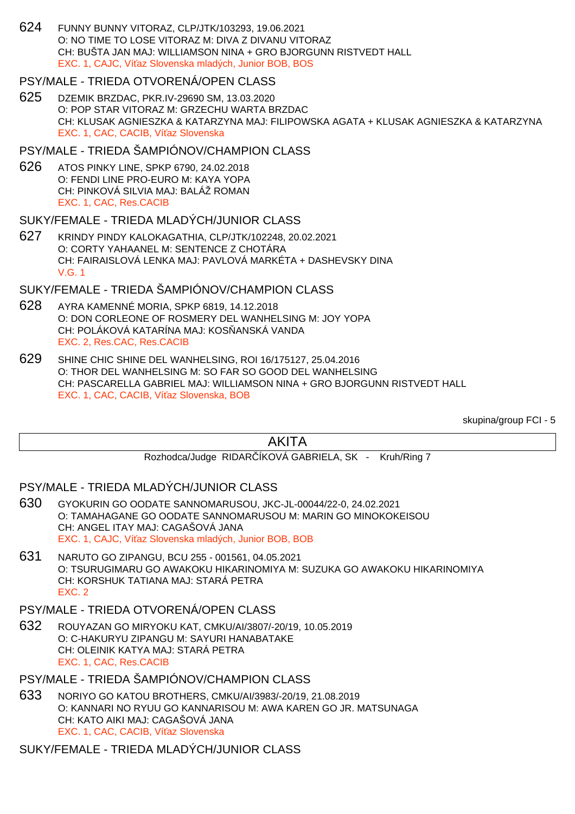624 FUNNY BUNNY VITORAZ, CLP/JTK/103293, 19.06.2021 O: NO TIME TO LOSE VITORAZ M: DIVA Z DIVANU VITORAZ CH: BUŠTA JAN MAJ: WILLIAMSON NINA + GRO BJORGUNN RISTVEDT HALL EXC. 1, CAJC, Ví az Slovenska mladých, Junior BOB, BOS

#### PSY/MALE - TRIEDA OTVORENÁ/OPEN CLASS

625 DZEMIK BRZDAC, PKR.IV-29690 SM, 13.03.2020 O: POP STAR VITORAZ M: GRZECHU WARTA BRZDAC CH: KLUSAK AGNIESZKA & KATARZYNA MAJ: FILIPOWSKA AGATA + KLUSAK AGNIESZKA & KATARZYNA EXC. 1, CAC, CACIB, Ví az Slovenska

#### PSY/MALE - TRIEDA ŠAMPIÓNOV/CHAMPION CLASS

626 ATOS PINKY LINE, SPKP 6790, 24.02.2018 O: FENDI LINE PRO-EURO M: KAYA YOPA CH: PINKOVÁ SILVIA MAJ: BALÁŽ ROMAN EXC. 1, CAC, Res.CACIB

### SUKY/FEMALE - TRIEDA MLADÝCH/JUNIOR CLASS

627 KRINDY PINDY KALOKAGATHIA, CLP/JTK/102248, 20.02.2021 O: CORTY YAHAANEL M: SENTENCE Z CHOTÁRA CH: FAIRAISLOVÁ LENKA MAJ: PAVLOVÁ MARKÉTA + DASHEVSKY DINA V.G. 1

#### SUKY/FEMALE - TRIEDA ŠAMPIÓNOV/CHAMPION CLASS

- 628 AYRA KAMENNÉ MORIA, SPKP 6819, 14.12.2018 O: DON CORLEONE OF ROSMERY DEL WANHELSING M: JOY YOPA CH: POLÁKOVÁ KATARÍNA MAJ: KOS ANSKÁ VANDA EXC. 2, Res.CAC, Res.CACIB
- 629 SHINE CHIC SHINE DEL WANHELSING, ROI 16/175127, 25.04.2016 O: THOR DEL WANHELSING M: SO FAR SO GOOD DEL WANHELSING CH: PASCARELLA GABRIEL MAJ: WILLIAMSON NINA + GRO BJORGUNN RISTVEDT HALL EXC. 1, CAC, CACIB, Ví az Slovenska, BOB

skupina/group FCI - 5

## AKITA

Rozhodca/Judge RIDAR ÍKOVÁ GABRIELA, SK - Kruh/Ring 7

#### PSY/MALE - TRIEDA MLADÝCH/JUNIOR CLASS

- 630 GYOKURIN GO OODATE SANNOMARUSOU, JKC-JL-00044/22-0, 24.02.2021 O: TAMAHAGANE GO OODATE SANNOMARUSOU M: MARIN GO MINOKOKEISOU CH: ANGEL ITAY MAJ: CAGAŠOVÁ JANA EXC. 1, CAJC, Ví az Slovenska mladých, Junior BOB, BOB
- 631 NARUTO GO ZIPANGU, BCU 255 001561, 04.05.2021 O: TSURUGIMARU GO AWAKOKU HIKARINOMIYA M: SUZUKA GO AWAKOKU HIKARINOMIYA CH: KORSHUK TATIANA MAJ: STARÁ PETRA EXC. 2

#### PSY/MALE - TRIEDA OTVORENÁ/OPEN CLASS

632 ROUYAZAN GO MIRYOKU KAT, CMKU/AI/3807/-20/19, 10.05.2019 O: C-HAKURYU ZIPANGU M: SAYURI HANABATAKE CH: OLEINIK KATYA MAJ: STARÁ PETRA EXC. 1, CAC, Res.CACIB

## PSY/MALE - TRIEDA ŠAMPIÓNOV/CHAMPION CLASS

633 NORIYO GO KATOU BROTHERS, CMKU/AI/3983/-20/19, 21.08.2019 O: KANNARI NO RYUU GO KANNARISOU M: AWA KAREN GO JR. MATSUNAGA CH: KATO AIKI MAJ: CAGAŠOVÁ JANA EXC. 1, CAC, CACIB, Ví az Slovenska

#### SUKY/FEMALE - TRIEDA MLADÝCH/JUNIOR CLASS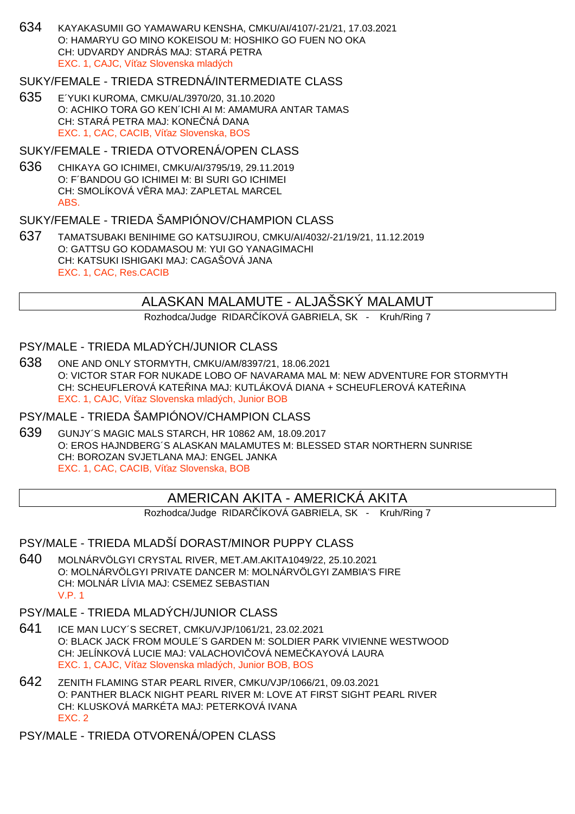634 KAYAKASUMII GO YAMAWARU KENSHA, CMKU/AI/4107/-21/21, 17.03.2021 O: HAMARYU GO MINO KOKEISOU M: HOSHIKO GO FUEN NO OKA CH: UDVARDY ANDRÁS MAJ: STARÁ PETRA EXC. 1, CAJC. Ví az Slovenska mladých

#### SUKY/FEMALE - TRIEDA STREDNÁ/INTERMEDIATE CLASS

635 E´YUKI KUROMA, CMKU/AL/3970/20, 31.10.2020 O: ACHIKO TORA GO KEN´ICHI AI M: AMAMURA ANTAR TAMAS CH: STARÁ PETRA MAJ: KONE NÁ DANA EXC. 1, CAC, CACIB, Ví az Slovenska, BOS

### SUKY/FEMALE - TRIEDA OTVORENÁ/OPEN CLASS

636 CHIKAYA GO ICHIMEI, CMKU/AI/3795/19, 29.11.2019 O: F´BANDOU GO ICHIMEI M: BI SURI GO ICHIMEI CH: SMOLÍKOVÁ VĚRA MAJ: ZAPLETAL MARCEL ABS.

### SUKY/FEMALE - TRIEDA ŠAMPIÓNOV/CHAMPION CLASS

637 TAMATSUBAKI BENIHIME GO KATSUJIROU, CMKU/AI/4032/-21/19/21, 11.12.2019 O: GATTSU GO KODAMASOU M: YUI GO YANAGIMACHI CH: KATSUKI ISHIGAKI MAJ: CAGAŠOVÁ JANA EXC. 1, CAC, Res.CACIB

## ALASKAN MALAMUTE - ALJAŠSKÝ MALAMUT

Rozhodca/Judge RIDAR ÍKOVÁ GABRIELA, SK - Kruh/Ring 7

#### PSY/MALE - TRIEDA MLADÝCH/JUNIOR CLASS

638 ONE AND ONLY STORMYTH, CMKU/AM/8397/21, 18.06.2021 O: VICTOR STAR FOR NUKADE LOBO OF NAVARAMA MAL M: NEW ADVENTURE FOR STORMYTH CH: SCHEUFLEROVÁ KATE INA MAJ: KUTLÁKOVÁ DIANA + SCHEUFLEROVÁ KATE INA EXC. 1, CAJC. Ví az Slovenska mladých, Junior BOB

#### PSY/MALE - TRIEDA ŠAMPIÓNOV/CHAMPION CLASS

639 GUNJY´S MAGIC MALS STARCH, HR 10862 AM, 18.09.2017 O: EROS HAJNDBERG´S ALASKAN MALAMUTES M: BLESSED STAR NORTHERN SUNRISE CH: BOROZAN SVJETLANA MAJ: ENGEL JANKA EXC. 1, CAC, CACIB, Ví az Slovenska, BOB

## AMERICAN AKITA - AMERICKÁ AKITA

Rozhodca/Judge RIDAR ÍKOVÁ GABRIELA, SK - Kruh/Ring 7

### PSY/MALE - TRIEDA MLADŠÍ DORAST/MINOR PUPPY CLASS

640 MOLNÁRVÖLGYI CRYSTAL RIVER, MET.AM.AKITA1049/22, 25.10.2021 O: MOLNÁRVÖLGYI PRIVATE DANCER M: MOLNÁRVÖLGYI ZAMBIA'S FIRE CH: MOLNÁR LÍVIA MAJ: CSEMEZ SEBASTIAN V.P. 1

### PSY/MALE - TRIEDA MLADÝCH/JUNIOR CLASS

- 641 ICE MAN LUCY´S SECRET, CMKU/VJP/1061/21, 23.02.2021 O: BLACK JACK FROM MOULE´S GARDEN M: SOLDIER PARK VIVIENNE WESTWOOD CH: JELÍNKOVÁ LUCIE MAJ: VALACHOVI OVÁ NEME KAYOVÁ LAURA EXC. 1, CAJC, Ví az Slovenska mladých, Junior BOB, BOS
- 642 ZENITH FLAMING STAR PEARL RIVER, CMKU/VJP/1066/21, 09.03.2021 O: PANTHER BLACK NIGHT PEARL RIVER M: LOVE AT FIRST SIGHT PEARL RIVER CH: KLUSKOVÁ MARKÉTA MAJ: PETERKOVÁ IVANA EXC. 2

PSY/MALE - TRIEDA OTVORENÁ/OPEN CLASS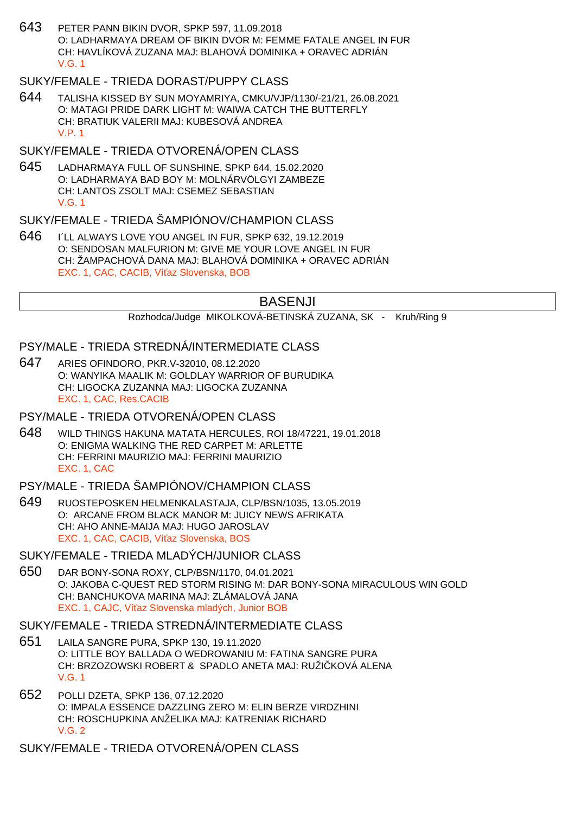643 PETER PANN BIKIN DVOR, SPKP 597, 11.09.2018 O: LADHARMAYA DREAM OF BIKIN DVOR M: FEMME FATALE ANGEL IN FUR CH: HAVLÍKOVÁ ZUZANA MAJ: BLAHOVÁ DOMINIKA + ORAVEC ADRIÁN V.G. 1

## SUKY/FEMALE - TRIEDA DORAST/PUPPY CLASS

644 TALISHA KISSED BY SUN MOYAMRIYA, CMKU/VJP/1130/-21/21, 26.08.2021 O: MATAGI PRIDE DARK LIGHT M: WAIWA CATCH THE BUTTERFLY CH: BRATIUK VALERII MAJ: KUBESOVÁ ANDREA V.P. 1

## SUKY/FEMALE - TRIEDA OTVORENÁ/OPEN CLASS

645 LADHARMAYA FULL OF SUNSHINE, SPKP 644, 15.02.2020 O: LADHARMAYA BAD BOY M: MOLNÁRVÖLGYI ZAMBEZE CH: LANTOS ZSOLT MAJ: CSEMEZ SEBASTIAN V.G. 1

## SUKY/FEMALE - TRIEDA ŠAMPIÓNOV/CHAMPION CLASS

646 I´LL ALWAYS LOVE YOU ANGEL IN FUR, SPKP 632, 19.12.2019 O: SENDOSAN MALFURION M: GIVE ME YOUR LOVE ANGEL IN FUR CH: ŽAMPACHOVÁ DANA MAJ: BLAHOVÁ DOMINIKA + ORAVEC ADRIÁN EXC. 1, CAC, CACIB, Ví az Slovenska, BOB

### BASENJI

Rozhodca/Judge MIKOLKOVÁ-BETINSKÁ ZUZANA, SK - Kruh/Ring 9

#### PSY/MALE - TRIEDA STREDNÁ/INTERMEDIATE CLASS

647 ARIES OFINDORO, PKR.V-32010, 08.12.2020 O: WANYIKA MAALIK M: GOLDLAY WARRIOR OF BURUDIKA CH: LIGOCKA ZUZANNA MAJ: LIGOCKA ZUZANNA EXC. 1, CAC, Res.CACIB

#### PSY/MALE - TRIEDA OTVORENÁ/OPEN CLASS

648 WILD THINGS HAKUNA MATATA HERCULES, ROI 18/47221, 19.01.2018 O: ENIGMA WALKING THE RED CARPET M: ARLETTE CH: FERRINI MAURIZIO MAJ: FERRINI MAURIZIO EXC. 1, CAC

## PSY/MALE - TRIEDA ŠAMPIÓNOV/CHAMPION CLASS

649 RUOSTEPOSKEN HELMENKALASTAJA, CLP/BSN/1035, 13.05.2019 O: ARCANE FROM BLACK MANOR M: JUICY NEWS AFRIKATA CH: AHO ANNE-MAIJA MAJ: HUGO JAROSLAV EXC. 1, CAC, CACIB, Ví az Slovenska, BOS

#### SUKY/FEMALE - TRIEDA MLADÝCH/JUNIOR CLASS

650 DAR BONY-SONA ROXY, CLP/BSN/1170, 04.01.2021 O: JAKOBA C-QUEST RED STORM RISING M: DAR BONY-SONA MIRACULOUS WIN GOLD CH: BANCHUKOVA MARINA MAJ: ZLÁMALOVÁ JANA EXC. 1, CAJC. Ví az Slovenska mladých, Junior BOB

#### SUKY/FEMALE - TRIEDA STREDNÁ/INTERMEDIATE CLASS

- 651 LAILA SANGRE PURA, SPKP 130, 19.11.2020 O: LITTLE BOY BALLADA O WEDROWANIU M: FATINA SANGRE PURA CH: BRZOZOWSKI ROBERT & SPADLO ANETA MAJ: RUŽIČKOVÁ ALENA V.G. 1
- 652 POLLI DZETA, SPKP 136, 07.12.2020 O: IMPALA ESSENCE DAZZLING ZERO M: ELIN BERZE VIRDZHINI CH: ROSCHUPKINA ANŽELIKA MAJ: KATRENIAK RICHARD V.G. 2

SUKY/FEMALE - TRIEDA OTVORENÁ/OPEN CLASS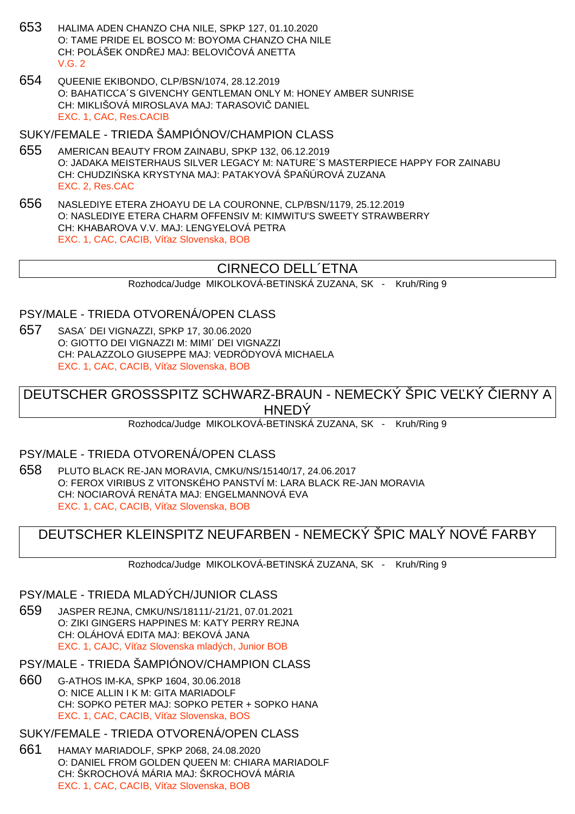- 653 HALIMA ADEN CHANZO CHA NILE, SPKP 127, 01.10.2020 O: TAME PRIDE EL BOSCO M: BOYOMA CHANZO CHA NILE CH: POLÁŠEK ONDŘEJ MAJ: BELOVIŘOVÁ ANETTA  $V$  G  $2$
- 654 QUEENIE EKIBONDO, CLP/BSN/1074, 28.12.2019 O: BAHATICCA´S GIVENCHY GENTLEMAN ONLY M: HONEY AMBER SUNRISE CH: MIKLIŠOVÁ MIROSLAVA MAJ: TARASOVI DANIEL EXC. 1, CAC, Res.CACIB

#### SUKY/FEMALE - TRIEDA ŠAMPIÓNOV/CHAMPION CLASS

- 655 AMERICAN BEAUTY FROM ZAINABU, SPKP 132, 06.12.2019 O: JADAKA MEISTERHAUS SILVER LEGACY M: NATURE´S MASTERPIECE HAPPY FOR ZAINABU CH: CHUDZI SKA KRYSTYNA MAJ: PATAKYOVÁ ŠPA ÚROVÁ ZUZANA EXC. 2, Res.CAC
- 656 NASLEDIYE ETERA ZHOAYU DE LA COURONNE, CLP/BSN/1179, 25.12.2019 O: NASLEDIYE ETERA CHARM OFFENSIV M: KIMWITU'S SWEETY STRAWBERRY CH: KHABAROVA V.V. MAJ: LENGYELOVÁ PETRA EXC. 1, CAC, CACIB, Ví az Slovenska, BOB

## CIRNECO DELL´ETNA

Rozhodca/Judge MIKOLKOVÁ-BETINSKÁ ZUZANA, SK - Kruh/Ring 9

#### PSY/MALE - TRIEDA OTVORENÁ/OPEN CLASS

657 SASA´ DEI VIGNAZZI, SPKP 17, 30.06.2020 O: GIOTTO DEI VIGNAZZI M: MIMI´ DEI VIGNAZZI CH: PALAZZOLO GIUSEPPE MAJ: VEDRÖDYOVÁ MICHAELA EXC. 1, CAC, CACIB, Ví az Slovenska, BOB

DEUTSCHER GROSSSPITZ SCHWARZ-BRAUN - NEMECKÝ ŠPIC VEĽKÝ LIERNY A **HNEDÝ** 

Rozhodca/Judge MIKOLKOVÁ-BETINSKÁ ZUZANA, SK - Kruh/Ring 9

#### PSY/MALE - TRIEDA OTVORENÁ/OPEN CLASS

658 PLUTO BLACK RE-JAN MORAVIA, CMKU/NS/15140/17, 24.06.2017 O: FEROX VIRIBUS Z VITONSKÉHO PANSTVÍ M: LARA BLACK RE-JAN MORAVIA CH: NOCIAROVÁ RENÁTA MAJ: ENGELMANNOVÁ EVA EXC. 1, CAC, CACIB, Ví az Slovenska, BOB

## DEUTSCHER KLEINSPITZ NEUFARBEN - NEMECKÝ ŠPIC MALÝ NOVÉ FARBY

Rozhodca/Judge MIKOLKOVÁ-BETINSKÁ ZUZANA, SK - Kruh/Ring 9

#### PSY/MALE - TRIEDA MLADÝCH/JUNIOR CLASS

659 JASPER REJNA, CMKU/NS/18111/-21/21, 07.01.2021 O: ZIKI GINGERS HAPPINES M: KATY PERRY REJNA CH: OLÁHOVÁ EDITA MAJ: BEKOVÁ JANA EXC. 1, CAJC, Ví az Slovenska mladých, Junior BOB

#### PSY/MALE - TRIEDA ŠAMPIÓNOV/CHAMPION CLASS

660 G-ATHOS IM-KA, SPKP 1604, 30.06.2018 O: NICE ALLIN I K M: GITA MARIADOLF CH: SOPKO PETER MAJ: SOPKO PETER + SOPKO HANA EXC. 1, CAC, CACIB, Ví az Slovenska, BOS

## SUKY/FEMALE - TRIEDA OTVORENÁ/OPEN CLASS

661 HAMAY MARIADOLF, SPKP 2068, 24.08.2020 O: DANIEL FROM GOLDEN QUEEN M: CHIARA MARIADOLF CH: ŠKROCHOVÁ MÁRIA MAJ: ŠKROCHOVÁ MÁRIA EXC. 1, CAC, CACIB, Ví az Slovenska, BOB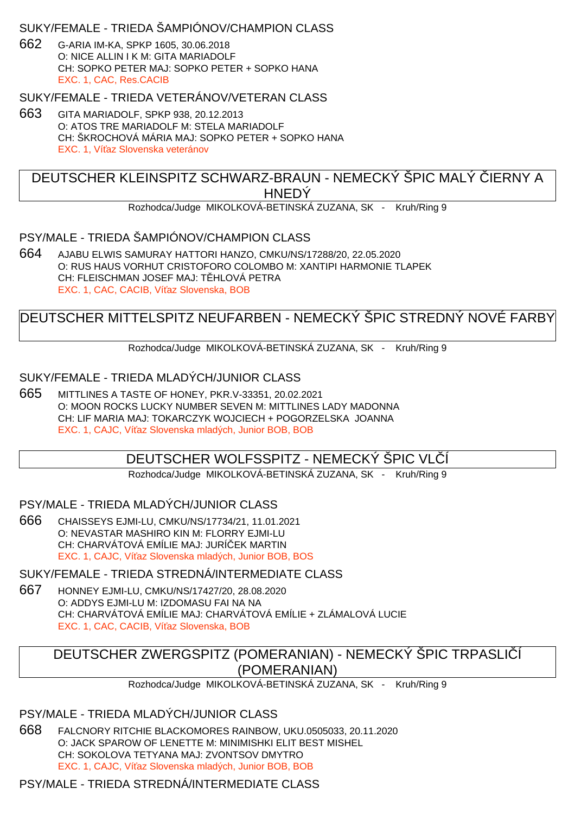### SUKY/FEMALE - TRIEDA ŠAMPIÓNOV/CHAMPION CLASS

662 G-ARIA IM-KA, SPKP 1605, 30.06.2018 O: NICE ALLIN I K M: GITA MARIADOLF CH: SOPKO PETER MAJ: SOPKO PETER + SOPKO HANA EXC. 1, CAC, Res.CACIB

SUKY/FEMALE - TRIEDA VETERÁNOV/VETERAN CLASS

663 GITA MARIADOLF, SPKP 938, 20.12.2013 O: ATOS TRE MARIADOLF M: STELA MARIADOLF CH: ŠKROCHOVÁ MÁRIA MAJ: SOPKO PETER + SOPKO HANA EXC. 1, Ví az Slovenska veteránov

## DEUTSCHER KLEINSPITZ SCHWARZ-BRAUN - NEMECKÝ ŠPIC MALÝ LERNY A **HNEDY**

Rozhodca/Judge MIKOLKOVÁ-BETINSKÁ ZUZANA, SK - Kruh/Ring 9

### PSY/MALE - TRIEDA ŠAMPIÓNOV/CHAMPION CLASS

664 AJABU ELWIS SAMURAY HATTORI HANZO, CMKU/NS/17288/20, 22.05.2020 O: RUS HAUS VORHUT CRISTOFORO COLOMBO M: XANTIPI HARMONIE TLAPEK CH: FLEISCHMAN JOSEF MAJ: THLOVÁ PETRA EXC. 1, CAC, CACIB, Ví az Slovenska, BOB

# DEUTSCHER MITTELSPITZ NEUFARBEN - NEMECKÝ ŠPIC STREDNÝ NOVÉ FARBY

Rozhodca/Judge MIKOLKOVÁ-BETINSKÁ ZUZANA, SK - Kruh/Ring 9

### SUKY/FEMALE - TRIEDA MLADÝCH/JUNIOR CLASS

665 MITTLINES A TASTE OF HONEY, PKR.V-33351, 20.02.2021 O: MOON ROCKS LUCKY NUMBER SEVEN M: MITTLINES LADY MADONNA CH: LIF MARIA MAJ: TOKARCZYK WOJCIECH + POGORZELSKA JOANNA EXC. 1, CAJC, Ví az Slovenska mladých, Junior BOB, BOB

## DEUTSCHER WOLFSSPITZ - NEMECKÝ ŠPIC VLČÍ

Rozhodca/Judge MIKOLKOVÁ-BETINSKÁ ZUZANA, SK - Kruh/Ring 9

#### PSY/MALE - TRIEDA MLADÝCH/JUNIOR CLASS

666 CHAISSEYS EJMI-LU, CMKU/NS/17734/21, 11.01.2021 O: NEVASTAR MASHIRO KIN M: FLORRY EJMI-LU CH: CHARVÁTOVÁ EMÍLIE MAJ: JURÍ EK MARTIN EXC. 1, CAJC, Ví az Slovenska mladých, Junior BOB, BOS

SUKY/FEMALE - TRIEDA STREDNÁ/INTERMEDIATE CLASS

667 HONNEY EJMI-LU, CMKU/NS/17427/20, 28.08.2020 O: ADDYS EJMI-LU M: IZDOMASU FAI NA NA CH: CHARVÁTOVÁ EMÍLIE MAJ: CHARVÁTOVÁ EMÍLIE + ZLÁMALOVÁ LUCIE EXC. 1, CAC, CACIB, Ví az Slovenska, BOB

# DEUTSCHER ZWERGSPITZ (POMERANIAN) - NEMECKÝ ŠPIC TRPASLIČÍ (POMERANIAN)

Rozhodca/Judge MIKOLKOVÁ-BETINSKÁ ZUZANA, SK - Kruh/Ring 9

#### PSY/MALE - TRIEDA MLADÝCH/JUNIOR CLASS

668 FALCNORY RITCHIE BLACKOMORES RAINBOW, UKU.0505033, 20.11.2020 O: JACK SPAROW OF LENETTE M: MINIMISHKI ELIT BEST MISHEL CH: SOKOLOVA TETYANA MAJ: ZVONTSOV DMYTRO EXC. 1, CAJC, Ví az Slovenska mladých, Junior BOB, BOB

#### PSY/MALE - TRIEDA STREDNÁ/INTERMEDIATE CLASS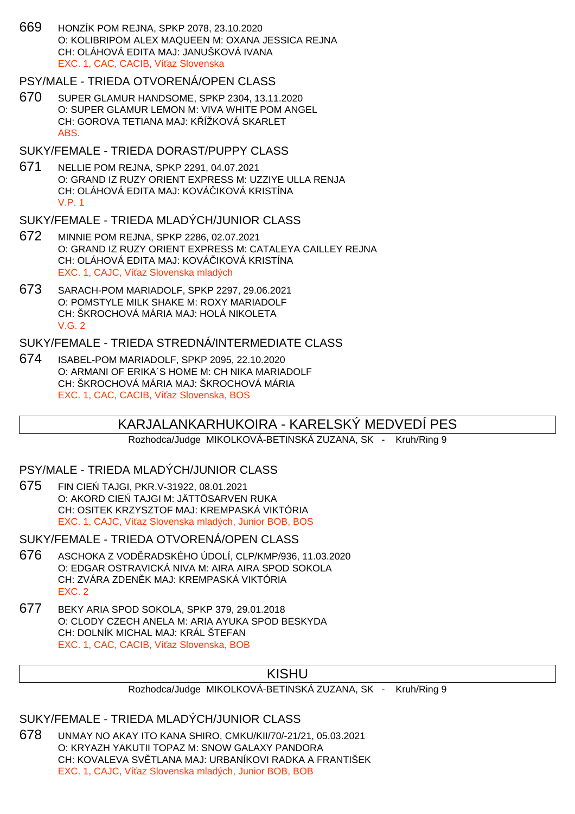669 HONZÍK POM REJNA, SPKP 2078, 23.10.2020 O: KOLIBRIPOM ALEX MAQUEEN M: OXANA JESSICA REJNA CH: OLÁHOVÁ EDITA MAJ: JANUŠKOVÁ IVANA EXC. 1, CAC, CACIB, Ví az Slovenska

#### PSY/MALE - TRIEDA OTVORENÁ/OPEN CLASS

670 SUPER GLAMUR HANDSOME, SPKP 2304, 13.11.2020 O: SUPER GLAMUR LEMON M: VIVA WHITE POM ANGEL CH: GOROVA TETIANA MAJ: K ÍŽKOVÁ SKARLET ABS.

#### SUKY/FEMALE - TRIEDA DORAST/PUPPY CLASS

671 NELLIE POM REJNA, SPKP 2291, 04.07.2021 O: GRAND IZ RUZY ORIENT EXPRESS M: UZZIYE ULLA RENJA CH: OLÁHOVÁ EDITA MAJ: KOVÁ IKOVÁ KRISTÍNA V.P. 1

#### SUKY/FEMALE - TRIEDA MLADÝCH/JUNIOR CLASS

- 672 MINNIE POM REJNA, SPKP 2286, 02.07.2021 O: GRAND IZ RUZY ORIENT EXPRESS M: CATALEYA CAILLEY REJNA CH: OLÁHOVÁ EDITA MAJ: KOVÁ IKOVÁ KRISTÍNA EXC. 1, CAJC. Ví az Slovenska mladých
- 673 SARACH-POM MARIADOLF, SPKP 2297, 29.06.2021 O: POMSTYLE MILK SHAKE M: ROXY MARIADOLF CH: ŠKROCHOVÁ MÁRIA MAJ: HOLÁ NIKOLETA  $V$  G  $2$

#### SUKY/FEMALE - TRIEDA STREDNÁ/INTERMEDIATE CLASS

674 ISABEL-POM MARIADOLF, SPKP 2095, 22.10.2020 O: ARMANI OF ERIKA´S HOME M: CH NIKA MARIADOLF CH: ŠKROCHOVÁ MÁRIA MAJ: ŠKROCHOVÁ MÁRIA EXC. 1, CAC, CACIB, Ví az Slovenska, BOS

## KARJALANKARHUKOIRA - KARELSKÝ MEDVEDÍ PES

Rozhodca/Judge MIKOLKOVÁ-BETINSKÁ ZUZANA, SK - Kruh/Ring 9

### PSY/MALE - TRIEDA MLADÝCH/JUNIOR CLASS

675 FIN CIEŃ TAJGI, PKR.V-31922, 08.01.2021 O: AKORD CIE TAJGI M: JÄTTÖSARVEN RUKA CH: OSITEK KRZYSZTOF MAJ: KREMPASKÁ VIKTÓRIA EXC. 1, CAJC, Ví az Slovenska mladých, Junior BOB, BOS

SUKY/FEMALE - TRIEDA OTVORENÁ/OPEN CLASS

- 676 ASCHOKA Z VODĚRADSKÉHO ÚDOLÍ, CLP/KMP/936, 11.03.2020 O: EDGAR OSTRAVICKÁ NIVA M: AIRA AIRA SPOD SOKOLA CH: ZVÁRA ZDEN K MAJ: KREMPASKÁ VIKTÓRIA EXC. 2
- 677 BEKY ARIA SPOD SOKOLA, SPKP 379, 29.01.2018 O: CLODY CZECH ANELA M: ARIA AYUKA SPOD BESKYDA CH: DOLNÍK MICHAL MAJ: KRÁL ŠTEFAN EXC. 1, CAC, CACIB, Ví az Slovenska, BOB

## KISHU

#### Rozhodca/Judge MIKOLKOVÁ-BETINSKÁ ZUZANA, SK - Kruh/Ring 9

#### SUKY/FEMALE - TRIEDA MLADÝCH/JUNIOR CLASS

678 UNMAY NO AKAY ITO KANA SHIRO, CMKU/KII/70/-21/21, 05.03.2021 O: KRYAZH YAKUTII TOPAZ M: SNOW GALAXY PANDORA CH: KOVALEVA SV TLANA MAJ: URBANÍKOVI RADKA A FRANTIŠEK EXC. 1, CAJC, Ví az Slovenska mladých, Junior BOB, BOB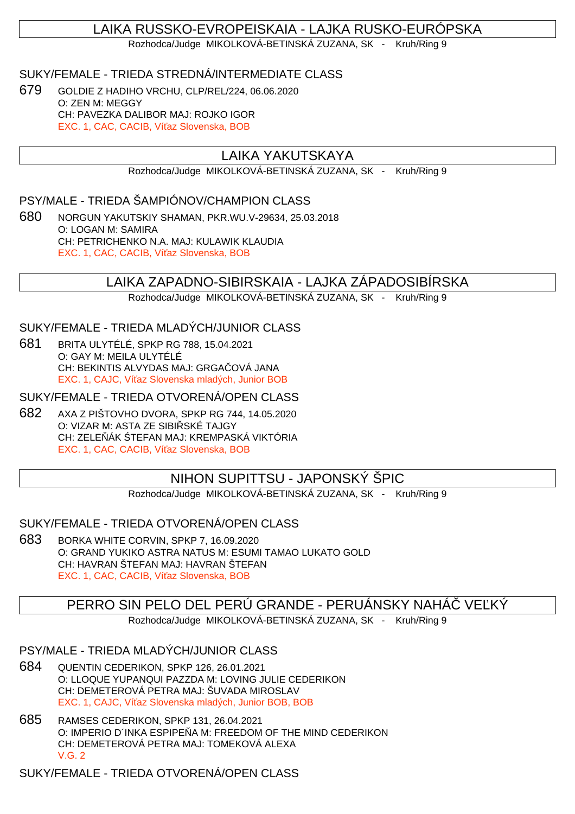# LAIKA RUSSKO-EVROPEISKAIA - LAJKA RUSKO-EURÓPSKA

Rozhodca/Judge MIKOLKOVÁ-BETINSKÁ ZUZANA, SK - Kruh/Ring 9

### SUKY/FEMALE - TRIEDA STREDNÁ/INTERMEDIATE CLASS

679 GOLDIE Z HADIHO VRCHU, CLP/REL/224, 06.06.2020 O: ZEN M: MEGGY CH: PAVEZKA DALIBOR MAJ: ROJKO IGOR EXC. 1, CAC, CACIB, Ví az Slovenska, BOB

## LAIKA YAKUTSKAYA

Rozhodca/Judge MIKOLKOVÁ-BETINSKÁ ZUZANA, SK - Kruh/Ring 9

## PSY/MALE - TRIEDA ŠAMPIÓNOV/CHAMPION CLASS

680 NORGUN YAKUTSKIY SHAMAN, PKR.WU.V-29634, 25.03.2018 O: LOGAN M: SAMIRA CH: PETRICHENKO N.A. MAJ: KULAWIK KLAUDIA EXC. 1, CAC, CACIB, Ví az Slovenska, BOB

### LAIKA ZAPADNO-SIBIRSKAIA - LAJKA ZÁPADOSIBÍRSKA

Rozhodca/Judge MIKOLKOVÁ-BETINSKÁ ZUZANA, SK - Kruh/Ring 9

SUKY/FEMALE - TRIEDA MLADÝCH/JUNIOR CLASS

681 BRITA ULYTÉLÉ, SPKP RG 788, 15.04.2021 O: GAY M: MEILA ULYTÉLÉ CH: BEKINTIS ALVYDAS MAJ: GRGA OVÁ JANA EXC. 1, CAJC, Ví az Slovenska mladých, Junior BOB

SUKY/FEMALE - TRIEDA OTVORENÁ/OPEN CLASS

682 AXA Z PIŠTOVHO DVORA, SPKP RG 744, 14.05.2020 O: VIZAR M: ASTA ZE SIBI SKÉ TAJGY CH: ZELE ÁK TEFAN MAJ: KREMPASKÁ VIKTÓRIA EXC. 1, CAC, CACIB, Ví az Slovenska, BOB

## NIHON SUPITTSU - JAPONSKÝ ŠPIC

Rozhodca/Judge MIKOLKOVÁ-BETINSKÁ ZUZANA, SK - Kruh/Ring 9

#### SUKY/FEMALE - TRIEDA OTVORENÁ/OPEN CLASS

683 BORKA WHITE CORVIN, SPKP 7, 16.09.2020 O: GRAND YUKIKO ASTRA NATUS M: ESUMI TAMAO LUKATO GOLD CH: HAVRAN ŠTEFAN MAJ: HAVRAN ŠTEFAN EXC. 1, CAC, CACIB, Ví az Slovenska, BOB

PERRO SIN PELO DEL PERÚ GRANDE - PERUÁNSKY NAHÁ $\;\;\;$ VE $\;$ KÝ

Rozhodca/Judge MIKOLKOVÁ-BETINSKÁ ZUZANA, SK - Kruh/Ring 9

#### PSY/MALE - TRIEDA MLADÝCH/JUNIOR CLASS

- 684 QUENTIN CEDERIKON, SPKP 126, 26.01.2021 O: LLOQUE YUPANQUI PAZZDA M: LOVING JULIE CEDERIKON CH: DEMETEROVÁ PETRA MAJ: ŠUVADA MIROSLAV EXC. 1, CAJC, Ví az Slovenska mladých, Junior BOB, BOB
- 685 RAMSES CEDERIKON, SPKP 131, 26.04.2021 O: IMPERIO D'INKA ESPIPE A M: FREEDOM OF THE MIND CEDERIKON CH: DEMETEROVÁ PETRA MAJ: TOMEKOVÁ ALEXA V.G. 2

SUKY/FEMALE - TRIEDA OTVORENÁ/OPEN CLASS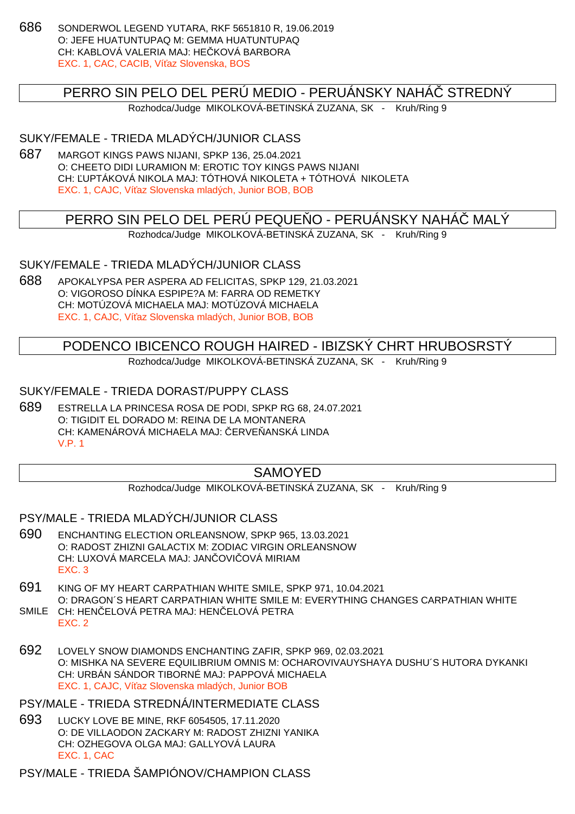686 SONDERWOL LEGEND YUTARA, RKF 5651810 R, 19.06.2019 O: JEFE HUATUNTUPAQ M: GEMMA HUATUNTUPAQ CH: KABLOVÁ VALERIA MAJ: HE KOVÁ BARBORA EXC. 1, CAC, CACIB, Ví az Slovenska, BOS

### PERRO SIN PELO DEL PERÚ MEDIO - PERUÁNSKY NAHÁ STREDNÝ

Rozhodca/Judge MIKOLKOVÁ-BETINSKÁ ZUZANA, SK - Kruh/Ring 9

### SUKY/FEMALE - TRIEDA MLADÝCH/JUNIOR CLASS

687 MARGOT KINGS PAWS NIJANI, SPKP 136, 25.04.2021 O: CHEETO DIDI LURAMION M: EROTIC TOY KINGS PAWS NIJANI CH: ĽUPTÁKOVÁ NIKOLA MAJ: TÓTHOVÁ NIKOLETA + TÓTHOVÁ NIKOLETA EXC. 1, CAJC, Ví az Slovenska mladých, Junior BOB, BOB

## PERRO SIN PELO DEL PERÚ PEQUE O - PERUÁNSKY NAHÁ MALÝ

Rozhodca/Judge MIKOLKOVÁ-BETINSKÁ ZUZANA, SK - Kruh/Ring 9

SUKY/FEMALE - TRIEDA MLADÝCH/JUNIOR CLASS

688 APOKALYPSA PER ASPERA AD FELICITAS, SPKP 129, 21.03.2021 O: VIGOROSO DÍNKA ESPIPE?A M: FARRA OD REMETKY CH: MOTÚZOVÁ MICHAELA MAJ: MOTÚZOVÁ MICHAELA EXC. 1, CAJC, Ví az Slovenska mladých, Junior BOB, BOB

## PODENCO IBICENCO ROUGH HAIRED - IBIZSKÝ CHRT HRUBOSRSTÝ

Rozhodca/Judge MIKOLKOVÁ-BETINSKÁ ZUZANA, SK - Kruh/Ring 9

#### SUKY/FEMALE - TRIEDA DORAST/PUPPY CLASS

689 ESTRELLA LA PRINCESA ROSA DE PODI, SPKP RG 68, 24.07.2021 O: TIGIDIT EL DORADO M: REINA DE LA MONTANERA CH: KAMENÁROVÁ MICHAELA MAJ: ERVE ANSKÁ LINDA V.P. 1

## SAMOYED

Rozhodca/Judge MIKOLKOVÁ-BETINSKÁ ZUZANA, SK - Kruh/Ring 9

#### PSY/MALE - TRIEDA MLADÝCH/JUNIOR CLASS

- 690 ENCHANTING ELECTION ORLEANSNOW, SPKP 965, 13.03.2021 O: RADOST ZHIZNI GALACTIX M: ZODIAC VIRGIN ORLEANSNOW CH: LUXOVÁ MARCELA MAJ: JANČOVIČOVÁ MIRIAM EXC. 3
- 691 KING OF MY HEART CARPATHIAN WHITE SMILE, SPKP 971, 10.04.2021 O: DRAGON´S HEART CARPATHIAN WHITE SMILE M: EVERYTHING CHANGES CARPATHIAN WHITE SMILE CH: HEN ELOVÁ PETRA MAJ: HEN ELOVÁ PETRA
- EXC. 2
- 692 LOVELY SNOW DIAMONDS ENCHANTING ZAFIR, SPKP 969, 02.03.2021 O: MISHKA NA SEVERE EQUILIBRIUM OMNIS M: OCHAROVIVAUYSHAYA DUSHU´S HUTORA DYKANKI CH: URBÁN SÁNDOR TIBORNÉ MAJ: PAPPOVÁ MICHAELA EXC. 1, CAJC. Ví az Slovenska mladých, Junior BOB

#### PSY/MALE - TRIEDA STREDNÁ/INTERMEDIATE CLASS

693 LUCKY LOVE BE MINE, RKF 6054505, 17.11.2020 O: DE VILLAODON ZACKARY M: RADOST ZHIZNI YANIKA CH: OZHEGOVA OLGA MAJ: GALLYOVÁ LAURA EXC. 1, CAC

PSY/MALE - TRIEDA ŠAMPIÓNOV/CHAMPION CLASS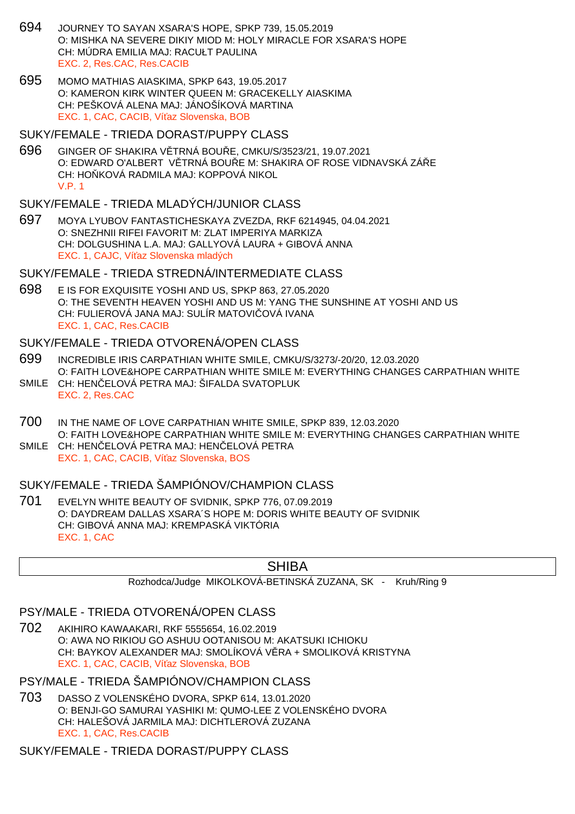- 694 JOURNEY TO SAYAN XSARA'S HOPE, SPKP 739, 15.05.2019 O: MISHKA NA SEVERE DIKIY MIOD M: HOLY MIRACLE FOR XSARA'S HOPE CH: MÚDRA EMILIA MAJ: RACUŁT PAULINA EXC. 2, Res.CAC, Res.CACIB
- 695 MOMO MATHIAS AIASKIMA, SPKP 643, 19.05.2017 O: KAMERON KIRK WINTER QUEEN M: GRACEKELLY AIASKIMA CH: PEŠKOVÁ ALENA MAJ: JÁNOŠÍKOVÁ MARTINA EXC. 1, CAC, CACIB, Ví az Slovenska, BOB
- SUKY/FEMALE TRIEDA DORAST/PUPPY CLASS
- 696 GINGER OF SHAKIRA V TRNÁ BOU E, CMKU/S/3523/21, 19.07.2021 O: EDWARD O'ALBERT V TRNÁ BOU E M: SHAKIRA OF ROSE VIDNAVSKÁ ZÁ E CH: HO KOVÁ RADMILA MAJ: KOPPOVÁ NIKOL V.P. 1

#### SUKY/FEMALE - TRIEDA MLADÝCH/JUNIOR CLASS

697 MOYA LYUBOV FANTASTICHESKAYA ZVEZDA, RKF 6214945, 04.04.2021 O: SNEZHNII RIFEI FAVORIT M: ZLAT IMPERIYA MARKIZA CH: DOLGUSHINA L.A. MAJ: GALLYOVÁ LAURA + GIBOVÁ ANNA EXC. 1, CAJC, Ví az Slovenska mladých

#### SUKY/FEMALE - TRIEDA STREDNÁ/INTERMEDIATE CLASS

698 E IS FOR EXQUISITE YOSHI AND US, SPKP 863, 27.05.2020 O: THE SEVENTH HEAVEN YOSHI AND US M: YANG THE SUNSHINE AT YOSHI AND US CH: FULIEROVÁ JANA MAJ: SULÍR MATOVI OVÁ IVANA EXC. 1, CAC, Res.CACIB

#### SUKY/FEMALE - TRIEDA OTVORENÁ/OPEN CLASS

- 699 INCREDIBLE IRIS CARPATHIAN WHITE SMILE, CMKU/S/3273/-20/20, 12.03.2020 O: FAITH LOVE&HOPE CARPATHIAN WHITE SMILE M: EVERYTHING CHANGES CARPATHIAN WHITE
- SMILE CH: HEN ELOVÁ PETRA MAJ: ŠIFALDA SVATOPLUK EXC. 2, Res.CAC
- 700 IN THE NAME OF LOVE CARPATHIAN WHITE SMILE, SPKP 839, 12.03.2020 O: FAITH LOVE&HOPE CARPATHIAN WHITE SMILE M: EVERYTHING CHANGES CARPATHIAN WHITE
- SMILE CH: HEN ELOVÁ PETRA MAJ: HEN ELOVÁ PETRA EXC. 1, CAC, CACIB, Ví az Slovenska, BOS

## SUKY/FEMALE - TRIEDA ŠAMPIÓNOV/CHAMPION CLASS

701 EVELYN WHITE BEAUTY OF SVIDNIK, SPKP 776, 07.09.2019 O: DAYDREAM DALLAS XSARA´S HOPE M: DORIS WHITE BEAUTY OF SVIDNIK CH: GIBOVÁ ANNA MAJ: KREMPASKÁ VIKTÓRIA EXC. 1, CAC

#### SHIBA

#### Rozhodca/Judge MIKOLKOVÁ-BETINSKÁ ZUZANA, SK - Kruh/Ring 9

## PSY/MALE - TRIEDA OTVORENÁ/OPEN CLASS

702 AKIHIRO KAWAAKARI, RKF 5555654, 16.02.2019 O: AWA NO RIKIOU GO ASHUU OOTANISOU M: AKATSUKI ICHIOKU CH: BAYKOV ALEXANDER MAJ: SMOLÍKOVÁ V RA + SMOLIKOVÁ KRISTYNA EXC. 1, CAC, CACIB, Ví az Slovenska, BOB

## PSY/MALE - TRIEDA ŠAMPIÓNOV/CHAMPION CLASS

703 DASSO Z VOLENSKÉHO DVORA, SPKP 614, 13.01.2020 O: BENJI-GO SAMURAI YASHIKI M: QUMO-LEE Z VOLENSKÉHO DVORA CH: HALEŠOVÁ JARMILA MAJ: DICHTLEROVÁ ZUZANA EXC. 1, CAC, Res.CACIB

## SUKY/FEMALE - TRIEDA DORAST/PUPPY CLASS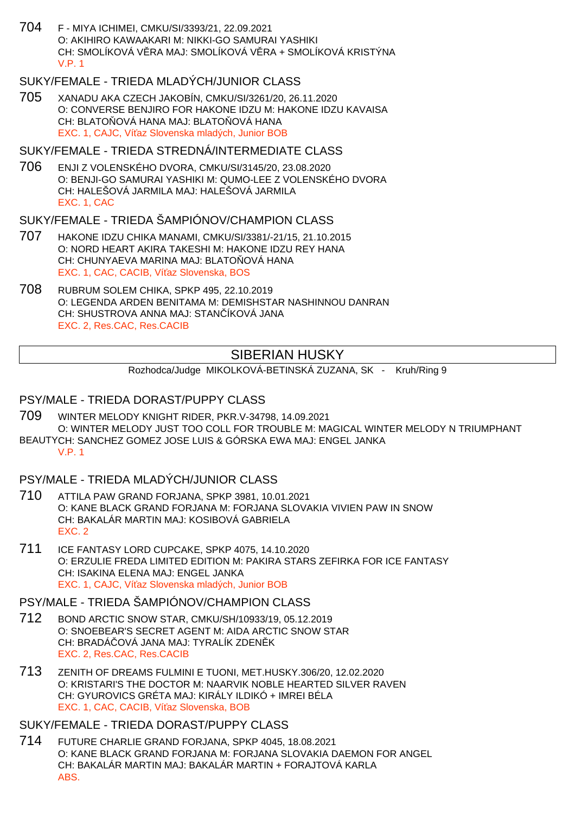704 F - MIYA ICHIMEI, CMKU/SI/3393/21, 22.09.2021 O: AKIHIRO KAWAAKARI M: NIKKI-GO SAMURAI YASHIKI CH: SMOLÍKOVÁ VERA MAJ: SMOLÍKOVÁ VERA + SMOLÍKOVÁ KRISTÝNA V.P. 1

## SUKY/FEMALE - TRIEDA MLADÝCH/JUNIOR CLASS

705 XANADU AKA CZECH JAKOBÍN, CMKU/SI/3261/20, 26.11.2020 O: CONVERSE BENJIRO FOR HAKONE IDZU M: HAKONE IDZU KAVAISA CH: BLATO OVÁ HANA MAJ: BLATO OVÁ HANA EXC. 1, CAJC. Ví az Slovenska mladých, Junior BOB

#### SUKY/FEMALE - TRIEDA STREDNÁ/INTERMEDIATE CLASS

706 ENJI Z VOLENSKÉHO DVORA, CMKU/SI/3145/20, 23.08.2020 O: BENJI-GO SAMURAI YASHIKI M: QUMO-LEE Z VOLENSKÉHO DVORA CH: HALEŠOVÁ JARMILA MAJ: HALEŠOVÁ JARMILA EXC. 1, CAC

#### SUKY/FEMALE - TRIEDA ŠAMPIÓNOV/CHAMPION CLASS

- 707 HAKONE IDZU CHIKA MANAMI, CMKU/SI/3381/-21/15, 21.10.2015 O: NORD HEART AKIRA TAKESHI M: HAKONE IDZU REY HANA CH: CHUNYAEVA MARINA MAJ: BLATO OVÁ HANA EXC. 1, CAC, CACIB, Ví az Slovenska, BOS
- 708 RUBRUM SOLEM CHIKA, SPKP 495, 22.10.2019 O: LEGENDA ARDEN BENITAMA M: DEMISHSTAR NASHINNOU DANRAN CH: SHUSTROVA ANNA MAJ: STAN ÍKOVÁ JANA EXC. 2, Res.CAC, Res.CACIB

## SIBERIAN HUSKY

Rozhodca/Judge MIKOLKOVÁ-BETINSKÁ ZUZANA, SK - Kruh/Ring 9

### PSY/MALE - TRIEDA DORAST/PUPPY CLASS

- 709 WINTER MELODY KNIGHT RIDER, PKR.V-34798, 14.09.2021 O: WINTER MELODY JUST TOO COLL FOR TROUBLE M: MAGICAL WINTER MELODY N TRIUMPHANT
- BEAUTYCH: SANCHEZ GOMEZ JOSE LUIS & GÓRSKA EWA MAJ: ENGEL JANKA V.P. 1

#### PSY/MALE - TRIEDA MLADÝCH/JUNIOR CLASS

- 710 ATTILA PAW GRAND FORJANA, SPKP 3981, 10.01.2021 O: KANE BLACK GRAND FORJANA M: FORJANA SLOVAKIA VIVIEN PAW IN SNOW CH: BAKALÁR MARTIN MAJ: KOSIBOVÁ GABRIELA EXC. 2
- 711 ICE FANTASY LORD CUPCAKE, SPKP 4075, 14.10.2020 O: ERZULIE FREDA LIMITED EDITION M: PAKIRA STARS ZEFIRKA FOR ICE FANTASY CH: ISAKINA ELENA MAJ: ENGEL JANKA EXC. 1, CAJC, Ví az Slovenska mladých, Junior BOB

## PSY/MALE - TRIEDA ŠAMPIÓNOV/CHAMPION CLASS

- 712 BOND ARCTIC SNOW STAR, CMKU/SH/10933/19, 05.12.2019 O: SNOEBEAR'S SECRET AGENT M: AIDA ARCTIC SNOW STAR CH: BRADÁ OVÁ JANA MAJ: TYRALÍK ZDEN K EXC. 2, Res.CAC, Res.CACIB
- 713 ZENITH OF DREAMS FULMINI E TUONI, MET.HUSKY.306/20, 12.02.2020 O: KRISTARI'S THE DOCTOR M: NAARVIK NOBLE HEARTED SILVER RAVEN CH: GYUROVICS GRÉTA MAJ: KIRÁLY ILDIKÓ + IMREI BÉLA EXC. 1, CAC, CACIB, Ví az Slovenska, BOB

SUKY/FEMALE - TRIEDA DORAST/PUPPY CLASS

714 FUTURE CHARLIE GRAND FORJANA, SPKP 4045, 18.08.2021 O: KANE BLACK GRAND FORJANA M: FORJANA SLOVAKIA DAEMON FOR ANGEL CH: BAKALÁR MARTIN MAJ: BAKALÁR MARTIN + FORAJTOVÁ KARLA ABS.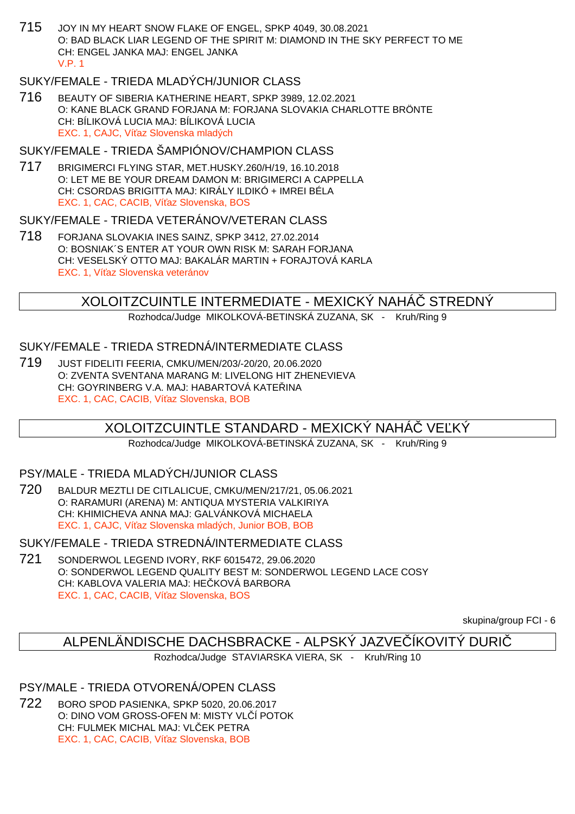715 JOY IN MY HEART SNOW FLAKE OF ENGEL, SPKP 4049, 30.08.2021 O: BAD BLACK LIAR LEGEND OF THE SPIRIT M: DIAMOND IN THE SKY PERFECT TO ME CH: ENGEL JANKA MAJ: ENGEL JANKA V.P. 1

## SUKY/FEMALE - TRIEDA MLADÝCH/JUNIOR CLASS

716 BEAUTY OF SIBERIA KATHERINE HEART, SPKP 3989, 12.02.2021 O: KANE BLACK GRAND FORJANA M: FORJANA SLOVAKIA CHARLOTTE BRÖNTE CH: BÍLIKOVÁ LUCIA MAJ: BÍLIKOVÁ LUCIA EXC. 1, CAJC. Ví az Slovenska mladých

### SUKY/FEMALE - TRIEDA ŠAMPIÓNOV/CHAMPION CLASS

717 BRIGIMERCI FLYING STAR, MET.HUSKY.260/H/19, 16.10.2018 O: LET ME BE YOUR DREAM DAMON M: BRIGIMERCI A CAPPELLA CH: CSORDAS BRIGITTA MAJ: KIRÁLY ILDIKÓ + IMREI BÉLA EXC. 1, CAC, CACIB, Ví az Slovenska, BOS

## SUKY/FEMALE - TRIEDA VETERÁNOV/VETERAN CLASS

718 FORJANA SLOVAKIA INES SAINZ, SPKP 3412, 27.02.2014 O: BOSNIAK´S ENTER AT YOUR OWN RISK M: SARAH FORJANA CH: VESELSKÝ OTTO MAJ: BAKALÁR MARTIN + FORAJTOVÁ KARLA EXC. 1, Ví az Slovenska veteránov

## XOLOITZCUINTLE INTERMEDIATE - MEXICKÝ NAHÁČ STREDNÝ

Rozhodca/Judge MIKOLKOVÁ-BETINSKÁ ZUZANA, SK - Kruh/Ring 9

#### SUKY/FEMALE - TRIEDA STREDNÁ/INTERMEDIATE CLASS

719 JUST FIDELITI FEERIA, CMKU/MEN/203/-20/20, 20.06.2020 O: ZVENTA SVENTANA MARANG M: LIVELONG HIT ZHENEVIEVA CH: GOYRINBERG V.A. MAJ: HABARTOVÁ KATE INA EXC. 1, CAC, CACIB, Ví az Slovenska, BOB

## XOLOITZCUINTLE STANDARD - MEXICKÝ NAHÁ $\;$  ve KÝ

Rozhodca/Judge MIKOLKOVÁ-BETINSKÁ ZUZANA, SK - Kruh/Ring 9

### PSY/MALE - TRIEDA MLADÝCH/JUNIOR CLASS

720 BALDUR MEZTLI DE CITLALICUE, CMKU/MEN/217/21, 05.06.2021 O: RARAMURI (ARENA) M: ANTIQUA MYSTERIA VALKIRIYA CH: KHIMICHEVA ANNA MAJ: GALVÁNKOVÁ MICHAELA EXC. 1, CAJC, Ví az Slovenska mladých, Junior BOB, BOB

SUKY/FEMALE - TRIEDA STREDNÁ/INTERMEDIATE CLASS

721 SONDERWOL LEGEND IVORY, RKF 6015472, 29.06.2020 O: SONDERWOL LEGEND QUALITY BEST M: SONDERWOL LEGEND LACE COSY CH: KABLOVA VALERIA MAJ: HE KOVÁ BARBORA EXC. 1, CAC, CACIB, Ví az Slovenska, BOS

skupina/group FCI - 6

## ALPENLÄNDISCHE DACHSBRACKE - ALPSKÝ JAZVEČÍKOVITÝ DURIČ

Rozhodca/Judge STAVIARSKA VIERA, SK - Kruh/Ring 10

#### PSY/MALE - TRIEDA OTVORENÁ/OPEN CLASS

722 BORO SPOD PASIENKA, SPKP 5020, 20.06.2017 O: DINO VOM GROSS-OFEN M: MISTY VL Í POTOK CH: FULMEK MICHAL MAJ: VL EK PETRA EXC. 1, CAC, CACIB, Ví az Slovenska, BOB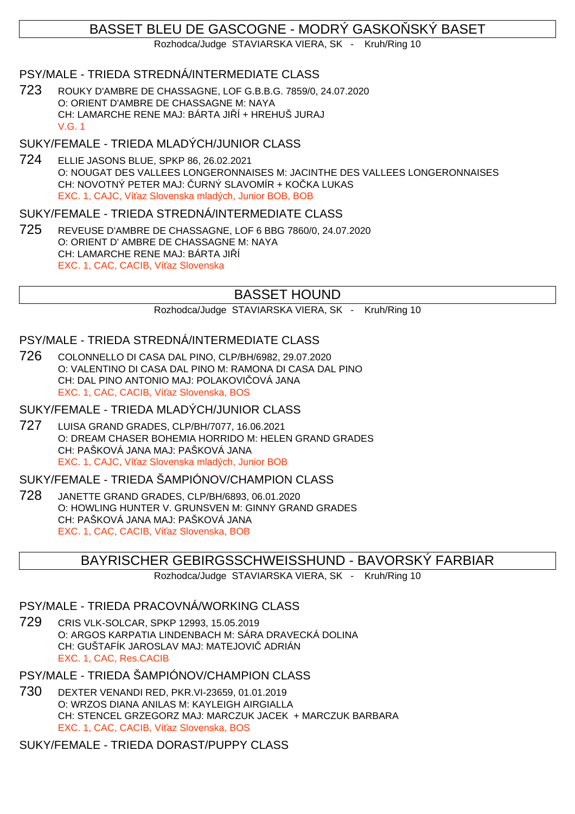# BASSET BLEU DE GASCOGNE - MODRÝ GASKO SKÝ BASET

Rozhodca/Judge STAVIARSKA VIERA, SK - Kruh/Ring 10

## PSY/MALE - TRIEDA STREDNÁ/INTERMEDIATE CLASS

723 ROUKY D'AMBRE DE CHASSAGNE, LOF G.B.B.G. 7859/0, 24.07.2020 O: ORIENT D'AMBRE DE CHASSAGNE M: NAYA CH: LAMARCHE RENE MAJ: BÁRTA JI Í + HREHUŠ JURAJ V.G. 1

# SUKY/FEMALE - TRIEDA MLADÝCH/JUNIOR CLASS

724 ELLIE JASONS BLUE, SPKP 86, 26.02.2021 O: NOUGAT DES VALLEES LONGERONNAISES M: JACINTHE DES VALLEES LONGERONNAISES CH: NOVOTNÝ PETER MAJ: URNÝ SLAVOMÍR + KO KA LUKAS EXC. 1, CAJC, Ví az Slovenska mladých, Junior BOB, BOB

## SUKY/FEMALE - TRIEDA STREDNÁ/INTERMEDIATE CLASS

725 REVEUSE D'AMBRE DE CHASSAGNE, LOF 6 BBG 7860/0, 24.07.2020 O: ORIENT D' AMBRE DE CHASSAGNE M: NAYA CH: LAMARCHE RENE MAJ: BÁRTA JI Í EXC. 1, CAC, CACIB, Ví az Slovenska

# BASSET HOUND

Rozhodca/Judge STAVIARSKA VIERA, SK - Kruh/Ring 10

## PSY/MALE - TRIEDA STREDNÁ/INTERMEDIATE CLASS

726 COLONNELLO DI CASA DAL PINO, CLP/BH/6982, 29.07.2020 O: VALENTINO DI CASA DAL PINO M: RAMONA DI CASA DAL PINO CH: DAL PINO ANTONIO MAJ: POLAKOVI OVÁ JANA EXC. 1, CAC, CACIB, Ví az Slovenska, BOS

### SUKY/FEMALE - TRIEDA MLADÝCH/JUNIOR CLASS

727 LUISA GRAND GRADES, CLP/BH/7077, 16.06.2021 O: DREAM CHASER BOHEMIA HORRIDO M: HELEN GRAND GRADES CH: PAŠKOVÁ JANA MAJ: PAŠKOVÁ JANA EXC. 1, CAJC, Ví az Slovenska mladých, Junior BOB

### SUKY/FEMALE - TRIEDA ŠAMPIÓNOV/CHAMPION CLASS

728 JANETTE GRAND GRADES, CLP/BH/6893, 06.01.2020 O: HOWLING HUNTER V. GRUNSVEN M: GINNY GRAND GRADES CH: PAŠKOVÁ JANA MAJ: PAŠKOVÁ JANA EXC. 1, CAC, CACIB, Ví az Slovenska, BOB

## BAYRISCHER GEBIRGSSCHWEISSHUND - BAVORSKÝ FARBIAR

Rozhodca/Judge STAVIARSKA VIERA, SK - Kruh/Ring 10

# PSY/MALE - TRIEDA PRACOVNÁ/WORKING CLASS

729 CRIS VLK-SOLCAR, SPKP 12993, 15.05.2019 O: ARGOS KARPATIA LINDENBACH M: SÁRA DRAVECKÁ DOLINA CH: GUŠTAFÍK JAROSLAV MAJ: MATEJOVIČ ADRIÁN EXC. 1, CAC, Res.CACIB

## PSY/MALE - TRIEDA ŠAMPIÓNOV/CHAMPION CLASS

730 DEXTER VENANDI RED, PKR.VI-23659, 01.01.2019 O: WRZOS DIANA ANILAS M: KAYLEIGH AIRGIALLA CH: STENCEL GRZEGORZ MAJ: MARCZUK JACEK + MARCZUK BARBARA EXC. 1, CAC, CACIB, Ví az Slovenska, BOS

## SUKY/FEMALE - TRIEDA DORAST/PUPPY CLASS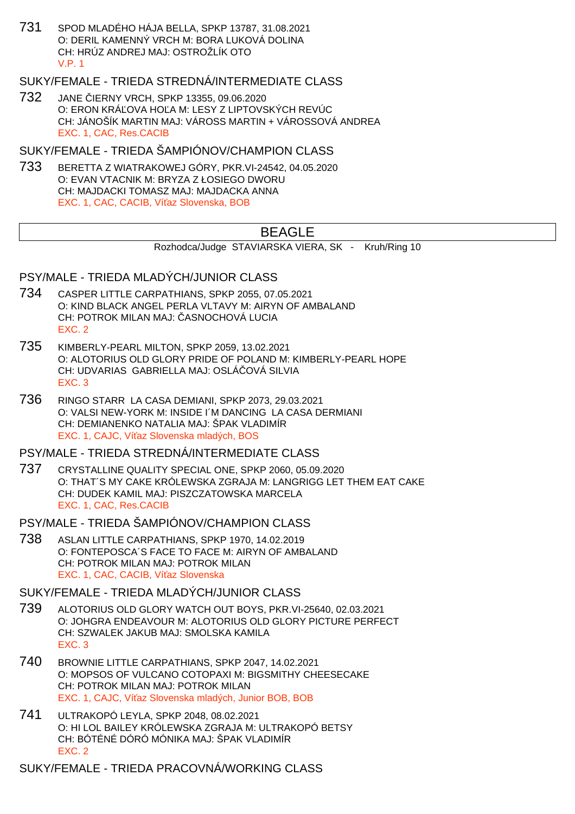731 SPOD MLADÉHO HÁJA BELLA, SPKP 13787, 31.08.2021 O: DERIL KAMENNÝ VRCH M: BORA LUKOVÁ DOLINA CH: HRÚZ ANDREJ MAJ: OSTROŽLÍK OTO V.P. 1

## SUKY/FEMALE - TRIEDA STREDNÁ/INTERMEDIATE CLASS

732 JANE JERNY VRCH, SPKP 13355, 09.06.2020 O: ERON KRÁLOVA HOLA M: LESY Z LIPTOVSKÝCH REVÚC CH: JÁNOŠÍK MARTIN MAJ: VÁROSS MARTIN + VÁROSSOVÁ ANDREA EXC. 1, CAC, Res.CACIB

SUKY/FEMALE - TRIEDA ŠAMPIÓNOV/CHAMPION CLASS

733 BERETTA Z WIATRAKOWEJ GÓRY, PKR.VI-24542, 04.05.2020 O: EVAN VTACNIK M: BRYZA Z ŁOSIEGO DWORU CH: MAJDACKI TOMASZ MAJ: MAJDACKA ANNA EXC. 1, CAC, CACIB, Ví az Slovenska, BOB

# BEAGLE

```
Rozhodca/Judge STAVIARSKA VIERA, SK - Kruh/Ring 10
```
## PSY/MALE - TRIEDA MLADÝCH/JUNIOR CLASS

- 734 CASPER LITTLE CARPATHIANS, SPKP 2055, 07.05.2021 O: KIND BLACK ANGEL PERLA VLTAVY M: AIRYN OF AMBALAND CH: POTROK MILAN MAJ: ASNOCHOVÁ LUCIA EXC. 2
- 735 KIMBERLY-PEARL MILTON, SPKP 2059, 13.02.2021 O: ALOTORIUS OLD GLORY PRIDE OF POLAND M: KIMBERLY-PEARL HOPE CH: UDVARIAS GABRIELLA MAJ: OSLÁ OVÁ SILVIA EXC. 3
- 736 RINGO STARR LA CASA DEMIANI, SPKP 2073, 29.03.2021 O: VALSI NEW-YORK M: INSIDE I´M DANCING LA CASA DERMIANI CH: DEMIANENKO NATALIA MAJ: ŠPAK VLADIMÍR EXC. 1, CAJC, Ví az Slovenska mladých, BOS

#### PSY/MALE - TRIEDA STREDNÁ/INTERMEDIATE CLASS

737 CRYSTALLINE QUALITY SPECIAL ONE, SPKP 2060, 05.09.2020 O: THAT´S MY CAKE KRÓLEWSKA ZGRAJA M: LANGRIGG LET THEM EAT CAKE CH: DUDEK KAMIL MAJ: PISZCZATOWSKA MARCELA EXC. 1, CAC, Res.CACIB

PSY/MALE - TRIEDA ŠAMPIÓNOV/CHAMPION CLASS

738 ASLAN LITTLE CARPATHIANS, SPKP 1970, 14.02.2019 O: FONTEPOSCA´S FACE TO FACE M: AIRYN OF AMBALAND CH: POTROK MILAN MAJ: POTROK MILAN EXC. 1, CAC, CACIB, Ví az Slovenska

#### SUKY/FEMALE - TRIEDA MLADÝCH/JUNIOR CLASS

- 739 ALOTORIUS OLD GLORY WATCH OUT BOYS, PKR.VI-25640, 02.03.2021 O: JOHGRA ENDEAVOUR M: ALOTORIUS OLD GLORY PICTURE PERFECT CH: SZWALEK JAKUB MAJ: SMOLSKA KAMILA EXC. 3
- 740 BROWNIE LITTLE CARPATHIANS, SPKP 2047, 14.02.2021 O: MOPSOS OF VULCANO COTOPAXI M: BIGSMITHY CHEESECAKE CH: POTROK MILAN MAJ: POTROK MILAN EXC. 1, CAJC. Ví az Slovenska mladých, Junior BOB, BOB
- 741 ULTRAKOPÓ LEYLA, SPKP 2048, 08.02.2021 O: HI LOL BAILEY KRÓLEWSKA ZGRAJA M: ULTRAKOPÓ BETSY CH: BÓTÉNÉ DÓRÓ MÓNIKA MAJ: ŠPAK VLADIMÍR EXC. 2

SUKY/FEMALE - TRIEDA PRACOVNÁ/WORKING CLASS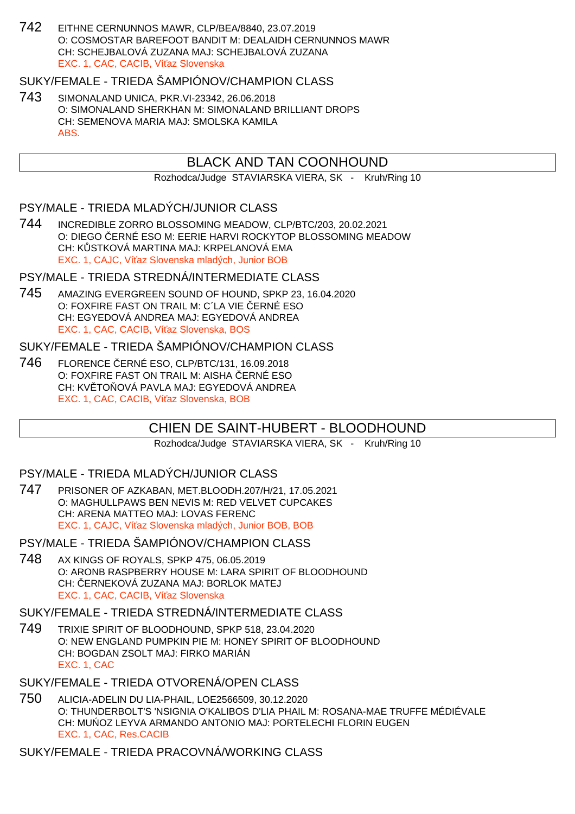742 EITHNE CERNUNNOS MAWR, CLP/BEA/8840, 23.07.2019 O: COSMOSTAR BAREFOOT BANDIT M: DEALAIDH CERNUNNOS MAWR CH: SCHEJBALOVÁ ZUZANA MAJ: SCHEJBALOVÁ ZUZANA EXC. 1, CAC, CACIB, Ví az Slovenska

## SUKY/FEMALE - TRIEDA ŠAMPIÓNOV/CHAMPION CLASS

743 SIMONALAND UNICA, PKR.VI-23342, 26.06.2018 O: SIMONALAND SHERKHAN M: SIMONALAND BRILLIANT DROPS CH: SEMENOVA MARIA MAJ: SMOLSKA KAMILA ABS.

## BLACK AND TAN COONHOUND

Rozhodca/Judge STAVIARSKA VIERA, SK - Kruh/Ring 10

## PSY/MALE - TRIEDA MLADÝCH/JUNIOR CLASS

744 INCREDIBLE ZORRO BLOSSOMING MEADOW, CLP/BTC/203, 20.02.2021 O: DIEGO ČERNÉ ESO M: EERIE HARVI ROCKYTOP BLOSSOMING MEADOW CH: K STKOVÁ MARTINA MAJ: KRPELANOVÁ EMA EXC. 1, CAJC, Ví az Slovenska mladých, Junior BOB

#### PSY/MALE - TRIEDA STREDNÁ/INTERMEDIATE CLASS

745 AMAZING EVERGREEN SOUND OF HOUND, SPKP 23, 16.04.2020 O: FOXFIRE FAST ON TRAIL M: C'LA VIE ERNÉ ESO CH: EGYEDOVÁ ANDREA MAJ: EGYEDOVÁ ANDREA EXC. 1, CAC, CACIB, Ví az Slovenska, BOS

## SUKY/FEMALE - TRIEDA ŠAMPIÓNOV/CHAMPION CLASS

746 FLORENCE ČERNÉ ESO, CLP/BTC/131, 16.09.2018 O: FOXFIRE FAST ON TRAIL M: AISHA ERNÉ ESO CH: KV TO OVÁ PAVLA MAJ: EGYEDOVÁ ANDREA EXC. 1, CAC, CACIB, Ví az Slovenska, BOB

# CHIEN DE SAINT-HUBERT - BLOODHOUND

Rozhodca/Judge STAVIARSKA VIERA, SK - Kruh/Ring 10

### PSY/MALE - TRIEDA MLADÝCH/JUNIOR CLASS

747 PRISONER OF AZKABAN, MET.BLOODH.207/H/21, 17.05.2021 O: MAGHULLPAWS BEN NEVIS M: RED VELVET CUPCAKES CH: ARENA MATTEO MAJ: LOVAS FERENC EXC. 1, CAJC, Ví az Slovenska mladých, Junior BOB, BOB

### PSY/MALE - TRIEDA ŠAMPIÓNOV/CHAMPION CLASS

748 AX KINGS OF ROYALS, SPKP 475, 06.05.2019 O: ARONB RASPBERRY HOUSE M: LARA SPIRIT OF BLOODHOUND CH: ERNEKOVÁ ZUZANA MAJ: BORLOK MATEJ EXC. 1, CAC, CACIB, Ví az Slovenska

## SUKY/FEMALE - TRIEDA STREDNÁ/INTERMEDIATE CLASS

749 TRIXIE SPIRIT OF BLOODHOUND, SPKP 518, 23.04.2020 O: NEW ENGLAND PUMPKIN PIE M: HONEY SPIRIT OF BLOODHOUND CH: BOGDAN ZSOLT MAJ: FIRKO MARIÁN EXC. 1, CAC

## SUKY/FEMALE - TRIEDA OTVORENÁ/OPEN CLASS

750 ALICIA-ADELIN DU LIA-PHAIL, LOE2566509, 30.12.2020 O: THUNDERBOLT'S 'NSIGNIA O'KALIBOS D'LIA PHAIL M: ROSANA-MAE TRUFFE MÉDIÉVALE CH: MU OZ LEYVA ARMANDO ANTONIO MAJ: PORTELECHI FLORIN EUGEN EXC. 1, CAC, Res.CACIB

SUKY/FEMALE - TRIEDA PRACOVNÁ/WORKING CLASS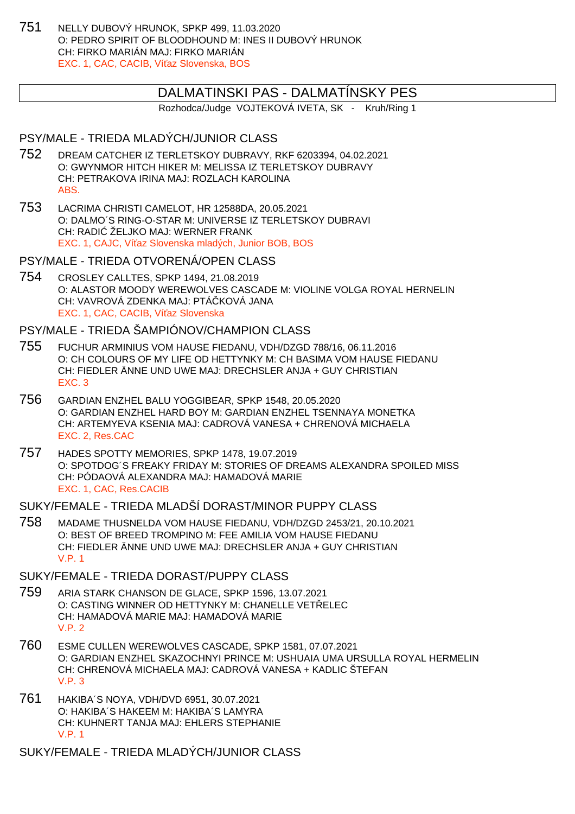751 NELLY DUBOVÝ HRUNOK, SPKP 499, 11.03.2020 O: PEDRO SPIRIT OF BLOODHOUND M: INES II DUBOVÝ HRUNOK CH: FIRKO MARIÁN MAJ: FIRKO MARIÁN EXC. 1, CAC, CACIB, Ví az Slovenska, BOS

## DALMATINSKI PAS - DALMATÍNSKY PES

Rozhodca/Judge VOJTEKOVÁ IVETA, SK - Kruh/Ring 1

## PSY/MALE - TRIEDA MLADÝCH/JUNIOR CLASS

- 752 DREAM CATCHER IZ TERLETSKOY DUBRAVY, RKF 6203394, 04.02.2021 O: GWYNMOR HITCH HIKER M: MELISSA IZ TERLETSKOY DUBRAVY CH: PETRAKOVA IRINA MAJ: ROZLACH KAROLINA ABS.
- 753 LACRIMA CHRISTI CAMELOT, HR 12588DA, 20.05.2021 O: DALMO´S RING-O-STAR M: UNIVERSE IZ TERLETSKOY DUBRAVI CH: RADI ŽELJKO MAJ: WERNER FRANK EXC. 1, CAJC, Ví az Slovenska mladých, Junior BOB, BOS

#### PSY/MALE - TRIEDA OTVORENÁ/OPEN CLASS

754 CROSLEY CALLTES, SPKP 1494, 21.08.2019 O: ALASTOR MOODY WEREWOLVES CASCADE M: VIOLINE VOLGA ROYAL HERNELIN CH: VAVROVÁ ZDENKA MAJ: PTÁ KOVÁ JANA EXC. 1, CAC, CACIB, Ví az Slovenska

## PSY/MALE - TRIEDA ŠAMPIÓNOV/CHAMPION CLASS

- 755 FUCHUR ARMINIUS VOM HAUSE FIEDANU, VDH/DZGD 788/16, 06.11.2016 O: CH COLOURS OF MY LIFE OD HETTYNKY M: CH BASIMA VOM HAUSE FIEDANU CH: FIEDLER ÄNNE UND UWE MAJ: DRECHSLER ANJA + GUY CHRISTIAN EXC. 3
- 756 GARDIAN ENZHEL BALU YOGGIBEAR, SPKP 1548, 20.05.2020 O: GARDIAN ENZHEL HARD BOY M: GARDIAN ENZHEL TSENNAYA MONETKA CH: ARTEMYEVA KSENIA MAJ: CADROVÁ VANESA + CHRENOVÁ MICHAELA EXC. 2, Res.CAC
- 757 HADES SPOTTY MEMORIES, SPKP 1478, 19.07.2019 O: SPOTDOG´S FREAKY FRIDAY M: STORIES OF DREAMS ALEXANDRA SPOILED MISS CH: PÓDAOVÁ ALEXANDRA MAJ: HAMADOVÁ MARIE EXC. 1, CAC, Res.CACIB

# SUKY/FEMALE - TRIEDA MLADŠÍ DORAST/MINOR PUPPY CI ASS

- 758 MADAME THUSNELDA VOM HAUSE FIEDANU, VDH/DZGD 2453/21, 20.10.2021 O: BEST OF BREED TROMPINO M: FEE AMILIA VOM HAUSE FIEDANU CH: FIEDLER ÄNNE UND UWE MAJ: DRECHSLER ANJA + GUY CHRISTIAN V.P. 1
- SUKY/FEMALE TRIEDA DORAST/PUPPY CLASS
- 759 ARIA STARK CHANSON DE GLACE, SPKP 1596, 13.07.2021 O: CASTING WINNER OD HETTYNKY M: CHANELLE VET ELEC CH: HAMADOVÁ MARIE MAJ: HAMADOVÁ MARIE V.P. 2
- 760 ESME CULLEN WEREWOLVES CASCADE, SPKP 1581, 07.07.2021 O: GARDIAN ENZHEL SKAZOCHNYI PRINCE M: USHUAIA UMA URSULLA ROYAL HERMELIN CH: CHRENOVÁ MICHAELA MAJ: CADROVÁ VANESA + KADLIC ŠTEFAN V.P. 3
- 761 HAKIBA´S NOYA, VDH/DVD 6951, 30.07.2021 O: HAKIBA´S HAKEEM M: HAKIBA´S LAMYRA CH: KUHNERT TANJA MAJ: EHLERS STEPHANIE V.P. 1

SUKY/FEMALE - TRIEDA MLADÝCH/JUNIOR CLASS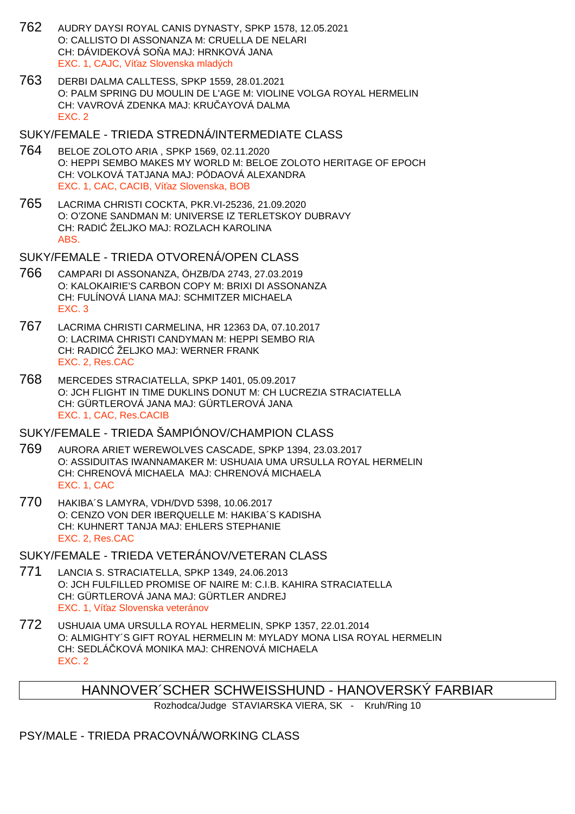- 762 AUDRY DAYSI ROYAL CANIS DYNASTY, SPKP 1578, 12.05.2021 O: CALLISTO DI ASSONANZA M: CRUELLA DE NELARI CH: DÁVIDEKOVÁ SO A MAJ: HRNKOVÁ JANA EXC. 1, CAJC, Ví az Slovenska mladých
- 763 DERBI DALMA CALLTESS, SPKP 1559, 28.01.2021 O: PALM SPRING DU MOULIN DE L'AGE M: VIOLINE VOLGA ROYAL HERMELIN CH: VAVROVÁ ZDENKA MAJ: KRUČAYOVÁ DALMA EXC. 2
- SUKY/FEMALE TRIEDA STREDNÁ/INTERMEDIATE CLASS
- 764 BELOE ZOLOTO ARIA , SPKP 1569, 02.11.2020 O: HEPPI SEMBO MAKES MY WORLD M: BELOE ZOLOTO HERITAGE OF EPOCH CH: VOLKOVÁ TATJANA MAJ: PÓDAOVÁ ALEXANDRA EXC. 1, CAC, CACIB, Ví az Slovenska, BOB
- 765 LACRIMA CHRISTI COCKTA, PKR.VI-25236, 21.09.2020 O: O'ZONE SANDMAN M: UNIVERSE IZ TERLETSKOY DUBRAVY CH: RADI ŽELJKO MAJ: ROZLACH KAROLINA ABS.

SUKY/FEMALE - TRIEDA OTVORENÁ/OPEN CLASS

- 766 CAMPARI DI ASSONANZA, ÖHZB/DA 2743, 27.03.2019 O: KALOKAIRIE'S CARBON COPY M: BRIXI DI ASSONANZA CH: FULÍNOVÁ LIANA MAJ: SCHMITZER MICHAELA EXC. 3
- 767 LACRIMA CHRISTI CARMELINA, HR 12363 DA, 07.10.2017 O: LACRIMA CHRISTI CANDYMAN M: HEPPI SEMBO RIA CH: RADIC ŽELJKO MAJ: WERNER FRANK EXC. 2, Res.CAC
- 768 MERCEDES STRACIATELLA, SPKP 1401, 05.09.2017 O: JCH FLIGHT IN TIME DUKLINS DONUT M: CH LUCREZIA STRACIATELLA CH: GÜRTLEROVÁ JANA MAJ: GÜRTLEROVÁ JANA EXC. 1, CAC, Res.CACIB

SUKY/FEMALE - TRIEDA ŠAMPIÓNOV/CHAMPION CLASS

- 769 AURORA ARIET WEREWOLVES CASCADE, SPKP 1394, 23.03.2017 O: ASSIDUITAS IWANNAMAKER M: USHUAIA UMA URSULLA ROYAL HERMELIN CH: CHRENOVÁ MICHAELA MAJ: CHRENOVÁ MICHAELA EXC. 1, CAC
- 770 HAKIBA´S LAMYRA, VDH/DVD 5398, 10.06.2017 O: CENZO VON DER IBERQUELLE M: HAKIBA´S KADISHA CH: KUHNERT TANJA MAJ: EHLERS STEPHANIE EXC. 2, Res.CAC

SUKY/FEMALE - TRIEDA VETERÁNOV/VETERAN CLASS

- 771 LANCIA S. STRACIATELLA, SPKP 1349, 24.06.2013 O: JCH FULFILLED PROMISE OF NAIRE M: C.I.B. KAHIRA STRACIATELLA CH: GÜRTLEROVÁ JANA MAJ: GÜRTLER ANDREJ EXC. 1, Ví az Slovenska veteránov
- 772 USHUAIA UMA URSULLA ROYAL HERMELIN, SPKP 1357, 22.01.2014 O: ALMIGHTY´S GIFT ROYAL HERMELIN M: MYLADY MONA LISA ROYAL HERMELIN CH: SEDLÁ KOVÁ MONIKA MAJ: CHRENOVÁ MICHAELA EXC. 2

Rozhodca/Judge STAVIARSKA VIERA, SK - Kruh/Ring 10

PSY/MALE - TRIEDA PRACOVNÁ/WORKING CLASS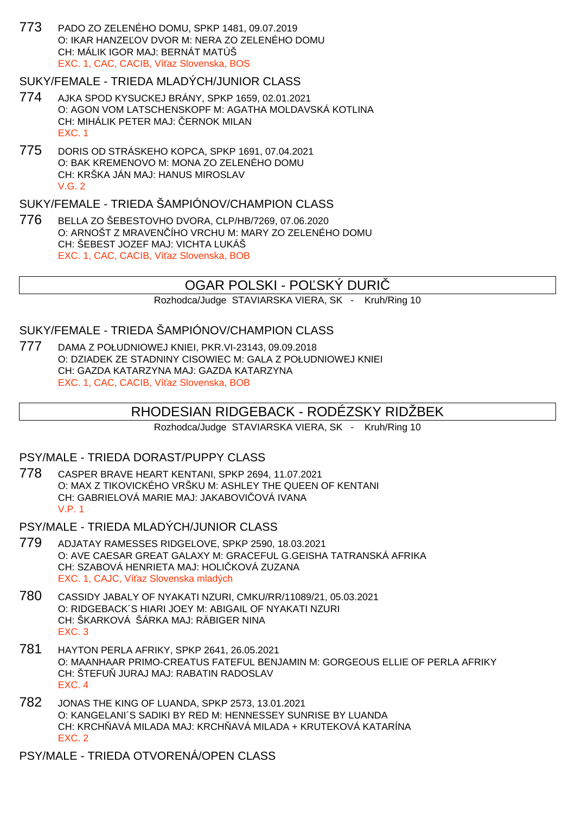773 PADO ZO ZELENÉHO DOMU, SPKP 1481, 09.07.2019 O: IKAR HANZE, OV DVOR M: NERA ZO ZELENÉHO DOMU CH: MÁLIK IGOR MAJ: BERNÁT MATÚŠ EXC. 1, CAC, CACIB, Ví az Slovenska, BOS

### SUKY/FEMALE - TRIEDA MLADÝCH/JUNIOR CLASS

- 774 AJKA SPOD KYSUCKEJ BRÁNY, SPKP 1659, 02.01.2021 O: AGON VOM LATSCHENSKOPF M: AGATHA MOLDAVSKÁ KOTLINA CH: MIHÁLIK PETER MAJ: ERNOK MILAN EXC. 1
- 775 DORIS OD STRÁSKEHO KOPCA, SPKP 1691, 07.04.2021 O: BAK KREMENOVO M: MONA ZO ZELENÉHO DOMU CH: KRŠKA JÁN MAJ: HANUS MIROSLAV V.G. 2

## SUKY/FEMALE - TRIEDA ŠAMPIÓNOV/CHAMPION CLASS

776 BELLA ZO ŠEBESTOVHO DVORA, CLP/HB/7269, 07.06.2020 O: ARNOŠT Z MRAVENÍHO VRCHU M: MARY ZO ZELENÉHO DOMU CH: ŠEBEST JOZEF MAJ: VICHTA LUKÁŠ EXC. 1, CAC, CACIB, Ví az Slovenska, BOB

## OGAR POLSKI - PO SKY DURI

Rozhodca/Judge STAVIARSKA VIERA, SK - Kruh/Ring 10

### SUKY/FEMALE - TRIEDA ŠAMPIÓNOV/CHAMPION CLASS

777 DAMA Z POŁUDNIOWEJ KNIEI, PKR.VI-23143, 09.09.2018 O: DZIADEK ZE STADNINY CISOWIEC M: GALA Z POŁUDNIOWEJ KNIEI CH: GAZDA KATARZYNA MAJ: GAZDA KATARZYNA EXC. 1, CAC, CACIB, Ví az Slovenska, BOB

## RHODESIAN RIDGEBACK - RODÉZSKY RIDŽBEK

Rozhodca/Judge STAVIARSKA VIERA, SK - Kruh/Ring 10

#### PSY/MALE - TRIEDA DORAST/PUPPY CLASS

- 778 CASPER BRAVE HEART KENTANI, SPKP 2694, 11.07.2021 O: MAX Z TIKOVICKÉHO VRŠKU M: ASHLEY THE QUEEN OF KENTANI CH: GABRIELOVÁ MARIE MAJ: JAKABOVI OVÁ IVANA V.P. 1
- PSY/MALE TRIEDA MLADÝCH/JUNIOR CLASS
- 779 ADJATAY RAMESSES RIDGELOVE, SPKP 2590, 18.03.2021 O: AVE CAESAR GREAT GALAXY M: GRACEFUL G.GEISHA TATRANSKÁ AFRIKA CH: SZABOVÁ HENRIETA MAJ: HOLIČKOVÁ ZUZANA EXC. 1, CAJC, Ví az Slovenska mladých
- 780 CASSIDY JABALY OF NYAKATI NZURI, CMKU/RR/11089/21, 05.03.2021 O: RIDGEBACK´S HIARI JOEY M: ABIGAIL OF NYAKATI NZURI CH: ŠKARKOVÁ ŠÁRKA MAJ: RÄBIGER NINA EXC. 3
- 781 HAYTON PERLA AFRIKY, SPKP 2641, 26.05.2021 O: MAANHAAR PRIMO-CREATUS FATEFUL BENJAMIN M: GORGEOUS ELLIE OF PERLA AFRIKY CH: ŠTEFU JURAJ MAJ: RABATIN RADOSLAV EXC. 4
- 782 JONAS THE KING OF LUANDA, SPKP 2573, 13.01.2021 O: KANGELANI´S SADIKI BY RED M: HENNESSEY SUNRISE BY LUANDA CH: KRCH AVÁ MILADA MAJ: KRCH AVÁ MILADA + KRUTEKOVÁ KATARÍNA EXC. 2

PSY/MALE - TRIEDA OTVORENÁ/OPEN CLASS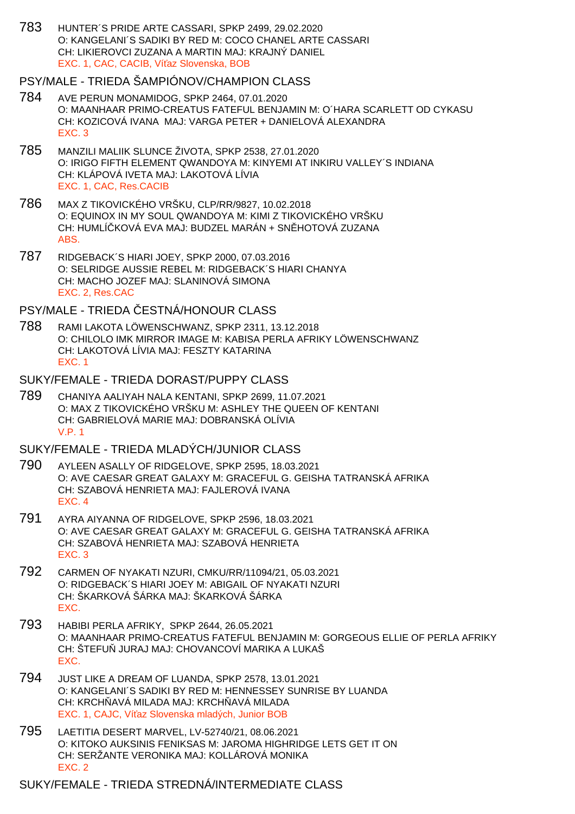783 HUNTER´S PRIDE ARTE CASSARI, SPKP 2499, 29.02.2020 O: KANGELANI´S SADIKI BY RED M: COCO CHANEL ARTE CASSARI CH: LIKIEROVCI ZUZANA A MARTIN MAJ: KRAJNÝ DANIEL EXC. 1, CAC, CACIB, Ví az Slovenska, BOB

## PSY/MALE - TRIEDA ŠAMPIÓNOV/CHAMPION CLASS

- 784 AVE PERUN MONAMIDOG, SPKP 2464, 07.01.2020 O: MAANHAAR PRIMO-CREATUS FATEFUL BENJAMIN M: O´HARA SCARLETT OD CYKASU CH: KOZICOVÁ IVANA MAJ: VARGA PETER + DANIELOVÁ ALEXANDRA EXC. 3
- 785 MANZILI MALIIK SLUNCE ŽIVOTA, SPKP 2538, 27.01.2020 O: IRIGO FIFTH ELEMENT QWANDOYA M: KINYEMI AT INKIRU VALLEY´S INDIANA CH: KLÁPOVÁ IVETA MAJ: LAKOTOVÁ LÍVIA EXC. 1, CAC, Res.CACIB
- 786 MAX Z TIKOVICKÉHO VRŠKU, CLP/RR/9827, 10.02.2018 O: EQUINOX IN MY SOUL QWANDOYA M: KIMI Z TIKOVICKÉHO VRŠKU CH: HUMLÍ KOVÁ EVA MAJ: BUDZEL MARÁN + SN HOTOVÁ ZUZANA ABS.
- 787 RIDGEBACK´S HIARI JOEY, SPKP 2000, 07.03.2016 O: SELRIDGE AUSSIE REBEL M: RIDGEBACK´S HIARI CHANYA CH: MACHO JOZEF MAJ: SLANINOVÁ SIMONA EXC. 2, Res.CAC

PSY/MALE - TRIEDA ESTNÁ/HONOUR CLASS

788 RAMI LAKOTA LÖWENSCHWANZ, SPKP 2311, 13.12.2018 O: CHILOLO IMK MIRROR IMAGE M: KABISA PERLA AFRIKY LÖWENSCHWANZ CH: LAKOTOVÁ LÍVIA MAJ: FESZTY KATARINA EXC. 1

#### SUKY/FEMALE - TRIEDA DORAST/PUPPY CLASS

789 CHANIYA AALIYAH NALA KENTANI, SPKP 2699, 11.07.2021 O: MAX Z TIKOVICKÉHO VRŠKU M: ASHLEY THE QUEEN OF KENTANI CH: GABRIELOVÁ MARIE MAJ: DOBRANSKÁ OLÍVIA V.P. 1

## SUKY/FEMALE - TRIEDA MLADÝCH/JUNIOR CLASS

- 790 AYLEEN ASALLY OF RIDGELOVE, SPKP 2595, 18.03.2021 O: AVE CAESAR GREAT GALAXY M: GRACEFUL G. GEISHA TATRANSKÁ AFRIKA CH: SZABOVÁ HENRIETA MAJ: FAJLEROVÁ IVANA EXC. 4
- 791 AYRA AIYANNA OF RIDGELOVE, SPKP 2596, 18.03.2021 O: AVE CAESAR GREAT GALAXY M: GRACEFUL G. GEISHA TATRANSKÁ AFRIKA CH: SZABOVÁ HENRIETA MAJ: SZABOVÁ HENRIETA EXC. 3
- 792 CARMEN OF NYAKATI NZURI, CMKU/RR/11094/21, 05.03.2021 O: RIDGEBACK´S HIARI JOEY M: ABIGAIL OF NYAKATI NZURI CH: ŠKARKOVÁ ŠÁRKA MAJ: ŠKARKOVÁ ŠÁRKA EXC.
- 793 HABIBI PERLA AFRIKY, SPKP 2644, 26.05.2021 O: MAANHAAR PRIMO-CREATUS FATEFUL BENJAMIN M: GORGEOUS ELLIE OF PERLA AFRIKY CH: ŠTEFU JURAJ MAJ: CHOVANCOVÍ MARIKA A LUKAŠ EXC.
- 794 JUST LIKE A DREAM OF LUANDA, SPKP 2578, 13.01.2021 O: KANGELANI´S SADIKI BY RED M: HENNESSEY SUNRISE BY LUANDA CH: KRCH AVÁ MILADA MAJ: KRCH AVÁ MILADA EXC. 1, CAJC, Ví az Slovenska mladých, Junior BOB
- 795 LAETITIA DESERT MARVEL, LV-52740/21, 08.06.2021 O: KITOKO AUKSINIS FENIKSAS M: JAROMA HIGHRIDGE LETS GET IT ON CH: SERŽANTE VERONIKA MAJ: KOLLÁROVÁ MONIKA EXC. 2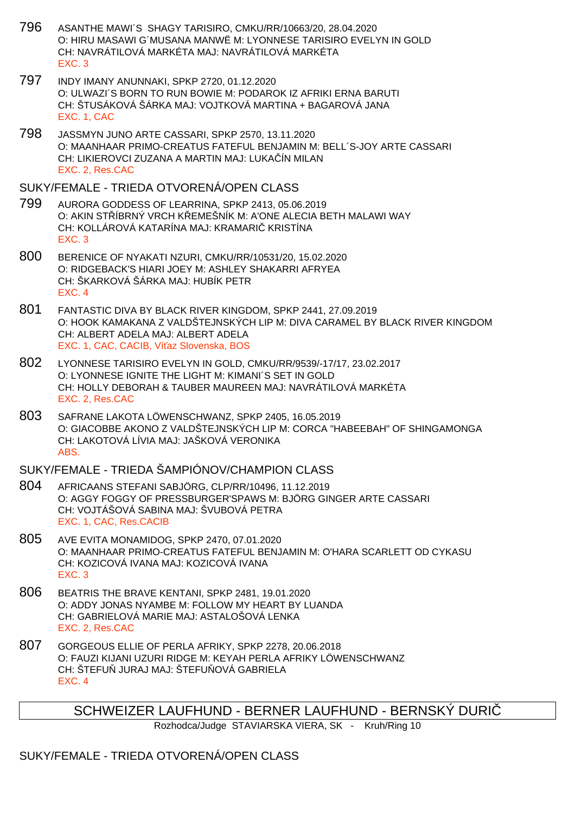- 796 ASANTHE MAWI´S SHAGY TARISIRO, CMKU/RR/10663/20, 28.04.2020 O: HIRU MASAWI G´MUSANA MANWË M: LYONNESE TARISIRO EVELYN IN GOLD CH: NAVRÁTILOVÁ MARKÉTA MAJ: NAVRÁTILOVÁ MARKÉTA EXC. 3
- 797 INDY IMANY ANUNNAKI, SPKP 2720, 01.12.2020 O: ULWAZI´S BORN TO RUN BOWIE M: PODAROK IZ AFRIKI ERNA BARUTI CH: ŠTUSÁKOVÁ ŠÁRKA MAJ: VOJTKOVÁ MARTINA + BAGAROVÁ JANA EXC. 1, CAC
- 798 JASSMYN JUNO ARTE CASSARI, SPKP 2570, 13.11.2020 O: MAANHAAR PRIMO-CREATUS FATEFUL BENJAMIN M: BELL´S-JOY ARTE CASSARI CH: LIKIEROVCI ZUZANA A MARTIN MAJ: LUKAČÍN MILAN EXC. 2, Res.CAC

### SUKY/FEMALE - TRIEDA OTVORENÁ/OPEN CLASS

- 799 AURORA GODDESS OF LEARRINA, SPKP 2413, 05.06.2019 O: AKIN STÍBRNÝ VRCH KLEMEŠNÍK M: A'ONE ALECIA BETH MALAWI WAY CH: KOLLÁROVÁ KATARÍNA MAJ: KRAMARI KRISTÍNA EXC. 3
- 800 BERENICE OF NYAKATI NZURI, CMKU/RR/10531/20, 15.02.2020 O: RIDGEBACK'S HIARI JOEY M: ASHLEY SHAKARRI AFRYEA CH: ŠKARKOVÁ ŠÁRKA MAJ: HUBÍK PETR EXC. 4
- 801 FANTASTIC DIVA BY BLACK RIVER KINGDOM, SPKP 2441, 27.09.2019 O: HOOK KAMAKANA Z VALDŠTEJNSKÝCH LIP M: DIVA CARAMEL BY BLACK RIVER KINGDOM CH: ALBERT ADELA MAJ: ALBERT ADELA EXC. 1, CAC, CACIB, Ví az Slovenska, BOS
- 802 LYONNESE TARISIRO EVELYN IN GOLD, CMKU/RR/9539/-17/17, 23.02.2017 O: LYONNESE IGNITE THE LIGHT M: KIMANI´S SET IN GOLD CH: HOLLY DEBORAH & TAUBER MAUREEN MAJ: NAVRÁTILOVÁ MARKÉTA EXC. 2, Res.CAC
- 803 SAFRANE LAKOTA LÖWENSCHWANZ, SPKP 2405, 16.05.2019 O: GIACOBBE AKONO Z VALDŠTEJNSKÝCH LIP M: CORCA "HABEEBAH" OF SHINGAMONGA CH: LAKOTOVÁ LÍVIA MAJ: JAŠKOVÁ VERONIKA ABS.

## SUKY/FEMALE - TRIEDA ŠAMPIÓNOV/CHAMPION CLASS

- 804 AFRICAANS STEFANI SABJÖRG, CLP/RR/10496, 11.12.2019 O: AGGY FOGGY OF PRESSBURGER'SPAWS M: BJÖRG GINGER ARTE CASSARI CH: VOJTÁŠOVÁ SABINA MAJ: ŠVUBOVÁ PETRA EXC. 1, CAC, Res.CACIB
- 805 AVE EVITA MONAMIDOG, SPKP 2470, 07.01.2020 O: MAANHAAR PRIMO-CREATUS FATEFUL BENJAMIN M: O'HARA SCARLETT OD CYKASU CH: KOZICOVÁ IVANA MAJ: KOZICOVÁ IVANA EXC. 3
- 806 BEATRIS THE BRAVE KENTANI, SPKP 2481, 19.01.2020 O: ADDY JONAS NYAMBE M: FOLLOW MY HEART BY LUANDA CH: GABRIELOVÁ MARIE MAJ: ASTALOŠOVÁ LENKA EXC. 2, Res.CAC
- 807 GORGEOUS ELLIE OF PERLA AFRIKY, SPKP 2278, 20.06.2018 O: FAUZI KIJANI UZURI RIDGE M: KEYAH PERLA AFRIKY LÖWENSCHWANZ CH: ŠTEFU JURAJ MAJ: ŠTEFU OVÁ GABRIELA EXC. 4

SCHWEIZER LAUFHUND - BERNER LAUFHUND - BERNSKÝ DURIČ

Rozhodca/Judge STAVIARSKA VIERA, SK - Kruh/Ring 10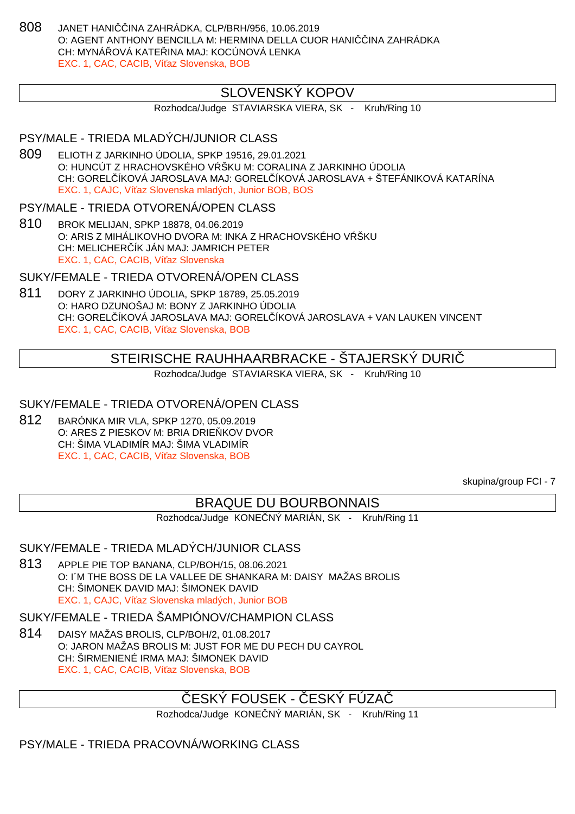808 JANET HANI INA ZAHRÁDKA, CLP/BRH/956, 10.06.2019 O: AGENT ANTHONY BENCILLA M: HERMINA DELLA CUOR HANI INA ZAHRÁDKA CH: MYNÁ QVÁ KATELINA MAJ: KOCÚNOVÁ LENKA EXC. 1, CAC, CACIB, Ví az Slovenska, BOB

## SLOVENSKÝ KOPOV

Rozhodca/Judge STAVIARSKA VIERA, SK - Kruh/Ring 10

### PSY/MALE - TRIEDA MLADÝCH/JUNIOR CLASS

809 ELIOTH Z JARKINHO ÚDOLIA, SPKP 19516, 29.01.2021 O: HUNCÚT Z HRACHOVSKÉHO V ŠKU M: CORALINA Z JARKINHO ÚDOLIA CH: GOREL ÍKOVÁ JAROSLAVA MAJ: GOREL ÍKOVÁ JAROSLAVA + ŠTEFÁNIKOVÁ KATARÍNA EXC. 1, CAJC, Ví az Slovenska mladých, Junior BOB, BOS

#### PSY/MALE - TRIEDA OTVORENÁ/OPEN CLASS

810 BROK MELIJAN, SPKP 18878, 04.06.2019 O: ARIS Z MIHÁLIKOVHO DVORA M: INKA Z HRACHOVSKÉHO V  $\tilde{S}$ KU CH: MELICHER ÍK JÁN MAJ: JAMRICH PETER EXC. 1, CAC, CACIB, Ví az Slovenska

#### SUKY/FEMALE - TRIEDA OTVORENÁ/OPEN CLASS

811 DORY Z JARKINHO ÚDOLIA, SPKP 18789, 25.05.2019 O: HARO DZUNOŠAJ M: BONY Z JARKINHO ÚDOLIA CH: GOREL ÍKOVÁ JAROSLAVA MAJ: GOREL ÍKOVÁ JAROSLAVA + VAN LAUKEN VINCENT EXC. 1, CAC, CACIB, Ví az Slovenska, BOB

# STEIRISCHE RAUHHAARBRACKE - ŠTAJERSKÝ DURIČ

Rozhodca/Judge STAVIARSKA VIERA, SK - Kruh/Ring 10

## SUKY/FEMALE - TRIEDA OTVORENÁ/OPEN CLASS

812 BARÓNKA MIR VLA, SPKP 1270, 05.09.2019 O: ARES Z PIESKOV M: BRIA DRIE KOV DVOR CH: ŠIMA VLADIMÍR MAJ: ŠIMA VLADIMÍR EXC. 1, CAC, CACIB, Ví az Slovenska, BOB

skupina/group FCI - 7

# BRAQUE DU BOURBONNAIS

Rozhodca/Judge KONE NÝ MARIÁN, SK - Kruh/Ring 11

#### SUKY/FEMALE - TRIEDA MLADÝCH/JUNIOR CLASS

813 APPLE PIE TOP BANANA, CLP/BOH/15, 08.06.2021 O: I´M THE BOSS DE LA VALLEE DE SHANKARA M: DAISY MAŽAS BROLIS CH: ŠIMONEK DAVID MAJ: ŠIMONEK DAVID EXC. 1, CAJC, Ví az Slovenska mladých, Junior BOB

SUKY/FEMALE - TRIEDA ŠAMPIÓNOV/CHAMPION CLASS

814 DAISY MAŽAS BROLIS, CLP/BOH/2, 01.08.2017 O: JARON MAŽAS BROLIS M: JUST FOR ME DU PECH DU CAYROL CH: ŠIRMENIENÉ IRMA MAJ: ŠIMONEK DAVID EXC. 1, CAC, CACIB, Ví az Slovenska, BOB

# ESKÝ FOUSEK - ČESKÝ FÚZA

Rozhodca/Judge KONE NÝ MARIÁN, SK - Kruh/Ring 11

PSY/MALE - TRIEDA PRACOVNÁ/WORKING CLASS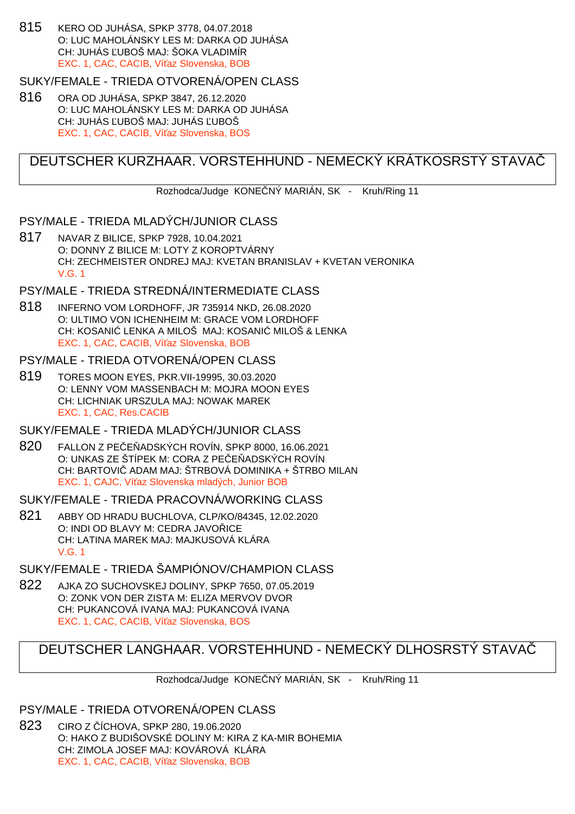815 KERO OD JUHÁSA, SPKP 3778, 04.07.2018 O: LUC MAHOLÁNSKY LES M: DARKA OD JUHÁSA CH: JUHÁS ĽUBOŠ MAJ: ŠOKA VLADIMÍR EXC. 1, CAC, CACIB, Ví az Slovenska, BOB

#### SUKY/FEMALE - TRIEDA OTVORENÁ/OPEN CLASS

816 ORA OD JUHÁSA, SPKP 3847, 26.12.2020 O: LUC MAHOLÁNSKY LES M: DARKA OD JUHÁSA CH: JUHÁS UBOŠ MAJ: JUHÁS UBOŠ EXC. 1, CAC, CACIB, Ví az Slovenska, BOS

# DEUTSCHER KURZHAAR. VORSTEHHUND - NEMECKÝ KRÁTKOSRSTÝ STAVAČ

Rozhodca/Judge KONE NÝ MARIÁN, SK - Kruh/Ring 11

### PSY/MALE - TRIEDA MLADÝCH/JUNIOR CLASS

817 NAVAR Z BILICE, SPKP 7928, 10.04.2021 O: DONNY Z BILICE M: LOTY Z KOROPTVÁRNY CH: ZECHMEISTER ONDREJ MAJ: KVETAN BRANISLAV + KVETAN VERONIKA V.G. 1

## PSY/MALE - TRIEDA STREDNÁ/INTERMEDIATE CLASS

818 INFERNO VOM LORDHOFF, JR 735914 NKD, 26.08.2020 O: ULTIMO VON ICHENHEIM M: GRACE VOM LORDHOFF CH: KOSANI LENKA A MILOŠ MAJ: KOSANI MILOŠ & LENKA EXC. 1, CAC, CACIB, Ví az Slovenska, BOB

#### PSY/MALE - TRIEDA OTVORENÁ/OPEN CLASS

819 TORES MOON EYES, PKR.VII-19995, 30.03.2020 O: LENNY VOM MASSENBACH M: MOJRA MOON EYES CH: LICHNIAK URSZULA MAJ: NOWAK MAREK EXC. 1, CAC, Res.CACIB

## SUKY/FEMALE - TRIEDA MLADÝCH/JUNIOR CLASS

820 FALLON Z PE E ADSKÝCH ROVÍN, SPKP 8000, 16.06.2021 O: UNKAS ZE ŠTÍPEK M: CORA Z PE $E$  ADSKÝCH ROVÍN CH: BARTOVI ADAM MAJ: ŠTRBOVÁ DOMINIKA + ŠTRBO MILAN EXC. 1, CAJC. Ví az Slovenska mladých, Junior BOB

#### SUKY/FEMALE - TRIEDA PRACOVNÁ/WORKING CLASS

821 ABBY OD HRADU BUCHLOVA, CLP/KO/84345, 12.02.2020 O: INDI OD BLAVY M: CEDRA JAVO ICE CH: LATINA MAREK MAJ: MAJKUSOVÁ KLÁRA V.G. 1

# SUKY/FEMALE - TRIEDA ŠAMPIÓNOV/CHAMPION CLASS

822 AJKA ZO SUCHOVSKEJ DOLINY, SPKP 7650, 07.05.2019 O: ZONK VON DER ZISTA M: ELIZA MERVOV DVOR CH: PUKANCOVÁ IVANA MAJ: PUKANCOVÁ IVANA EXC. 1, CAC, CACIB, Ví az Slovenska, BOS

# DEUTSCHER LANGHAAR. VORSTEHHUND - NEMECKÝ DLHOSRSTÝ STAVAČ

Rozhodca/Judge KONE NÝ MARIÁN, SK - Kruh/Ring 11

### PSY/MALE - TRIEDA OTVORENÁ/OPEN CLASS

823 CIRO Z ÍCHOVA, SPKP 280, 19.06.2020 O: HAKO Z BUDIŠOVSKÉ DOLINY M: KIRA Z KA-MIR BOHEMIA CH: ZIMOLA JOSEF MAJ: KOVÁROVÁ KLÁRA EXC. 1, CAC, CACIB, Ví az Slovenska, BOB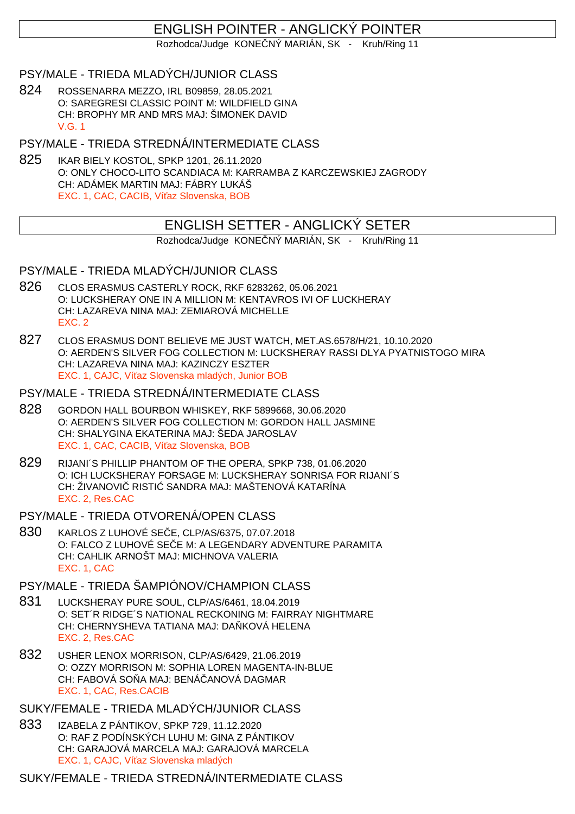# ENGLISH POINTER - ANGLICKÝ POINTER

Rozhodca/Judge KONE NÝ MARIÁN, SK - Kruh/Ring 11

## PSY/MALE - TRIEDA MLADÝCH/JUNIOR CLASS

824 ROSSENARRA MEZZO, IRL B09859, 28.05.2021 O: SAREGRESI CLASSIC POINT M: WILDFIELD GINA CH: BROPHY MR AND MRS MAJ: ŠIMONEK DAVID V.G. 1

PSY/MALE - TRIEDA STREDNÁ/INTERMEDIATE CLASS

825 IKAR BIELY KOSTOL, SPKP 1201, 26.11.2020 O: ONLY CHOCO-LITO SCANDIACA M: KARRAMBA Z KARCZEWSKIEJ ZAGRODY CH: ADÁMEK MARTIN MAJ: FÁBRY LUKÁŠ EXC. 1, CAC, CACIB, Ví az Slovenska, BOB

# ENGLISH SETTER - ANGLICKÝ SETER

Rozhodca/Judge KONE NÝ MARIÁN, SK - Kruh/Ring 11

### PSY/MALE - TRIEDA MLADÝCH/JUNIOR CLASS

- 826 CLOS ERASMUS CASTERLY ROCK, RKF 6283262, 05.06.2021 O: LUCKSHERAY ONE IN A MILLION M: KENTAVROS IVI OF LUCKHERAY CH: LAZAREVA NINA MAJ: ZEMIAROVÁ MICHELLE EXC. 2
- 827 CLOS ERASMUS DONT BELIEVE ME JUST WATCH, MET.AS.6578/H/21, 10.10.2020 O: AERDEN'S SILVER FOG COLLECTION M: LUCKSHERAY RASSI DLYA PYATNISTOGO MIRA CH: LAZAREVA NINA MAJ: KAZINCZY ESZTER EXC. 1, CAJC, Ví az Slovenska mladých, Junior BOB

#### PSY/MALE - TRIEDA STREDNÁ/INTERMEDIATE CLASS

- 828 GORDON HALL BOURBON WHISKEY, RKF 5899668, 30.06.2020 O: AERDEN'S SILVER FOG COLLECTION M: GORDON HALL JASMINE CH: SHALYGINA EKATERINA MAJ: ŠEDA JAROSLAV EXC. 1, CAC, CACIB, Ví az Slovenska, BOB
- 829 RIJANI´S PHILLIP PHANTOM OF THE OPERA, SPKP 738, 01.06.2020 O: ICH LUCKSHERAY FORSAGE M: LUCKSHERAY SONRISA FOR RIJANI´S CH: ŽIVANOVI RISTI SANDRA MAJ: MAŠTENOVÁ KATARÍNA EXC. 2, Res.CAC

### PSY/MALE - TRIEDA OTVORENÁ/OPEN CLASS

830 KARLOS Z LUHOVÉ SE E, CLP/AS/6375, 07.07.2018 O: FALCO Z LUHOVÉ SE E M: A LEGENDARY ADVENTURE PARAMITA CH: CAHLIK ARNOŠT MAJ: MICHNOVA VALERIA EXC. 1, CAC

#### PSY/MALE - TRIEDA ŠAMPIÓNOV/CHAMPION CLASS

- 831 LUCKSHERAY PURE SOUL, CLP/AS/6461, 18.04.2019 O: SET´R RIDGE´S NATIONAL RECKONING M: FAIRRAY NIGHTMARE CH: CHERNYSHEVA TATIANA MAJ: DA KOVÁ HELENA EXC. 2, Res.CAC
- 832 USHER LENOX MORRISON, CLP/AS/6429, 21.06.2019 O: OZZY MORRISON M: SOPHIA LOREN MAGENTA-IN-BLUE CH: FABOVÁ SO A MAJ: BENÁ ANOVÁ DAGMAR EXC. 1, CAC, Res.CACIB

# SUKY/FEMALE - TRIEDA MLADÝCH/JUNIOR CLASS

833 IZABELA Z PÁNTIKOV, SPKP 729, 11.12.2020 O: RAF Z PODÍNSKÝCH LUHU M: GINA Z PÁNTIKOV CH: GARAJOVÁ MARCELA MAJ: GARAJOVÁ MARCELA EXC. 1, CAJC, Ví az Slovenska mladých

SUKY/FEMALE - TRIEDA STREDNÁ/INTERMEDIATE CLASS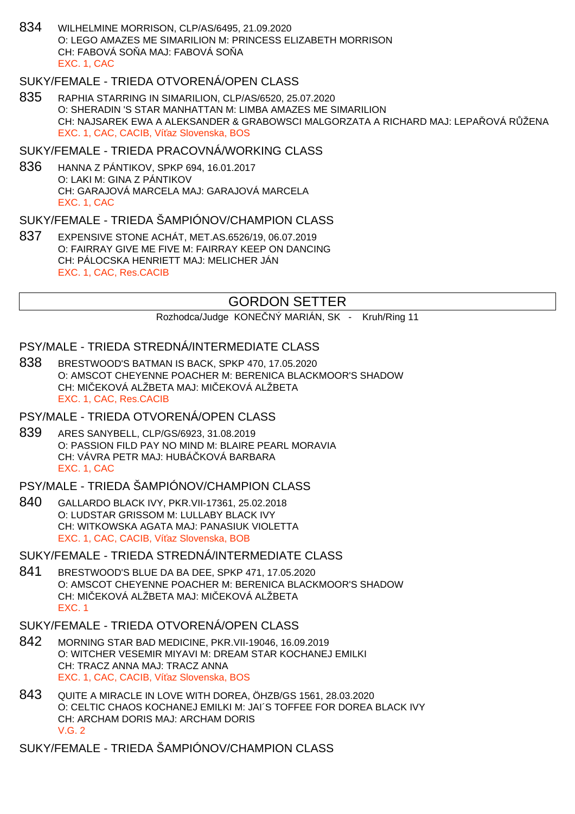834 WILHELMINE MORRISON, CLP/AS/6495, 21.09.2020 O: LEGO AMAZES ME SIMARILION M: PRINCESS ELIZABETH MORRISON CH: FABOVÁ SO A MAJ: FABOVÁ SO A EXC. 1, CAC

## SUKY/FEMALE - TRIEDA OTVORENÁ/OPEN CLASS

835 RAPHIA STARRING IN SIMARILION, CLP/AS/6520, 25.07.2020 O: SHERADIN 'S STAR MANHATTAN M: LIMBA AMAZES ME SIMARILION CH: NAJSAREK EWA A ALEKSANDER & GRABOWSCI MALGORZATA A RICHARD MAJ: LEPA OVÁ R ŽENA EXC. 1, CAC, CACIB, Ví az Slovenska, BOS

### SUKY/FEMALE - TRIEDA PRACOVNÁ/WORKING CLASS

836 HANNA Z PÁNTIKOV, SPKP 694, 16.01.2017 O: LAKI M: GINA Z PÁNTIKOV CH: GARAJOVÁ MARCELA MAJ: GARAJOVÁ MARCELA EXC. 1, CAC

## SUKY/FEMALE - TRIEDA ŠAMPIÓNOV/CHAMPION CLASS

837 EXPENSIVE STONE ACHÁT, MET.AS.6526/19, 06.07.2019 O: FAIRRAY GIVE ME FIVE M: FAIRRAY KEEP ON DANCING CH: PÁLOCSKA HENRIETT MAJ: MELICHER JÁN EXC. 1, CAC, Res.CACIB

# GORDON SETTER

Rozhodca/Judge KONE NÝ MARIÁN, SK - Kruh/Ring 11

## PSY/MALE - TRIEDA STREDNÁ/INTERMEDIATE CLASS

838 BRESTWOOD'S BATMAN IS BACK, SPKP 470, 17.05.2020 O: AMSCOT CHEYENNE POACHER M: BERENICA BLACKMOOR'S SHADOW CH: MILEKOVÁ ALŽBETA MAJ: MILEKOVÁ ALŽBETA EXC. 1, CAC, Res.CACIB

#### PSY/MALE - TRIEDA OTVORENÁ/OPEN CLASS

839 ARES SANYBELL, CLP/GS/6923, 31.08.2019 O: PASSION FILD PAY NO MIND M: BLAIRE PEARL MORAVIA CH: VÁVRA PETR MAJ: HUBÁ KOVÁ BARBARA EXC. 1, CAC

## PSY/MALE - TRIEDA ŠAMPIÓNOV/CHAMPION CLASS

840 GALLARDO BLACK IVY, PKR.VII-17361, 25.02.2018 O: LUDSTAR GRISSOM M: LULLABY BLACK IVY CH: WITKOWSKA AGATA MAJ: PANASIUK VIOLETTA EXC. 1, CAC, CACIB, Ví az Slovenska, BOB

## SUKY/FEMALE - TRIEDA STREDNÁ/INTERMEDIATE CLASS

841 BRESTWOOD'S BLUE DA BA DEE, SPKP 471, 17.05.2020 O: AMSCOT CHEYENNE POACHER M: BERENICA BLACKMOOR'S SHADOW CH: MILEKOVÁ ALŽBETA MAJ: MILEKOVÁ ALŽBETA EXC. 1

### SUKY/FEMALE - TRIEDA OTVORENÁ/OPEN CLASS

- 842 MORNING STAR BAD MEDICINE, PKR.VII-19046, 16.09.2019 O: WITCHER VESEMIR MIYAVI M: DREAM STAR KOCHANEJ EMILKI CH: TRACZ ANNA MAJ: TRACZ ANNA EXC. 1, CAC, CACIB, Ví az Slovenska, BOS
- 843 QUITE A MIRACLE IN LOVE WITH DOREA, ÖHZB/GS 1561, 28.03.2020 O: CELTIC CHAOS KOCHANEJ EMILKI M: JAI´S TOFFEE FOR DOREA BLACK IVY CH: ARCHAM DORIS MAJ: ARCHAM DORIS V.G. 2
- SUKY/FEMALE TRIEDA ŠAMPIÓNOV/CHAMPION CLASS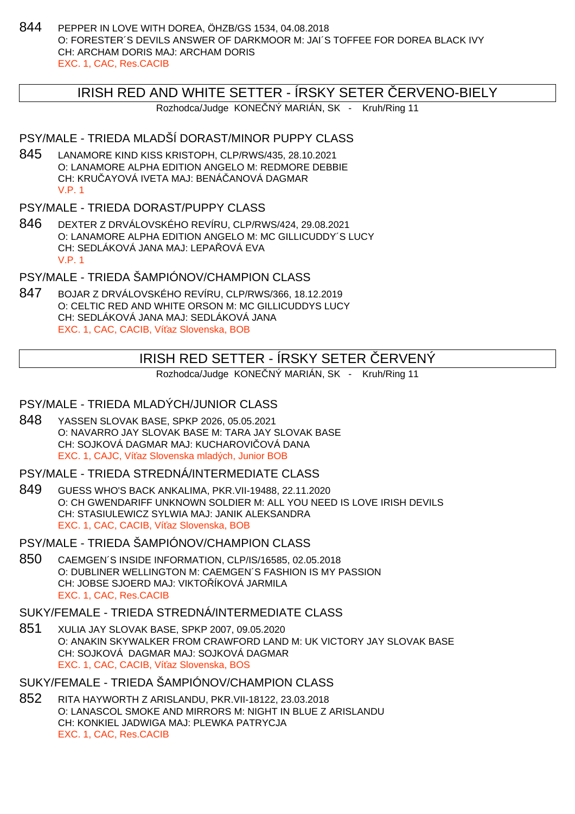844 PEPPER IN LOVE WITH DOREA, ÖHZB/GS 1534, 04.08.2018 O: FORESTER´S DEVILS ANSWER OF DARKMOOR M: JAI´S TOFFEE FOR DOREA BLACK IVY CH: ARCHAM DORIS MAJ: ARCHAM DORIS EXC. 1, CAC, Res.CACIB

## IRISH RED AND WHITE SETTER - ÍRSKY SETER ČERVENO-BIELY

Rozhodca/Judge KONE NÝ MARIÁN, SK - Kruh/Ring 11

## PSY/MALE - TRIEDA MLADŠÍ DORAST/MINOR PUPPY CLASS

845 LANAMORE KIND KISS KRISTOPH, CLP/RWS/435, 28.10.2021 O: LANAMORE ALPHA EDITION ANGELO M: REDMORE DEBBIE CH: KRU AYOVÁ IVETA MAJ: BENÁ ANOVÁ DAGMAR V.P. 1

## PSY/MALE - TRIEDA DORAST/PUPPY CLASS

846 DEXTER Z DRVÁLOVSKÉHO REVÍRU, CLP/RWS/424, 29.08.2021 O: LANAMORE ALPHA EDITION ANGELO M: MC GILLICUDDY´S LUCY CH: SEDLÁKOVÁ JANA MAJ: LEPA LOVÁ EVA V.P. 1

PSY/MALE - TRIEDA ŠAMPIÓNOV/CHAMPION CLASS

847 BOJAR Z DRVÁLOVSKÉHO REVÍRU, CLP/RWS/366, 18.12.2019 O: CELTIC RED AND WHITE ORSON M: MC GILLICUDDYS LUCY CH: SEDLÁKOVÁ JANA MAJ: SEDLÁKOVÁ JANA EXC. 1, CAC, CACIB, Ví az Slovenska, BOB

# IRISH RED SETTER - ÍRSKY SETER ČERVENÝ

Rozhodca/Judge KONE NÝ MARIÁN, SK - Kruh/Ring 11

## PSY/MALE - TRIEDA MLADÝCH/JUNIOR CLASS

848 YASSEN SLOVAK BASE, SPKP 2026, 05.05.2021 O: NAVARRO JAY SLOVAK BASE M: TARA JAY SLOVAK BASE CH: SOJKOVÁ DAGMAR MAJ: KUCHAROVI OVÁ DANA EXC. 1, CAJC, Ví az Slovenska mladých, Junior BOB

### PSY/MALE - TRIEDA STREDNÁ/INTERMEDIATE CLASS

849 GUESS WHO'S BACK ANKALIMA, PKR.VII-19488, 22.11.2020 O: CH GWENDARIFF UNKNOWN SOLDIER M: ALL YOU NEED IS LOVE IRISH DEVILS CH: STASIULEWICZ SYLWIA MAJ: JANIK ALEKSANDRA EXC. 1, CAC, CACIB, Ví az Slovenska, BOB

PSY/MALE - TRIEDA ŠAMPIÓNOV/CHAMPION CLASS

850 CAEMGEN´S INSIDE INFORMATION, CLP/IS/16585, 02.05.2018 O: DUBLINER WELLINGTON M: CAEMGEN´S FASHION IS MY PASSION CH: JOBSE SJOERD MAJ: VIKTO ÍKOVÁ JARMILA EXC. 1, CAC, Res.CACIB

## SUKY/FEMALE - TRIEDA STREDNÁ/INTERMEDIATE CLASS

851 XULIA JAY SLOVAK BASE, SPKP 2007, 09.05.2020 O: ANAKIN SKYWALKER FROM CRAWFORD LAND M: UK VICTORY JAY SLOVAK BASE CH: SOJKOVÁ DAGMAR MAJ: SOJKOVÁ DAGMAR EXC. 1, CAC, CACIB, Ví az Slovenska, BOS

# SUKY/FEMALE - TRIEDA ŠAMPIÓNOV/CHAMPION CLASS

852 RITA HAYWORTH Z ARISLANDU, PKR.VII-18122, 23.03.2018 O: LANASCOL SMOKE AND MIRRORS M: NIGHT IN BLUE Z ARISLANDU CH: KONKIEL JADWIGA MAJ: PLEWKA PATRYCJA EXC. 1, CAC, Res.CACIB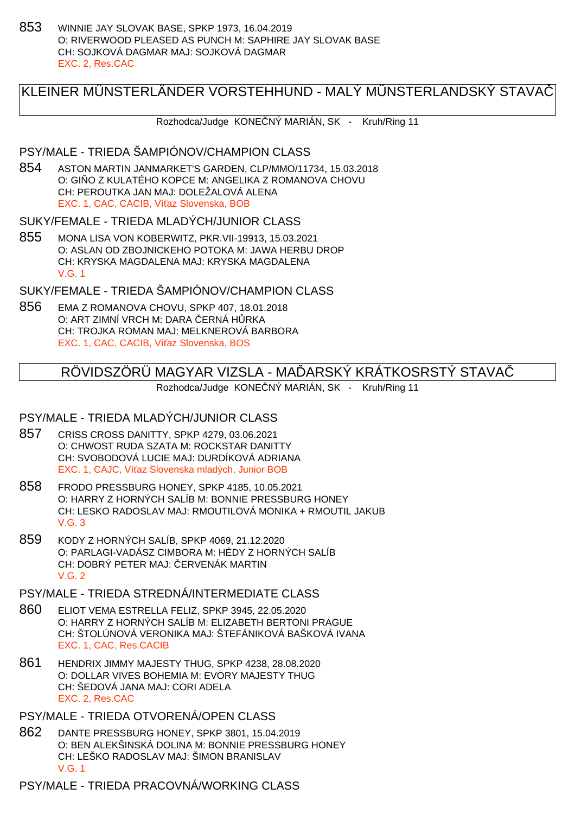853 WINNIE JAY SLOVAK BASE, SPKP 1973, 16.04.2019 O: RIVERWOOD PLEASED AS PUNCH M: SAPHIRE JAY SLOVAK BASE CH: SOJKOVÁ DAGMAR MAJ: SOJKOVÁ DAGMAR EXC. 2, Res.CAC

# KLEINER MÜNSTERLÄNDER VORSTEHHUND - MALÝ MÜNSTERLANDSKÝ STAVAČ

Rozhodca/Judge KONE NÝ MARIÁN, SK - Kruh/Ring 11

#### PSY/MALE - TRIEDA ŠAMPIÓNOV/CHAMPION CLASS

854 ASTON MARTIN JANMARKET'S GARDEN, CLP/MMO/11734, 15.03.2018 O: GI O Z KULATÉHO KOPCE M: ANGELIKA Z ROMANOVA CHOVU CH: PEROUTKA JAN MAJ: DOLEŽALOVÁ ALENA EXC. 1, CAC, CACIB, Ví az Slovenska, BOB

#### SUKY/FEMALE - TRIEDA MLADÝCH/JUNIOR CLASS

855 MONA LISA VON KOBERWITZ, PKR.VII-19913, 15.03.2021 O: ASLAN OD ZBOJNICKEHO POTOKA M: JAWA HERBU DROP CH: KRYSKA MAGDALENA MAJ: KRYSKA MAGDALENA V.G. 1

SUKY/FEMALE - TRIEDA ŠAMPIÓNOV/CHAMPION CLASS

856 EMA Z ROMANOVA CHOVU, SPKP 407, 18.01.2018 O: ART ZIMNÍ VRCH M: DARA ERNÁ H RKA CH: TROJKA ROMAN MAJ: MELKNEROVÁ BARBORA EXC. 1, CAC, CACIB, Ví az Slovenska, BOS

# RÖVIDSZÖRÜ MAGYAR VIZSLA - MAÓARSKÝ KRÁTKOSRSTY STAVA

Rozhodca/Judge KONE NÝ MARIÁN, SK - Kruh/Ring 11

#### PSY/MALE - TRIEDA MLADÝCH/JUNIOR CLASS

- 857 CRISS CROSS DANITTY, SPKP 4279, 03.06.2021 O: CHWOST RUDA SZATA M: ROCKSTAR DANITTY CH: SVOBODOVÁ LUCIE MAJ: DURDÍKOVÁ ADRIANA EXC. 1, CAJC, Ví az Slovenska mladých, Junior BOB
- 858 FRODO PRESSBURG HONEY, SPKP 4185, 10.05.2021 O: HARRY Z HORNÝCH SALÍB M: BONNIE PRESSBURG HONEY CH: LESKO RADOSLAV MAJ: RMOUTILOVÁ MONIKA + RMOUTIL JAKUB V.G. 3
- 859 KODY Z HORNÝCH SALÍB, SPKP 4069, 21.12.2020 O: PARLAGI-VADÁSZ CIMBORA M: HÉDY Z HORNÝCH SALÍB CH: DOBRÝ PETER MAJ: ERVENÁK MARTIN V.G. 2
- PSY/MALE TRIEDA STREDNÁ/INTERMEDIATE CLASS
- 860 ELIOT VEMA ESTRELLA FELIZ, SPKP 3945, 22.05.2020 O: HARRY Z HORNÝCH SALÍB M: ELIZABETH BERTONI PRAGUE CH: ŠTOLÚNOVÁ VERONIKA MAJ: ŠTEFÁNIKOVÁ BAŠKOVÁ IVANA EXC. 1, CAC, Res.CACIB
- 861 HENDRIX JIMMY MAJESTY THUG, SPKP 4238, 28.08.2020 O: DOLLAR VIVES BOHEMIA M: EVORY MAJESTY THUG CH: ŠEDOVÁ JANA MAJ: CORI ADELA EXC. 2, Res.CAC
- PSY/MALE TRIEDA OTVORENÁ/OPEN CLASS
- 862 DANTE PRESSBURG HONEY, SPKP 3801, 15.04.2019 O: BEN ALEKŠINSKÁ DOLINA M: BONNIE PRESSBURG HONEY CH: LEŠKO RADOSLAV MAJ: ŠIMON BRANISLAV V.G. 1

PSY/MALE - TRIEDA PRACOVNÁ/WORKING CLASS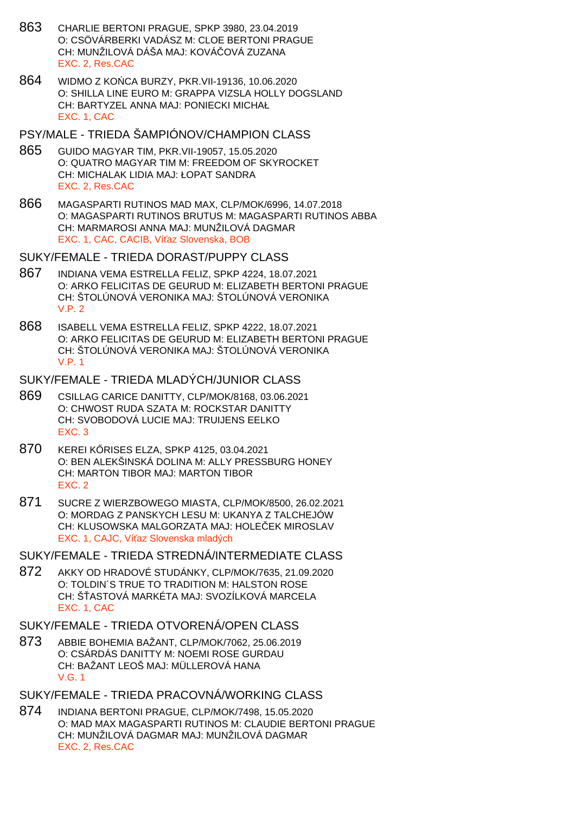- 863 CHARLIE BERTONI PRAGUE, SPKP 3980, 23.04.2019 O: CSÖVÁRBERKI VADÁSZ M: CLOE BERTONI PRAGUE CH: MUNŽILOVÁ DÁŠA MAJ: KOVÁČOVÁ ZUZANA EXC. 2, Res.CAC
- 864 WIDMO Z KO CA BURZY, PKR. VII-19136, 10.06.2020 O: SHILLA LINE EURO M: GRAPPA VIZSLA HOLLY DOGSLAND CH: BARTYZEL ANNA MAJ: PONIECKI MICHAŁ EXC. 1, CAC
- PSY/MALE TRIEDA ŠAMPIÓNOV/CHAMPION CLASS
- 865 GUIDO MAGYAR TIM, PKR.VII-19057, 15.05.2020 O: QUATRO MAGYAR TIM M: FREEDOM OF SKYROCKET CH: MICHALAK LIDIA MAJ: ŁOPAT SANDRA EXC. 2, Res.CAC
- 866 MAGASPARTI RUTINOS MAD MAX, CLP/MOK/6996, 14.07.2018 O: MAGASPARTI RUTINOS BRUTUS M: MAGASPARTI RUTINOS ABBA CH: MARMAROSI ANNA MAJ: MUNŽILOVÁ DAGMAR EXC. 1, CAC, CACIB, Ví az Slovenska, BOB

SUKY/FEMALE - TRIEDA DORAST/PUPPY CLASS

- 867 INDIANA VEMA ESTRELLA FELIZ, SPKP 4224, 18.07.2021 O: ARKO FELICITAS DE GEURUD M: ELIZABETH BERTONI PRAGUE CH: ŠTOLÚNOVÁ VERONIKA MAJ: ŠTOLÚNOVÁ VERONIKA V.P. 2
- 868 ISABELL VEMA ESTRELLA FELIZ, SPKP 4222, 18.07.2021 O: ARKO FELICITAS DE GEURUD M: ELIZABETH BERTONI PRAGUE CH: ŠTOLÚNOVÁ VERONIKA MAJ: ŠTOLÚNOVÁ VERONIKA V.P. 1

## SUKY/FEMALE - TRIEDA MLADÝCH/JUNIOR CLASS

- 869 CSILLAG CARICE DANITTY, CLP/MOK/8168, 03.06.2021 O: CHWOST RUDA SZATA M: ROCKSTAR DANITTY CH: SVOBODOVÁ LUCIE MAJ: TRUIJENS EELKO EXC. 3
- 870 KEREI K RISES ELZA, SPKP 4125, 03.04.2021 O: BEN ALEKŠINSKÁ DOLINA M: ALLY PRESSBURG HONEY CH: MARTON TIBOR MAJ: MARTON TIBOR EXC. 2
- 871 SUCRE Z WIERZBOWEGO MIASTA, CLP/MOK/8500, 26.02.2021 O: MORDAG Z PANSKYCH LESU M: UKANYA Z TALCHEJÓW CH: KLUSOWSKA MALGORZATA MAJ: HOLE EK MIROSLAV EXC. 1, CAJC. Ví az Slovenska mladých
- SUKY/FEMALE TRIEDA STREDNÁ/INTERMEDIATE CLASS
- 872 AKKY OD HRADOVÉ STUDÁNKY, CLP/MOK/7635, 21.09.2020 O: TOLDIN´S TRUE TO TRADITION M: HALSTON ROSE CH: Š ASTOVÁ MARKÉTA MAJ: SVOZÍLKOVÁ MARCELA EXC. 1, CAC
- SUKY/FEMALE TRIEDA OTVORENÁ/OPEN CLASS
- 873 ABBIE BOHEMIA BAŽANT, CLP/MOK/7062, 25.06.2019 O: CSÁRDÁS DANITTY M: NOEMI ROSE GURDAU CH: BAŽANT LEOŠ MAJ: MÜLLEROVÁ HANA V.G. 1
- SUKY/FEMALE TRIEDA PRACOVNÁ/WORKING CLASS
- 874 INDIANA BERTONI PRAGUE, CLP/MOK/7498, 15.05.2020 O: MAD MAX MAGASPARTI RUTINOS M: CLAUDIE BERTONI PRAGUE CH: MUNŽILOVÁ DAGMAR MAJ: MUNŽILOVÁ DAGMAR EXC. 2, Res.CAC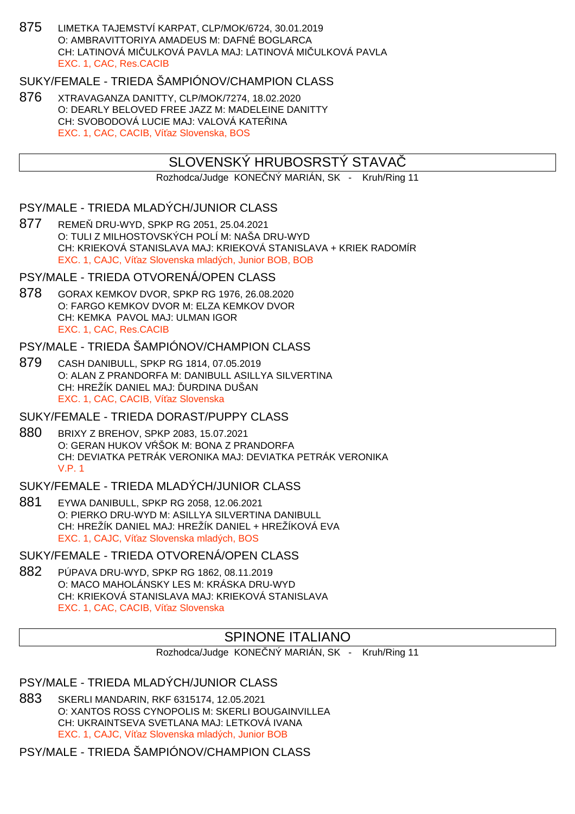875 LIMETKA TAJEMSTVÍ KARPAT, CLP/MOK/6724, 30.01.2019 O: AMBRAVITTORIYA AMADEUS M: DAFNÉ BOGLARCA CH: LATINOVÁ MIČULKOVÁ PAVLA MAJ: LATINOVÁ MIČULKOVÁ PAVLA EXC. 1, CAC, Res.CACIB

## SUKY/FEMALE - TRIEDA ŠAMPIÓNOV/CHAMPION CLASS

876 XTRAVAGANZA DANITTY, CLP/MOK/7274, 18.02.2020 O: DEARLY BELOVED FREE JAZZ M: MADELEINE DANITTY CH: SVOBODOVÁ LUCIE MAJ: VALOVÁ KATE INA EXC. 1, CAC, CACIB, Ví az Slovenska, BOS

# SLOVENSKÝ HRUBOSRSTY STAVA

Rozhodca/Judge KONE NÝ MARIÁN, SK - Kruh/Ring 11

## PSY/MALE - TRIEDA MLADÝCH/JUNIOR CLASS

877 REME DRU-WYD, SPKP RG 2051, 25.04.2021 O: TULI Z MILHOSTOVSKÝCH POLÍ M: NAŠA DRU-WYD CH: KRIEKOVÁ STANISLAVA MAJ: KRIEKOVÁ STANISLAVA + KRIEK RADOMÍR EXC. 1, CAJC, Ví az Slovenska mladých, Junior BOB, BOB

### PSY/MALE - TRIEDA OTVORENÁ/OPEN CLASS

878 GORAX KEMKOV DVOR, SPKP RG 1976, 26.08.2020 O: FARGO KEMKOV DVOR M: ELZA KEMKOV DVOR CH: KEMKA PAVOL MAJ: ULMAN IGOR EXC. 1, CAC, Res.CACIB

#### PSY/MALE - TRIEDA ŠAMPIÓNOV/CHAMPION CLASS

879 CASH DANIBULL, SPKP RG 1814, 07.05.2019 O: ALAN Z PRANDORFA M: DANIBULL ASILLYA SILVERTINA CH: HREŽÍK DANIEL MAJ: URDINA DUŠAN EXC. 1, CAC, CACIB, Ví az Slovenska

#### SUKY/FEMALE - TRIEDA DORAST/PUPPY CLASS

880 BRIXY Z BREHOV, SPKP 2083, 15.07.2021 O: GERAN HUKOV V ŠOK M: BONA Z PRANDORFA CH: DEVIATKA PETRÁK VERONIKA MAJ: DEVIATKA PETRÁK VERONIKA V.P. 1

## SUKY/FEMALE - TRIEDA MLADÝCH/JUNIOR CLASS

881 EYWA DANIBULL, SPKP RG 2058, 12.06.2021 O: PIERKO DRU-WYD M: ASILLYA SILVERTINA DANIBULL CH: HREŽÍK DANIEL MAJ: HREŽÍK DANIEL + HREŽÍKOVÁ EVA EXC. 1, CAJC, Ví az Slovenska mladých, BOS

SUKY/FEMALE - TRIEDA OTVORENÁ/OPEN CLASS

882 PÚPAVA DRU-WYD, SPKP RG 1862, 08.11.2019 O: MACO MAHOLÁNSKY LES M: KRÁSKA DRU-WYD CH: KRIEKOVÁ STANISLAVA MAJ: KRIEKOVÁ STANISLAVA EXC. 1, CAC, CACIB, Ví az Slovenska

### SPINONE ITALIANO

Rozhodca/Judge KONE NÝ MARIÁN, SK - Kruh/Ring 11

## PSY/MALE - TRIEDA MLADÝCH/JUNIOR CLASS

883 SKERLI MANDARIN, RKF 6315174, 12.05.2021 O: XANTOS ROSS CYNOPOLIS M: SKERLI BOUGAINVILLEA CH: UKRAINTSEVA SVETLANA MAJ: LETKOVÁ IVANA EXC. 1, CAJC, Ví az Slovenska mladých, Junior BOB

PSY/MALE - TRIEDA ŠAMPIÓNOV/CHAMPION CLASS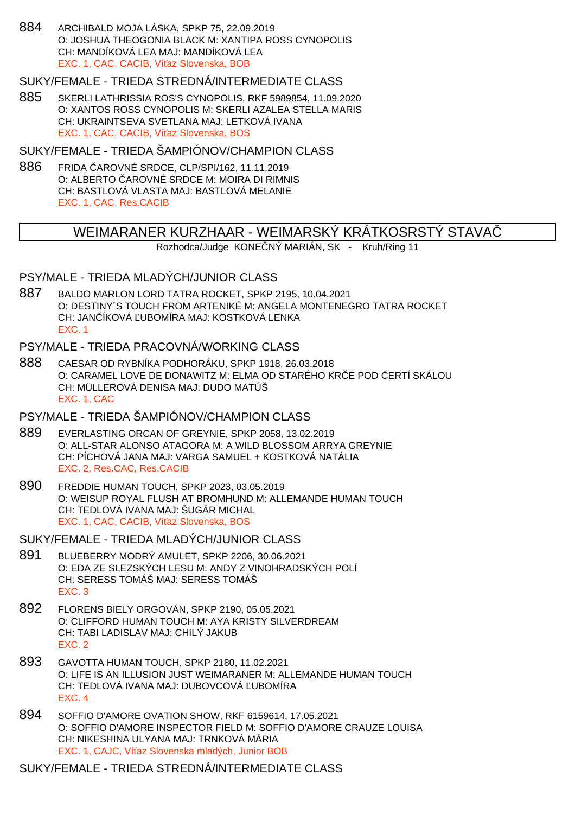884 ARCHIBALD MOJA LÁSKA, SPKP 75, 22.09.2019 O: JOSHUA THEOGONIA BLACK M: XANTIPA ROSS CYNOPOLIS CH: MANDÍKOVÁ LEA MAJ: MANDÍKOVÁ LEA EXC. 1, CAC, CACIB, Ví az Slovenska, BOB

#### SUKY/FEMALE - TRIEDA STREDNÁ/INTERMEDIATE CLASS

885 SKERLI LATHRISSIA ROS'S CYNOPOLIS, RKF 5989854, 11.09.2020 O: XANTOS ROSS CYNOPOLIS M: SKERLI AZALEA STELLA MARIS CH: UKRAINTSEVA SVETLANA MAJ: LETKOVÁ IVANA EXC. 1, CAC, CACIB, Ví az Slovenska, BOS

SUKY/FEMALE - TRIEDA ŠAMPIÓNOV/CHAMPION CLASS

886 FRIDA AROVNÉ SRDCE, CLP/SPI/162, 11.11.2019 O: ALBERTO AROVNÉ SRDCE M: MOIRA DI RIMNIS CH: BASTLOVÁ VLASTA MAJ: BASTLOVÁ MELANIE EXC. 1, CAC, Res.CACIB

#### WEIMARANER KURZHAAR - WEIMARSKÝ KRÁTKOSRSTY STAVA

Rozhodca/Judge KONE NÝ MARIÁN, SK - Kruh/Ring 11

#### PSY/MALE - TRIEDA MLADÝCH/JUNIOR CLASS

887 BALDO MARLON LORD TATRA ROCKET, SPKP 2195, 10.04.2021 O: DESTINY´S TOUCH FROM ARTENIKÉ M: ANGELA MONTENEGRO TATRA ROCKET CH: JAN ÍKOVÁ UBOMÍRA MAJ: KOSTKOVÁ LENKA EXC. 1

#### PSY/MALE - TRIEDA PRACOVNÁ/WORKING CLASS

888 CAESAR OD RYBNÍKA PODHORÁKU, SPKP 1918, 26.03.2018 O: CARAMEL LOVE DE DONAWITZ M: ELMA OD STARÉHO KR E POD ERTÍ SKÁLOU CH: MÜLLEROVÁ DENISA MAJ: DUDO MATÚŠ EXC. 1, CAC

#### PSY/MALE - TRIEDA ŠAMPIÓNOV/CHAMPION CLASS

- 889 EVERLASTING ORCAN OF GREYNIE, SPKP 2058, 13.02.2019 O: ALL-STAR ALONSO ATAGORA M: A WILD BLOSSOM ARRYA GREYNIE CH: PÍCHOVÁ JANA MAJ: VARGA SAMUEL + KOSTKOVÁ NATÁLIA EXC. 2, Res.CAC, Res.CACIB
- 890 FREDDIE HUMAN TOUCH, SPKP 2023, 03.05.2019 O: WEISUP ROYAL FLUSH AT BROMHUND M: ALLEMANDE HUMAN TOUCH CH: TEDLOVÁ IVANA MAJ: ŠUGÁR MICHAL EXC. 1, CAC, CACIB, Ví az Slovenska, BOS

SUKY/FEMALE - TRIEDA MLADÝCH/JUNIOR CLASS

- 891 BLUEBERRY MODRÝ AMULET, SPKP 2206, 30.06.2021 O: EDA ZE SLEZSKÝCH LESU M: ANDY Z VINOHRADSKÝCH POLÍ CH: SERESS TOMÁŠ MAJ: SERESS TOMÁŠ EXC. 3
- 892 FLORENS BIELY ORGOVÁN, SPKP 2190, 05.05.2021 O: CLIFFORD HUMAN TOUCH M: AYA KRISTY SILVERDREAM CH: TABI LADISLAV MAJ: CHILÝ JAKUB EXC. 2
- 893 GAVOTTA HUMAN TOUCH, SPKP 2180, 11.02.2021 O: LIFE IS AN ILLUSION JUST WEIMARANER M: ALLEMANDE HUMAN TOUCH CH: TEDLOVÁ IVANA MAJ: DUBOVCOVÁ ĽUBOMÍRA EXC. 4
- 894 SOFFIO D'AMORE OVATION SHOW, RKF 6159614, 17.05.2021 O: SOFFIO D'AMORE INSPECTOR FIELD M: SOFFIO D'AMORE CRAUZE LOUISA CH: NIKESHINA ULYANA MAJ: TRNKOVÁ MÁRIA EXC. 1, CAJC, Ví az Slovenska mladých, Junior BOB

SUKY/FEMALE - TRIEDA STREDNÁ/INTERMEDIATE CLASS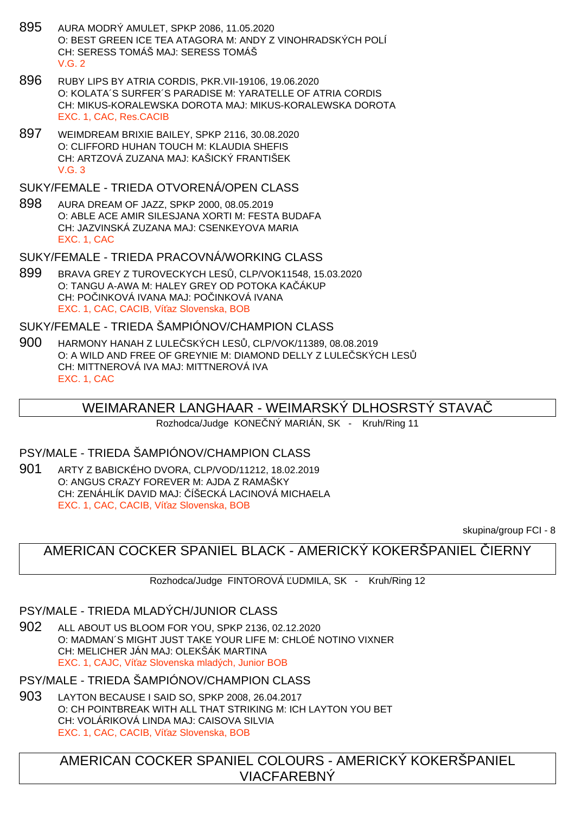- 895 AURA MODRÝ AMULET, SPKP 2086, 11.05.2020 O: BEST GREEN ICE TEA ATAGORA M: ANDY Z VINOHRADSKÝCH POLÍ CH: SERESS TOMÁŠ MAJ: SERESS TOMÁŠ  $V$  G  $2$
- 896 RUBY LIPS BY ATRIA CORDIS, PKR.VII-19106, 19.06.2020 O: KOLATA´S SURFER´S PARADISE M: YARATELLE OF ATRIA CORDIS CH: MIKUS-KORALEWSKA DOROTA MAJ: MIKUS-KORALEWSKA DOROTA EXC. 1, CAC, Res.CACIB
- 897 WEIMDREAM BRIXIE BAILEY, SPKP 2116, 30.08.2020 O: CLIFFORD HUHAN TOUCH M: KLAUDIA SHEFIS CH: ARTZOVÁ ZUZANA MAJ: KAŠICKÝ FRANTIŠEK  $V$  G  $3$

SUKY/FEMALE - TRIEDA OTVORENÁ/OPEN CLASS

898 AURA DREAM OF JAZZ, SPKP 2000, 08.05.2019 O: ABLE ACE AMIR SILESJANA XORTI M: FESTA BUDAFA CH: JAZVINSKÁ ZUZANA MAJ: CSENKEYOVA MARIA EXC. 1, CAC

SUKY/FEMALE - TRIEDA PRACOVNÁ/WORKING CLASS

899 BRAVA GREY Z TUROVECKYCH LES , CLP/VOK11548, 15.03.2020 O: TANGU A-AWA M: HALEY GREY OD POTOKA KA ÁKUP CH: POČINKOVÁ IVANA MAJ: POČINKOVÁ IVANA EXC. 1, CAC, CACIB, Ví az Slovenska, BOB

SUKY/FEMALE - TRIEDA ŠAMPIÓNOV/CHAMPION CLASS

900 HARMONY HANAH Z LULE SKÝCH LES, CLP/VOK/11389, 08.08.2019 O: A WILD AND FREE OF GREYNIE M: DIAMOND DELLY Z LULE SKÝCH LES CH: MITTNEROVÁ IVA MAJ: MITTNEROVÁ IVA EXC. 1, CAC

# WEIMARANER LANGHAAR - WEIMARSKÝ DLHOSRSTÝ STAVAČ

Rozhodca/Judge KONE NÝ MARIÁN, SK - Kruh/Ring 11

## PSY/MALE - TRIEDA ŠAMPIÓNOV/CHAMPION CLASS

901 ARTY Z BABICKÉHO DVORA, CLP/VOD/11212, 18.02.2019 O: ANGUS CRAZY FOREVER M: AJDA Z RAMAŠKY CH: ZENÁHLÍK DAVID MAJ: ÍŠECKÁ LACINOVÁ MICHAELA EXC. 1, CAC, CACIB, Ví az Slovenska, BOB

skupina/group FCI - 8

AMERICAN COCKER SPANIEL BLACK - AMERICKÝ KOKERŠPANIEL LIERNY

Rozhodca/Judge FINTOROVÁ UDMILA, SK - Kruh/Ring 12

# PSY/MALE - TRIEDA MLADÝCH/JUNIOR CLASS

902 ALL ABOUT US BLOOM FOR YOU, SPKP 2136, 02.12.2020 O: MADMAN´S MIGHT JUST TAKE YOUR LIFE M: CHLOÉ NOTINO VIXNER CH: MELICHER JÁN MAJ: OLEKŠÁK MARTINA EXC. 1, CAJC, Ví az Slovenska mladých, Junior BOB

PSY/MALE - TRIEDA ŠAMPIÓNOV/CHAMPION CLASS

903 LAYTON BECAUSE I SAID SO, SPKP 2008, 26.04.2017 O: CH POINTBREAK WITH ALL THAT STRIKING M: ICH LAYTON YOU BET CH: VOLÁRIKOVÁ LINDA MAJ: CAISOVA SILVIA EXC. 1, CAC, CACIB, Ví az Slovenska, BOB

> AMERICAN COCKER SPANIEL COLOURS - AMERICKÝ KOKERŠPANIEL VIACFAREBNÝ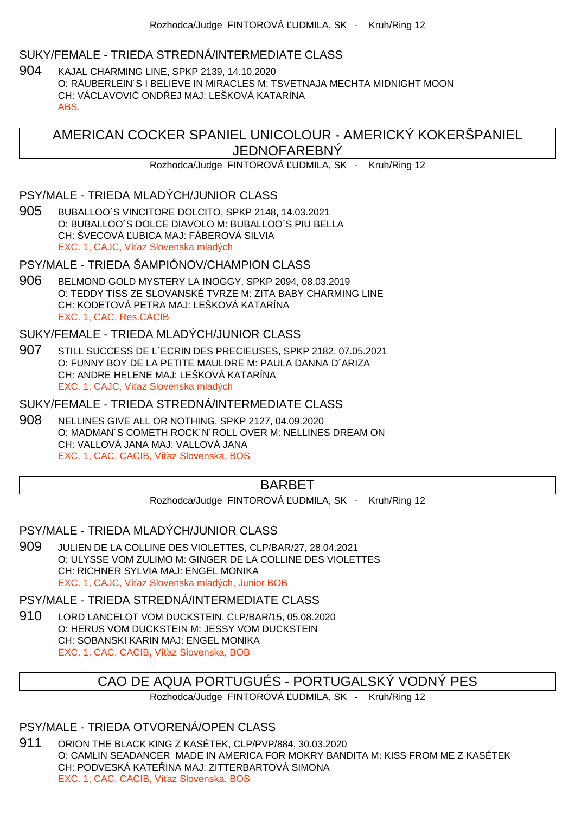#### SUKY/FEMALE - TRIEDA STREDNÁ/INTERMEDIATE CLASS

904 KAJAL CHARMING LINE, SPKP 2139, 14.10.2020 O: RÄUBERLEIN´S I BELIEVE IN MIRACLES M: TSVETNAJA MECHTA MIDNIGHT MOON CH: VÁCLAVOVIC ONDŘEJ MAJ: LEŠKOVÁ KATARÍNA ABS.

AMERICAN COCKER SPANIEL UNICOLOUR - AMERICKÝ KOKERŠPANIEL JEDNOFAREBNÝ

Rozhodca/Judge FINTOROVÁ UDMILA, SK - Kruh/Ring 12

#### PSY/MALE - TRIEDA MLADÝCH/JUNIOR CLASS

905 BUBALLOO´S VINCITORE DOLCITO, SPKP 2148, 14.03.2021 O: BUBALLOO´S DOLCE DIAVOLO M: BUBALLOO´S PIU BELLA CH: ŠVECOVÁ UBICA MAJ: FÁBEROVÁ SILVIA EXC. 1, CAJC, Ví az Slovenska mladých

PSY/MALE - TRIEDA ŠAMPIÓNOV/CHAMPION CLASS

906 BELMOND GOLD MYSTERY LA INOGGY, SPKP 2094, 08.03.2019 O: TEDDY TISS ZE SLOVANSKÉ TVRZE M: ZITA BABY CHARMING LINE CH: KODETOVÁ PETRA MAJ: LEŠKOVÁ KATARÍNA EXC. 1, CAC, Res.CACIB

SUKY/FEMALE - TRIEDA MLADÝCH/JUNIOR CLASS

907 STILL SUCCESS DE L´ECRIN DES PRECIEUSES, SPKP 2182, 07.05.2021 O: FUNNY BOY DE LA PETITE MAULDRE M: PAULA DANNA D´ARIZA CH: ANDRE HELENE MAJ: LEŠKOVÁ KATARÍNA EXC. 1, CAJC, Ví az Slovenska mladých

SUKY/FEMALE - TRIEDA STREDNÁ/INTERMEDIATE CLASS

908 NELLINES GIVE ALL OR NOTHING, SPKP 2127, 04.09.2020 O: MADMAN´S COMETH ROCK´N´ROLL OVER M: NELLINES DREAM ON CH: VALLOVÁ JANA MAJ: VALLOVÁ JANA EXC. 1, CAC, CACIB, Ví az Slovenska, BOS

# BARBET

Rozhodca/Judge FINTOROVÁ UDMILA, SK - Kruh/Ring 12

PSY/MALE - TRIEDA MLADÝCH/JUNIOR CLASS

909 JULIEN DE LA COLLINE DES VIOLETTES, CLP/BAR/27, 28.04.2021 O: ULYSSE VOM ZULIMO M: GINGER DE LA COLLINE DES VIOLETTES CH: RICHNER SYLVIA MAJ: ENGEL MONIKA EXC. 1, CAJC, Ví az Slovenska mladých, Junior BOB

#### PSY/MALE - TRIEDA STREDNÁ/INTERMEDIATE CLASS

910 LORD LANCELOT VOM DUCKSTEIN, CLP/BAR/15, 05.08.2020 O: HERUS VOM DUCKSTEIN M: JESSY VOM DUCKSTEIN CH: SOBANSKI KARIN MAJ: ENGEL MONIKA EXC. 1, CAC, CACIB, Ví az Slovenska, BOB

# CAO DE AQUA PORTUGUÉS - PORTUGALSKÝ VODNÝ PES

Rozhodca/Judge FINTOROVÁ UDMILA, SK - Kruh/Ring 12

## PSY/MALE - TRIEDA OTVORENÁ/OPEN CLASS

911 ORION THE BLACK KING Z KASÉTEK, CLP/PVP/884, 30.03.2020 O: CAMLIN SEADANCER MADE IN AMERICA FOR MOKRY BANDITA M: KISS FROM ME Z KASÉTEK CH: PODVESKÁ KATE INA MAJ: ZITTERBARTOVÁ SIMONA EXC. 1, CAC, CACIB, Ví az Slovenska, BOS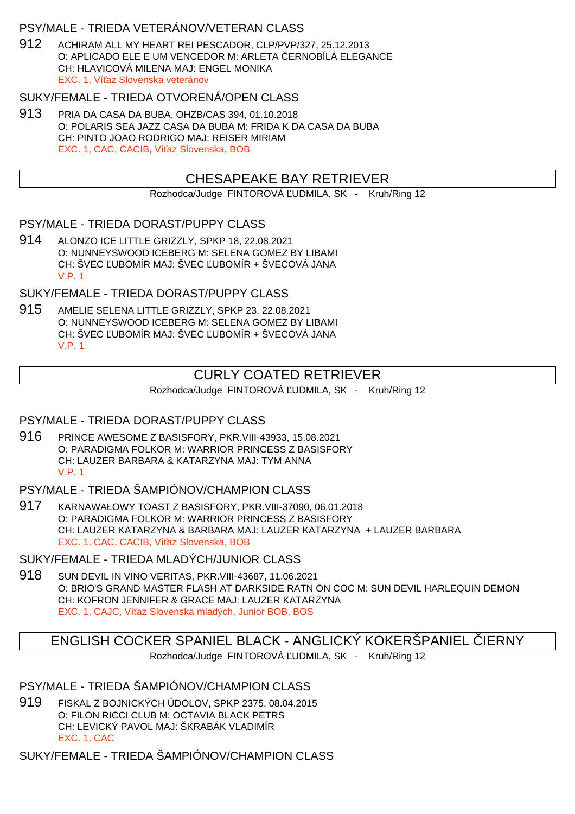## PSY/MALE - TRIEDA VETERÁNOV/VETERAN CLASS

912 ACHIRAM ALL MY HEART REI PESCADOR, CLP/PVP/327, 25.12.2013 O: APLICADO ELE E UM VENCEDOR M: ARLETA ERNOBÍLÁ ELEGANCE CH: HLAVICOVÁ MILENA MAJ: ENGEL MONIKA EXC. 1, Ví az Slovenska veteránov

## SUKY/FEMALE - TRIEDA OTVORENÁ/OPEN CLASS

913 PRIA DA CASA DA BUBA, OHZB/CAS 394, 01.10.2018 O: POLARIS SEA JAZZ CASA DA BUBA M: FRIDA K DA CASA DA BUBA CH: PINTO JOAO RODRIGO MAJ: REISER MIRIAM EXC. 1, CAC, CACIB, Ví az Slovenska, BOB

# CHESAPEAKE BAY RETRIEVER

Rozhodca/Judge FINTOROVÁ UDMILA, SK - Kruh/Ring 12

PSY/MALE - TRIEDA DORAST/PUPPY CLASS

914 ALONZO ICE LITTLE GRIZZLY, SPKP 18, 22.08.2021 O: NUNNEYSWOOD ICEBERG M: SELENA GOMEZ BY LIBAMI CH: ŠVEC UBOMÍR MAJ: ŠVEC UBOMÍR + ŠVECOVÁ JANA V.P. 1

SUKY/FEMALE - TRIEDA DORAST/PUPPY CLASS

915 AMELIE SELENA LITTLE GRIZZLY, SPKP 23, 22.08.2021 O: NUNNEYSWOOD ICEBERG M: SELENA GOMEZ BY LIBAMI CH: ŠVEC UBOMÍR MAJ: ŠVEC UBOMÍR + ŠVECOVÁ JANA V.P. 1

# CURLY COATED RETRIEVER

Rozhodca/Judge FINTOROVÁ UDMILA, SK - Kruh/Ring 12

### PSY/MALE - TRIEDA DORAST/PUPPY CLASS

916 PRINCE AWESOME Z BASISFORY, PKR.VIII-43933, 15.08.2021 O: PARADIGMA FOLKOR M: WARRIOR PRINCESS Z BASISFORY CH: LAUZER BARBARA & KATARZYNA MAJ: TYM ANNA V.P. 1

## PSY/MALE - TRIEDA ŠAMPIÓNOV/CHAMPION CLASS

917 KARNAWAŁOWY TOAST Z BASISFORY, PKR.VIII-37090, 06.01.2018 O: PARADIGMA FOLKOR M: WARRIOR PRINCESS Z BASISFORY CH: LAUZER KATARZYNA & BARBARA MAJ: LAUZER KATARZYNA + LAUZER BARBARA EXC. 1, CAC, CACIB, Ví az Slovenska, BOB

SUKY/FEMALE - TRIEDA MLADÝCH/JUNIOR CLASS

918 SUN DEVIL IN VINO VERITAS, PKR.VIII-43687, 11.06.2021 O: BRIO'S GRAND MASTER FLASH AT DARKSIDE RATN ON COC M: SUN DEVIL HARLEQUIN DEMON CH: KOFRON JENNIFER & GRACE MAJ: LAUZER KATARZYNA EXC. 1, CAJC, Ví az Slovenska mladých, Junior BOB, BOS

# ENGLISH COCKER SPANIEL BLACK - ANGLICKY KOKERSPANIEL IERNY

Rozhodca/Judge FINTOROVÁ UDMILA, SK - Kruh/Ring 12

## PSY/MALE - TRIEDA ŠAMPIÓNOV/CHAMPION CLASS

919 FISKAL Z BOJNICKÝCH ÚDOLOV, SPKP 2375, 08.04.2015 O: FILON RICCI CLUB M: OCTAVIA BLACK PETRS CH: LEVICKÝ PAVOL MAJ: ŠKRABÁK VLADIMÍR EXC. 1, CAC

SUKY/FEMALE - TRIEDA ŠAMPIÓNOV/CHAMPION CLASS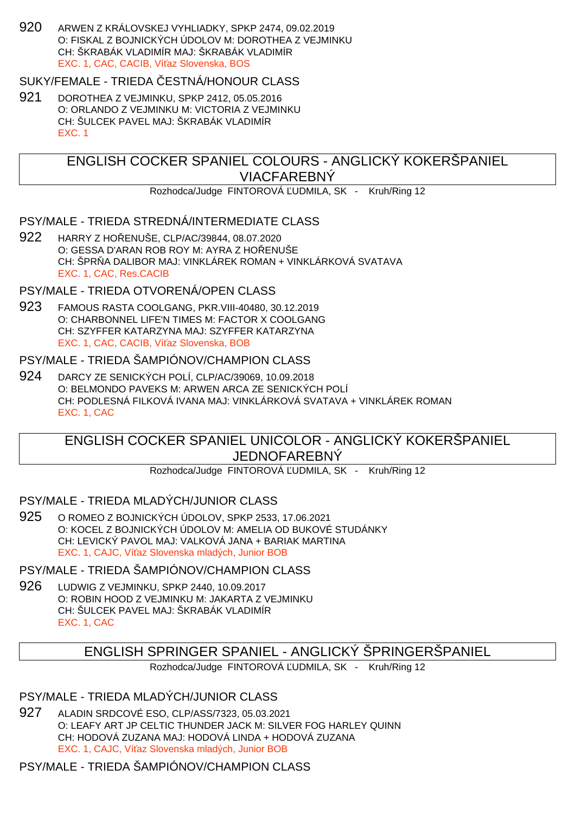920 ARWEN Z KRÁLOVSKEJ VYHLIADKY, SPKP 2474, 09.02.2019 O: FISKAL Z BOJNICKÝCH ÚDOLOV M: DOROTHEA Z VEJMINKU CH: ŠKRABÁK VLADIMÍR MAJ: ŠKRABÁK VLADIMÍR EXC. 1, CAC, CACIB, Ví az Slovenska, BOS

## SUKY/FEMALE - TRIEDA ESTNÁ/HONOUR CLASS

921 DOROTHEA Z VEJMINKU, SPKP 2412, 05.05.2016 O: ORLANDO Z VEJMINKU M: VICTORIA Z VEJMINKU CH: ŠULCEK PAVEL MAJ: ŠKRABÁK VLADIMÍR EXC. 1

# ENGLISH COCKER SPANIEL COLOURS - ANGLICKÝ KOKERŠPANIEL VIACFAREBNÝ

Rozhodca/Judge FINTOROVÁ UDMILA, SK - Kruh/Ring 12

### PSY/MALE - TRIEDA STREDNÁ/INTERMEDIATE CLASS

922 HARRY Z HO ENUŠE, CLP/AC/39844, 08.07.2020 O: GESSA D'ARAN ROB ROY M: AYRA Z HOŘENUŠE CH: ŠPR A DALIBOR MAJ: VINKLÁREK ROMAN + VINKLÁRKOVÁ SVATAVA EXC. 1, CAC, Res.CACIB

## PSY/MALE - TRIEDA OTVORENÁ/OPEN CLASS

923 FAMOUS RASTA COOLGANG, PKR.VIII-40480, 30.12.2019 O: CHARBONNEL LIFE'N TIMES M: FACTOR X COOLGANG CH: SZYFFER KATARZYNA MAJ: SZYFFER KATARZYNA EXC. 1, CAC, CACIB, Ví az Slovenska, BOB

## PSY/MALE - TRIEDA ŠAMPIÓNOV/CHAMPION CLASS

924 DARCY ZE SENICKÝCH POLÍ, CLP/AC/39069, 10.09.2018 O: BELMONDO PAVEKS M: ARWEN ARCA ZE SENICKÝCH POLÍ CH: PODLESNÁ FILKOVÁ IVANA MAJ: VINKLÁRKOVÁ SVATAVA + VINKLÁREK ROMAN EXC. 1, CAC

# ENGLISH COCKER SPANIEL UNICOLOR - ANGLICKÝ KOKERŠPANIEL JEDNOFAREBNÝ

Rozhodca/Judge FINTOROVÁ UDMILA, SK - Kruh/Ring 12

### PSY/MALE - TRIEDA MLADÝCH/JUNIOR CLASS

925 O ROMEO Z BOJNICKÝCH ÚDOLOV, SPKP 2533, 17.06.2021 O: KOCEL Z BOJNICKÝCH ÚDOLOV M: AMELIA OD BUKOVÉ STUDÁNKY CH: LEVICKÝ PAVOL MAJ: VALKOVÁ JANA + BARIAK MARTINA EXC. 1, CAJC. Ví az Slovenska mladých, Junior BOB

# PSY/MALE - TRIEDA ŠAMPIÓNOV/CHAMPION CLASS

926 LUDWIG Z VEJMINKU, SPKP 2440, 10.09.2017 O: ROBIN HOOD Z VEJMINKU M: JAKARTA Z VEJMINKU CH: ŠULCEK PAVEL MAJ: ŠKRABÁK VLADIMÍR EXC. 1, CAC

# ENGLISH SPRINGER SPANIEL - ANGLICKÝ ŠPRINGERŠPANIEL

Rozhodca/Judge FINTOROVÁ UDMILA, SK - Kruh/Ring 12

## PSY/MALE - TRIEDA MLADÝCH/JUNIOR CLASS

927 ALADIN SRDCOVÉ ESO, CLP/ASS/7323, 05.03.2021 O: LEAFY ART JP CELTIC THUNDER JACK M: SILVER FOG HARLEY QUINN CH: HODOVÁ ZUZANA MAJ: HODOVÁ LINDA + HODOVÁ ZUZANA EXC. 1, CAJC. Ví az Slovenska mladých, Junior BOB

PSY/MALE - TRIEDA ŠAMPIÓNOV/CHAMPION CLASS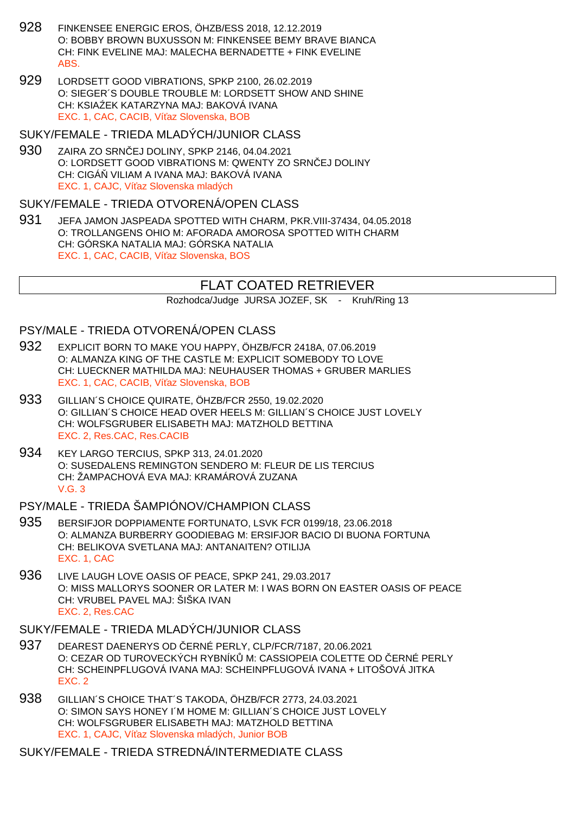- 928 FINKENSEE ENERGIC EROS, ÖHZB/ESS 2018, 12.12.2019 O: BOBBY BROWN BUXUSSON M: FINKENSEE BEMY BRAVE BIANCA CH: FINK EVELINE MAJ: MALECHA BERNADETTE + FINK EVELINE ABS.
- 929 LORDSETT GOOD VIBRATIONS, SPKP 2100, 26.02.2019 O: SIEGER´S DOUBLE TROUBLE M: LORDSETT SHOW AND SHINE CH: KSIA EK KATARZYNA MAJ: BAKOVÁ IVANA EXC. 1, CAC, CACIB, Ví az Slovenska, BOB

#### SUKY/FEMALE - TRIEDA MLADÝCH/JUNIOR CLASS

930 ZAIRA ZO SRN EJ DOLINY, SPKP 2146, 04.04.2021 O: LORDSETT GOOD VIBRATIONS M: QWENTY ZO SRN EJ DOLINY CH: CIGÁ VILIAM A IVANA MAJ: BAKOVÁ IVANA EXC. 1, CAJC, Ví az Slovenska mladých

#### SUKY/FEMALE - TRIEDA OTVORENÁ/OPEN CLASS

931 JEFA JAMON JASPEADA SPOTTED WITH CHARM, PKR.VIII-37434, 04.05.2018 O: TROLLANGENS OHIO M: AFORADA AMOROSA SPOTTED WITH CHARM CH: GÓRSKA NATALIA MAJ: GÓRSKA NATALIA EXC. 1, CAC, CACIB, Ví az Slovenska, BOS

# FLAT COATED RETRIEVER

Rozhodca/Judge JURSA JOZEF, SK - Kruh/Ring 13

### PSY/MALE - TRIEDA OTVORENÁ/OPEN CLASS

- 932 EXPLICIT BORN TO MAKE YOU HAPPY, ÖHZB/FCR 2418A, 07.06.2019 O: ALMANZA KING OF THE CASTLE M: EXPLICIT SOMEBODY TO LOVE CH: LUECKNER MATHILDA MAJ: NEUHAUSER THOMAS + GRUBER MARLIES EXC. 1, CAC, CACIB, Ví az Slovenska, BOB
- 933 GILLIAN´S CHOICE QUIRATE, ÖHZB/FCR 2550, 19.02.2020 O: GILLIAN´S CHOICE HEAD OVER HEELS M: GILLIAN´S CHOICE JUST LOVELY CH: WOLFSGRUBER ELISABETH MAJ: MATZHOLD BETTINA EXC. 2, Res.CAC, Res.CACIB
- 934 KEY LARGO TERCIUS, SPKP 313, 24.01.2020 O: SUSEDALENS REMINGTON SENDERO M: FLEUR DE LIS TERCIUS CH: ŽAMPACHOVÁ EVA MAJ: KRAMÁROVÁ ZUZANA  $V$  $G$  3

### PSY/MALE - TRIEDA ŠAMPIÓNOV/CHAMPION CLASS

- 935 BERSIFJOR DOPPIAMENTE FORTUNATO, LSVK FCR 0199/18, 23.06.2018 O: ALMANZA BURBERRY GOODIEBAG M: ERSIFJOR BACIO DI BUONA FORTUNA CH: BELIKOVA SVETLANA MAJ: ANTANAITEN? OTILIJA EXC. 1, CAC
- 936 LIVE LAUGH LOVE OASIS OF PEACE, SPKP 241, 29.03.2017 O: MISS MALLORYS SOONER OR LATER M: I WAS BORN ON EASTER OASIS OF PEACE CH: VRUBEL PAVEL MAJ: ŠIŠKA IVAN EXC. 2, Res.CAC

#### SUKY/FEMALE - TRIEDA MLADÝCH/JUNIOR CLASS

- 937 DEAREST DAENERYS OD ERNÉ PERLY, CLP/FCR/7187, 20.06.2021 O: CEZAR OD TUROVECKÝCH RYBNÍK M: CASSIOPEIA COLETTE OD ERNÉ PERLY CH: SCHEINPFLUGOVÁ IVANA MAJ: SCHEINPFLUGOVÁ IVANA + LITOŠOVÁ JITKA EXC. 2
- 938 GILLIAN´S CHOICE THAT´S TAKODA, ÖHZB/FCR 2773, 24.03.2021 O: SIMON SAYS HONEY I´M HOME M: GILLIAN´S CHOICE JUST LOVELY CH: WOLFSGRUBER ELISABETH MAJ: MATZHOLD BETTINA EXC. 1, CAJC, Ví az Slovenska mladých, Junior BOB

SUKY/FEMALE - TRIEDA STREDNÁ/INTERMEDIATE CLASS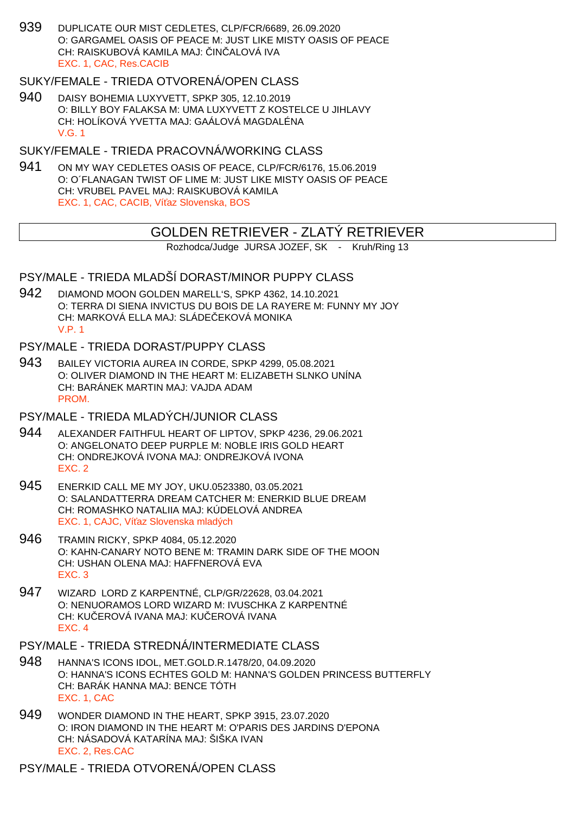939 DUPLICATE OUR MIST CEDLETES, CLP/FCR/6689, 26.09.2020 O: GARGAMEL OASIS OF PEACE M: JUST LIKE MISTY OASIS OF PEACE CH: RAISKUBOVÁ KAMILA MAJ: IN ALOVÁ IVA EXC. 1, CAC, Res.CACIB

### SUKY/FEMALE - TRIEDA OTVORENÁ/OPEN CLASS

940 DAISY BOHEMIA LUXYVETT, SPKP 305, 12.10.2019 O: BILLY BOY FALAKSA M: UMA LUXYVETT Z KOSTELCE U JIHLAVY CH: HOLÍKOVÁ YVETTA MAJ: GAÁLOVÁ MAGDALÉNA V.G. 1

## SUKY/FEMALE - TRIEDA PRACOVNÁ/WORKING CLASS

941 ON MY WAY CEDLETES OASIS OF PEACE, CLP/FCR/6176, 15.06.2019 O: O´FLANAGAN TWIST OF LIME M: JUST LIKE MISTY OASIS OF PEACE CH: VRUBEL PAVEL MAJ: RAISKUBOVÁ KAMILA EXC. 1, CAC, CACIB, Ví az Slovenska, BOS

## GOLDEN RETRIEVER - ZLATÝ RETRIEVER

Rozhodca/Judge JURSA JOZEF, SK - Kruh/Ring 13

## PSY/MALE - TRIEDA MLADŠÍ DORAST/MINOR PUPPY CLASS

942 DIAMOND MOON GOLDEN MARELL'S, SPKP 4362, 14.10.2021 O: TERRA DI SIENA INVICTUS DU BOIS DE LA RAYERE M: FUNNY MY JOY CH: MARKOVÁ ELLA MAJ: SLÁDE EKOVÁ MONIKA V.P. 1

#### PSY/MALE - TRIEDA DORAST/PUPPY CLASS

943 BAILEY VICTORIA AUREA IN CORDE, SPKP 4299, 05.08.2021 O: OLIVER DIAMOND IN THE HEART M: ELIZABETH SLNKO UNÍNA CH: BARÁNEK MARTIN MAJ: VAJDA ADAM **PROM** 

#### PSY/MALE - TRIEDA MLADÝCH/JUNIOR CLASS

- 944 ALEXANDER FAITHFUL HEART OF LIPTOV, SPKP 4236, 29.06.2021 O: ANGELONATO DEEP PURPLE M: NOBLE IRIS GOLD HEART CH: ONDREJKOVÁ IVONA MAJ: ONDREJKOVÁ IVONA EXC. 2
- 945 ENERKID CALL ME MY JOY, UKU.0523380, 03.05.2021 O: SALANDATTERRA DREAM CATCHER M: ENERKID BLUE DREAM CH: ROMASHKO NATALIIA MAJ: KÚDELOVÁ ANDREA EXC. 1, CAJC, Ví az Slovenska mladých
- 946 TRAMIN RICKY, SPKP 4084, 05.12.2020 O: KAHN-CANARY NOTO BENE M: TRAMIN DARK SIDE OF THE MOON CH: USHAN OLENA MAJ: HAFFNEROVÁ EVA EXC. 3
- 947 WIZARD LORD Z KARPENTNÉ, CLP/GR/22628, 03.04.2021 O: NENUORAMOS LORD WIZARD M: IVUSCHKA Z KARPENTNÉ CH: KU EROVÁ IVANA MAJ: KU EROVÁ IVANA EXC. 4

## PSY/MALE - TRIEDA STREDNÁ/INTERMEDIATE CLASS

- 948 HANNA'S ICONS IDOL, MET.GOLD.R.1478/20, 04.09.2020 O: HANNA'S ICONS ECHTES GOLD M: HANNA'S GOLDEN PRINCESS BUTTERFLY CH: BARÁK HANNA MAJ: BENCE TÓTH EXC. 1, CAC
- 949 WONDER DIAMOND IN THE HEART, SPKP 3915, 23.07.2020 O: IRON DIAMOND IN THE HEART M: O'PARIS DES JARDINS D'EPONA CH: NÁSADOVÁ KATARÍNA MAJ: ŠIŠKA IVAN EXC. 2, Res.CAC

PSY/MALE - TRIEDA OTVORENÁ/OPEN CLASS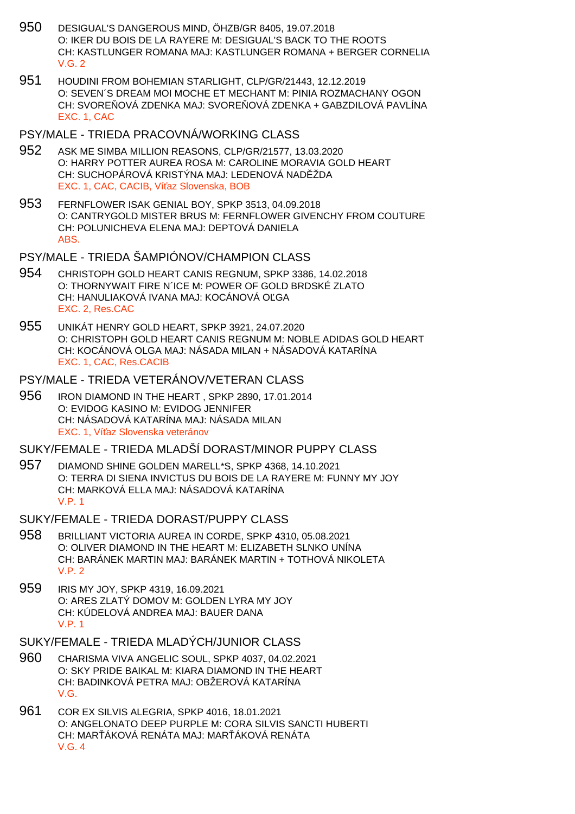- 950 DESIGUAL'S DANGEROUS MIND, ÖHZB/GR 8405, 19.07.2018 O: IKER DU BOIS DE LA RAYERE M: DESIGUAL'S BACK TO THE ROOTS CH: KASTLUNGER ROMANA MAJ: KASTLUNGER ROMANA + BERGER CORNELIA  $V$  G  $2$
- 951 HOUDINI FROM BOHEMIAN STARLIGHT, CLP/GR/21443, 12.12.2019 O: SEVEN´S DREAM MOI MOCHE ET MECHANT M: PINIA ROZMACHANY OGON CH: SVORE OVÁ ZDENKA MAJ: SVORE OVÁ ZDENKA + GABZDILOVÁ PAVLÍNA EXC. 1, CAC
- PSY/MALE TRIEDA PRACOVNÁ/WORKING CLASS
- 952 ASK ME SIMBA MILLION REASONS, CLP/GR/21577, 13.03.2020 O: HARRY POTTER AUREA ROSA M: CAROLINE MORAVIA GOLD HEART CH: SUCHOPÁROVÁ KRISTÝNA MAJ: LEDENOVÁ NAD ŽDA EXC. 1, CAC, CACIB, Ví az Slovenska, BOB
- 953 FERNFLOWER ISAK GENIAL BOY, SPKP 3513, 04.09.2018 O: CANTRYGOLD MISTER BRUS M: FERNFLOWER GIVENCHY FROM COUTURE CH: POLUNICHEVA ELENA MAJ: DEPTOVÁ DANIELA ABS.
- PSY/MALE TRIEDA ŠAMPIÓNOV/CHAMPION CLASS
- 954 CHRISTOPH GOLD HEART CANIS REGNUM, SPKP 3386, 14.02.2018 O: THORNYWAIT FIRE N´ICE M: POWER OF GOLD BRDSKÉ ZLATO CH: HANULIAKOVÁ IVANA MAJ: KOCÁNOVÁ O GA EXC. 2, Res.CAC
- 955 UNIKÁT HENRY GOLD HEART, SPKP 3921, 24.07.2020 O: CHRISTOPH GOLD HEART CANIS REGNUM M: NOBLE ADIDAS GOLD HEART CH: KOCÁNOVÁ OLGA MAJ: NÁSADA MILAN + NÁSADOVÁ KATARÍNA EXC. 1, CAC, Res.CACIB

#### PSY/MALE - TRIEDA VETERÁNOV/VETERAN CLASS

956 IRON DIAMOND IN THE HEART , SPKP 2890, 17.01.2014 O: EVIDOG KASINO M: EVIDOG JENNIFER CH: NÁSADOVÁ KATARÍNA MAJ: NÁSADA MILAN EXC. 1, Ví az Slovenska veteránov

### SUKY/FEMALE - TRIEDA MLADŠÍ DORAST/MINOR PUPPY CLASS

957 DIAMOND SHINE GOLDEN MARELL\*S, SPKP 4368, 14.10.2021 O: TERRA DI SIENA INVICTUS DU BOIS DE LA RAYERE M: FUNNY MY JOY CH: MARKOVÁ ELLA MAJ: NÁSADOVÁ KATARÍNA V.P. 1

#### SUKY/FEMALE - TRIEDA DORAST/PUPPY CLASS

- 958 BRILLIANT VICTORIA AUREA IN CORDE, SPKP 4310, 05.08.2021 O: OLIVER DIAMOND IN THE HEART M: ELIZABETH SLNKO UNÍNA CH: BARÁNEK MARTIN MAJ: BARÁNEK MARTIN + TOTHOVÁ NIKOLETA V.P. 2
- 959 IRIS MY JOY, SPKP 4319, 16.09.2021 O: ARES ZLATÝ DOMOV M: GOLDEN LYRA MY JOY CH: KÚDELOVÁ ANDREA MAJ: BAUER DANA V.P. 1
- SUKY/FEMALE TRIEDA MLADÝCH/JUNIOR CLASS
- 960 CHARISMA VIVA ANGELIC SOUL, SPKP 4037, 04.02.2021 O: SKY PRIDE BAIKAL M: KIARA DIAMOND IN THE HEART CH: BADINKOVÁ PETRA MAJ: OBŽEROVÁ KATARÍNA V.G.
- 961 COR EX SILVIS ALEGRIA, SPKP 4016, 18.01.2021 O: ANGELONATO DEEP PURPLE M: CORA SILVIS SANCTI HUBERTI CH: MAR ÁKOVÁ RENÁTA MAJ: MAR ÁKOVÁ RENÁTA V.G. 4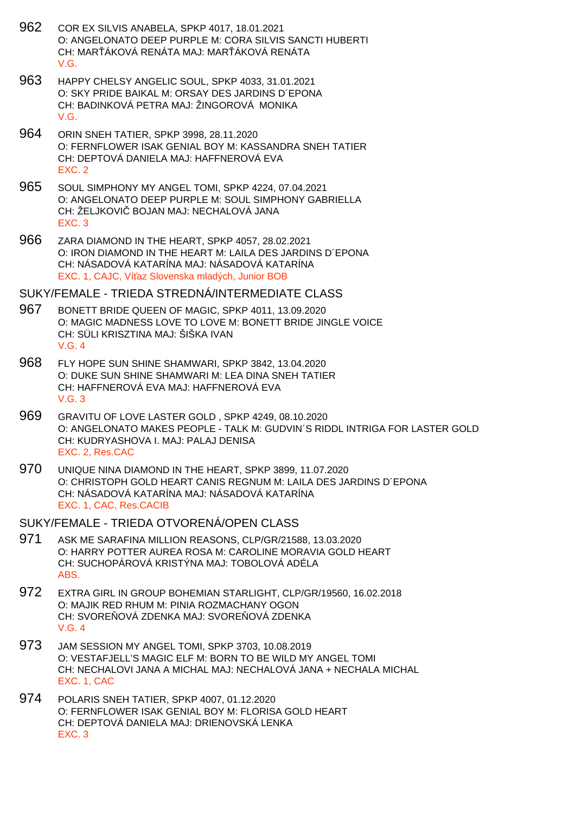- 962 COR EX SILVIS ANABELA, SPKP 4017, 18.01.2021 O: ANGELONATO DEEP PURPLE M: CORA SILVIS SANCTI HUBERTI CH: MAR ÁKOVÁ RENÁTA MAJ: MAR ÁKOVÁ RENÁTA V.G.
- 963 HAPPY CHELSY ANGELIC SOUL, SPKP 4033, 31.01.2021 O: SKY PRIDE BAIKAL M: ORSAY DES JARDINS D´EPONA CH: BADINKOVÁ PETRA MAJ: ŽINGOROVÁ MONIKA V.G.
- 964 ORIN SNEH TATIER, SPKP 3998, 28.11.2020 O: FERNFLOWER ISAK GENIAL BOY M: KASSANDRA SNEH TATIER CH: DEPTOVÁ DANIELA MAJ: HAFFNEROVÁ EVA EXC. 2
- 965 SOUL SIMPHONY MY ANGEL TOMI, SPKP 4224, 07.04.2021 O: ANGELONATO DEEP PURPLE M: SOUL SIMPHONY GABRIELLA CH: ŽELJKOVI BOJAN MAJ: NECHALOVÁ JANA EXC. 3
- 966 ZARA DIAMOND IN THE HEART, SPKP 4057, 28.02.2021 O: IRON DIAMOND IN THE HEART M: LAILA DES JARDINS D´EPONA CH: NÁSADOVÁ KATARÍNA MAJ: NÁSADOVÁ KATARÍNA EXC. 1, CAJC, Ví az Slovenska mladých, Junior BOB

#### SUKY/FEMALE - TRIEDA STREDNÁ/INTERMEDIATE CLASS

- 967 BONETT BRIDE QUEEN OF MAGIC, SPKP 4011, 13.09.2020 O: MAGIC MADNESS LOVE TO LOVE M: BONETT BRIDE JINGLE VOICE CH: SÜLI KRISZTINA MAJ: ŠIŠKA IVAN V.G. 4
- 968 FLY HOPE SUN SHINE SHAMWARI, SPKP 3842, 13.04.2020 O: DUKE SUN SHINE SHAMWARI M: LEA DINA SNEH TATIER CH: HAFFNEROVÁ EVA MAJ: HAFFNEROVÁ EVA V.G. 3
- 969 GRAVITU OF LOVE LASTER GOLD , SPKP 4249, 08.10.2020 O: ANGELONATO MAKES PEOPLE - TALK M: GUDVIN´S RIDDL INTRIGA FOR LASTER GOLD CH: KUDRYASHOVA I. MAJ: PALAJ DENISA EXC. 2, Res.CAC
- 970 UNIQUE NINA DIAMOND IN THE HEART, SPKP 3899, 11.07.2020 O: CHRISTOPH GOLD HEART CANIS REGNUM M: LAILA DES JARDINS D´EPONA CH: NÁSADOVÁ KATARÍNA MAJ: NÁSADOVÁ KATARÍNA EXC. 1, CAC, Res.CACIB

SUKY/FEMALE - TRIEDA OTVORENÁ/OPEN CLASS

- 971 ASK ME SARAFINA MILLION REASONS, CLP/GR/21588, 13.03.2020 O: HARRY POTTER AUREA ROSA M: CAROLINE MORAVIA GOLD HEART CH: SUCHOPÁROVÁ KRISTÝNA MAJ: TOBOLOVÁ ADÉLA ABS.
- 972 EXTRA GIRL IN GROUP BOHEMIAN STARLIGHT, CLP/GR/19560, 16.02.2018 O: MAJIK RED RHUM M: PINIA ROZMACHANY OGON CH: SVORE OVÁ ZDENKA MAJ: SVORE OVÁ ZDENKA V.G. 4
- 973 JAM SESSION MY ANGEL TOMI, SPKP 3703, 10.08.2019 O: VESTAFJELL'S MAGIC ELF M: BORN TO BE WILD MY ANGEL TOMI CH: NECHALOVI JANA A MICHAL MAJ: NECHALOVÁ JANA + NECHALA MICHAL EXC. 1, CAC
- 974 POLARIS SNEH TATIER, SPKP 4007, 01.12.2020 O: FERNFLOWER ISAK GENIAL BOY M: FLORISA GOLD HEART CH: DEPTOVÁ DANIELA MAJ: DRIENOVSKÁ LENKA EXC. 3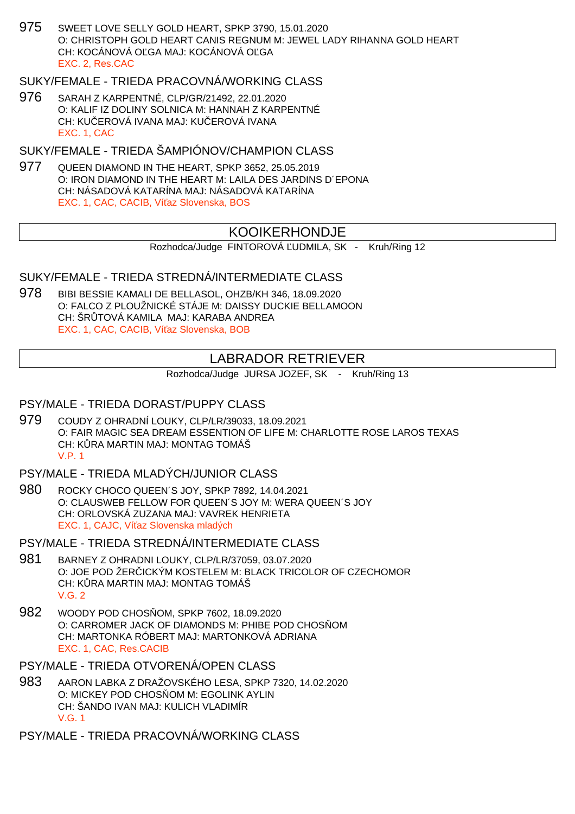975 SWEET LOVE SELLY GOLD HEART, SPKP 3790, 15.01.2020 O: CHRISTOPH GOLD HEART CANIS REGNUM M: JEWEL LADY RIHANNA GOLD HEART CH: KOCÁNOVÁ OĽGA MAJ: KOCÁNOVÁ OĽGA EXC. 2, Res.CAC

## SUKY/FEMALE - TRIEDA PRACOVNÁ/WORKING CLASS

976 SARAH Z KARPENTNÉ, CLP/GR/21492, 22.01.2020 O: KALIF IZ DOLINY SOLNICA M: HANNAH Z KARPENTNÉ CH: KU EROVÁ IVANA MAJ: KU EROVÁ IVANA EXC. 1, CAC

SUKY/FEMALE - TRIEDA ŠAMPIÓNOV/CHAMPION CLASS

977 QUEEN DIAMOND IN THE HEART, SPKP 3652, 25.05.2019 O: IRON DIAMOND IN THE HEART M: LAILA DES JARDINS D´EPONA CH: NÁSADOVÁ KATARÍNA MAJ: NÁSADOVÁ KATARÍNA EXC. 1, CAC, CACIB, Ví az Slovenska, BOS

# KOOIKERHONDJE

Rozhodca/Judge FINTOROVÁ UDMILA, SK - Kruh/Ring 12

#### SUKY/FEMALE - TRIEDA STREDNÁ/INTERMEDIATE CLASS

978 BIBI BESSIE KAMALI DE BELLASOL, OHZB/KH 346, 18.09.2020 O: FALCO Z PLOUŽNICKÉ STÁJE M: DAISSY DUCKIE BELLAMOON CH: ŠR TOVÁ KAMILA MAJ: KARABA ANDREA EXC. 1, CAC, CACIB, Ví az Slovenska, BOB

# LABRADOR RETRIEVER

Rozhodca/Judge JURSA JOZEF, SK - Kruh/Ring 13

#### PSY/MALE - TRIEDA DORAST/PUPPY CLASS

- 979 COUDY Z OHRADNÍ LOUKY, CLP/LR/39033, 18.09.2021 O: FAIR MAGIC SEA DREAM ESSENTION OF LIFE M: CHARLOTTE ROSE LAROS TEXAS CH: KURA MARTIN MAJ: MONTAG TOMÁŠ V.P. 1
- PSY/MALE TRIEDA MLADÝCH/JUNIOR CLASS
- 980 ROCKY CHOCO QUEEN´S JOY, SPKP 7892, 14.04.2021 O: CLAUSWEB FELLOW FOR QUEEN´S JOY M: WERA QUEEN´S JOY CH: ORLOVSKÁ ZUZANA MAJ: VAVREK HENRIETA EXC. 1, CAJC, Ví az Slovenska mladých

PSY/MALE - TRIEDA STREDNÁ/INTERMEDIATE CLASS

- 981 BARNEY Z OHRADNI LOUKY, CLP/LR/37059, 03.07.2020 O: JOE POD ŽER ICKÝM KOSTELEM M: BLACK TRICOLOR OF CZECHOMOR CH: KURA MARTIN MAJ: MONTAG TOMÁŠ  $V$  G  $2$
- 982 WOODY POD CHOS OM, SPKP 7602, 18.09.2020 O: CARROMER JACK OF DIAMONDS M: PHIBE POD CHOS OM CH: MARTONKA RÓBERT MAJ: MARTONKOVÁ ADRIANA EXC. 1, CAC, Res.CACIB

PSY/MALE - TRIEDA OTVORENÁ/OPEN CLASS

983 AARON LABKA Z DRAŽOVSKÉHO LESA, SPKP 7320, 14.02.2020 O: MICKEY POD CHOS OM M: EGOLINK AYLIN CH: ŠANDO IVAN MAJ: KULICH VLADIMÍR V.G. 1

PSY/MALE - TRIEDA PRACOVNÁ/WORKING CLASS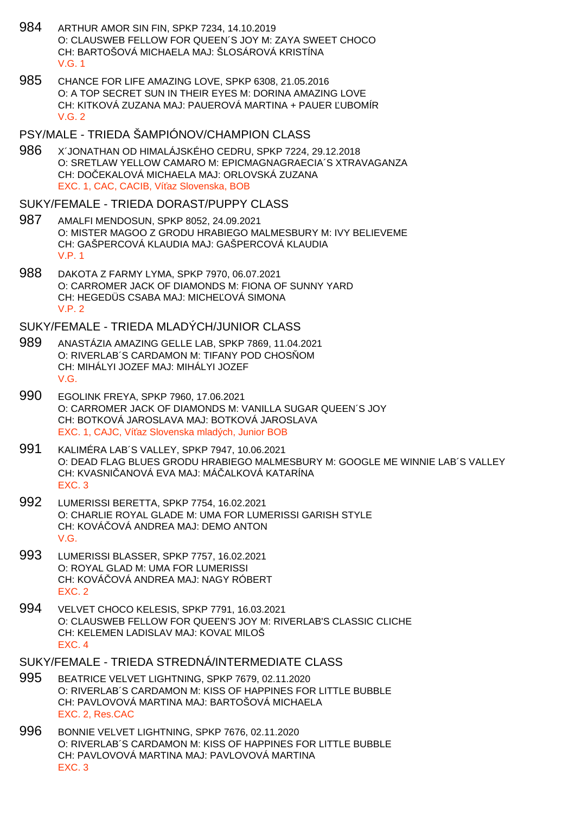- 984 ARTHUR AMOR SIN FIN, SPKP 7234, 14.10.2019 O: CLAUSWEB FELLOW FOR QUEEN´S JOY M: ZAYA SWEET CHOCO CH: BARTOŠOVÁ MICHAELA MAJ: ŠLOSÁROVÁ KRISTÍNA V.G. 1
- 985 CHANCE FOR LIFE AMAZING LOVE, SPKP 6308, 21.05.2016 O: A TOP SECRET SUN IN THEIR EYES M: DORINA AMAZING LOVE CH: KITKOVÁ ZUZANA MAJ: PAUEROVÁ MARTINA + PAUER ĽUBOMÍR V.G. 2

#### PSY/MALE - TRIEDA ŠAMPIÓNOV/CHAMPION CLASS

986 X´JONATHAN OD HIMALÁJSKÉHO CEDRU, SPKP 7224, 29.12.2018 O: SRETLAW YELLOW CAMARO M: EPICMAGNAGRAECIA´S XTRAVAGANZA CH: DOČEKALOVÁ MICHAELA MAJ: ORLOVSKÁ ZUZANA EXC. 1, CAC, CACIB, Ví az Slovenska, BOB

#### SUKY/FEMALE - TRIEDA DORAST/PUPPY CLASS

- 987 AMALFI MENDOSUN, SPKP 8052, 24.09.2021 O: MISTER MAGOO Z GRODU HRABIEGO MALMESBURY M: IVY BELIEVEME CH: GAŠPERCOVÁ KLAUDIA MAJ: GAŠPERCOVÁ KLAUDIA V.P. 1
- 988 DAKOTA Z FARMY LYMA, SPKP 7970, 06.07.2021 O: CARROMER JACK OF DIAMONDS M: FIONA OF SUNNY YARD CH: HEGEDÜS CSABA MAJ: MICHE OVÁ SIMONA V.P. 2

#### SUKY/FEMALE - TRIEDA MLADÝCH/JUNIOR CLASS

- 989 ANASTÁZIA AMAZING GELLE LAB, SPKP 7869, 11.04.2021 O: RIVERLAB'S CARDAMON M: TIFANY POD CHOS OM CH: MIHÁLYI JOZEF MAJ: MIHÁLYI JOZEF V.G.
- 990 EGOLINK FREYA, SPKP 7960, 17.06.2021 O: CARROMER JACK OF DIAMONDS M: VANILLA SUGAR QUEEN´S JOY CH: BOTKOVÁ JAROSLAVA MAJ: BOTKOVÁ JAROSLAVA EXC. 1, CAJC, Ví az Slovenska mladých, Junior BOB
- 991 KALIMÉRA LAB´S VALLEY, SPKP 7947, 10.06.2021 O: DEAD FLAG BLUES GRODU HRABIEGO MALMESBURY M: GOOGLE ME WINNIE LAB´S VALLEY CH: KVASNI, ANOVÁ EVA MAJ: MÁ, ALKOVÁ KATARÍNA EXC. 3
- 992 LUMERISSI BERETTA, SPKP 7754, 16.02.2021 O: CHARLIE ROYAL GLADE M: UMA FOR LUMERISSI GARISH STYLE CH: KOVÁ OVÁ ANDREA MAJ: DEMO ANTON V.G.
- 993 LUMERISSI BLASSER, SPKP 7757, 16.02.2021 O: ROYAL GLAD M: UMA FOR LUMERISSI CH: KOVÁ OVÁ ANDREA MAJ: NAGY RÓBERT EXC. 2
- 994 VELVET CHOCO KELESIS, SPKP 7791, 16.03.2021 O: CLAUSWEB FELLOW FOR QUEEN'S JOY M: RIVERLAB'S CLASSIC CLICHE CH: KELEMEN LADISLAV MAJ: KOVA MILOŠ EXC. 4
- SUKY/FEMALE TRIEDA STREDNÁ/INTERMEDIATE CLASS
- 995 BEATRICE VELVET LIGHTNING, SPKP 7679, 02.11.2020 O: RIVERLAB´S CARDAMON M: KISS OF HAPPINES FOR LITTLE BUBBLE CH: PAVLOVOVÁ MARTINA MAJ: BARTOŠOVÁ MICHAELA EXC. 2, Res.CAC
- 996 BONNIE VELVET LIGHTNING, SPKP 7676, 02.11.2020 O: RIVERLAB´S CARDAMON M: KISS OF HAPPINES FOR LITTLE BUBBLE CH: PAVLOVOVÁ MARTINA MAJ: PAVLOVOVÁ MARTINA EXC. 3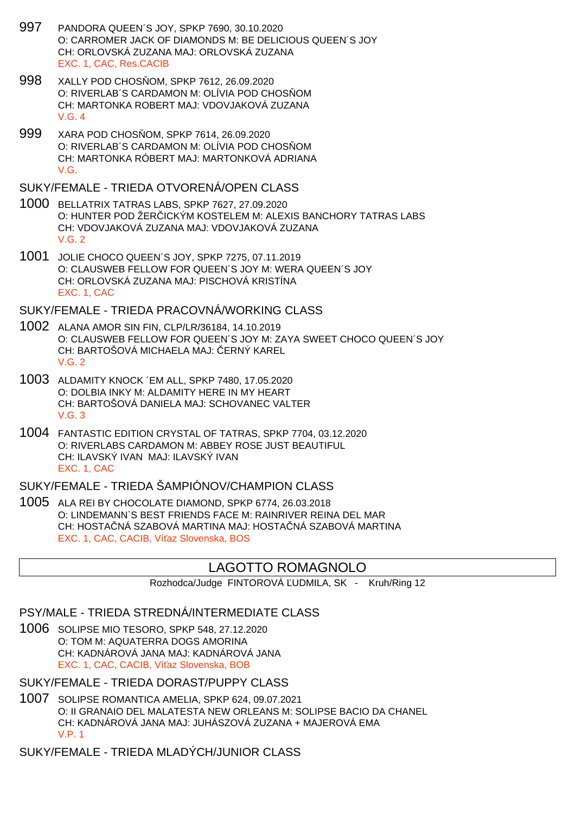- 997 PANDORA QUEEN´S JOY, SPKP 7690, 30.10.2020 O: CARROMER JACK OF DIAMONDS M: BE DELICIOUS QUEEN´S JOY CH: ORLOVSKÁ ZUZANA MAJ: ORLOVSKÁ ZUZANA EXC. 1, CAC, Res.CACIB
- 998 XALLY POD CHOS OM, SPKP 7612, 26.09.2020 O: RIVERLAB'S CARDAMON M: OLÍVIA POD CHOS OM CH: MARTONKA ROBERT MAJ: VDOVJAKOVÁ ZUZANA V.G. 4
- 999 XARA POD CHOS OM, SPKP 7614, 26.09.2020 O: RIVERLAB'S CARDAMON M: OLÍVIA POD CHOS OM CH: MARTONKA RÓBERT MAJ: MARTONKOVÁ ADRIANA V.G.

SUKY/FEMALE - TRIEDA OTVORENÁ/OPEN CLASS

- 1000 BELLATRIX TATRAS LABS, SPKP 7627, 27.09.2020 O: HUNTER POD ŽERICKÝM KOSTELEM M: ALEXIS BANCHORY TATRAS LABS CH: VDOVJAKOVÁ ZUZANA MAJ: VDOVJAKOVÁ ZUZANA V.G. 2
- 1001 JOLIE CHOCO QUEEN´S JOY, SPKP 7275, 07.11.2019 O: CLAUSWEB FELLOW FOR QUEEN´S JOY M: WERA QUEEN´S JOY CH: ORLOVSKÁ ZUZANA MAJ: PISCHOVÁ KRISTÍNA EXC. 1, CAC

SUKY/FEMALE - TRIEDA PRACOVNÁ/WORKING CLASS

- 1002 ALANA AMOR SIN FIN, CLP/LR/36184, 14.10.2019 O: CLAUSWEB FELLOW FOR QUEEN´S JOY M: ZAYA SWEET CHOCO QUEEN´S JOY CH: BARTOŠOVÁ MICHAELA MAJ: ERNÝ KAREL V.G. 2
- 1003 ALDAMITY KNOCK ´EM ALL, SPKP 7480, 17.05.2020 O: DOLBIA INKY M: ALDAMITY HERE IN MY HEART CH: BARTOŠOVÁ DANIELA MAJ: SCHOVANEC VALTER V.G. 3
- 1004 FANTASTIC EDITION CRYSTAL OF TATRAS, SPKP 7704, 03.12.2020 O: RIVERLABS CARDAMON M: ABBEY ROSE JUST BEAUTIFUL CH: ILAVSKÝ IVAN MAJ: ILAVSKÝ IVAN EXC. 1, CAC

SUKY/FEMALE - TRIEDA ŠAMPIÓNOV/CHAMPION CLASS

1005 ALA REI BY CHOCOLATE DIAMOND, SPKP 6774, 26.03.2018 O: LINDEMANN`S BEST FRIENDS FACE M: RAINRIVER REINA DEL MAR CH: HOSTA NÁ SZABOVÁ MARTINA MAJ: HOSTA NÁ SZABOVÁ MARTINA EXC. 1, CAC, CACIB, Ví az Slovenska, BOS

# LAGOTTO ROMAGNOLO

Rozhodca/Judge FINTOROVÁ UDMILA, SK - Kruh/Ring 12

PSY/MALE - TRIEDA STREDNÁ/INTERMEDIATE CLASS

1006 SOLIPSE MIO TESORO, SPKP 548, 27.12.2020 O: TOM M: AQUATERRA DOGS AMORINA CH: KADNÁROVÁ JANA MAJ: KADNÁROVÁ JANA EXC. 1, CAC, CACIB, Ví az Slovenska, BOB

SUKY/FEMALE - TRIEDA DORAST/PUPPY CLASS

1007 SOLIPSE ROMANTICA AMELIA, SPKP 624, 09.07.2021 O: II GRANAIO DEL MALATESTA NEW ORLEANS M: SOLIPSE BACIO DA CHANEL CH: KADNÁROVÁ JANA MAJ: JUHÁSZOVÁ ZUZANA + MAJEROVÁ EMA V.P. 1

SUKY/FEMALE - TRIEDA MLADÝCH/JUNIOR CLASS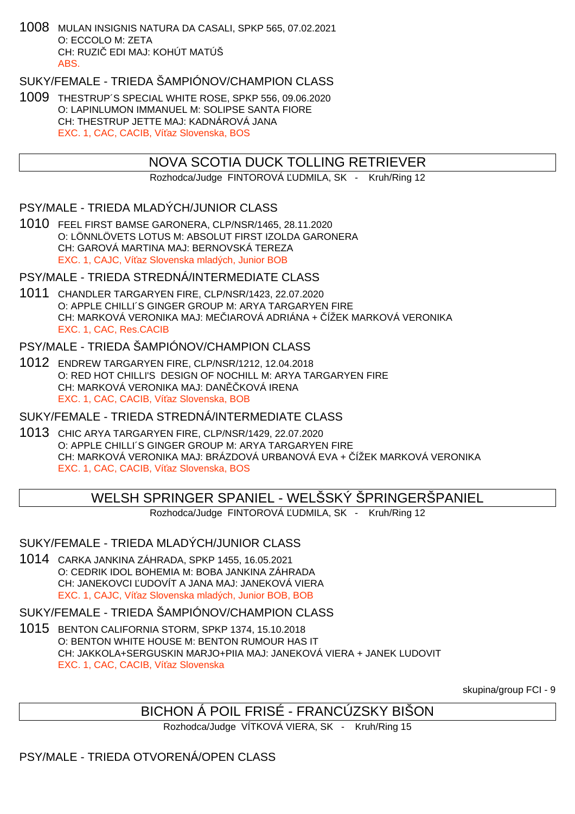1008 MULAN INSIGNIS NATURA DA CASALI, SPKP 565, 07.02.2021 O: ECCOLO M: ZETA CH: RUZI EDI MAJ: KOHÚT MATÚŠ ABS.

SUKY/FEMALE - TRIEDA ŠAMPIÓNOV/CHAMPION CLASS

1009 THESTRUP´S SPECIAL WHITE ROSE, SPKP 556, 09.06.2020 O: LAPINLUMON IMMANUEL M: SOLIPSE SANTA FIORE CH: THESTRUP JETTE MAJ: KADNÁROVÁ JANA EXC. 1, CAC, CACIB, Ví az Slovenska, BOS

## NOVA SCOTIA DUCK TOLLING RETRIEVER

Rozhodca/Judge FINTOROVÁ UDMILA, SK - Kruh/Ring 12

PSY/MALE - TRIEDA MLADÝCH/JUNIOR CLASS

1010 FEEL FIRST BAMSE GARONERA, CLP/NSR/1465, 28.11.2020 O: LÖNNLÖVETS LOTUS M: ABSOLUT FIRST IZOLDA GARONERA CH: GAROVÁ MARTINA MAJ: BERNOVSKÁ TEREZA EXC. 1, CAJC, Ví az Slovenska mladých, Junior BOB

PSY/MALE - TRIEDA STREDNÁ/INTERMEDIATE CLASS

1011 CHANDLER TARGARYEN FIRE, CLP/NSR/1423, 22.07.2020 O: APPLE CHILLI´S GINGER GROUP M: ARYA TARGARYEN FIRE CH: MARKOVÁ VERONIKA MAJ: ME HAROVÁ ADRIÁNA + ÚŽEK MARKOVÁ VERONIKA EXC. 1, CAC, Res.CACIB

## PSY/MALE - TRIEDA ŠAMPIÓNOV/CHAMPION CLASS

1012 ENDREW TARGARYEN FIRE, CLP/NSR/1212, 12.04.2018 O: RED HOT CHILLI'S DESIGN OF NOCHILL M: ARYA TARGARYEN FIRE CH: MARKOVÁ VERONIKA MAJ: DAN KOVÁ IRENA EXC. 1, CAC, CACIB, Ví az Slovenska, BOB

SUKY/FEMALE - TRIEDA STREDNÁ/INTERMEDIATE CLASS

1013 CHIC ARYA TARGARYEN FIRE, CLP/NSR/1429, 22.07.2020 O: APPLE CHILLI´S GINGER GROUP M: ARYA TARGARYEN FIRE CH: MARKOVÁ VERONIKA MAJ: BRÁZDOVÁ URBANOVÁ EVA + ČÍŽEK MARKOVÁ VERONIKA EXC. 1, CAC, CACIB, Ví az Slovenska, BOS

WELSH SPRINGER SPANIEL - WELŠSKÝ ŠPRINGERŠPANIEL

Rozhodca/Judge FINTOROVÁ UDMILA, SK - Kruh/Ring 12

## SUKY/FEMALE - TRIEDA MLADÝCH/JUNIOR CLASS

1014 CARKA JANKINA ZÁHRADA, SPKP 1455, 16.05.2021 O: CEDRIK IDOL BOHEMIA M: BOBA JANKINA ZÁHRADA CH: JANEKOVCI UDOVÍT A JANA MAJ: JANEKOVÁ VIERA EXC. 1, CAJC, Ví az Slovenska mladých, Junior BOB, BOB

## SUKY/FEMALE - TRIEDA ŠAMPIÓNOV/CHAMPION CLASS

1015 BENTON CALIFORNIA STORM, SPKP 1374, 15.10.2018 O: BENTON WHITE HOUSE M: BENTON RUMOUR HAS IT CH: JAKKOLA+SERGUSKIN MARJO+PIIA MAJ: JANEKOVÁ VIERA + JANEK LUDOVIT EXC. 1, CAC, CACIB, Ví az Slovenska

skupina/group FCI - 9

# BICHON Á POIL FRISÉ - FRANCÚZSKY BIŠON

Rozhodca/Judge VÍTKOVÁ VIERA, SK - Kruh/Ring 15

PSY/MALE - TRIEDA OTVORENÁ/OPEN CLASS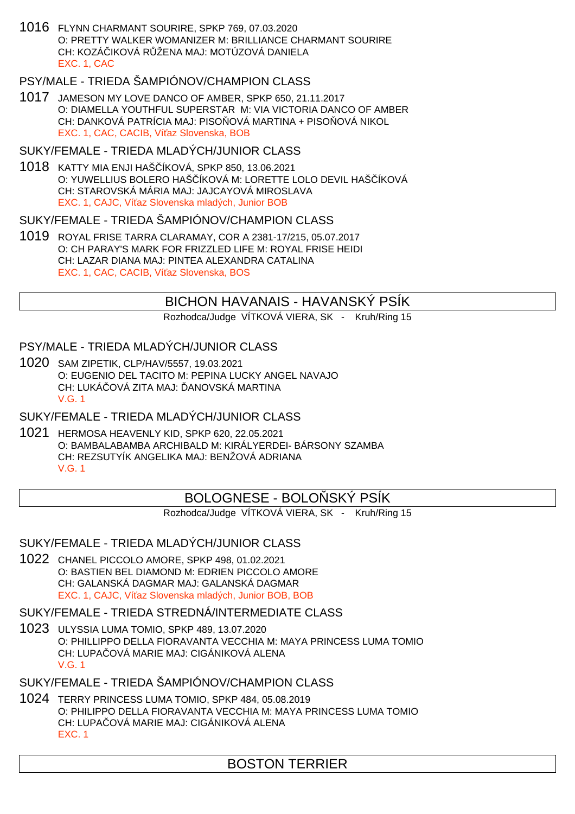1016 FLYNN CHARMANT SOURIRE, SPKP 769, 07.03.2020 O: PRETTY WALKER WOMANIZER M: BRILLIANCE CHARMANT SOURIRE CH: KOZÁ IKOVÁ RŮŽENA MAJ: MOTÚZOVÁ DANIELA EXC. 1, CAC

# PSY/MALE - TRIEDA ŠAMPIÓNOV/CHAMPION CLASS

1017 JAMESON MY LOVE DANCO OF AMBER, SPKP 650, 21.11.2017 O: DIAMELLA YOUTHFUL SUPERSTAR M: VIA VICTORIA DANCO OF AMBER CH: DANKOVÁ PATRÍCIA MAJ: PISO OVÁ MARTINA + PISO OVÁ NIKOL EXC. 1, CAC, CACIB, Ví az Slovenska, BOB

### SUKY/FEMALE - TRIEDA MLADÝCH/JUNIOR CLASS

1018 KATTY MIA ENJI HAŠČÍKOVÁ, SPKP 850, 13.06.2021 O: YUWELLIUS BOLERO HAŠ ÍKOVÁ M: LORETTE LOLO DEVIL HAŠ ÍKOVÁ CH: STAROVSKÁ MÁRIA MAJ: JAJCAYOVÁ MIROSLAVA EXC. 1, CAJC, Ví az Slovenska mladých, Junior BOB

### SUKY/FEMALE - TRIEDA ŠAMPIÓNOV/CHAMPION CLASS

1019 ROYAL FRISE TARRA CLARAMAY, COR A 2381-17/215, 05.07.2017 O: CH PARAY'S MARK FOR FRIZZLED LIFE M: ROYAL FRISE HEIDI CH: LAZAR DIANA MAJ: PINTEA ALEXANDRA CATALINA EXC. 1, CAC, CACIB, Ví az Slovenska, BOS

## BICHON HAVANAIS - HAVANSKÝ PSÍK

Rozhodca/Judge VÍTKOVÁ VIERA, SK - Kruh/Ring 15

### PSY/MALE - TRIEDA MLADÝCH/JUNIOR CLASS

1020 SAM ZIPETIK, CLP/HAV/5557, 19.03.2021 O: EUGENIO DEL TACITO M: PEPINA LUCKY ANGEL NAVAJO CH: LUKÁ OVÁ ZITA MAJ: ANOVSKÁ MARTINA V.G. 1

#### SUKY/FEMALE - TRIEDA MLADÝCH/JUNIOR CLASS

1021 HERMOSA HEAVENLY KID, SPKP 620, 22.05.2021 O: BAMBALABAMBA ARCHIBALD M: KIRÁLYERDEI- BÁRSONY SZAMBA CH: REZSUTYÍK ANGELIKA MAJ: BENŽOVÁ ADRIANA V.G. 1

# BOLOGNESE - BOLO SKÝ PSÍK

Rozhodca/Judge VÍTKOVÁ VIERA, SK - Kruh/Ring 15

## SUKY/FEMALE - TRIEDA MLADÝCH/JUNIOR CLASS

1022 CHANEL PICCOLO AMORE, SPKP 498, 01.02.2021 O: BASTIEN BEL DIAMOND M: EDRIEN PICCOLO AMORE CH: GALANSKÁ DAGMAR MAJ: GALANSKÁ DAGMAR EXC. 1, CAJC, Ví az Slovenska mladých, Junior BOB, BOB

#### SUKY/FEMALE - TRIEDA STREDNÁ/INTERMEDIATE CLASS

1023 ULYSSIA LUMA TOMIO, SPKP 489, 13.07.2020 O: PHILLIPPO DELLA FIORAVANTA VECCHIA M: MAYA PRINCESS LUMA TOMIO CH: LUPA OVÁ MARIE MAJ: CIGÁNIKOVÁ ALENA V.G. 1

## SUKY/FEMALE - TRIEDA ŠAMPIÓNOV/CHAMPION CLASS

1024 TERRY PRINCESS LUMA TOMIO, SPKP 484, 05.08.2019 O: PHILIPPO DELLA FIORAVANTA VECCHIA M: MAYA PRINCESS LUMA TOMIO CH: LUPA OVÁ MARIE MAJ: CIGÁNIKOVÁ ALENA EXC. 1

# BOSTON TERRIER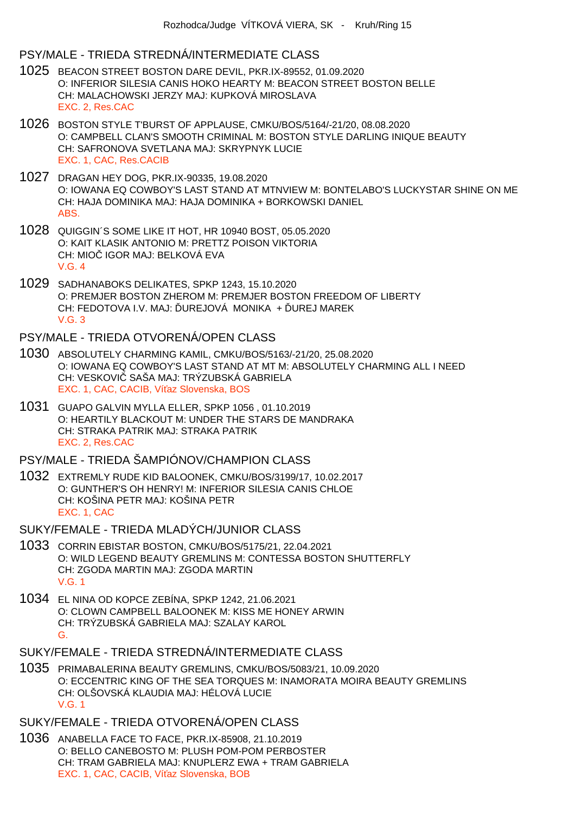### PSY/MALE - TRIEDA STREDNÁ/INTERMEDIATE CLASS

- 1025 BEACON STREET BOSTON DARE DEVIL, PKR.IX-89552, 01.09.2020 O: INFERIOR SILESIA CANIS HOKO HEARTY M: BEACON STREET BOSTON BELLE CH: MALACHOWSKI JERZY MAJ: KUPKOVÁ MIROSLAVA EXC. 2, Res.CAC
- 1026 BOSTON STYLE T'BURST OF APPLAUSE, CMKU/BOS/5164/-21/20, 08.08.2020 O: CAMPBELL CLAN'S SMOOTH CRIMINAL M: BOSTON STYLE DARLING INIQUE BEAUTY CH: SAFRONOVA SVETLANA MAJ: SKRYPNYK LUCIE EXC. 1, CAC, Res.CACIB
- 1027 DRAGAN HEY DOG, PKR.IX-90335, 19.08.2020 O: IOWANA EQ COWBOY'S LAST STAND AT MTNVIEW M: BONTELABO'S LUCKYSTAR SHINE ON ME CH: HAJA DOMINIKA MAJ: HAJA DOMINIKA + BORKOWSKI DANIEL ABS.
- 1028 QUIGGIN´S SOME LIKE IT HOT, HR 10940 BOST, 05.05.2020 O: KAIT KLASIK ANTONIO M: PRETTZ POISON VIKTORIA CH: MIO IGOR MAJ: BELKOVÁ EVA V.G. 4
- 1029 SADHANABOKS DELIKATES, SPKP 1243, 15.10.2020 O: PREMJER BOSTON ZHEROM M: PREMJER BOSTON FREEDOM OF LIBERTY CH: FEDOTOVA I.V. MAJ: UREJOVÁ MONIKA + UREJ MAREK V.G. 3
- PSY/MALE TRIEDA OTVORENÁ/OPEN CLASS
- 1030 ABSOLUTELY CHARMING KAMIL, CMKU/BOS/5163/-21/20, 25.08.2020 O: IOWANA EQ COWBOY'S LAST STAND AT MT M: ABSOLUTELY CHARMING ALL I NEED CH: VESKOVI SAŠA MAJ: TRÝZUBSKÁ GABRIELA EXC. 1, CAC, CACIB, Ví az Slovenska, BOS
- 1031 GUAPO GALVIN MYLLA ELLER, SPKP 1056 , 01.10.2019 O: HEARTILY BLACKOUT M: UNDER THE STARS DE MANDRAKA CH: STRAKA PATRIK MAJ: STRAKA PATRIK EXC. 2, Res.CAC

#### PSY/MALE - TRIEDA ŠAMPIÓNOV/CHAMPION CLASS

- 1032 EXTREMLY RUDE KID BALOONEK, CMKU/BOS/3199/17, 10.02.2017 O: GUNTHER'S OH HENRY! M: INFERIOR SILESIA CANIS CHLOE CH: KOŠINA PETR MAJ: KOŠINA PETR EXC. 1, CAC
- SUKY/FEMALE TRIEDA MLADÝCH/JUNIOR CI ASS
- 1033 CORRIN EBISTAR BOSTON, CMKU/BOS/5175/21, 22.04.2021 O: WILD LEGEND BEAUTY GREMLINS M: CONTESSA BOSTON SHUTTERFLY CH: ZGODA MARTIN MAJ: ZGODA MARTIN V.G. 1
- 1034 EL NINA OD KOPCE ZEBÍNA, SPKP 1242, 21.06.2021 O: CLOWN CAMPBELL BALOONEK M: KISS ME HONEY ARWIN CH: TRÝZUBSKÁ GABRIELA MAJ: SZALAY KAROL G.

## SUKY/FEMALE - TRIEDA STREDNÁ/INTERMEDIATE CLASS

1035 PRIMABALERINA BEAUTY GREMLINS, CMKU/BOS/5083/21, 10.09.2020 O: ECCENTRIC KING OF THE SEA TORQUES M: INAMORATA MOIRA BEAUTY GREMLINS CH: OLŠOVSKÁ KLAUDIA MAJ: HÉLOVÁ LUCIE V.G. 1

## SUKY/FEMALE - TRIEDA OTVORENÁ/OPEN CLASS

1036 ANABELLA FACE TO FACE, PKR.IX-85908, 21.10.2019 O: BELLO CANEBOSTO M: PLUSH POM-POM PERBOSTER CH: TRAM GABRIELA MAJ: KNUPLERZ EWA + TRAM GABRIELA EXC. 1, CAC, CACIB, Ví az Slovenska, BOB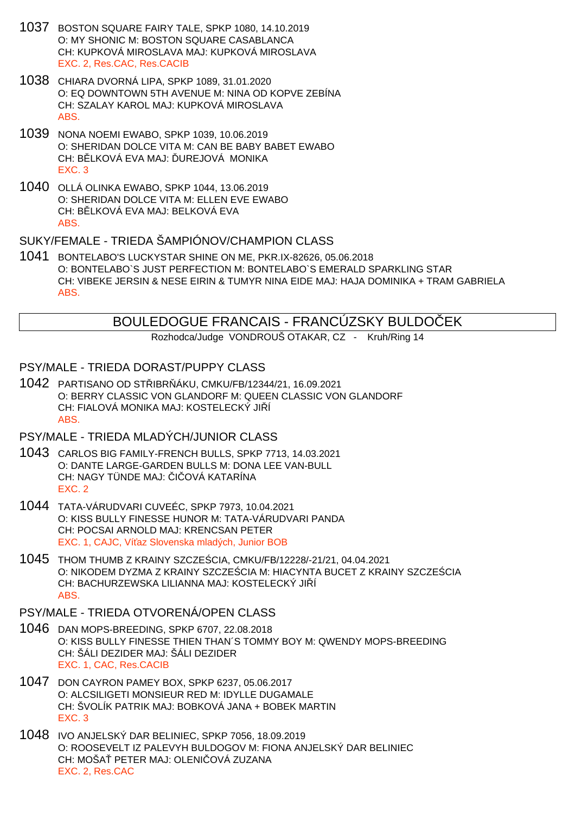- 1037 BOSTON SQUARE FAIRY TALE, SPKP 1080, 14.10.2019 O: MY SHONIC M: BOSTON SQUARE CASABLANCA CH: KUPKOVÁ MIROSLAVA MAJ: KUPKOVÁ MIROSLAVA EXC. 2, Res.CAC, Res.CACIB
- 1038 CHIARA DVORNÁ LIPA, SPKP 1089, 31.01.2020 O: EQ DOWNTOWN 5TH AVENUE M: NINA OD KOPVE ZEBÍNA CH: SZALAY KAROL MAJ: KUPKOVÁ MIROSLAVA ABS.
- 1039 NONA NOEMI EWABO, SPKP 1039, 10.06.2019 O: SHERIDAN DOLCE VITA M: CAN BE BABY BABET EWABO CH: B LKOVÁ EVA MAJ: UREJOVÁ MONIKA EXC. 3
- 1040 OLLÁ OLINKA EWABO, SPKP 1044, 13.06.2019 O: SHERIDAN DOLCE VITA M: ELLEN EVE EWABO CH: B. LKOVÁ EVA MAJ: BELKOVÁ EVA ABS.

## SUKY/FEMALE - TRIEDA ŠAMPIÓNOV/CHAMPION CLASS

1041 BONTELABO'S LUCKYSTAR SHINE ON ME, PKR.IX-82626, 05.06.2018 O: BONTELABO`S JUST PERFECTION M: BONTELABO`S EMERALD SPARKLING STAR CH: VIBEKE JERSIN & NESE EIRIN & TUMYR NINA EIDE MAJ: HAJA DOMINIKA + TRAM GABRIELA ABS.

BOULEDOGUE FRANCAIS - FRANCUZSKY BULDO EK

Rozhodca/Judge VONDROUŠ OTAKAR, CZ - Kruh/Ring 14

## PSY/MALE - TRIEDA DORAST/PUPPY CLASS

1042 PARTISANO OD STŘIBRŇÁKU, CMKU/FB/12344/21, 16.09.2021 O: BERRY CLASSIC VON GLANDORF M: QUEEN CLASSIC VON GLANDORF CH: FIALOVÁ MONIKA MAJ: KOSTELECKÝ JIÁ ABS.

## PSY/MALE - TRIEDA MLADÝCH/JUNIOR CLASS

- 1043 CARLOS BIG FAMILY-FRENCH BULLS, SPKP 7713, 14.03.2021 O: DANTE LARGE-GARDEN BULLS M: DONA LEE VAN-BULL CH: NAGY TÜNDE MAJ: I OVÁ KATARÍNA EXC. 2
- 1044 TATA-VÁRUDVARI CUVEÉC, SPKP 7973, 10.04.2021 O: KISS BULLY FINESSE HUNOR M: TATA-VÁRUDVARI PANDA CH: POCSAI ARNOLD MAJ: KRENCSAN PETER EXC. 1, CAJC, Ví az Slovenska mladých, Junior BOB
- 1045 THOM THUMB Z KRAINY SZCZEŚCIA, CMKU/FB/12228/-21/21, 04.04.2021 O: NIKODEM DYZMA Z KRAINY SZCZE CIA M: HIACYNTA BUCET Z KRAINY SZCZE CIA CH: BACHURZEWSKA LILIANNA MAJ: KOSTELECKÝ JI Í ABS.
- PSY/MALE TRIEDA OTVORENÁ/OPEN CLASS
- 1046 DAN MOPS-BREEDING, SPKP 6707, 22.08.2018 O: KISS BULLY FINESSE THIEN THAN´S TOMMY BOY M: QWENDY MOPS-BREEDING CH: ŠÁLI DEZIDER MAJ: ŠÁLI DEZIDER EXC. 1, CAC, Res.CACIB
- 1047 DON CAYRON PAMEY BOX, SPKP 6237, 05.06.2017 O: ALCSILIGETI MONSIEUR RED M: IDYLLE DUGAMALE CH: ŠVOLÍK PATRIK MAJ: BOBKOVÁ JANA + BOBEK MARTIN EXC. 3
- 1048 IVO ANJELSKÝ DAR BELINIEC, SPKP 7056, 18.09.2019 O: ROOSEVELT IZ PALEVYH BULDOGOV M: FIONA ANJELSKÝ DAR BELINIEC CH: MOŠA PETER MAJ: OLENI OVÁ ZUZANA EXC. 2, Res.CAC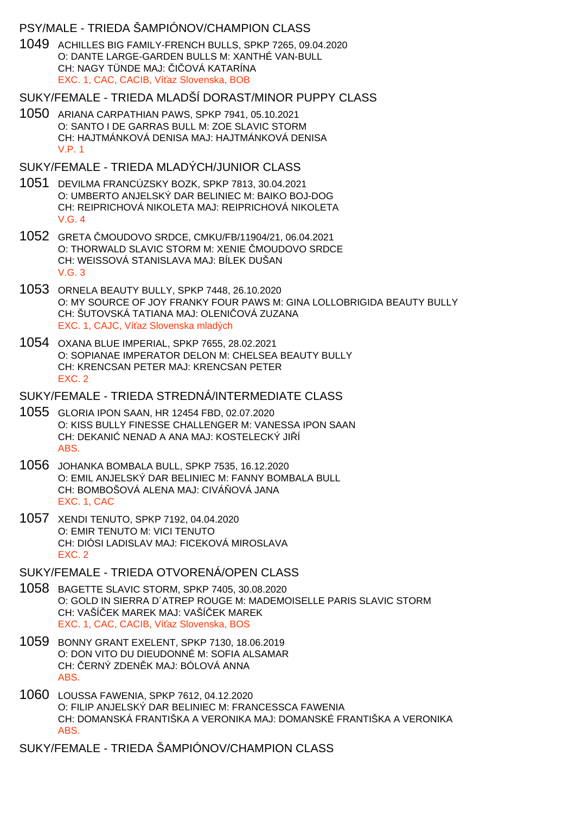### PSY/MALE - TRIEDA ŠAMPIÓNOV/CHAMPION CLASS

1049 ACHILLES BIG FAMILY-FRENCH BULLS, SPKP 7265, 09.04.2020 O: DANTE LARGE-GARDEN BULLS M: XANTHÉ VAN-BULL CH: NAGY TÜNDE MAJ: I OVÁ KATARÍNA EXC. 1, CAC, CACIB, Ví az Slovenska, BOB

#### SUKY/FEMALE - TRIEDA MLADŠÍ DORAST/MINOR PUPPY CLASS

- 1050 ARIANA CARPATHIAN PAWS, SPKP 7941, 05.10.2021 O: SANTO I DE GARRAS BULL M: ZOE SLAVIC STORM CH: HAJTMÁNKOVÁ DENISA MAJ: HAJTMÁNKOVÁ DENISA V.P. 1
- SUKY/FEMALE TRIEDA MLADÝCH/JUNIOR CLASS
- 1051 DEVILMA FRANCÚZSKY BOZK, SPKP 7813, 30.04.2021 O: UMBERTO ANJELSKÝ DAR BELINIEC M: BAIKO BOJ-DOG CH: REIPRICHOVÁ NIKOLETA MAJ: REIPRICHOVÁ NIKOLETA V.G. 4
- 1052 GRETA MOUDOVO SRDCE, CMKU/FB/11904/21, 06.04.2021 O: THORWALD SLAVIC STORM M: XENIE MOUDOVO SRDCE CH: WEISSOVÁ STANISLAVA MAJ: BÍLEK DUŠAN  $V$  G  $3$
- 1053 ORNELA BEAUTY BULLY, SPKP 7448, 26.10.2020 O: MY SOURCE OF JOY FRANKY FOUR PAWS M: GINA LOLLOBRIGIDA BEAUTY BULLY CH: ŠUTOVSKÁ TATIANA MAJ: OLENI OVÁ ZUZANA EXC. 1, CAJC, Ví az Slovenska mladých
- 1054 OXANA BLUE IMPERIAL, SPKP 7655, 28.02.2021 O: SOPIANAE IMPERATOR DELON M: CHELSEA BEAUTY BULLY CH: KRENCSAN PETER MAJ: KRENCSAN PETER EXC. 2

SUKY/FEMALE - TRIEDA STREDNÁ/INTERMEDIATE CLASS

- 1055 GLORIA IPON SAAN, HR 12454 FBD, 02.07.2020 O: KISS BULLY FINESSE CHALLENGER M: VANESSA IPON SAAN CH: DEKANI NENAD A ANA MAJ: KOSTELECKÝ JIÍ ABS.
- 1056 JOHANKA BOMBALA BULL, SPKP 7535, 16.12.2020 O: EMIL ANJELSKÝ DAR BELINIEC M: FANNY BOMBALA BULL CH: BOMBOŠOVÁ ALENA MAJ: CIVÁ OVÁ JANA EXC. 1, CAC
- 1057 XENDI TENUTO, SPKP 7192, 04.04.2020 O: EMIR TENUTO M: VICI TENUTO CH: DIÓSI LADISLAV MAJ: FICEKOVÁ MIROSLAVA EXC. 2

## SUKY/FEMALE - TRIEDA OTVORENÁ/OPEN CLASS

- 1058 BAGETTE SLAVIC STORM, SPKP 7405, 30.08.2020 O: GOLD IN SIERRA D´ATREP ROUGE M: MADEMOISELLE PARIS SLAVIC STORM CH: VAŠÍ EK MAREK MAJ: VAŠÍ EK MAREK EXC. 1, CAC, CACIB, Ví az Slovenska, BOS
- 1059 BONNY GRANT EXELENT, SPKP 7130, 18.06.2019 O: DON VITO DU DIEUDONNÉ M: SOFIA ALSAMAR CH: ERNÝ ZDEN K MAJ: BÓLOVÁ ANNA ABS.
- 1060 LOUSSA FAWENIA, SPKP 7612, 04.12.2020 O: FILIP ANJELSKÝ DAR BELINIEC M: FRANCESSCA FAWENIA CH: DOMANSKÁ FRANTIŠKA A VERONIKA MAJ: DOMANSKÉ FRANTIŠKA A VERONIKA ABS.
- SUKY/FEMALE TRIEDA ŠAMPIÓNOV/CHAMPION CLASS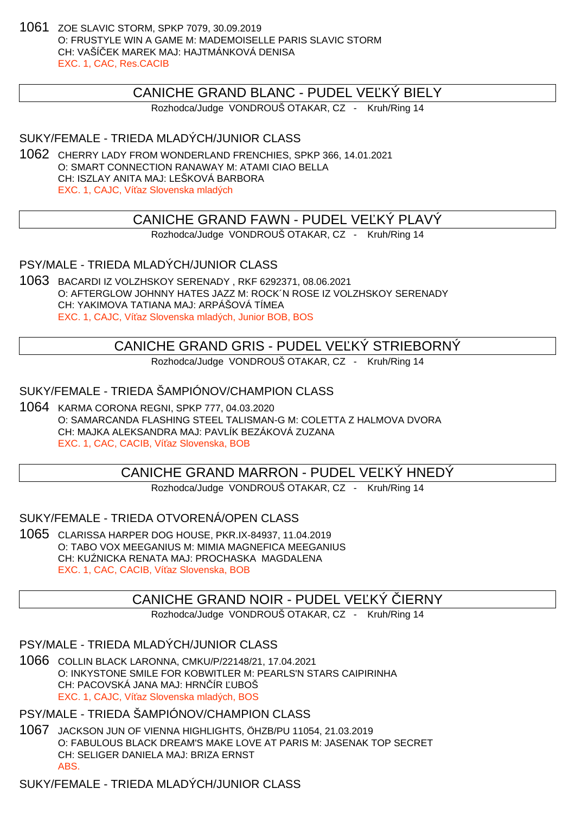1061 ZOE SLAVIC STORM, SPKP 7079, 30.09.2019 O: FRUSTYLE WIN A GAME M: MADEMOISELLE PARIS SLAVIC STORM CH: VAŠÍČEK MAREK MAJ: HAJTMÁNKOVÁ DENISA EXC. 1, CAC, Res.CACIB

## CANICHE GRAND BLANC - PUDEL VE KÝ BIELY

Rozhodca/Judge VONDROUŠ OTAKAR, CZ - Kruh/Ring 14

SUKY/FEMALE - TRIEDA MLADÝCH/JUNIOR CLASS

1062 CHERRY LADY FROM WONDERLAND FRENCHIES, SPKP 366, 14.01.2021 O: SMART CONNECTION RANAWAY M: ATAMI CIAO BELLA CH: ISZLAY ANITA MAJ: LEŠKOVÁ BARBORA EXC. 1, CAJC, Ví az Slovenska mladých

CANICHE GRAND FAWN - PUDEL VEĽKÝ PLAVÝ

Rozhodca/Judge VONDROUŠ OTAKAR, CZ - Kruh/Ring 14

PSY/MALE - TRIEDA MLADÝCH/JUNIOR CLASS

1063 BACARDI IZ VOLZHSKOY SERENADY , RKF 6292371, 08.06.2021 O: AFTERGLOW JOHNNY HATES JAZZ M: ROCK´N ROSE IZ VOLZHSKOY SERENADY CH: YAKIMOVA TATIANA MAJ: ARPÁŠOVÁ TÍMEA EXC. 1, CAJC, Ví az Slovenska mladých, Junior BOB, BOS

## CANICHE GRAND GRIS - PUDEL VEĽKÝ STRIEBORNÝ

Rozhodca/Judge VONDROUŠ OTAKAR, CZ - Kruh/Ring 14

SUKY/FEMALE - TRIEDA ŠAMPIÓNOV/CHAMPION CLASS

1064 KARMA CORONA REGNI, SPKP 777, 04.03.2020 O: SAMARCANDA FLASHING STEEL TALISMAN-G M: COLETTA Z HALMOVA DVORA CH: MAJKA ALEKSANDRA MAJ: PAVLÍK BEZÁKOVÁ ZUZANA EXC. 1, CAC, CACIB, Ví az Slovenska, BOB

CANICHE GRAND MARRON - PUDEL VE KÝ HNEDÝ

Rozhodca/Judge VONDROUŠ OTAKAR, CZ - Kruh/Ring 14

SUKY/FEMALE - TRIEDA OTVORENÁ/OPEN CLASS

1065 CLARISSA HARPER DOG HOUSE, PKR.IX-84937, 11.04.2019 O: TABO VOX MEEGANIUS M: MIMIA MAGNEFICA MEEGANIUS CH: KU NICKA RENATA MAJ: PROCHASKA MAGDALENA EXC. 1, CAC, CACIB, Ví az Slovenska, BOB

# CANICHE GRAND NOIR - PUDEL VE KÝ IERNY

Rozhodca/Judge VONDROUŠ OTAKAR, CZ - Kruh/Ring 14

PSY/MALE - TRIEDA MLADÝCH/JUNIOR CLASS

1066 COLLIN BLACK LARONNA, CMKU/P/22148/21, 17.04.2021 O: INKYSTONE SMILE FOR KOBWITLER M: PEARLS'N STARS CAIPIRINHA CH: PACOVSKÁ JANA MAJ: HRNÍR UBOŠ EXC. 1, CAJC, Ví az Slovenska mladých, BOS

PSY/MALE - TRIEDA ŠAMPIÓNOV/CHAMPION CLASS

1067 JACKSON JUN OF VIENNA HIGHLIGHTS, ÖHZB/PU 11054, 21.03.2019 O: FABULOUS BLACK DREAM'S MAKE LOVE AT PARIS M: JASENAK TOP SECRET CH: SELIGER DANIELA MAJ: BRIZA ERNST ABS.

SUKY/FEMALE - TRIEDA MLADÝCH/JUNIOR CLASS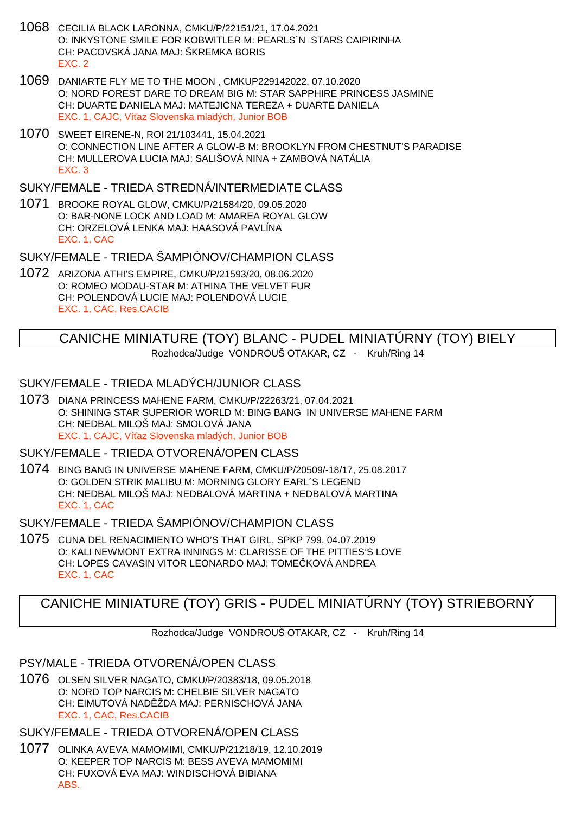- 1068 CECILIA BLACK LARONNA, CMKU/P/22151/21, 17.04.2021 O: INKYSTONE SMILE FOR KOBWITLER M: PEARLS´N STARS CAIPIRINHA CH: PACOVSKÁ JANA MAJ: ŠKREMKA BORIS EXC. 2
- 1069 DANIARTE FLY ME TO THE MOON , CMKUP229142022, 07.10.2020 O: NORD FOREST DARE TO DREAM BIG M: STAR SAPPHIRE PRINCESS JASMINE CH: DUARTE DANIELA MAJ: MATEJICNA TEREZA + DUARTE DANIELA EXC. 1, CAJC, Ví az Slovenska mladých, Junior BOB
- 1070 SWEET EIRENE-N, ROI 21/103441, 15.04.2021 O: CONNECTION LINE AFTER A GLOW-B M: BROOKLYN FROM CHESTNUT'S PARADISE CH: MULLEROVA LUCIA MAJ: SALIŠOVÁ NINA + ZAMBOVÁ NATÁLIA EXC. 3

### SUKY/FEMALE - TRIEDA STREDNÁ/INTERMEDIATE CLASS

1071 BROOKE ROYAL GLOW, CMKU/P/21584/20, 09.05.2020 O: BAR-NONE LOCK AND LOAD M: AMAREA ROYAL GLOW CH: ORZELOVÁ LENKA MAJ: HAASOVÁ PAVLÍNA EXC. 1, CAC

#### SUKY/FEMALE - TRIEDA ŠAMPIÓNOV/CHAMPION CLASS

1072 ARIZONA ATHI'S EMPIRE, CMKU/P/21593/20, 08.06.2020 O: ROMEO MODAU-STAR M: ATHINA THE VELVET FUR CH: POLENDOVÁ LUCIE MAJ: POLENDOVÁ LUCIE EXC. 1, CAC, Res.CACIB

# CANICHE MINIATURE (TOY) BLANC - PUDEL MINIATÚRNY (TOY) BIELY

Rozhodca/Judge VONDROUŠ OTAKAR, CZ - Kruh/Ring 14

## SUKY/FEMALE - TRIEDA MLADÝCH/JUNIOR CLASS

1073 DIANA PRINCESS MAHENE FARM, CMKU/P/22263/21, 07.04.2021 O: SHINING STAR SUPERIOR WORLD M: BING BANG IN UNIVERSE MAHENE FARM CH: NEDBAL MILOŠ MAJ: SMOLOVÁ JANA EXC. 1, CAJC, Ví az Slovenska mladých, Junior BOB

### SUKY/FEMALE - TRIEDA OTVORENÁ/OPEN CLASS

1074 BING BANG IN UNIVERSE MAHENE FARM, CMKU/P/20509/-18/17, 25.08.2017 O: GOLDEN STRIK MALIBU M: MORNING GLORY EARL´S LEGEND CH: NEDBAL MILOŠ MAJ: NEDBALOVÁ MARTINA + NEDBALOVÁ MARTINA EXC. 1, CAC

## SUKY/FEMALE - TRIEDA ŠAMPIÓNOV/CHAMPION CLASS

1075 CUNA DEL RENACIMIENTO WHO'S THAT GIRL, SPKP 799, 04.07.2019 O: KALI NEWMONT EXTRA INNINGS M: CLARISSE OF THE PITTIES'S LOVE CH: LOPES CAVASIN VITOR LEONARDO MAJ: TOME KOVÁ ANDREA EXC. 1, CAC

# CANICHE MINIATURE (TOY) GRIS - PUDEL MINIATÚRNY (TOY) STRIEBORNÝ

Rozhodca/Judge VONDROUŠ OTAKAR, CZ - Kruh/Ring 14

PSY/MALE - TRIEDA OTVORENÁ/OPEN CLASS

1076 OLSEN SILVER NAGATO, CMKU/P/20383/18, 09.05.2018 O: NORD TOP NARCIS M: CHELBIE SILVER NAGATO CH: EIMUTOVÁ NAD ŽDA MAJ: PERNISCHOVÁ JANA EXC. 1, CAC, Res.CACIB

## SUKY/FEMALE - TRIEDA OTVORENÁ/OPEN CLASS

1077 OLINKA AVEVA MAMOMIMI, CMKU/P/21218/19, 12.10.2019 O: KEEPER TOP NARCIS M: BESS AVEVA MAMOMIMI CH: FUXOVÁ EVA MAJ: WINDISCHOVÁ BIBIANA ABS.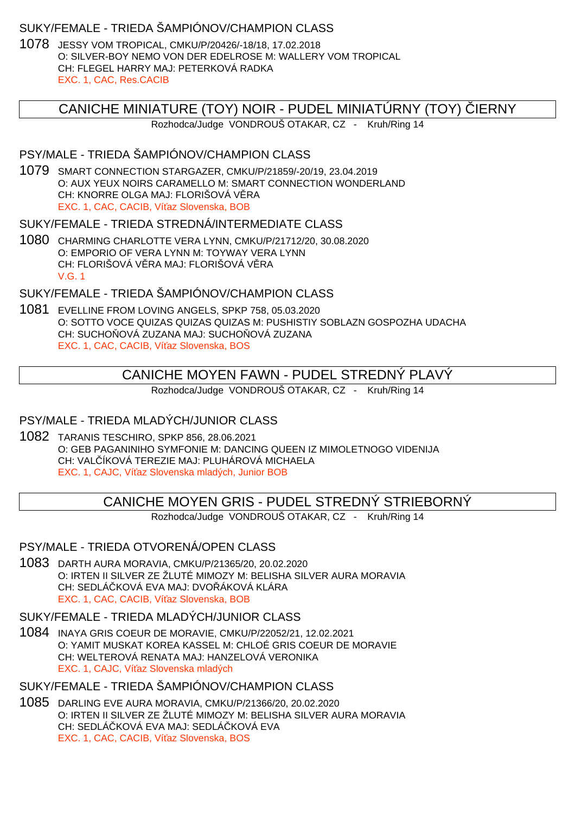## SUKY/FEMALE - TRIEDA ŠAMPIÓNOV/CHAMPION CLASS

1078 JESSY VOM TROPICAL, CMKU/P/20426/-18/18, 17.02.2018 O: SILVER-BOY NEMO VON DER EDELROSE M: WALLERY VOM TROPICAL CH: FLEGEL HARRY MAJ: PETERKOVÁ RADKA EXC. 1, CAC, Res.CACIB

# CANICHE MINIATURE (TOY) NOIR - PUDEL MINIATURNY (TOY) LERNY

Rozhodca/Judge VONDROUŠ OTAKAR, CZ - Kruh/Ring 14

## PSY/MALE - TRIEDA ŠAMPIÓNOV/CHAMPION CLASS

1079 SMART CONNECTION STARGAZER, CMKU/P/21859/-20/19, 23.04.2019 O: AUX YEUX NOIRS CARAMELLO M: SMART CONNECTION WONDERLAND CH: KNORRE OLGA MAJ: FLORIŠOVÁ V RA EXC. 1, CAC, CACIB, Ví az Slovenska, BOB

### SUKY/FEMALE - TRIEDA STREDNÁ/INTERMEDIATE CLASS

1080 CHARMING CHARLOTTE VERA LYNN, CMKU/P/21712/20, 30.08.2020 O: EMPORIO OF VERA LYNN M: TOYWAY VERA LYNN CH: FLORIŠOVÁ V RA MAJ: FLORIŠOVÁ V RA V.G. 1

# SUKY/FEMALE - TRIEDA ŠAMPIÓNOV/CHAMPION CLASS

1081 EVELLINE FROM LOVING ANGELS, SPKP 758, 05.03.2020 O: SOTTO VOCE QUIZAS QUIZAS QUIZAS M: PUSHISTIY SOBLAZN GOSPOZHA UDACHA CH: SUCHO OVÁ ZUZANA MAJ: SUCHO OVÁ ZUZANA EXC. 1, CAC, CACIB, Ví az Slovenska, BOS

# CANICHE MOYEN FAWN - PUDEL STREDNÝ PLAVÝ

Rozhodca/Judge VONDROUŠ OTAKAR, CZ - Kruh/Ring 14

# PSY/MALE - TRIEDA MLADÝCH/JUNIOR CLASS

1082 TARANIS TESCHIRO, SPKP 856, 28.06.2021 O: GEB PAGANINIHO SYMFONIE M: DANCING QUEEN IZ MIMOLETNOGO VIDENIJA CH: VALČÍKOVÁ TEREZIE MAJ: PLUHÁROVÁ MICHAELA EXC. 1, CAJC, Ví az Slovenska mladých, Junior BOB

CANICHE MOYEN GRIS - PUDEL STREDNÝ STRIEBORNÝ

Rozhodca/Judge VONDROUŠ OTAKAR, CZ - Kruh/Ring 14

## PSY/MALE - TRIEDA OTVORENÁ/OPEN CLASS

1083 DARTH AURA MORAVIA, CMKU/P/21365/20, 20.02.2020 O: IRTEN II SILVER ZE ŽLUTÉ MIMOZY M: BELISHA SILVER AURA MORAVIA CH: SEDLÁ KOVÁ EVA MAJ: DVO ÁKOVÁ KLÁRA EXC. 1, CAC, CACIB, Ví az Slovenska, BOB

## SUKY/FEMALE - TRIEDA MLADÝCH/JUNIOR CLASS

1084 INAYA GRIS COEUR DE MORAVIE, CMKU/P/22052/21, 12.02.2021 O: YAMIT MUSKAT KOREA KASSEL M: CHLOÉ GRIS COEUR DE MORAVIE CH: WELTEROVÁ RENATA MAJ: HANZELOVÁ VERONIKA EXC. 1, CAJC, Ví az Slovenska mladých

## SUKY/FEMALE - TRIEDA ŠAMPIÓNOV/CHAMPION CLASS

1085 DARLING EVE AURA MORAVIA, CMKU/P/21366/20, 20.02.2020 O: IRTEN II SILVER ZE ŽLUTÉ MIMOZY M: BELISHA SILVER AURA MORAVIA CH: SEDLÁ KOVÁ EVA MAJ: SEDLÁ KOVÁ EVA EXC. 1, CAC, CACIB, Ví az Slovenska, BOS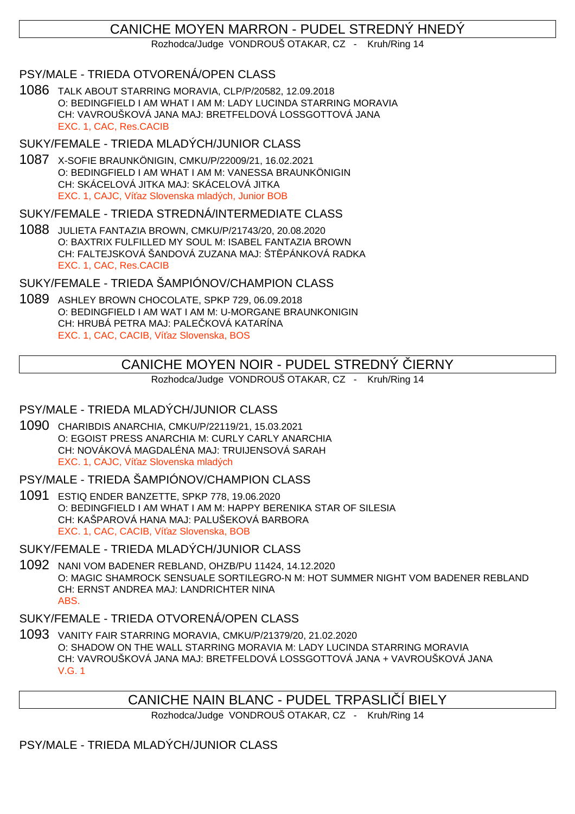# CANICHE MOYEN MARRON - PUDEL STREDNÝ HNEDÝ

Rozhodca/Judge VONDROUŠ OTAKAR, CZ - Kruh/Ring 14

## PSY/MALE - TRIEDA OTVORENÁ/OPEN CLASS

1086 TALK ABOUT STARRING MORAVIA, CLP/P/20582, 12.09.2018 O: BEDINGFIELD I AM WHAT I AM M: LADY LUCINDA STARRING MORAVIA CH: VAVROUŠKOVÁ JANA MAJ: BRETFELDOVÁ LOSSGOTTOVÁ JANA EXC. 1, CAC, Res.CACIB

### SUKY/FEMALE - TRIEDA MLADÝCH/JUNIOR CLASS

1087 X-SOFIE BRAUNKÖNIGIN, CMKU/P/22009/21, 16.02.2021 O: BEDINGFIELD I AM WHAT I AM M: VANESSA BRAUNKÖNIGIN CH: SKÁCELOVÁ JITKA MAJ: SKÁCELOVÁ JITKA EXC. 1, CAJC, Ví az Slovenska mladých, Junior BOB

### SUKY/FEMALE - TRIEDA STREDNÁ/INTERMEDIATE CLASS

1088 JULIETA FANTAZIA BROWN, CMKU/P/21743/20, 20.08.2020 O: BAXTRIX FULFILLED MY SOUL M: ISABEL FANTAZIA BROWN CH: FALTEJSKOVÁ ŠANDOVÁ ZUZANA MAJ: ŠT PÁNKOVÁ RADKA EXC. 1, CAC, Res.CACIB

SUKY/FEMALE - TRIEDA ŠAMPIÓNOV/CHAMPION CLASS

1089 ASHLEY BROWN CHOCOLATE, SPKP 729, 06.09.2018 O: BEDINGFIELD I AM WAT I AM M: U-MORGANE BRAUNKONIGIN CH: HRUBÁ PETRA MAJ: PALE KOVÁ KATARÍNA EXC. 1, CAC, CACIB, Ví az Slovenska, BOS

## CANICHE MOYEN NOIR - PUDEL STREDNÝ IERNY

Rozhodca/Judge VONDROUŠ OTAKAR, CZ - Kruh/Ring 14

## PSY/MALE - TRIEDA MLADÝCH/JUNIOR CLASS

- 1090 CHARIBDIS ANARCHIA, CMKU/P/22119/21, 15.03.2021 O: EGOIST PRESS ANARCHIA M: CURLY CARLY ANARCHIA CH: NOVÁKOVÁ MAGDALÉNA MAJ: TRUIJENSOVÁ SARAH EXC. 1, CAJC, Ví az Slovenska mladých
- PSY/MALE TRIEDA ŠAMPIÓNOV/CHAMPION CLASS
- 1091 ESTIQ ENDER BANZETTE, SPKP 778, 19.06.2020 O: BEDINGFIELD I AM WHAT I AM M: HAPPY BERENIKA STAR OF SILESIA CH: KAŠPAROVÁ HANA MAJ: PALUŠEKOVÁ BARBORA EXC. 1, CAC, CACIB, Ví az Slovenska, BOB

## SUKY/FEMALE - TRIEDA MLADÝCH/JUNIOR CLASS

1092 NANI VOM BADENER REBLAND, OHZB/PU 11424, 14.12.2020 O: MAGIC SHAMROCK SENSUALE SORTILEGRO-N M: HOT SUMMER NIGHT VOM BADENER REBLAND CH: ERNST ANDREA MAJ: LANDRICHTER NINA ABS.

### SUKY/FEMALE - TRIEDA OTVORENÁ/OPEN CLASS

1093 VANITY FAIR STARRING MORAVIA, CMKU/P/21379/20, 21.02.2020 O: SHADOW ON THE WALL STARRING MORAVIA M: LADY LUCINDA STARRING MORAVIA CH: VAVROUŠKOVÁ JANA MAJ: BRETFELDOVÁ LOSSGOTTOVÁ JANA + VAVROUŠKOVÁ JANA V.G. 1

# CANICHE NAIN BLANC - PUDEL TRPASLI Í BIELY

Rozhodca/Judge VONDROUŠ OTAKAR, CZ - Kruh/Ring 14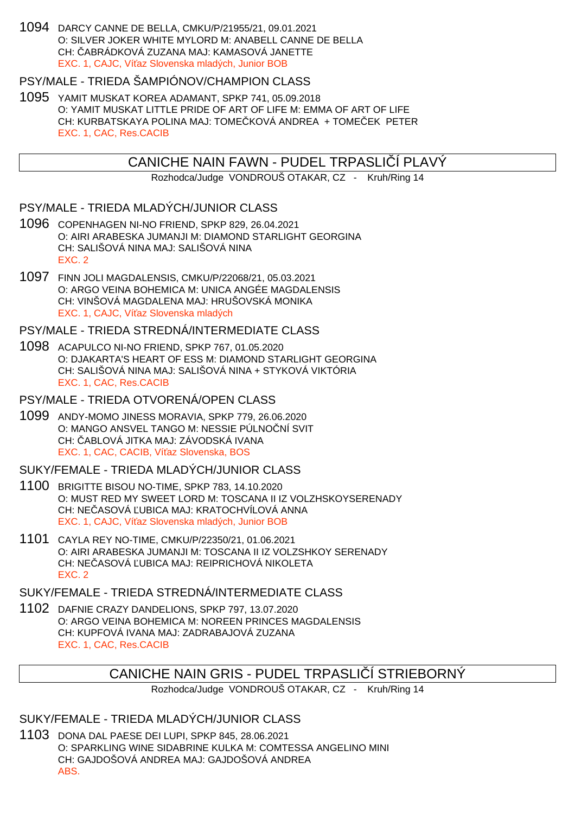1094 DARCY CANNE DE BELLA, CMKU/P/21955/21, 09.01.2021 O: SILVER JOKER WHITE MYLORD M: ANABELL CANNE DE BELLA CH: ČABRÁDKOVÁ ZUZANA MAJ: KAMASOVÁ JANETTE EXC. 1, CAJC, Ví az Slovenska mladých, Junior BOB

# PSY/MALE - TRIEDA ŠAMPIÓNOV/CHAMPION CLASS

1095 YAMIT MUSKAT KOREA ADAMANT, SPKP 741, 05.09.2018 O: YAMIT MUSKAT LITTLE PRIDE OF ART OF LIFE M: EMMA OF ART OF LIFE CH: KURBATSKAYA POLINA MAJ: TOME KOVÁ ANDREA + TOME EK PETER EXC. 1, CAC, Res.CACIB

## CANICHE NAIN FAWN - PUDEL TRPASLI Í PLAVÝ

Rozhodca/Judge VONDROUŠ OTAKAR, CZ - Kruh/Ring 14

### PSY/MALE - TRIEDA MLADÝCH/JUNIOR CLASS

- 1096 COPENHAGEN NI-NO FRIEND, SPKP 829, 26.04.2021 O: AIRI ARABESKA JUMANJI M: DIAMOND STARLIGHT GEORGINA CH: SALIŠOVÁ NINA MAJ: SALIŠOVÁ NINA EXC. 2
- 1097 FINN JOLI MAGDALENSIS, CMKU/P/22068/21, 05.03.2021 O: ARGO VEINA BOHEMICA M: UNICA ANGÉE MAGDALENSIS CH: VINŠOVÁ MAGDALENA MAJ: HRUŠOVSKÁ MONIKA EXC. 1, CAJC, Ví az Slovenska mladých

### PSY/MALE - TRIEDA STREDNÁ/INTERMEDIATE CLASS

1098 ACAPULCO NI-NO FRIEND, SPKP 767, 01.05.2020 O: DJAKARTA'S HEART OF ESS M: DIAMOND STARLIGHT GEORGINA CH: SALIŠOVÁ NINA MAJ: SALIŠOVÁ NINA + STYKOVÁ VIKTÓRIA EXC. 1, CAC, Res.CACIB

## PSY/MALE - TRIEDA OTVORENÁ/OPEN CLASS

1099 ANDY-MOMO JINESS MORAVIA, SPKP 779, 26.06.2020 O: MANGO ANSVEL TANGO M: NESSIE PÚLNO NÍ SVIT CH: ABLOVÁ JITKA MAJ: ZÁVODSKÁ IVANA EXC. 1, CAC, CACIB, Ví az Slovenska, BOS

#### SUKY/FEMALE - TRIEDA MLADÝCH/JUNIOR CLASS

- 1100 BRIGITTE BISOU NO-TIME, SPKP 783, 14.10.2020 O: MUST RED MY SWEET LORD M: TOSCANA II IZ VOLZHSKOYSERENADY CH: NE ASOVÁ UBICA MAJ: KRATOCHVÍLOVÁ ANNA EXC. 1, CAJC, Ví az Slovenska mladých, Junior BOB
- 1101 CAYLA REY NO-TIME, CMKU/P/22350/21, 01.06.2021 O: AIRI ARABESKA JUMANJI M: TOSCANA II IZ VOLZSHKOY SERENADY CH: NE ASOVÁ UBICA MAJ: REIPRICHOVÁ NIKOLETA EXC. 2

## SUKY/FEMALE - TRIEDA STREDNÁ/INTERMEDIATE CLASS

1102 DAFNIE CRAZY DANDELIONS, SPKP 797, 13.07.2020 O: ARGO VEINA BOHEMICA M: NOREEN PRINCES MAGDALENSIS CH: KUPFOVÁ IVANA MAJ: ZADRABAJOVÁ ZUZANA EXC. 1, CAC, Res.CACIB

# CANICHE NAIN GRIS - PUDEL TRPASLI Í STRIEBORNÝ

Rozhodca/Judge VONDROUŠ OTAKAR, CZ - Kruh/Ring 14

## SUKY/FEMALE - TRIEDA MLADÝCH/JUNIOR CLASS

1103 DONA DAL PAESE DEI LUPI, SPKP 845, 28.06.2021 O: SPARKLING WINE SIDABRINE KULKA M: COMTESSA ANGELINO MINI CH: GAJDOŠOVÁ ANDREA MAJ: GAJDOŠOVÁ ANDREA ABS.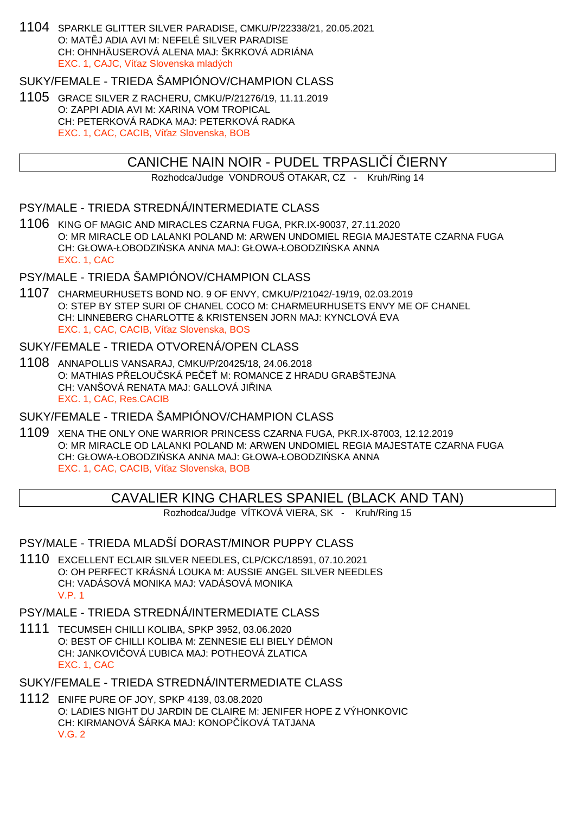1104 SPARKLE GLITTER SILVER PARADISE, CMKU/P/22338/21, 20.05.2021 O: MAT J ADIA AVI M: NEFELÉ SILVER PARADISE CH: OHNHÄUSEROVÁ ALENA MAJ: ŠKRKOVÁ ADRIÁNA EXC. 1, CAJC, Ví az Slovenska mladých

## SUKY/FEMALE - TRIEDA ŠAMPIÓNOV/CHAMPION CLASS

1105 GRACE SILVER Z RACHERU, CMKU/P/21276/19, 11.11.2019 O: ZAPPI ADIA AVI M: XARINA VOM TROPICAL CH: PETERKOVÁ RADKA MAJ: PETERKOVÁ RADKA EXC. 1, CAC, CACIB, Ví az Slovenska, BOB

### CANICHE NAIN NOIR - PUDEL TRPASLI Í JERNY

Rozhodca/Judge VONDROUŠ OTAKAR, CZ - Kruh/Ring 14

## PSY/MALE - TRIEDA STREDNÁ/INTERMEDIATE CLASS

1106 KING OF MAGIC AND MIRACLES CZARNA FUGA, PKR.IX-90037, 27.11.2020 O: MR MIRACLE OD LALANKI POLAND M: ARWEN UNDOMIEL REGIA MAJESTATE CZARNA FUGA CH: GŁOWA-ŁOBODZI SKA ANNA MAJ: GŁOWA-ŁOBODZI SKA ANNA EXC. 1, CAC

### PSY/MALE - TRIEDA ŠAMPIÓNOV/CHAMPION CLASS

1107 CHARMEURHUSETS BOND NO. 9 OF ENVY, CMKU/P/21042/-19/19, 02.03.2019 O: STEP BY STEP SURI OF CHANEL COCO M: CHARMEURHUSETS ENVY ME OF CHANEL CH: LINNEBERG CHARLOTTE & KRISTENSEN JORN MAJ: KYNCLOVÁ EVA EXC. 1, CAC, CACIB, Ví az Slovenska, BOS

## SUKY/FEMALE - TRIEDA OTVORENÁ/OPEN CLASS

1108 ANNAPOLLIS VANSARAJ, CMKU/P/20425/18, 24.06.2018 O: MATHIAS PELOU SKÁ PEEM: ROMANCE Z HRADU GRABŠTEJNA CH: VANŠOVÁ RENATA MAJ: GALLOVÁ JILINA EXC. 1, CAC, Res.CACIB

## SUKY/FEMALE - TRIEDA ŠAMPIÓNOV/CHAMPION CI ASS

1109 XENA THE ONLY ONE WARRIOR PRINCESS CZARNA FUGA, PKR.IX-87003, 12.12.2019 O: MR MIRACLE OD LALANKI POLAND M: ARWEN UNDOMIEL REGIA MAJESTATE CZARNA FUGA CH: GŁOWA-ŁOBODZI SKA ANNA MAJ: GŁOWA-ŁOBODZI SKA ANNA EXC. 1, CAC, CACIB, Ví az Slovenska, BOB

## CAVALIER KING CHARLES SPANIEL (BLACK AND TAN)

Rozhodca/Judge VÍTKOVÁ VIERA, SK - Kruh/Ring 15

## PSY/MALE - TRIEDA MLADŠÍ DORAST/MINOR PUPPY CLASS

1110 EXCELLENT ECLAIR SILVER NEEDLES, CLP/CKC/18591, 07.10.2021 O: OH PERFECT KRÁSNÁ LOUKA M: AUSSIE ANGEL SILVER NEEDLES CH: VADÁSOVÁ MONIKA MAJ: VADÁSOVÁ MONIKA V.P. 1

### PSY/MALE - TRIEDA STREDNÁ/INTERMEDIATE CLASS

1111 TECUMSEH CHILLI KOLIBA, SPKP 3952, 03.06.2020 O: BEST OF CHILLI KOLIBA M: ZENNESIE ELI BIELY DÉMON CH: JANKOVI OVÁ UBICA MAJ: POTHEOVÁ ZLATICA EXC. 1, CAC

## SUKY/FEMALE - TRIEDA STREDNÁ/INTERMEDIATE CLASS

1112 ENIFE PURE OF JOY, SPKP 4139, 03.08.2020 O: LADIES NIGHT DU JARDIN DE CLAIRE M: JENIFER HOPE Z VÝHONKOVIC CH: KIRMANOVÁ ŠÁRKA MAJ: KONOPÍKOVÁ TATJANA V.G. 2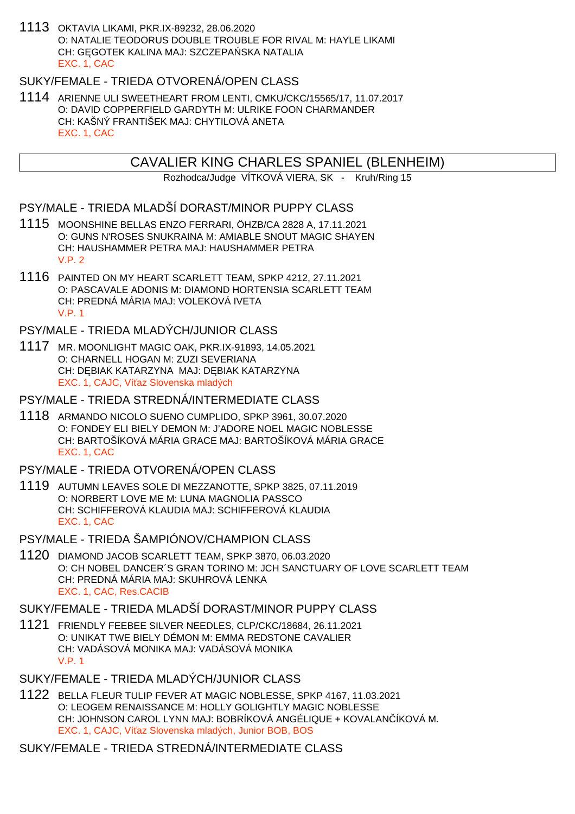1113 OKTAVIA LIKAMI, PKR.IX-89232, 28.06.2020 O: NATALIE TEODORUS DOUBLE TROUBLE FOR RIVAL M: HAYLE LIKAMI CH: G. GOTEK KALINA MAJ: SZCZEPA SKA NATALIA EXC. 1, CAC

## SUKY/FEMALE - TRIEDA OTVORENÁ/OPEN CLASS

1114 ARIENNE ULI SWEETHEART FROM LENTI, CMKU/CKC/15565/17, 11.07.2017 O: DAVID COPPERFIELD GARDYTH M: ULRIKE FOON CHARMANDER CH: KAŠNÝ FRANTIŠEK MAJ: CHYTILOVÁ ANETA EXC. 1, CAC

# CAVALIER KING CHARLES SPANIEL (BLENHEIM)

Rozhodca/Judge VÍTKOVÁ VIERA, SK - Kruh/Ring 15

## PSY/MALE - TRIEDA MLADŠÍ DORAST/MINOR PUPPY CLASS

- 1115 MOONSHINE BELLAS ENZO FERRARI, ÖHZB/CA 2828 A, 17.11.2021 O: GUNS N'ROSES SNUKRAINA M: AMIABLE SNOUT MAGIC SHAYEN CH: HAUSHAMMER PETRA MAJ: HAUSHAMMER PETRA V.P. 2
- 1116 PAINTED ON MY HEART SCARLETT TEAM, SPKP 4212, 27.11.2021 O: PASCAVALE ADONIS M: DIAMOND HORTENSIA SCARLETT TEAM CH: PREDNÁ MÁRIA MAJ: VOLEKOVÁ IVETA V.P. 1

### PSY/MALE - TRIEDA MLADÝCH/JUNIOR CLASS

1117 MR. MOONLIGHT MAGIC OAK, PKR.IX-91893, 14.05.2021 O: CHARNELL HOGAN M: ZUZI SEVERIANA CH: D BIAK KATARZYNA MAJ: D BIAK KATARZYNA EXC. 1, CAJC, Ví az Slovenska mladých

### PSY/MALE - TRIEDA STREDNÁ/INTERMEDIATE CLASS

1118 ARMANDO NICOLO SUENO CUMPLIDO, SPKP 3961, 30.07.2020 O: FONDEY ELI BIELY DEMON M: J'ADORE NOEL MAGIC NOBLESSE CH: BARTOŠÍKOVÁ MÁRIA GRACE MAJ: BARTOŠÍKOVÁ MÁRIA GRACE EXC. 1, CAC

#### PSY/MALE - TRIEDA OTVORENÁ/OPEN CLASS

- 1119 AUTUMN LEAVES SOLE DI MEZZANOTTE, SPKP 3825, 07.11.2019 O: NORBERT LOVE ME M: LUNA MAGNOLIA PASSCO CH: SCHIFFEROVÁ KLAUDIA MAJ: SCHIFFEROVÁ KLAUDIA EXC. 1, CAC
- PSY/MALE TRIEDA ŠAMPIÓNOV/CHAMPION CLASS
- 1120 DIAMOND JACOB SCARLETT TEAM, SPKP 3870, 06.03.2020 O: CH NOBEL DANCER´S GRAN TORINO M: JCH SANCTUARY OF LOVE SCARLETT TEAM CH: PREDNÁ MÁRIA MAJ: SKUHROVÁ LENKA EXC. 1, CAC, Res.CACIB

### SUKY/FEMALE - TRIEDA MLADŠÍ DORAST/MINOR PUPPY CLASS

- 1121 FRIENDLY FEEBEE SILVER NEEDLES, CLP/CKC/18684, 26.11.2021 O: UNIKAT TWE BIELY DÉMON M: EMMA REDSTONE CAVALIER CH: VADÁSOVÁ MONIKA MAJ: VADÁSOVÁ MONIKA V.P. 1
- SUKY/FEMALE TRIEDA MLADÝCH/JUNIOR CLASS
- 1122 BELLA FLEUR TULIP FEVER AT MAGIC NOBLESSE, SPKP 4167, 11.03.2021 O: LEOGEM RENAISSANCE M: HOLLY GOLIGHTLY MAGIC NOBLESSE CH: JOHNSON CAROL LYNN MAJ: BOBRÍKOVÁ ANGÉLIQUE + KOVALANČÍKOVÁ M. EXC. 1, CAJC, Ví az Slovenska mladých, Junior BOB, BOS

SUKY/FEMALE - TRIEDA STREDNÁ/INTERMEDIATE CLASS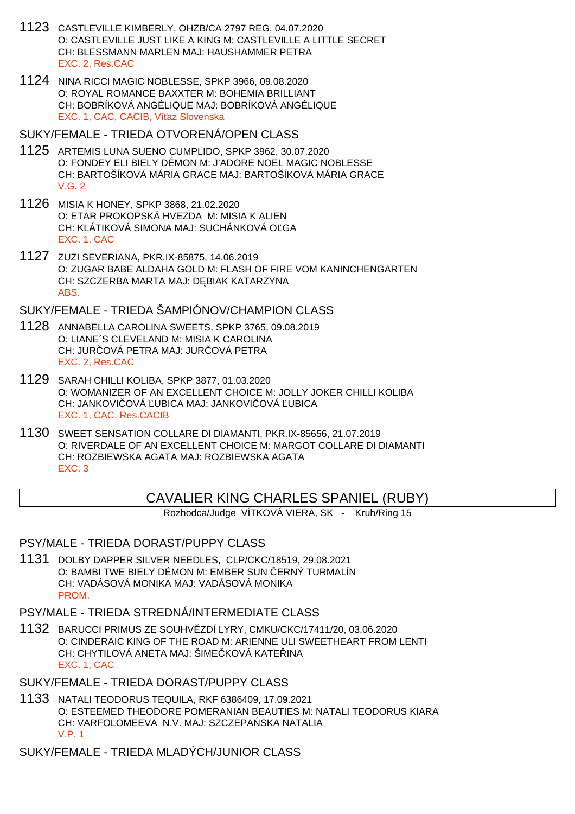- 1123 CASTLEVILLE KIMBERLY, OHZB/CA 2797 REG, 04.07.2020 O: CASTLEVILLE JUST LIKE A KING M: CASTLEVILLE A LITTLE SECRET CH: BLESSMANN MARLEN MAJ: HAUSHAMMER PETRA EXC. 2, Res.CAC
- 1124 NINA RICCI MAGIC NOBLESSE, SPKP 3966, 09.08.2020 O: ROYAL ROMANCE BAXXTER M: BOHEMIA BRILLIANT CH: BOBRÍKOVÁ ANGÉLIQUE MAJ: BOBRÍKOVÁ ANGÉLIQUE EXC. 1, CAC, CACIB, Ví az Slovenska

#### SUKY/FEMALE - TRIEDA OTVORENÁ/OPEN CLASS

- 1125 ARTEMIS LUNA SUENO CUMPLIDO, SPKP 3962, 30.07.2020 O: FONDEY ELI BIELY DÉMON M: J'ADORE NOEL MAGIC NOBLESSE CH: BARTOŠÍKOVÁ MÁRIA GRACE MAJ: BARTOŠÍKOVÁ MÁRIA GRACE V.G. 2
- 1126 MISIA K HONEY, SPKP 3868, 21.02.2020 O: ETAR PROKOPSKÁ HVEZDA M: MISIA K ALIEN CH: KLÁTIKOVÁ SIMONA MAJ: SUCHÁNKOVÁ O GA EXC. 1, CAC
- 1127 ZUZI SEVERIANA, PKR.IX-85875, 14.06.2019 O: ZUGAR BABE ALDAHA GOLD M: FLASH OF FIRE VOM KANINCHENGARTEN CH: SZCZERBA MARTA MAJ: D BIAK KATARZYNA ABS.

SUKY/FEMALE - TRIEDA ŠAMPIÓNOV/CHAMPION CLASS

- 1128 ANNABELLA CAROLINA SWEETS, SPKP 3765, 09.08.2019 O: LIANE´S CLEVELAND M: MISIA K CAROLINA CH: JUR OVÁ PETRA MAJ: JUR OVÁ PETRA EXC. 2, Res.CAC
- 1129 SARAH CHILLI KOLIBA, SPKP 3877, 01.03.2020 O: WOMANIZER OF AN EXCELLENT CHOICE M: JOLLY JOKER CHILLI KOLIBA CH: JANKOVI OVÁ UBICA MAJ: JANKOVI OVÁ UBICA EXC. 1, CAC, Res.CACIB
- 1130 SWEET SENSATION COLLARE DI DIAMANTI, PKR.IX-85656, 21.07.2019 O: RIVERDALE OF AN EXCELLENT CHOICE M: MARGOT COLLARE DI DIAMANTI CH: ROZBIEWSKA AGATA MAJ: ROZBIEWSKA AGATA EXC. 3

## CAVALIER KING CHARLES SPANIEL (RUBY)

Rozhodca/Judge VÍTKOVÁ VIERA, SK - Kruh/Ring 15

#### PSY/MALE - TRIEDA DORAST/PUPPY CLASS

1131 DOLBY DAPPER SILVER NEEDLES, CLP/CKC/18519, 29.08.2021 O: BAMBI TWE BIELY DÉMON M: EMBER SUN ERNÝ TURMALÍN CH: VADÁSOVÁ MONIKA MAJ: VADÁSOVÁ MONIKA **PROM** 

PSY/MALE - TRIEDA STREDNÁ/INTERMEDIATE CLASS

1132 BARUCCI PRIMUS ZE SOUHVĚZDÍ LYRY, CMKU/CKC/17411/20, 03.06.2020 O: CINDERAIC KING OF THE ROAD M: ARIENNE ULI SWEETHEART FROM LENTI CH: CHYTILOVÁ ANETA MAJ: ŠIME KOVÁ KATE INA EXC. 1, CAC

### SUKY/FEMALE - TRIEDA DORAST/PUPPY CLASS

1133 NATALI TEODORUS TEQUILA, RKF 6386409, 17.09.2021 O: ESTEEMED THEODORE POMERANIAN BEAUTIES M: NATALI TEODORUS KIARA CH: VARFOLOMEEVA N.V. MAJ: SZCZEPA SKA NATALIA V.P. 1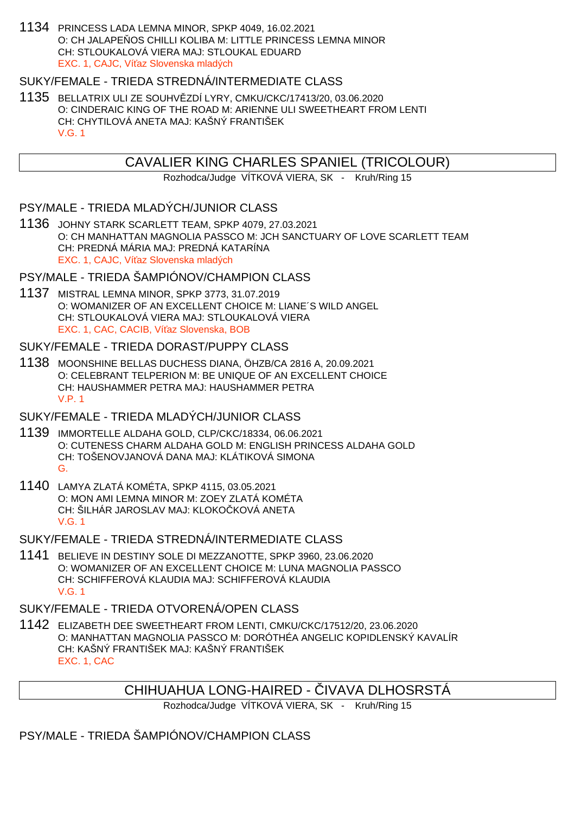1134 PRINCESS LADA LEMNA MINOR, SPKP 4049, 16.02.2021 O: CH JALAPE OS CHILLI KOLIBA M: LITTLE PRINCESS LEMNA MINOR CH: STLOUKALOVÁ VIERA MAJ: STLOUKAL EDUARD EXC. 1, CAJC. Ví az Slovenska mladých

### SUKY/FEMALE - TRIEDA STREDNÁ/INTERMEDIATE CLASS

1135 BELLATRIX ULI ZE SOUHVĚZDÍ LYRY, CMKU/CKC/17413/20, 03.06.2020 O: CINDERAIC KING OF THE ROAD M: ARIENNE ULI SWEETHEART FROM LENTI CH: CHYTILOVÁ ANETA MAJ: KAŠNÝ FRANTIŠEK V.G. 1

## CAVALIER KING CHARLES SPANIEL (TRICOLOUR)

Rozhodca/Judge VÍTKOVÁ VIERA, SK - Kruh/Ring 15

### PSY/MALE - TRIEDA MLADÝCH/JUNIOR CLASS

1136 JOHNY STARK SCARLETT TEAM, SPKP 4079, 27.03.2021 O: CH MANHATTAN MAGNOLIA PASSCO M: JCH SANCTUARY OF LOVE SCARLETT TEAM CH: PREDNÁ MÁRIA MAJ: PREDNÁ KATARÍNA EXC. 1, CAJC, Ví az Slovenska mladých

### PSY/MALE - TRIEDA ŠAMPIÓNOV/CHAMPION CLASS

1137 MISTRAL LEMNA MINOR, SPKP 3773, 31.07.2019 O: WOMANIZER OF AN EXCELLENT CHOICE M: LIANE´S WILD ANGEL CH: STLOUKALOVÁ VIERA MAJ: STLOUKALOVÁ VIERA EXC. 1, CAC, CACIB, Ví az Slovenska, BOB

### SUKY/FEMALE - TRIEDA DORAST/PUPPY CLASS

1138 MOONSHINE BELLAS DUCHESS DIANA, ÖHZB/CA 2816 A, 20.09.2021 O: CELEBRANT TELPERION M: BE UNIQUE OF AN EXCELLENT CHOICE CH: HAUSHAMMER PETRA MAJ: HAUSHAMMER PETRA V.P. 1

#### SUKY/FEMALE - TRIEDA MLADÝCH/JUNIOR CLASS

- 1139 IMMORTELLE ALDAHA GOLD, CLP/CKC/18334, 06.06.2021 O: CUTENESS CHARM ALDAHA GOLD M: ENGLISH PRINCESS ALDAHA GOLD CH: TOŠENOVJANOVÁ DANA MAJ: KLÁTIKOVÁ SIMONA G.
- 1140 LAMYA ZLATÁ KOMÉTA, SPKP 4115, 03.05.2021 O: MON AMI LEMNA MINOR M: ZOEY ZLATÁ KOMÉTA CH: ŠILHÁR JAROSLAV MAJ: KLOKO KOVÁ ANETA V.G. 1

### SUKY/FEMALE - TRIEDA STREDNÁ/INTERMEDIATE CLASS

1141 BELIEVE IN DESTINY SOLE DI MEZZANOTTE, SPKP 3960, 23.06.2020 O: WOMANIZER OF AN EXCELLENT CHOICE M: LUNA MAGNOLIA PASSCO CH: SCHIFFEROVÁ KLAUDIA MAJ: SCHIFFEROVÁ KLAUDIA V.G. 1

## SUKY/FEMALE - TRIEDA OTVORENÁ/OPEN CLASS

1142 ELIZABETH DEE SWEETHEART FROM LENTI, CMKU/CKC/17512/20, 23.06.2020 O: MANHATTAN MAGNOLIA PASSCO M: DORÓTHÉA ANGELIC KOPIDLENSKÝ KAVALÍR CH: KAŠNÝ FRANTIŠEK MAJ: KAŠNÝ FRANTIŠEK EXC. 1, CAC

## CHIHUAHUA LONG-HAIRED - VAVA DLHOSRSTA

Rozhodca/Judge VÍTKOVÁ VIERA, SK - Kruh/Ring 15

## PSY/MALE - TRIEDA ŠAMPIÓNOV/CHAMPION CLASS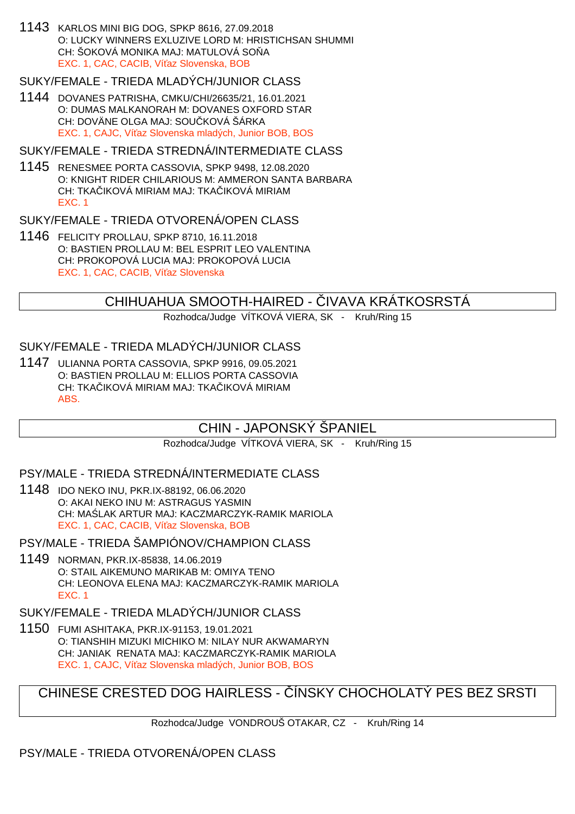1143 KARLOS MINI BIG DOG, SPKP 8616, 27.09.2018 O: LUCKY WINNERS EXLUZIVE LORD M: HRISTICHSAN SHUMMI CH: ŠOKOVÁ MONIKA MAJ: MATULOVÁ SO A EXC. 1, CAC, CACIB, Ví az Slovenska, BOB

### SUKY/FEMALE - TRIEDA MLADÝCH/JUNIOR CLASS

1144 DOVANES PATRISHA, CMKU/CHI/26635/21, 16.01.2021 O: DUMAS MALKANORAH M: DOVANES OXFORD STAR CH: DOVÄNE OLGA MAJ: SOU KOVÁ ŠÁRKA EXC. 1, CAJC, Ví az Slovenska mladých, Junior BOB, BOS

#### SUKY/FEMALE - TRIEDA STREDNÁ/INTERMEDIATE CLASS

1145 RENESMEE PORTA CASSOVIA, SPKP 9498, 12.08.2020 O: KNIGHT RIDER CHILARIOUS M: AMMERON SANTA BARBARA CH: TKA IKOVÁ MIRIAM MAJ: TKA IKOVÁ MIRIAM EXC. 1

### SUKY/FEMALE - TRIEDA OTVORENÁ/OPEN CLASS

1146 FELICITY PROLLAU, SPKP 8710, 16.11.2018 O: BASTIEN PROLLAU M: BEL ESPRIT LEO VALENTINA CH: PROKOPOVÁ LUCIA MAJ: PROKOPOVÁ LUCIA EXC. 1, CAC, CACIB, Ví az Slovenska

## CHIHUAHUA SMOOTH-HAIRED - VAVA KRÁTKOSRSTÁ

Rozhodca/Judge VÍTKOVÁ VIERA, SK - Kruh/Ring 15

## SUKY/FEMALE - TRIEDA MLADÝCH/JUNIOR CLASS

1147 ULIANNA PORTA CASSOVIA, SPKP 9916, 09.05.2021 O: BASTIEN PROLLAU M: ELLIOS PORTA CASSOVIA CH: TKA IKOVÁ MIRIAM MAJ: TKA IKOVÁ MIRIAM ABS.

# CHIN - JAPONSKÝ ŠPANIEL

Rozhodca/Judge VÍTKOVÁ VIERA, SK - Kruh/Ring 15

### PSY/MALE - TRIEDA STREDNÁ/INTERMEDIATE CLASS

1148 IDO NEKO INU, PKR.IX-88192, 06.06.2020 O: AKAI NEKO INU M: ASTRAGUS YASMIN CH: MA LAK ARTUR MAJ: KACZMARCZYK-RAMIK MARIOLA EXC. 1, CAC, CACIB, Ví az Slovenska, BOB

PSY/MALE - TRIEDA ŠAMPIÓNOV/CHAMPION CLASS

1149 NORMAN, PKR.IX-85838, 14.06.2019 O: STAIL AIKEMUNO MARIKAB M: OMIYA TENO CH: LEONOVA ELENA MAJ: KACZMARCZYK-RAMIK MARIOLA EXC. 1

# SUKY/FEMALE - TRIEDA MLADÝCH/JUNIOR CLASS

1150 FUMI ASHITAKA, PKR.IX-91153, 19.01.2021 O: TIANSHIH MIZUKI MICHIKO M: NILAY NUR AKWAMARYN CH: JANIAK RENATA MAJ: KACZMARCZYK-RAMIK MARIOLA EXC. 1, CAJC, Ví az Slovenska mladých, Junior BOB, BOS

CHINESE CRESTED DOG HAIRLESS - ÍNSKY CHOCHOLATÝ PES BEZ SRSTI

Rozhodca/Judge VONDROUŠ OTAKAR, CZ - Kruh/Ring 14

# PSY/MALE - TRIEDA OTVORENÁ/OPEN CLASS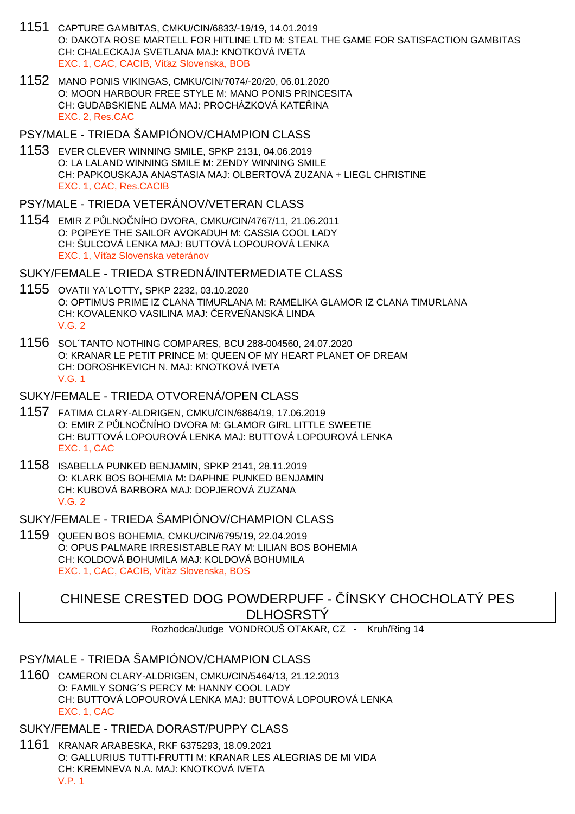- 1151 CAPTURE GAMBITAS, CMKU/CIN/6833/-19/19, 14.01.2019 O: DAKOTA ROSE MARTELL FOR HITLINE LTD M: STEAL THE GAME FOR SATISFACTION GAMBITAS CH: CHALECKAJA SVETLANA MAJ: KNOTKOVÁ IVETA EXC. 1, CAC, CACIB, Ví az Slovenska, BOB
- 1152 MANO PONIS VIKINGAS, CMKU/CIN/7074/-20/20, 06.01.2020 O: MOON HARBOUR FREE STYLE M: MANO PONIS PRINCESITA CH: GUDABSKIENE ALMA MAJ: PROCHÁZKOVÁ KATE INA EXC. 2, Res.CAC

PSY/MALE - TRIEDA ŠAMPIÓNOV/CHAMPION CLASS

1153 EVER CLEVER WINNING SMILE, SPKP 2131, 04.06.2019 O: LA LALAND WINNING SMILE M: ZENDY WINNING SMILE CH: PAPKOUSKAJA ANASTASIA MAJ: OLBERTOVÁ ZUZANA + LIEGL CHRISTINE EXC. 1, CAC, Res.CACIB

PSY/MALE - TRIEDA VETERÁNOV/VETERAN CLASS

1154 EMIR Z PŮLNOČNÍHO DVORA, CMKU/CIN/4767/11, 21.06.2011 O: POPEYE THE SAILOR AVOKADUH M: CASSIA COOL LADY CH: ŠULCOVÁ LENKA MAJ: BUTTOVÁ LOPOUROVÁ LENKA EXC. 1, Ví az Slovenska veteránov

SUKY/FEMALE - TRIEDA STREDNÁ/INTERMEDIATE CLASS

- 1155 OVATII YA´LOTTY, SPKP 2232, 03.10.2020 O: OPTIMUS PRIME IZ CLANA TIMURLANA M: RAMELIKA GLAMOR IZ CLANA TIMURLANA CH: KOVALENKO VASILINA MAJ: ERVE ANSKÁ LINDA V.G. 2
- 1156 SOL´TANTO NOTHING COMPARES, BCU 288-004560, 24.07.2020 O: KRANAR LE PETIT PRINCE M: QUEEN OF MY HEART PLANET OF DREAM CH: DOROSHKEVICH N. MAJ: KNOTKOVÁ IVETA V.G. 1

SUKY/FEMALE - TRIEDA OTVORENÁ/OPEN CLASS

- 1157 FATIMA CLARY-ALDRIGEN, CMKU/CIN/6864/19, 17.06.2019 O: EMIR Z P LNO NÍHO DVORA M: GLAMOR GIRL LITTLE SWEETIE CH: BUTTOVÁ LOPOUROVÁ LENKA MAJ: BUTTOVÁ LOPOUROVÁ LENKA EXC. 1, CAC
- 1158 ISABELLA PUNKED BENJAMIN, SPKP 2141, 28.11.2019 O: KLARK BOS BOHEMIA M: DAPHNE PUNKED BENJAMIN CH: KUBOVÁ BARBORA MAJ: DOPJEROVÁ ZUZANA V.G. 2

SUKY/FEMALE - TRIEDA ŠAMPIÓNOV/CHAMPION CLASS

1159 QUEEN BOS BOHEMIA, CMKU/CIN/6795/19, 22.04.2019 O: OPUS PALMARE IRRESISTABLE RAY M: LILIAN BOS BOHEMIA CH: KOLDOVÁ BOHUMILA MAJ: KOLDOVÁ BOHUMILA EXC. 1, CAC, CACIB, Ví az Slovenska, BOS

# CHINESE CRESTED DOG POWDERPUFF - ÍNSKY CHOCHOLATÝ PES **DLHOSRSTÝ**

Rozhodca/Judge VONDROUŠ OTAKAR, CZ - Kruh/Ring 14

PSY/MALE - TRIEDA ŠAMPIÓNOV/CHAMPION CLASS

1160 CAMERON CLARY-ALDRIGEN, CMKU/CIN/5464/13, 21.12.2013 O: FAMILY SONG´S PERCY M: HANNY COOL LADY CH: BUTTOVÁ LOPOUROVÁ LENKA MAJ: BUTTOVÁ LOPOUROVÁ LENKA EXC. 1, CAC

SUKY/FEMALE - TRIEDA DORAST/PUPPY CLASS

1161 KRANAR ARABESKA, RKF 6375293, 18.09.2021 O: GALLURIUS TUTTI-FRUTTI M: KRANAR LES ALEGRIAS DE MI VIDA CH: KREMNEVA N.A. MAJ: KNOTKOVÁ IVETA V.P. 1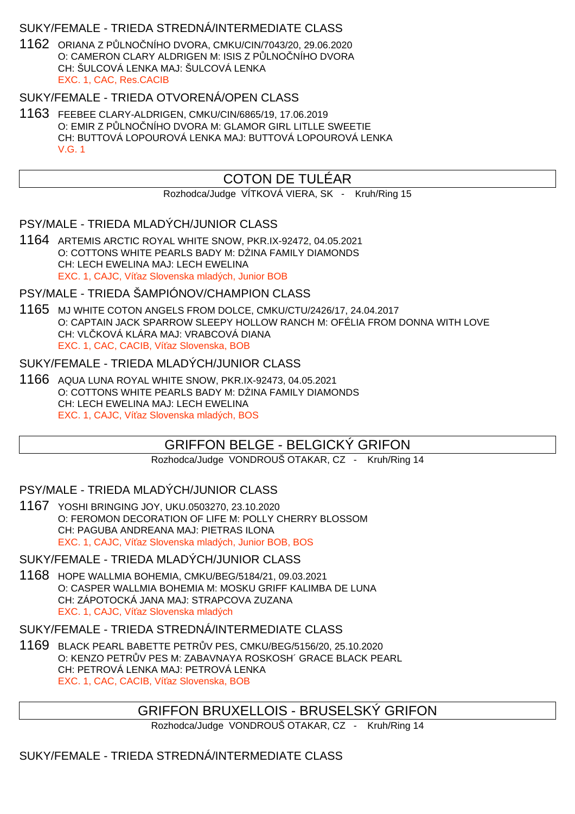## SUKY/FEMALE - TRIEDA STREDNÁ/INTERMEDIATE CLASS

1162 ORIANA Z PŮLNOČNÍHO DVORA, CMKU/CIN/7043/20, 29.06.2020 O: CAMERON CLARY ALDRIGEN M: ISIS Z PLNO NÍHO DVORA CH: ŠULCOVÁ LENKA MAJ: ŠULCOVÁ LENKA EXC. 1, CAC, Res.CACIB

### SUKY/FEMALE - TRIEDA OTVORENÁ/OPEN CLASS

1163 FEEBEE CLARY-ALDRIGEN, CMKU/CIN/6865/19, 17.06.2019 O: EMIR Z P LNO NÍHO DVORA M: GLAMOR GIRL LITLLE SWEETIE CH: BUTTOVÁ LOPOUROVÁ LENKA MAJ: BUTTOVÁ LOPOUROVÁ LENKA V.G. 1

# COTON DE TULÉAR

Rozhodca/Judge VÍTKOVÁ VIERA, SK - Kruh/Ring 15

### PSY/MALE - TRIEDA MLADÝCH/JUNIOR CLASS

1164 ARTEMIS ARCTIC ROYAL WHITE SNOW, PKR.IX-92472, 04.05.2021 O: COTTONS WHITE PEARLS BADY M: D INA FAMILY DIAMONDS CH: LECH EWELINA MAJ: LECH EWELINA EXC. 1, CAJC, Ví az Slovenska mladých, Junior BOB

## PSY/MALE - TRIEDA ŠAMPIÓNOV/CHAMPION CLASS

1165 MJ WHITE COTON ANGELS FROM DOLCE, CMKU/CTU/2426/17, 24.04.2017 O: CAPTAIN JACK SPARROW SLEEPY HOLLOW RANCH M: OFÉLIA FROM DONNA WITH LOVE CH: VLČKOVÁ KLÁRA MAJ: VRABCOVÁ DIANA EXC. 1, CAC, CACIB, Ví az Slovenska, BOB

### SUKY/FEMALE - TRIEDA MLADÝCH/JUNIOR CLASS

1166 AQUA LUNA ROYAL WHITE SNOW, PKR.IX-92473, 04.05.2021 O: COTTONS WHITE PEARLS BADY M: D INA FAMILY DIAMONDS CH: LECH EWELINA MAJ: LECH EWELINA EXC. 1, CAJC, Ví az Slovenska mladých, BOS

# GRIFFON BELGE - BELGICKÝ GRIFON

Rozhodca/Judge VONDROUŠ OTAKAR, CZ - Kruh/Ring 14

## PSY/MALE - TRIEDA MLADÝCH/JUNIOR CLASS

1167 YOSHI BRINGING JOY, UKU.0503270, 23.10.2020 O: FEROMON DECORATION OF LIFE M: POLLY CHERRY BLOSSOM CH: PAGUBA ANDREANA MAJ: PIETRAS ILONA EXC. 1, CAJC, Ví az Slovenska mladých, Junior BOB, BOS

### SUKY/FEMALE - TRIEDA MLADÝCH/JUNIOR CLASS

1168 HOPE WALLMIA BOHEMIA, CMKU/BEG/5184/21, 09.03.2021 O: CASPER WALLMIA BOHEMIA M: MOSKU GRIFF KALIMBA DE LUNA CH: ZÁPOTOCKÁ JANA MAJ: STRAPCOVA ZUZANA EXC. 1, CAJC, Ví az Slovenska mladých

### SUKY/FEMALE - TRIEDA STREDNÁ/INTERMEDIATE CLASS

1169 BLACK PEARL BABETTE PETRŮV PES, CMKU/BEG/5156/20, 25.10.2020 O: KENZO PETR V PES M: ZABAVNAYA ROSKOSH´ GRACE BLACK PEARL CH: PETROVÁ LENKA MAJ: PETROVÁ LENKA EXC. 1, CAC, CACIB, Ví az Slovenska, BOB

## GRIFFON BRUXELLOIS - BRUSELSKÝ GRIFON

Rozhodca/Judge VONDROUŠ OTAKAR, CZ - Kruh/Ring 14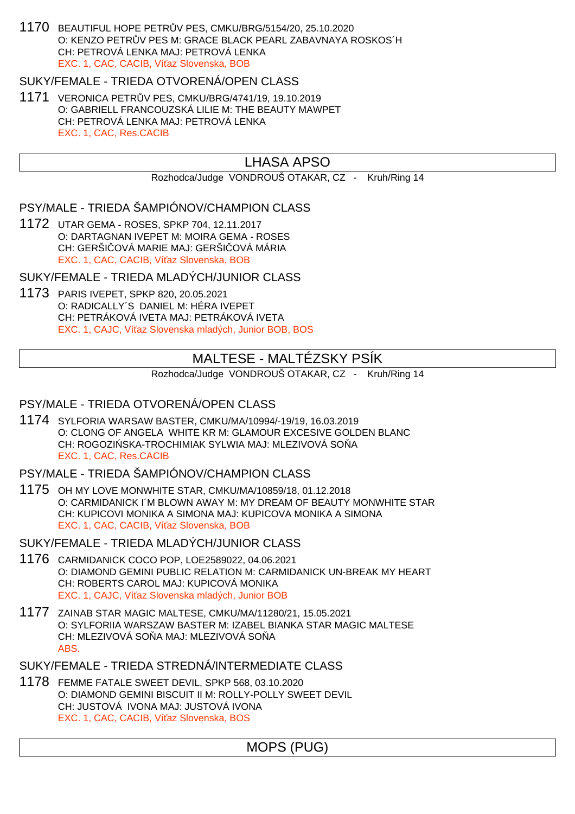1170 BEAUTIFUL HOPE PETRŮV PES, CMKU/BRG/5154/20, 25.10.2020 O: KENZO PETR V PES M: GRACE BLACK PEARL ZABAVNAYA ROSKOS´H CH: PETROVÁ LENKA MAJ: PETROVÁ LENKA EXC. 1, CAC, CACIB, Ví az Slovenska, BOB

SUKY/FEMALE - TRIEDA OTVORENÁ/OPEN CLASS

1171 VERONICA PETRŮV PES, CMKU/BRG/4741/19, 19.10.2019 O: GABRIELL FRANCOUZSKÁ LILIE M: THE BEAUTY MAWPET CH: PETROVÁ LENKA MAJ: PETROVÁ LENKA EXC. 1, CAC, Res.CACIB

## LHASA APSO

Rozhodca/Judge VONDROUŠ OTAKAR, CZ - Kruh/Ring 14

PSY/MALE - TRIEDA ŠAMPIÓNOV/CHAMPION CLASS

1172 UTAR GEMA - ROSES, SPKP 704, 12.11.2017 O: DARTAGNAN IVEPET M: MOIRA GEMA - ROSES CH: GERŠI OVÁ MARIE MAJ: GERŠI OVÁ MÁRIA EXC. 1, CAC, CACIB, Ví az Slovenska, BOB

SUKY/FEMALE - TRIEDA MLADÝCH/JUNIOR CLASS

1173 PARIS IVEPET, SPKP 820, 20.05.2021 O: RADICALLY´S DANIEL M: HÉRA IVEPET CH: PETRÁKOVÁ IVETA MAJ: PETRÁKOVÁ IVETA EXC. 1, CAJC, Ví az Slovenska mladých, Junior BOB, BOS

# MALTESE - MALTÉZSKY PSÍK

Rozhodca/Judge VONDROUŠ OTAKAR, CZ - Kruh/Ring 14

### PSY/MALE - TRIEDA OTVORENÁ/OPEN CLASS

1174 SYLFORIA WARSAW BASTER, CMKU/MA/10994/-19/19, 16.03.2019 O: CLONG OF ANGELA WHITE KR M: GLAMOUR EXCESIVE GOLDEN BLANC CH: ROGOZI SKA-TROCHIMIAK SYLWIA MAJ: MLEZIVOVÁ SO A EXC. 1, CAC, Res.CACIB

PSY/MALE - TRIEDA ŠAMPIÓNOV/CHAMPION CLASS

1175 OH MY LOVE MONWHITE STAR, CMKU/MA/10859/18, 01.12.2018 O: CARMIDANICK I´M BLOWN AWAY M: MY DREAM OF BEAUTY MONWHITE STAR CH: KUPICOVI MONIKA A SIMONA MAJ: KUPICOVA MONIKA A SIMONA EXC. 1, CAC, CACIB, Ví az Slovenska, BOB

SUKY/FEMALE - TRIEDA MLADÝCH/JUNIOR CLASS

- 1176 CARMIDANICK COCO POP, LOE2589022, 04.06.2021 O: DIAMOND GEMINI PUBLIC RELATION M: CARMIDANICK UN-BREAK MY HEART CH: ROBERTS CAROL MAJ: KUPICOVÁ MONIKA EXC. 1, CAJC, Ví az Slovenska mladých, Junior BOB
- 1177 ZAINAB STAR MAGIC MALTESE, CMKU/MA/11280/21, 15.05.2021 O: SYLFORIIA WARSZAW BASTER M: IZABEL BIANKA STAR MAGIC MALTESE CH: MLEZIVOVÁ SO A MAJ: MLEZIVOVÁ SO A ABS.

SUKY/FEMALE - TRIEDA STREDNÁ/INTERMEDIATE CLASS

1178 FEMME FATALE SWEET DEVIL, SPKP 568, 03.10.2020 O: DIAMOND GEMINI BISCUIT II M: ROLLY-POLLY SWEET DEVIL CH: JUSTOVÁ IVONA MAJ: JUSTOVÁ IVONA EXC. 1, CAC, CACIB, Ví az Slovenska, BOS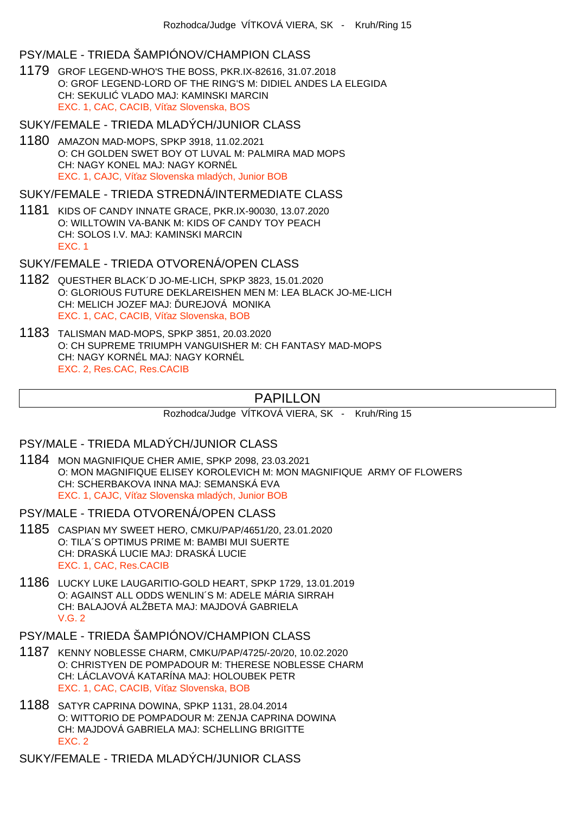## PSY/MALE - TRIEDA ŠAMPIÓNOV/CHAMPION CLASS

1179 GROF LEGEND-WHO'S THE BOSS, PKR.IX-82616, 31.07.2018 O: GROF LEGEND-LORD OF THE RING'S M: DIDIEL ANDES LA ELEGIDA CH: SEKULI VLADO MAJ: KAMINSKI MARCIN EXC. 1, CAC, CACIB, Ví az Slovenska, BOS

SUKY/FEMALE - TRIEDA MLADÝCH/JUNIOR CLASS

1180 AMAZON MAD-MOPS, SPKP 3918, 11.02.2021 O: CH GOLDEN SWET BOY OT LUVAL M: PALMIRA MAD MOPS CH: NAGY KONEL MAJ: NAGY KORNÉL EXC. 1, CAJC. Ví az Slovenska mladých, Junior BOB

SUKY/FEMALE - TRIEDA STREDNÁ/INTERMEDIATE CLASS

1181 KIDS OF CANDY INNATE GRACE, PKR.IX-90030, 13.07.2020 O: WILLTOWIN VA-BANK M: KIDS OF CANDY TOY PEACH CH: SOLOS I.V. MAJ: KAMINSKI MARCIN EXC. 1

SUKY/FEMALE - TRIEDA OTVORENÁ/OPEN CLASS

- 1182 QUESTHER BLACK´D JO-ME-LICH, SPKP 3823, 15.01.2020 O: GLORIOUS FUTURE DEKLAREISHEN MEN M: LEA BLACK JO-ME-LICH CH: MELICH JOZEF MAJ: UREJOVÁ MONIKA EXC. 1, CAC, CACIB, Ví az Slovenska, BOB
- 1183 TALISMAN MAD-MOPS, SPKP 3851, 20.03.2020 O: CH SUPREME TRIUMPH VANGUISHER M: CH FANTASY MAD-MOPS CH: NAGY KORNÉL MAJ: NAGY KORNÉL EXC. 2, Res.CAC, Res.CACIB

# PAPILLON

Rozhodca/Judge VÍTKOVÁ VIERA, SK - Kruh/Ring 15

PSY/MALE - TRIEDA MLADÝCH/JUNIOR CLASS

1184 MON MAGNIFIQUE CHER AMIE, SPKP 2098, 23.03.2021 O: MON MAGNIFIQUE ELISEY KOROLEVICH M: MON MAGNIFIQUE ARMY OF FLOWERS CH: SCHERBAKOVA INNA MAJ: SEMANSKÁ EVA EXC. 1, CAJC, Ví az Slovenska mladých, Junior BOB

PSY/MALE - TRIEDA OTVORENÁ/OPEN CLASS

- 1185 CASPIAN MY SWEET HERO, CMKU/PAP/4651/20, 23.01.2020 O: TILA´S OPTIMUS PRIME M: BAMBI MUI SUERTE CH: DRASKÁ LUCIE MAJ: DRASKÁ LUCIE EXC. 1, CAC, Res.CACIB
- 1186 LUCKY LUKE LAUGARITIO-GOLD HEART, SPKP 1729, 13.01.2019 O: AGAINST ALL ODDS WENLIN´S M: ADELE MÁRIA SIRRAH CH: BALAJOVÁ ALŽBETA MAJ: MAJDOVÁ GABRIELA V.G. 2

PSY/MALE - TRIEDA ŠAMPIÓNOV/CHAMPION CLASS

- 1187 KENNY NOBLESSE CHARM, CMKU/PAP/4725/-20/20, 10.02.2020 O: CHRISTYEN DE POMPADOUR M: THERESE NOBLESSE CHARM CH: LÁCLAVOVÁ KATARÍNA MAJ: HOLOUBEK PETR EXC. 1, CAC, CACIB, Ví az Slovenska, BOB
- 1188 SATYR CAPRINA DOWINA, SPKP 1131, 28.04.2014 O: WITTORIO DE POMPADOUR M: ZENJA CAPRINA DOWINA CH: MAJDOVÁ GABRIELA MAJ: SCHELLING BRIGITTE EXC. 2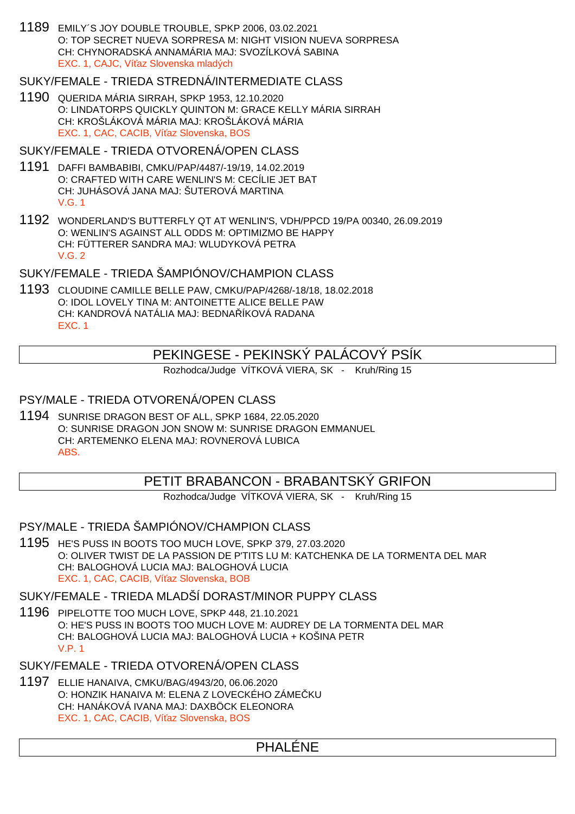1189 EMILY´S JOY DOUBLE TROUBLE, SPKP 2006, 03.02.2021 O: TOP SECRET NUEVA SORPRESA M: NIGHT VISION NUEVA SORPRESA CH: CHYNORADSKÁ ANNAMÁRIA MAJ: SVOZÍLKOVÁ SABINA EXC. 1, CAJC. Ví az Slovenska mladých

## SUKY/FEMALE - TRIEDA STREDNÁ/INTERMEDIATE CLASS

1190 QUERIDA MÁRIA SIRRAH, SPKP 1953, 12.10.2020 O: LINDATORPS QUICKLY QUINTON M: GRACE KELLY MÁRIA SIRRAH CH: KROŠLÁKOVÁ MÁRIA MAJ: KROŠLÁKOVÁ MÁRIA EXC. 1, CAC, CACIB, Ví az Slovenska, BOS

### SUKY/FEMALE - TRIEDA OTVORENÁ/OPEN CLASS

- 1191 DAFFI BAMBABIBI, CMKU/PAP/4487/-19/19, 14.02.2019 O: CRAFTED WITH CARE WENLIN'S M: CECÍLIE JET BAT CH: JUHÁSOVÁ JANA MAJ: ŠUTEROVÁ MARTINA V.G. 1
- 1192 WONDERLAND'S BUTTERFLY QT AT WENLIN'S, VDH/PPCD 19/PA 00340, 26.09.2019 O: WENLIN'S AGAINST ALL ODDS M: OPTIMIZMO BE HAPPY CH: FÜTTERER SANDRA MAJ: WLUDYKOVÁ PETRA V.G. 2

## SUKY/FEMALE - TRIEDA ŠAMPIÓNOV/CHAMPION CLASS

1193 CLOUDINE CAMILLE BELLE PAW, CMKU/PAP/4268/-18/18, 18.02.2018 O: IDOL LOVELY TINA M: ANTOINETTE ALICE BELLE PAW CH: KANDROVÁ NATÁLIA MAJ: BEDNA ÍKOVÁ RADANA EXC. 1

## PEKINGESE - PEKINSKÝ PALÁCOVÝ PSÍK

Rozhodca/Judge VÍTKOVÁ VIERA, SK - Kruh/Ring 15

## PSY/MALE - TRIEDA OTVORENÁ/OPEN CLASS

1194 SUNRISE DRAGON BEST OF ALL, SPKP 1684, 22.05.2020 O: SUNRISE DRAGON JON SNOW M: SUNRISE DRAGON EMMANUEL CH: ARTEMENKO ELENA MAJ: ROVNEROVÁ LUBICA ABS.

## PETIT BRABANCON - BRABANTSKÝ GRIFON

Rozhodca/Judge VÍTKOVÁ VIERA, SK - Kruh/Ring 15

PSY/MALE - TRIEDA ŠAMPIÓNOV/CHAMPION CLASS

1195 HE'S PUSS IN BOOTS TOO MUCH LOVE, SPKP 379, 27.03.2020 O: OLIVER TWIST DE LA PASSION DE P'TITS LU M: KATCHENKA DE LA TORMENTA DEL MAR CH: BALOGHOVÁ LUCIA MAJ: BALOGHOVÁ LUCIA EXC. 1, CAC, CACIB, Ví az Slovenska, BOB

### SUKY/FEMALE - TRIEDA MLADŠÍ DORAST/MINOR PUPPY CLASS

1196 PIPELOTTE TOO MUCH LOVE, SPKP 448, 21.10.2021 O: HE'S PUSS IN BOOTS TOO MUCH LOVE M: AUDREY DE LA TORMENTA DEL MAR CH: BALOGHOVÁ LUCIA MAJ: BALOGHOVÁ LUCIA + KOŠINA PETR V.P. 1

### SUKY/FEMALE - TRIEDA OTVORENÁ/OPEN CLASS

1197 ELLIE HANAIVA, CMKU/BAG/4943/20, 06.06.2020 O: HONZIK HANAIVA M: ELENA Z LOVECKÉHO ZÁME KU CH: HANÁKOVÁ IVANA MAJ: DAXBÖCK ELEONORA EXC. 1, CAC, CACIB, Ví az Slovenska, BOS

# PHALÉNE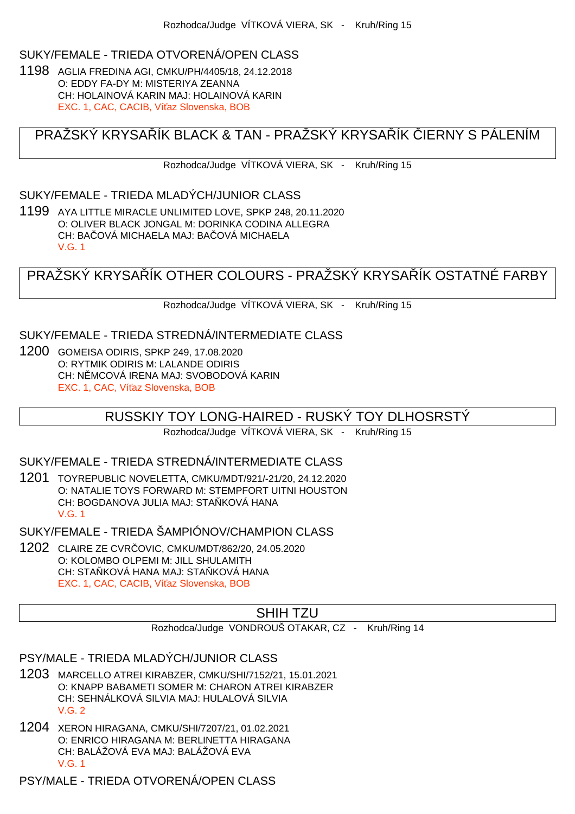# SUKY/FEMALE - TRIEDA OTVORENÁ/OPEN CLASS

1198 AGLIA FREDINA AGI, CMKU/PH/4405/18, 24.12.2018 O: EDDY FA-DY M: MISTERIYA ZEANNA CH: HOLAINOVÁ KARIN MAJ: HOLAINOVÁ KARIN EXC. 1, CAC, CACIB, Ví az Slovenska, BOB

# PRAŽSKÝ KRYSALÍK BLACK & TAN - PRAŽSKÝ KRYSALÍK LIERNY S PÁLENÍM

Rozhodca/Judge VÍTKOVÁ VIERA, SK - Kruh/Ring 15

#### SUKY/FEMALE - TRIEDA MLADÝCH/JUNIOR CLASS

1199 AYA LITTLE MIRACLE UNLIMITED LOVE, SPKP 248, 20.11.2020 O: OLIVER BLACK JONGAL M: DORINKA CODINA ALLEGRA CH: BA QVÁ MICHAELA MAJ: BA QVÁ MICHAELA V.G. 1

PRAŽSKÝ KRYSA ÍK OTHER COLOURS - PRAŽSKÝ KRYSA ÍK OSTATNÉ FARBY

Rozhodca/Judge VÍTKOVÁ VIERA, SK - Kruh/Ring 15

## SUKY/FEMALE - TRIEDA STREDNÁ/INTERMEDIATE CLASS

1200 GOMEISA ODIRIS, SPKP 249, 17.08.2020 O: RYTMIK ODIRIS M: LALANDE ODIRIS CH: N MCOVÁ IRENA MAJ: SVOBODOVÁ KARIN EXC. 1, CAC, Ví az Slovenska, BOB

### RUSSKIY TOY LONG-HAIRED - RUSKÝ TOY DLHOSRSTÝ

Rozhodca/Judge VÍTKOVÁ VIERA, SK - Kruh/Ring 15

### SUKY/FEMALE - TRIEDA STREDNÁ/INTERMEDIATE CLASS

1201 TOYREPUBLIC NOVELETTA, CMKU/MDT/921/-21/20, 24.12.2020 O: NATALIE TOYS FORWARD M: STEMPFORT UITNI HOUSTON CH: BOGDANOVA JULIA MAJ: STA KOVÁ HANA V.G. 1

SUKY/FEMALE - TRIEDA ŠAMPIÓNOV/CHAMPION CLASS

1202 CLAIRE ZE CVRČOVIC, CMKU/MDT/862/20, 24.05.2020 O: KOLOMBO OLPEMI M: JILL SHULAMITH CH: STA KOVÁ HANA MAJ: STA KOVÁ HANA EXC. 1, CAC, CACIB, Ví az Slovenska, BOB

## SHIH TZU

Rozhodca/Judge VONDROUŠ OTAKAR, CZ - Kruh/Ring 14

- 1203 MARCELLO ATREI KIRABZER, CMKU/SHI/7152/21, 15.01.2021 O: KNAPP BABAMETI SOMER M: CHARON ATREI KIRABZER CH: SEHNÁLKOVÁ SILVIA MAJ: HULALOVÁ SILVIA V.G. 2
- 1204 XERON HIRAGANA, CMKU/SHI/7207/21, 01.02.2021 O: ENRICO HIRAGANA M: BERLINETTA HIRAGANA CH: BALÁŽOVÁ EVA MAJ: BALÁŽOVÁ EVA V.G. 1
- PSY/MALE TRIEDA OTVORENÁ/OPEN CLASS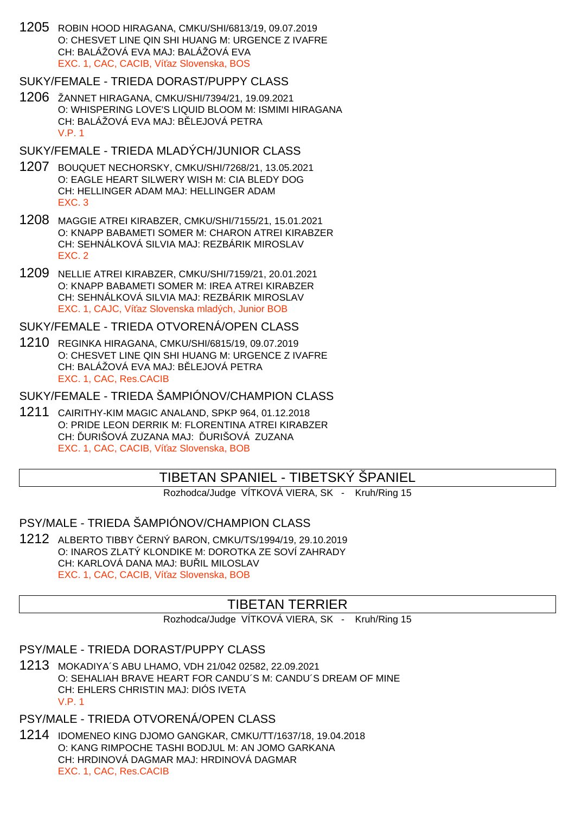1205 ROBIN HOOD HIRAGANA, CMKU/SHI/6813/19, 09.07.2019 O: CHESVET LINE QIN SHI HUANG M: URGENCE Z IVAFRE CH: BALÁŽOVÁ EVA MAJ: BALÁŽOVÁ EVA EXC. 1, CAC, CACIB, Ví az Slovenska, BOS

# SUKY/FEMALE - TRIEDA DORAST/PUPPY CLASS

- 1206 ŽANNET HIRAGANA, CMKU/SHI/7394/21, 19.09.2021 O: WHISPERING LOVE'S LIQUID BLOOM M: ISMIMI HIRAGANA CH: BALÁŽOVÁ EVA MAJ: B LEJOVÁ PETRA V.P. 1
- SUKY/FEMALE TRIEDA MLADÝCH/JUNIOR CLASS
- 1207 BOUQUET NECHORSKY, CMKU/SHI/7268/21, 13.05.2021 O: EAGLE HEART SILWERY WISH M: CIA BLEDY DOG CH: HELLINGER ADAM MAJ: HELLINGER ADAM EXC. 3
- 1208 MAGGIE ATREI KIRABZER, CMKU/SHI/7155/21, 15.01.2021 O: KNAPP BABAMETI SOMER M: CHARON ATREI KIRABZER CH: SEHNÁLKOVÁ SILVIA MAJ: REZBÁRIK MIROSLAV EXC. 2
- 1209 NELLIE ATREI KIRABZER, CMKU/SHI/7159/21, 20.01.2021 O: KNAPP BABAMETI SOMER M: IREA ATREI KIRABZER CH: SEHNÁLKOVÁ SILVIA MAJ: REZBÁRIK MIROSLAV EXC. 1, CAJC, Ví az Slovenska mladých, Junior BOB

SUKY/FEMALE - TRIEDA OTVORENÁ/OPEN CLASS

1210 REGINKA HIRAGANA, CMKU/SHI/6815/19, 09.07.2019 O: CHESVET LINE QIN SHI HUANG M: URGENCE Z IVAFRE CH: BALÁŽOVÁ EVA MAJ: B LEJOVÁ PETRA EXC. 1, CAC, Res.CACIB

SUKY/FEMALE - TRIEDA ŠAMPIÓNOV/CHAMPION CLASS

1211 CAIRITHY-KIM MAGIC ANALAND, SPKP 964, 01.12.2018 O: PRIDE LEON DERRIK M: FLORENTINA ATREI KIRABZER CH: URIŠOVÁ ZUZANA MAJ: URIŠOVÁ ZUZANA EXC. 1, CAC, CACIB, Ví az Slovenska, BOB

# TIBETAN SPANIEL - TIBETSKÝ ŠPANIEL

Rozhodca/Judge VÍTKOVÁ VIERA, SK - Kruh/Ring 15

# PSY/MALE - TRIEDA ŠAMPIÓNOV/CHAMPION CLASS

1212 ALBERTO TIBBY ČERNÝ BARON, CMKU/TS/1994/19, 29.10.2019 O: INAROS ZLATÝ KLONDIKE M: DOROTKA ZE SOVÍ ZAHRADY CH: KARLOVÁ DANA MAJ: BU IL MILOSLAV EXC. 1, CAC, CACIB, Ví az Slovenska, BOB

# TIBETAN TERRIER

Rozhodca/Judge VÍTKOVÁ VIERA, SK - Kruh/Ring 15

# PSY/MALE - TRIEDA DORAST/PUPPY CLASS

1213 MOKADIYA´S ABU LHAMO, VDH 21/042 02582, 22.09.2021 O: SEHALIAH BRAVE HEART FOR CANDU´S M: CANDU´S DREAM OF MINE CH: EHLERS CHRISTIN MAJ: DIÓS IVETA V.P. 1

# PSY/MALE - TRIEDA OTVORENÁ/OPEN CLASS

1214 IDOMENEO KING DJOMO GANGKAR, CMKU/TT/1637/18, 19.04.2018 O: KANG RIMPOCHE TASHI BODJUL M: AN JOMO GARKANA CH: HRDINOVÁ DAGMAR MAJ: HRDINOVÁ DAGMAR EXC. 1, CAC, Res.CACIB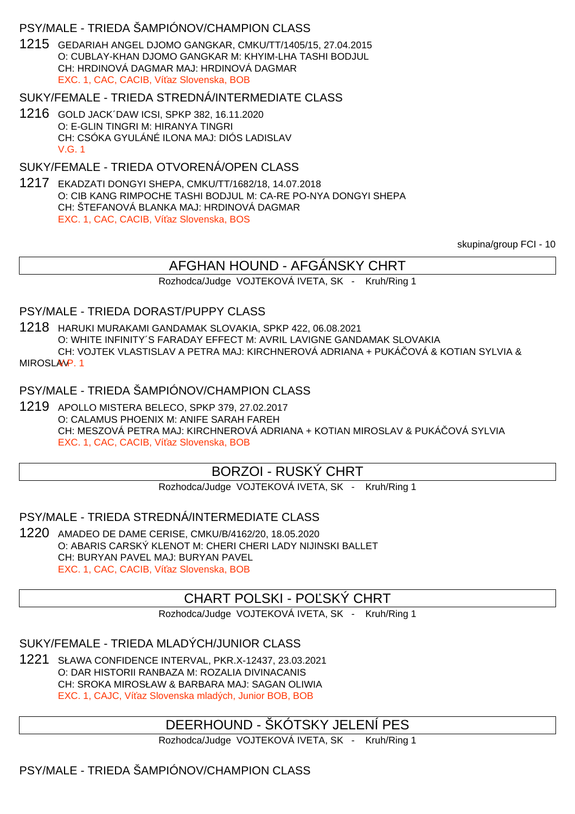### PSY/MALE - TRIEDA ŠAMPIÓNOV/CHAMPION CLASS

1215 GEDARIAH ANGEL DJOMO GANGKAR, CMKU/TT/1405/15, 27.04.2015 O: CUBLAY-KHAN DJOMO GANGKAR M: KHYIM-LHA TASHI BODJUL CH: HRDINOVÁ DAGMAR MAJ: HRDINOVÁ DAGMAR EXC. 1, CAC, CACIB, Ví az Slovenska, BOB

### SUKY/FEMALE - TRIEDA STREDNÁ/INTERMEDIATE CLASS

1216 GOLD JACK´DAW ICSI, SPKP 382, 16.11.2020 O: E-GLIN TINGRI M: HIRANYA TINGRI CH: CSÓKA GYULÁNÉ ILONA MAJ: DIÓS LADISLAV V.G. 1

## SUKY/FEMALE - TRIEDA OTVORENÁ/OPEN CLASS

1217 EKADZATI DONGYI SHEPA, CMKU/TT/1682/18, 14.07.2018 O: CIB KANG RIMPOCHE TASHI BODJUL M: CA-RE PO-NYA DONGYI SHEPA CH: ŠTEFANOVÁ BLANKA MAJ: HRDINOVÁ DAGMAR EXC. 1, CAC, CACIB, Ví az Slovenska, BOS

skupina/group FCI - 10

# AFGHAN HOUND - AFGÁNSKY CHRT

Rozhodca/Judge VOJTEKOVÁ IVETA, SK - Kruh/Ring 1

### PSY/MALE - TRIEDA DORAST/PUPPY CLASS

1218 HARUKI MURAKAMI GANDAMAK SLOVAKIA, SPKP 422, 06.08.2021 O: WHITE INFINITY´S FARADAY EFFECT M: AVRIL LAVIGNE GANDAMAK SLOVAKIA CH: VOJTEK VLASTISLAV A PETRA MAJ: KIRCHNEROVÁ ADRIANA + PUKÁČOVÁ & KOTIAN SYLVIA & MIROSLAV<sub>P.1</sub>

#### PSY/MALE - TRIEDA ŠAMPIÓNOV/CHAMPION CLASS

1219 APOLLO MISTERA BELECO, SPKP 379, 27.02.2017 O: CALAMUS PHOENIX M: ANIFE SARAH FAREH CH: MESZOVÁ PETRA MAJ: KIRCHNEROVÁ ADRIANA + KOTIAN MIROSLAV & PUKÁ OVÁ SYLVIA EXC. 1, CAC, CACIB, Ví az Slovenska, BOB

## BORZOI - RUSKÝ CHRT

Rozhodca/Judge VOJTEKOVÁ IVETA, SK - Kruh/Ring 1

PSY/MALE - TRIEDA STREDNÁ/INTERMEDIATE CLASS

1220 AMADEO DE DAME CERISE, CMKU/B/4162/20, 18.05.2020 O: ABARIS CARSKÝ KLENOT M: CHERI CHERI LADY NIJINSKI BALLET CH: BURYAN PAVEL MAJ: BURYAN PAVEL EXC. 1, CAC, CACIB, Ví az Slovenska, BOB

## CHART POLSKI - PO SKÝ CHRT

Rozhodca/Judge VOJTEKOVÁ IVETA, SK - Kruh/Ring 1

SUKY/FEMALE - TRIEDA MLADÝCH/JUNIOR CLASS

1221 SŁAWA CONFIDENCE INTERVAL, PKR.X-12437, 23.03.2021 O: DAR HISTORII RANBAZA M: ROZALIA DIVINACANIS CH: SROKA MIROSŁAW & BARBARA MAJ: SAGAN OLIWIA EXC. 1, CAJC, Ví az Slovenska mladých, Junior BOB, BOB

## DEERHOUND - ŠKÓTSKY JELENÍ PES

Rozhodca/Judge VOJTEKOVÁ IVETA, SK - Kruh/Ring 1

# PSY/MALE - TRIEDA ŠAMPIÓNOV/CHAMPION CLASS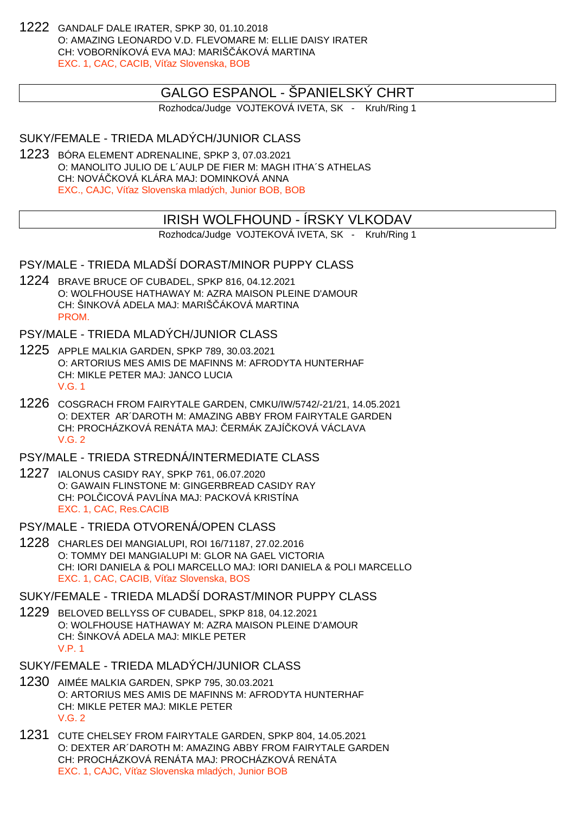1222 GANDALF DALE IRATER, SPKP 30, 01.10.2018 O: AMAZING LEONARDO V.D. FLEVOMARE M: ELLIE DAISY IRATER CH: VOBORNÍKOVÁ EVA MAJ: MARIŠ, ÁKOVÁ MARTINA EXC. 1, CAC, CACIB, Ví az Slovenska, BOB

## GALGO ESPANOL - ŠPANIELSKÝ CHRT

Rozhodca/Judge VOJTEKOVÁ IVETA, SK - Kruh/Ring 1

## SUKY/FEMALE - TRIEDA MLADÝCH/JUNIOR CLASS

1223 BÓRA ELEMENT ADRENALINE, SPKP 3, 07.03.2021 O: MANOLITO JULIO DE L´AULP DE FIER M: MAGH ITHA´S ATHELAS CH: NOVÁ KOVÁ KLÁRA MAJ: DOMINKOVÁ ANNA EXC., CAJC, Ví az Slovenska mladých, Junior BOB, BOB

## IRISH WOLFHOUND - ÍRSKY VLKODAV

Rozhodca/Judge VOJTEKOVÁ IVETA, SK - Kruh/Ring 1

## PSY/MALE - TRIEDA MLADŠÍ DORAST/MINOR PUPPY CLASS

1224 BRAVE BRUCE OF CUBADEL, SPKP 816, 04.12.2021 O: WOLFHOUSE HATHAWAY M: AZRA MAISON PLEINE D'AMOUR CH: ŠINKOVÁ ADELA MAJ: MARIŠ ÁKOVÁ MARTINA **PROM** 

PSY/MALE - TRIEDA MLADÝCH/JUNIOR CLASS

- 1225 APPLE MALKIA GARDEN, SPKP 789, 30.03.2021 O: ARTORIUS MES AMIS DE MAFINNS M: AFRODYTA HUNTERHAF CH: MIKLE PETER MAJ: JANCO LUCIA V.G. 1
- 1226 COSGRACH FROM FAIRYTALE GARDEN, CMKU/IW/5742/-21/21, 14.05.2021 O: DEXTER AR´DAROTH M: AMAZING ABBY FROM FAIRYTALE GARDEN CH: PROCHÁZKOVÁ RENÁTA MAJ: ERMÁK ZAJÍ KOVÁ VÁCLAVA V.G. 2

PSY/MALE - TRIEDA STREDNÁ/INTERMEDIATE CLASS

- 1227 IALONUS CASIDY RAY, SPKP 761, 06.07.2020 O: GAWAIN FLINSTONE M: GINGERBREAD CASIDY RAY CH: POL ICOVÁ PAVLÍNA MAJ: PACKOVÁ KRISTÍNA EXC. 1, CAC, Res.CACIB
- PSY/MALE TRIEDA OTVORENÁ/OPEN CLASS
- 1228 CHARLES DEI MANGIALUPI, ROI 16/71187, 27.02.2016 O: TOMMY DEI MANGIALUPI M: GLOR NA GAEL VICTORIA CH: IORI DANIELA & POLI MARCELLO MAJ: IORI DANIELA & POLI MARCELLO EXC. 1, CAC, CACIB, Ví az Slovenska, BOS

SUKY/FEMALE - TRIEDA MLADŠÍ DORAST/MINOR PUPPY CLASS

1229 BELOVED BELLYSS OF CUBADEL, SPKP 818, 04.12.2021 O: WOLFHOUSE HATHAWAY M: AZRA MAISON PLEINE D'AMOUR CH: ŠINKOVÁ ADELA MAJ: MIKLE PETER V.P. 1

- 1230 AIMÉE MALKIA GARDEN, SPKP 795, 30.03.2021 O: ARTORIUS MES AMIS DE MAFINNS M: AFRODYTA HUNTERHAF CH: MIKLE PETER MAJ: MIKLE PETER V.G. 2
- 1231 CUTE CHELSEY FROM FAIRYTALE GARDEN, SPKP 804, 14.05.2021 O: DEXTER AR´DAROTH M: AMAZING ABBY FROM FAIRYTALE GARDEN CH: PROCHÁZKOVÁ RENÁTA MAJ: PROCHÁZKOVÁ RENÁTA EXC. 1, CAJC, Ví az Slovenska mladých, Junior BOB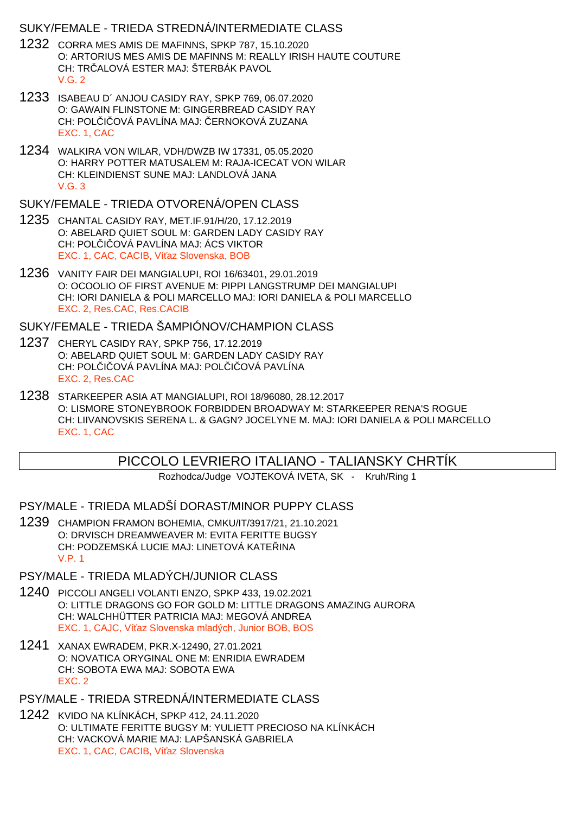### SUKY/FEMALE - TRIEDA STREDNÁ/INTERMEDIATE CLASS

- 1232 CORRA MES AMIS DE MAFINNS, SPKP 787, 15.10.2020 O: ARTORIUS MES AMIS DE MAFINNS M: REALLY IRISH HAUTE COUTURE CH: TRI ALOVÁ ESTER MAJ: ŠTERBÁK PAVOL V.G. 2
- 1233 ISABEAU D´ ANJOU CASIDY RAY, SPKP 769, 06.07.2020 O: GAWAIN FLINSTONE M: GINGERBREAD CASIDY RAY CH: POL I OVÁ PAVLÍNA MAJ: ERNOKOVÁ ZUZANA EXC. 1, CAC
- 1234 WALKIRA VON WILAR, VDH/DWZB IW 17331, 05.05.2020 O: HARRY POTTER MATUSALEM M: RAJA-ICECAT VON WILAR CH: KLEINDIENST SUNE MAJ: LANDLOVÁ JANA V.G. 3

#### SUKY/FEMALE - TRIEDA OTVORENÁ/OPEN CLASS

- 1235 CHANTAL CASIDY RAY, MET.IF.91/H/20, 17.12.2019 O: ABELARD QUIET SOUL M: GARDEN LADY CASIDY RAY CH: POL I OVÁ PAVLÍNA MAJ: ÁCS VIKTOR EXC. 1, CAC, CACIB, Ví az Slovenska, BOB
- 1236 VANITY FAIR DEI MANGIALUPI, ROI 16/63401, 29.01.2019 O: OCOOLIO OF FIRST AVENUE M: PIPPI LANGSTRUMP DEI MANGIALUPI CH: IORI DANIELA & POLI MARCELLO MAJ: IORI DANIELA & POLI MARCELLO EXC. 2, Res.CAC, Res.CACIB

### SUKY/FEMALE - TRIEDA ŠAMPIÓNOV/CHAMPION CLASS

- 1237 CHERYL CASIDY RAY, SPKP 756, 17.12.2019 O: ABELARD QUIET SOUL M: GARDEN LADY CASIDY RAY CH: POL I OVÁ PAVLÍNA MAJ: POL I OVÁ PAVLÍNA EXC. 2, Res.CAC
- 1238 STARKEEPER ASIA AT MANGIALUPI, ROI 18/96080, 28.12.2017 O: LISMORE STONEYBROOK FORBIDDEN BROADWAY M: STARKEEPER RENA'S ROGUE CH: LIIVANOVSKIS SERENA L. & GAGN? JOCELYNE M. MAJ: IORI DANIELA & POLI MARCELLO EXC. 1, CAC

# PICCOLO LEVRIERO ITALIANO - TALIANSKY CHRTÍK

Rozhodca/Judge VOJTEKOVÁ IVETA, SK - Kruh/Ring 1

## PSY/MALE - TRIEDA MLADŠÍ DORAST/MINOR PUPPY CLASS

1239 CHAMPION FRAMON BOHEMIA, CMKU/IT/3917/21, 21.10.2021 O: DRVISCH DREAMWEAVER M: EVITA FERITTE BUGSY CH: PODZEMSKÁ LUCIE MAJ: LINETOVÁ KATEŘINA V.P. 1

- 1240 PICCOLI ANGELI VOLANTI ENZO, SPKP 433, 19.02.2021 O: LITTLE DRAGONS GO FOR GOLD M: LITTLE DRAGONS AMAZING AURORA CH: WALCHHÜTTER PATRICIA MAJ: MEGOVÁ ANDREA EXC. 1, CAJC, Ví az Slovenska mladých, Junior BOB, BOS
- 1241 XANAX EWRADEM, PKR.X-12490, 27.01.2021 O: NOVATICA ORYGINAL ONE M: ENRIDIA EWRADEM CH: SOBOTA EWA MAJ: SOBOTA EWA EXC. 2
- PSY/MALE TRIEDA STREDNÁ/INTERMEDIATE CLASS
- 1242 KVIDO NA KLÍNKÁCH, SPKP 412, 24.11.2020 O: ULTIMATE FERITTE BUGSY M: YULIETT PRECIOSO NA KLÍNKÁCH CH: VACKOVÁ MARIE MAJ: LAPŠANSKÁ GABRIELA EXC. 1, CAC, CACIB, Ví az Slovenska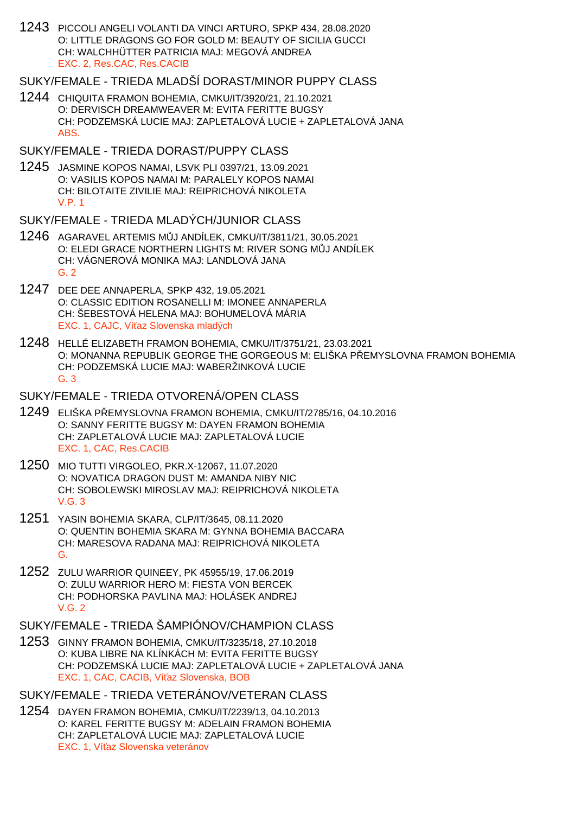1243 PICCOLI ANGELI VOLANTI DA VINCI ARTURO, SPKP 434, 28.08.2020 O: LITTLE DRAGONS GO FOR GOLD M: BEAUTY OF SICILIA GUCCI CH: WALCHHÜTTER PATRICIA MAJ: MEGOVÁ ANDREA EXC. 2, Res.CAC, Res.CACIB

## SUKY/FEMALE - TRIEDA MLADŠÍ DORAST/MINOR PUPPY CLASS

- 1244 CHIQUITA FRAMON BOHEMIA, CMKU/IT/3920/21, 21.10.2021 O: DERVISCH DREAMWEAVER M: EVITA FERITTE BUGSY CH: PODZEMSKÁ LUCIE MAJ: ZAPLETALOVÁ LUCIE + ZAPLETALOVÁ JANA ABS.
- SUKY/FEMALE TRIEDA DORAST/PUPPY CLASS
- 1245 JASMINE KOPOS NAMAI, LSVK PLI 0397/21, 13.09.2021 O: VASILIS KOPOS NAMAI M: PARALELY KOPOS NAMAI CH: BILOTAITE ZIVILIE MAJ: REIPRICHOVÁ NIKOLETA V.P. 1
- SUKY/FEMALE TRIEDA MLADÝCH/JUNIOR CLASS
- 1246 AGARAVEL ARTEMIS MŮJ ANDÍLEK, CMKU/IT/3811/21, 30.05.2021 O: ELEDI GRACE NORTHERN LIGHTS M: RIVER SONG M J ANDÍLEK CH: VÁGNEROVÁ MONIKA MAJ: LANDLOVÁ JANA G. 2
- 1247 DEE DEE ANNAPERLA, SPKP 432, 19.05.2021 O: CLASSIC EDITION ROSANELLI M: IMONEE ANNAPERLA CH: ŠEBESTOVÁ HELENA MAJ: BOHUMELOVÁ MÁRIA EXC. 1, CAJC, Ví az Slovenska mladých
- 1248 HELLÉ ELIZABETH FRAMON BOHEMIA, CMKU/IT/3751/21, 23.03.2021 O: MONANNA REPUBLIK GEORGE THE GORGEOUS M: ELIŠKA PLEMYSLOVNA FRAMON BOHEMIA CH: PODZEMSKÁ LUCIE MAJ: WABERŽINKOVÁ LUCIE G. 3

### SUKY/FEMALE - TRIEDA OTVORENÁ/OPEN CLASS

- 1249 ELIŠKA PŘEMYSLOVNA FRAMON BOHEMIA, CMKU/IT/2785/16, 04.10.2016 O: SANNY FERITTE BUGSY M: DAYEN FRAMON BOHEMIA CH: ZAPLETALOVÁ LUCIE MAJ: ZAPLETALOVÁ LUCIE EXC. 1, CAC, Res.CACIB
- 1250 MIO TUTTI VIRGOLEO, PKR.X-12067, 11.07.2020 O: NOVATICA DRAGON DUST M: AMANDA NIBY NIC CH: SOBOLEWSKI MIROSLAV MAJ: REIPRICHOVÁ NIKOLETA V.G. 3
- 1251 YASIN BOHEMIA SKARA, CLP/IT/3645, 08.11.2020 O: QUENTIN BOHEMIA SKARA M: GYNNA BOHEMIA BACCARA CH: MARESOVA RADANA MAJ: REIPRICHOVÁ NIKOLETA G.
- 1252 ZULU WARRIOR QUINEEY, PK 45955/19, 17.06.2019 O: ZULU WARRIOR HERO M: FIESTA VON BERCEK CH: PODHORSKA PAVLINA MAJ: HOLÁSEK ANDREJ V.G. 2
- SUKY/FEMALE TRIEDA ŠAMPIÓNOV/CHAMPION CLASS
- 1253 GINNY FRAMON BOHEMIA, CMKU/IT/3235/18, 27.10.2018 O: KUBA LIBRE NA KLÍNKÁCH M: EVITA FERITTE BUGSY CH: PODZEMSKÁ LUCIE MAJ: ZAPLETALOVÁ LUCIE + ZAPLETALOVÁ JANA EXC. 1, CAC, CACIB, Ví az Slovenska, BOB
- SUKY/FEMALE TRIEDA VETERÁNOV/VETERAN CLASS
- 1254 DAYEN FRAMON BOHEMIA, CMKU/IT/2239/13, 04.10.2013 O: KAREL FERITTE BUGSY M: ADELAIN FRAMON BOHEMIA CH: ZAPLETALOVÁ LUCIE MAJ: ZAPLETALOVÁ LUCIE EXC. 1, Ví az Slovenska veteránov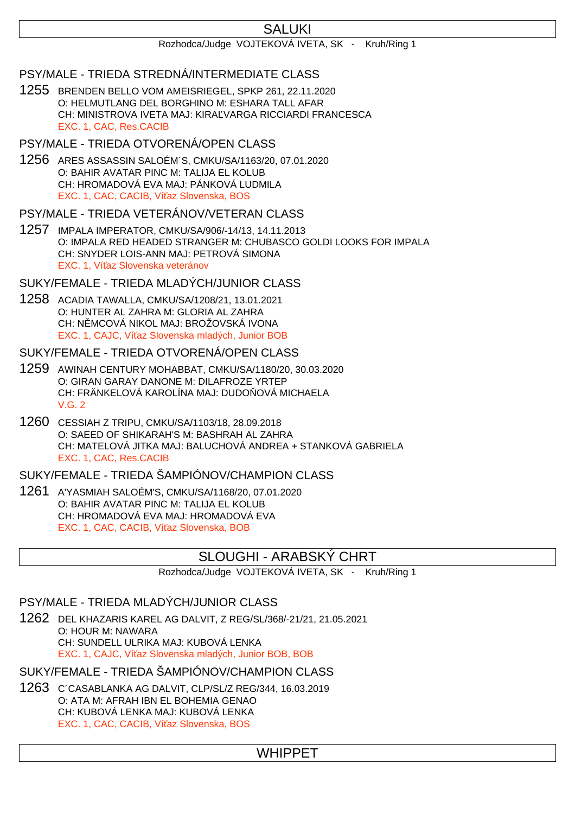# **SALUKI**

#### Rozhodca/Judge VOJTEKOVÁ IVETA, SK - Kruh/Ring 1

### PSY/MALE - TRIEDA STREDNÁ/INTERMEDIATE CLASS

1255 BRENDEN BELLO VOM AMEISRIEGEL, SPKP 261, 22.11.2020 O: HELMUTLANG DEL BORGHINO M: ESHARA TALL AFAR CH: MINISTROVA IVETA MAJ: KIRA VARGA RICCIARDI FRANCESCA EXC. 1, CAC, Res.CACIB

### PSY/MALE - TRIEDA OTVORENÁ/OPEN CLASS

1256 ARES ASSASSIN SALOÉM´S, CMKU/SA/1163/20, 07.01.2020 O: BAHIR AVATAR PINC M: TALIJA EL KOLUB CH: HROMADOVÁ EVA MAJ: PÁNKOVÁ LUDMILA EXC. 1, CAC, CACIB, Ví az Slovenska, BOS

### PSY/MALE - TRIEDA VETERÁNOV/VETERAN CLASS

1257 IMPALA IMPERATOR, CMKU/SA/906/-14/13, 14.11.2013 O: IMPALA RED HEADED STRANGER M: CHUBASCO GOLDI LOOKS FOR IMPALA CH: SNYDER LOIS-ANN MAJ: PETROVÁ SIMONA EXC. 1, Ví az Slovenska veteránov

## SUKY/FEMALE - TRIEDA MLADÝCH/JUNIOR CLASS

1258 ACADIA TAWALLA, CMKU/SA/1208/21, 13.01.2021 O: HUNTER AL ZAHRA M: GLORIA AL ZAHRA CH: N MCOVÁ NIKOL MAJ: BROŽOVSKÁ IVONA EXC. 1, CAJC, Ví az Slovenska mladých, Junior BOB

### SUKY/FEMALE - TRIEDA OTVORENÁ/OPEN CLASS

- 1259 AWINAH CENTURY MOHABBAT, CMKU/SA/1180/20, 30.03.2020 O: GIRAN GARAY DANONE M: DILAFROZE YRTEP CH: FRÄNKELOVÁ KAROLÍNA MAJ: DUDO OVÁ MICHAELA V.G. 2
- 1260 CESSIAH Z TRIPU, CMKU/SA/1103/18, 28.09.2018 O: SAEED OF SHIKARAH'S M: BASHRAH AL ZAHRA CH: MATELOVÁ JITKA MAJ: BALUCHOVÁ ANDREA + STANKOVÁ GABRIELA EXC. 1, CAC, Res.CACIB

## SUKY/FEMALE - TRIEDA ŠAMPIÓNOV/CHAMPION CLASS

1261 A'YASMIAH SALOÉM'S, CMKU/SA/1168/20, 07.01.2020 O: BAHIR AVATAR PINC M: TALIJA EL KOLUB CH: HROMADOVÁ EVA MAJ: HROMADOVÁ EVA EXC. 1, CAC, CACIB, Ví az Slovenska, BOB

## SLOUGHI - ARABSKÝ CHRT

Rozhodca/Judge VOJTEKOVÁ IVETA, SK - Kruh/Ring 1

### PSY/MALE - TRIEDA MLADÝCH/JUNIOR CLASS

1262 DEL KHAZARIS KAREL AG DALVIT, Z REG/SL/368/-21/21, 21.05.2021 O: HOUR M: NAWARA CH: SUNDELL ULRIKA MAJ: KUBOVÁ LENKA EXC. 1, CAJC, Ví az Slovenska mladých, Junior BOB, BOB

# SUKY/FEMALE - TRIEDA ŠAMPIÓNOV/CHAMPION CLASS

1263 C´CASABLANKA AG DALVIT, CLP/SL/Z REG/344, 16.03.2019 O: ATA M: AFRAH IBN EL BOHEMIA GENAO CH: KUBOVÁ LENKA MAJ: KUBOVÁ LENKA EXC. 1, CAC, CACIB, Ví az Slovenska, BOS

# WHIPPET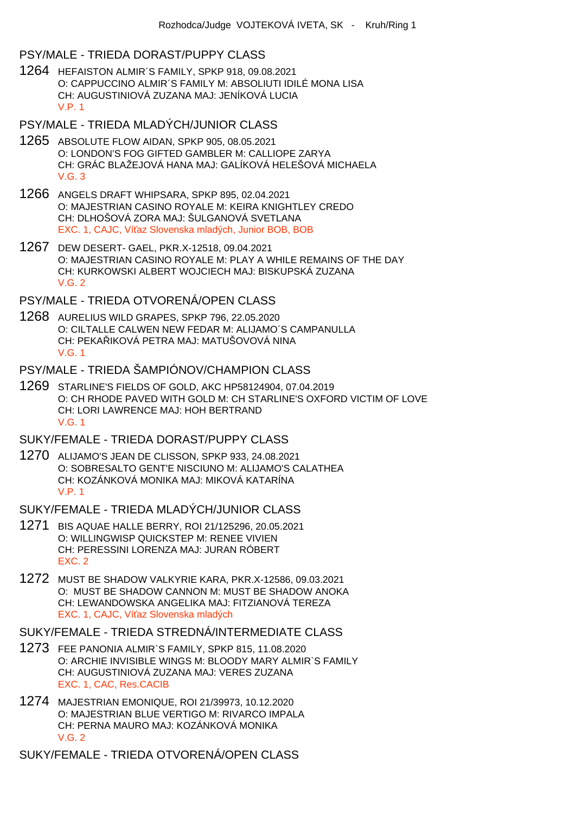#### PSY/MALE - TRIEDA DORAST/PUPPY CLASS

- 1264 HEFAISTON ALMIR´S FAMILY, SPKP 918, 09.08.2021 O: CAPPUCCINO ALMIR´S FAMILY M: ABSOLIUTI IDILÉ MONA LISA CH: AUGUSTINIOVÁ ZUZANA MAJ: JENÍKOVÁ LUCIA V.P. 1
- PSY/MALE TRIEDA MLADÝCH/JUNIOR CLASS
- 1265 ABSOLUTE FLOW AIDAN, SPKP 905, 08.05.2021 O: LONDON'S FOG GIFTED GAMBLER M: CALLIOPE ZARYA CH: GRÁC BLAŽEJOVÁ HANA MAJ: GALÍKOVÁ HELEŠOVÁ MICHAELA  $V$  G  $3$
- 1266 ANGELS DRAFT WHIPSARA, SPKP 895, 02.04.2021 O: MAJESTRIAN CASINO ROYALE M: KEIRA KNIGHTLEY CREDO CH: DLHOŠOVÁ ZORA MAJ: ŠULGANOVÁ SVETLANA EXC. 1, CAJC, Ví az Slovenska mladých, Junior BOB, BOB
- 1267 DEW DESERT- GAEL, PKR.X-12518, 09.04.2021 O: MAJESTRIAN CASINO ROYALE M: PLAY A WHILE REMAINS OF THE DAY CH: KURKOWSKI ALBERT WOJCIECH MAJ: BISKUPSKÁ ZUZANA V.G. 2
- PSY/MALE TRIEDA OTVORENÁ/OPEN CLASS
- 1268 AURELIUS WILD GRAPES, SPKP 796, 22.05.2020 O: CILTALLE CALWEN NEW FEDAR M: ALIJAMO´S CAMPANULLA CH: PEKA IKOVÁ PETRA MAJ: MATUŠOVOVÁ NINA V.G. 1
- PSY/MALE TRIEDA ŠAMPIÓNOV/CHAMPION CLASS
- 1269 STARLINE'S FIELDS OF GOLD, AKC HP58124904, 07.04.2019 O: CH RHODE PAVED WITH GOLD M: CH STARLINE'S OXFORD VICTIM OF LOVE CH: LORI LAWRENCE MAJ: HOH BERTRAND V.G. 1
- SUKY/FEMALE TRIEDA DORAST/PUPPY CLASS
- 1270 ALIJAMO'S JEAN DE CLISSON, SPKP 933, 24.08.2021 O: SOBRESALTO GENT'E NISCIUNO M: ALIJAMO'S CALATHEA CH: KOZÁNKOVÁ MONIKA MAJ: MIKOVÁ KATARÍNA V.P. 1
- SUKY/FEMALE TRIEDA MLADÝCH/JUNIOR CLASS
- 1271 BIS AQUAE HALLE BERRY, ROI 21/125296, 20.05.2021 O: WILLINGWISP QUICKSTEP M: RENEE VIVIEN CH: PERESSINI LORENZA MAJ: JURAN RÓBERT EXC. 2
- 1272 MUST BE SHADOW VALKYRIE KARA, PKR.X-12586, 09.03.2021 O: MUST BE SHADOW CANNON M: MUST BE SHADOW ANOKA CH: LEWANDOWSKA ANGELIKA MAJ: FITZIANOVÁ TEREZA EXC. 1, CAJC, Ví az Slovenska mladých

### SUKY/FEMALE - TRIEDA STREDNÁ/INTERMEDIATE CLASS

- 1273 FEE PANONIA ALMIR`S FAMILY, SPKP 815, 11.08.2020 O: ARCHIE INVISIBLE WINGS M: BLOODY MARY ALMIR`S FAMILY CH: AUGUSTINIOVÁ ZUZANA MAJ: VERES ZUZANA EXC. 1, CAC, Res.CACIB
- 1274 MAJESTRIAN EMONIQUE, ROI 21/39973, 10.12.2020 O: MAJESTRIAN BLUE VERTIGO M: RIVARCO IMPALA CH: PERNA MAURO MAJ: KOZÁNKOVÁ MONIKA V.G. 2

SUKY/FEMALE - TRIEDA OTVORENÁ/OPEN CLASS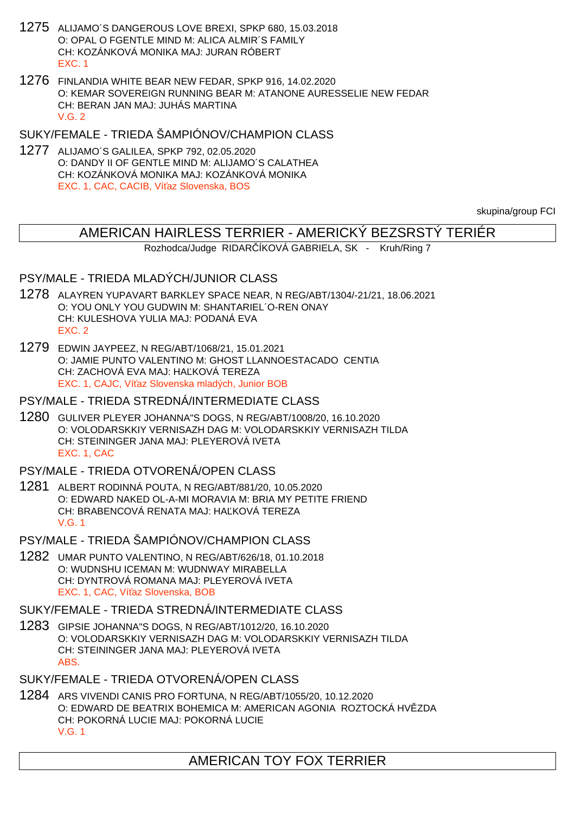- 1275 ALIJAMO´S DANGEROUS LOVE BREXI, SPKP 680, 15.03.2018 O: OPAL O FGENTLE MIND M: ALICA ALMIR´S FAMILY CH: KOZÁNKOVÁ MONIKA MAJ: JURAN RÓBERT EXC. 1
- 1276 FINLANDIA WHITE BEAR NEW FEDAR, SPKP 916, 14.02.2020 O: KEMAR SOVEREIGN RUNNING BEAR M: ATANONE AURESSELIE NEW FEDAR CH: BERAN JAN MAJ: JUHÁS MARTINA  $V$  G  $2$

SUKY/FEMALE - TRIEDA ŠAMPIÓNOV/CHAMPION CLASS

1277 ALIJAMO´S GALILEA, SPKP 792, 02.05.2020 O: DANDY II OF GENTLE MIND M: ALIJAMO´S CALATHEA CH: KOZÁNKOVÁ MONIKA MAJ: KOZÁNKOVÁ MONIKA EXC. 1, CAC, CACIB, Ví az Slovenska, BOS

skupina/group FCI

## AMERICAN HAIRLESS TERRIER - AMERICKÝ BEZSRSTÝ TERIÉR

Rozhodca/Judge RIDAR ÍKOVÁ GABRIELA, SK - Kruh/Ring 7

## PSY/MALE - TRIEDA MLADÝCH/JUNIOR CLASS

- 1278 ALAYREN YUPAVART BARKLEY SPACE NEAR, N REG/ABT/1304/-21/21, 18.06.2021 O: YOU ONLY YOU GUDWIN M: SHANTARIEL´O-REN ONAY CH: KULESHOVA YULIA MAJ: PODANÁ EVA EXC. 2
- 1279 EDWIN JAYPEEZ, N REG/ABT/1068/21, 15.01.2021 O: JAMIE PUNTO VALENTINO M: GHOST LLANNOESTACADO CENTIA CH: ZACHOVÁ EVA MAJ: HAĽKOVÁ TEREZA EXC. 1, CAJC, Ví az Slovenska mladých, Junior BOB

### PSY/MALE - TRIEDA STREDNÁ/INTERMEDIATE CLASS

- 1280 GULIVER PLEYER JOHANNA"S DOGS, N REG/ABT/1008/20, 16.10.2020 O: VOLODARSKKIY VERNISAZH DAG M: VOLODARSKKIY VERNISAZH TILDA CH: STEININGER JANA MAJ: PLEYEROVÁ IVETA EXC. 1, CAC
- PSY/MALE TRIEDA OTVORENÁ/OPEN CLASS
- 1281 ALBERT RODINNÁ POUTA, N REG/ABT/881/20, 10.05.2020 O: EDWARD NAKED OL-A-MI MORAVIA M: BRIA MY PETITE FRIEND CH: BRABENCOVÁ RENATA MAJ: HA KOVÁ TEREZA V.G. 1
- PSY/MALE TRIEDA ŠAMPIÓNOV/CHAMPION CLASS
- 1282 UMAR PUNTO VALENTINO, N REG/ABT/626/18, 01.10.2018 O: WUDNSHU ICEMAN M: WUDNWAY MIRABELLA CH: DYNTROVÁ ROMANA MAJ: PLEYEROVÁ IVETA EXC. 1, CAC, Ví az Slovenska, BOB

SUKY/FEMALE - TRIEDA STREDNÁ/INTERMEDIATE CLASS

- 1283 GIPSIE JOHANNA"S DOGS, N REG/ABT/1012/20, 16.10.2020 O: VOLODARSKKIY VERNISAZH DAG M: VOLODARSKKIY VERNISAZH TILDA CH: STEININGER JANA MAJ: PLEYEROVÁ IVETA ABS.
- SUKY/FEMALE TRIEDA OTVORENÁ/OPEN CLASS
- 1284 ARS VIVENDI CANIS PRO FORTUNA, N REG/ABT/1055/20, 10.12.2020 O: EDWARD DE BEATRIX BOHEMICA M: AMERICAN AGONIA ROZTOCKÁ HVĚZDA CH: POKORNÁ LUCIE MAJ: POKORNÁ LUCIE V.G. 1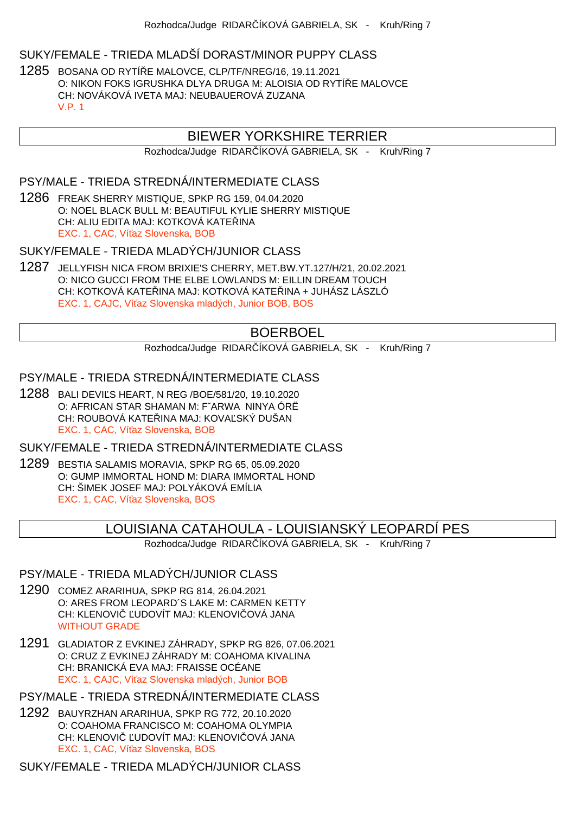### SUKY/FEMALE - TRIEDA MLADŠÍ DORAST/MINOR PUPPY CLASS

1285 BOSANA OD RYTÍŘE MALOVCE, CLP/TF/NREG/16, 19.11.2021 O: NIKON FOKS IGRUSHKA DLYA DRUGA M: ALOISIA OD RYTÍ E MALOVCE CH: NOVÁKOVÁ IVETA MAJ: NEUBAUEROVÁ ZUZANA V.P. 1

## BIEWER YORKSHIRE TERRIER

Rozhodca/Judge RIDAR ÍKOVÁ GABRIELA, SK - Kruh/Ring 7

### PSY/MALE - TRIEDA STREDNÁ/INTERMEDIATE CLASS

1286 FREAK SHERRY MISTIQUE, SPKP RG 159, 04.04.2020 O: NOEL BLACK BULL M: BEAUTIFUL KYLIE SHERRY MISTIQUE CH: ALIU EDITA MAJ: KOTKOVÁ KATE INA EXC. 1, CAC, Ví az Slovenska, BOB

SUKY/FEMALE - TRIEDA MLADÝCH/JUNIOR CLASS

1287 JELLYFISH NICA FROM BRIXIE'S CHERRY, MET.BW.YT.127/H/21, 20.02.2021 O: NICO GUCCI FROM THE ELBE LOWLANDS M: EILLIN DREAM TOUCH CH: KOTKOVÁ KATE INA MAJ: KOTKOVÁ KATE INA + JUHÁSZ LÁSZLÓ EXC. 1, CAJC, Ví az Slovenska mladých, Junior BOB, BOS

## BOERBOEL

Rozhodca/Judge RIDAR ÍKOVÁ GABRIELA, SK - Kruh/Ring 7

### PSY/MALE - TRIEDA STREDNÁ/INTERMEDIATE CLASS

1288 BALI DEVI S HEART, N REG /BOE/581/20, 19.10.2020 O: AFRICAN STAR SHAMAN M: FˇARWA NINYA ÓRË CH: ROUBOVÁ KATE INA MAJ: KOVA SKÝ DUŠAN EXC. 1, CAC, Ví az Slovenska, BOB

SUKY/FEMALE - TRIEDA STREDNÁ/INTERMEDIATE CLASS

1289 BESTIA SALAMIS MORAVIA, SPKP RG 65, 05.09.2020 O: GUMP IMMORTAL HOND M: DIARA IMMORTAL HOND CH: ŠIMEK JOSEF MAJ: POLYÁKOVÁ EMÍLIA EXC. 1, CAC, Ví az Slovenska, BOS

## LOUISIANA CATAHOULA - LOUISIANSKÝ LEOPARDÍ PES

Rozhodca/Judge RIDAR ÍKOVÁ GABRIELA, SK - Kruh/Ring 7

#### PSY/MALE - TRIEDA MLADÝCH/JUNIOR CLASS

- 1290 COMEZ ARARIHUA, SPKP RG 814, 26.04.2021 O: ARES FROM LEOPARD´S LAKE M: CARMEN KETTY CH: KLENOVI UDOVÍT MAJ: KLENOVI OVÁ JANA WITHOUT GRADE
- 1291 GLADIATOR Z EVKINEJ ZÁHRADY, SPKP RG 826, 07.06.2021 O: CRUZ Z EVKINEJ ZÁHRADY M: COAHOMA KIVALINA CH: BRANICKÁ EVA MAJ: FRAISSE OCÉANE EXC. 1, CAJC, Ví az Slovenska mladých, Junior BOB

PSY/MALE - TRIEDA STREDNÁ/INTERMEDIATE CLASS

1292 BAUYRZHAN ARARIHUA, SPKP RG 772, 20.10.2020 O: COAHOMA FRANCISCO M: COAHOMA OLYMPIA CH: KLENOVI UDOVÍT MAJ: KLENOVI OVÁ JANA EXC. 1, CAC, Ví az Slovenska, BOS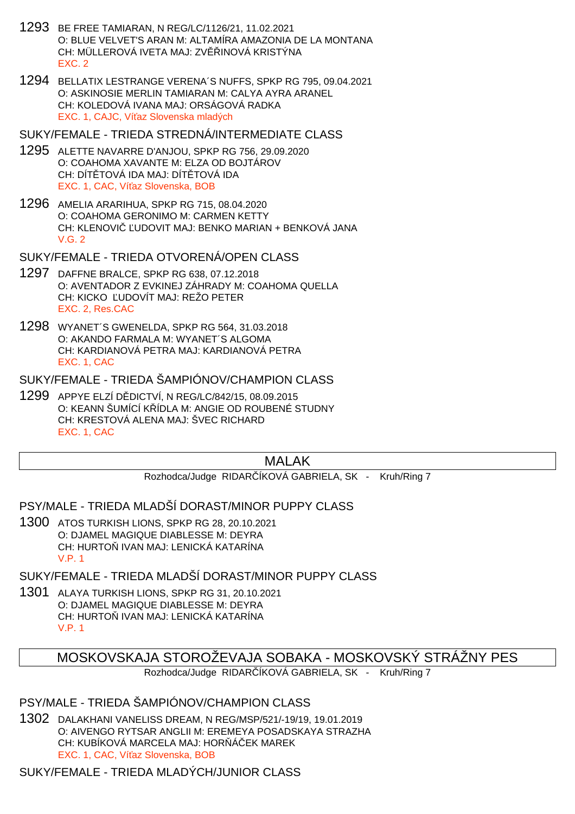- 1293 BE FREE TAMIARAN, N REG/LC/1126/21, 11.02.2021 O: BLUE VELVET'S ARAN M: ALTAMÍRA AMAZONIA DE LA MONTANA CH: MÜLLEROVÁ IVETA MAJ: ZV INOVÁ KRISTÝNA EXC. 2
- 1294 BELLATIX LESTRANGE VERENA´S NUFFS, SPKP RG 795, 09.04.2021 O: ASKINOSIE MERLIN TAMIARAN M: CALYA AYRA ARANEL CH: KOLEDOVÁ IVANA MAJ: ORSÁGOVÁ RADKA EXC. 1, CAJC, Ví az Slovenska mladých

SUKY/FEMALE - TRIEDA STREDNÁ/INTERMEDIATE CLASS

- 1295 ALETTE NAVARRE D'ANJOU, SPKP RG 756, 29.09.2020 O: COAHOMA XAVANTE M: ELZA OD BOJTÁROV CH: DÍT TOVÁ IDA MAJ: DÍT TOVÁ IDA EXC. 1, CAC, Ví az Slovenska, BOB
- 1296 AMELIA ARARIHUA, SPKP RG 715, 08.04.2020 O: COAHOMA GERONIMO M: CARMEN KETTY CH: KLENOVI UDOVIT MAJ: BENKO MARIAN + BENKOVÁ JANA V.G. 2

SUKY/FEMALE - TRIEDA OTVORENÁ/OPEN CLASS

- 1297 DAFFNE BRALCE, SPKP RG 638, 07.12.2018 O: AVENTADOR Z EVKINEJ ZÁHRADY M: COAHOMA QUELLA CH: KICKO UDOVÍT MAJ: REŽO PETER EXC. 2, Res.CAC
- 1298 WYANET´S GWENELDA, SPKP RG 564, 31.03.2018 O: AKANDO FARMALA M: WYANET´S ALGOMA CH: KARDIANOVÁ PETRA MAJ: KARDIANOVÁ PETRA EXC. 1, CAC

# SUKY/FEMALE - TRIEDA ŠAMPIÓNOV/CHAMPION CLASS

1299 APPYE ELZÍ DĚDICTVÍ, N REG/LC/842/15, 08.09.2015 O: KEANN ŠUMÍCÍ K ÍDLA M: ANGIE OD ROUBENÉ STUDNY CH: KRESTOVÁ ALENA MAJ: ŠVEC RICHARD EXC. 1, CAC

#### MALAK

Rozhodca/Judge RIDAR ÍKOVÁ GABRIELA, SK - Kruh/Ring 7

### PSY/MALE - TRIEDA MLADŠÍ DORAST/MINOR PUPPY CLASS

1300 ATOS TURKISH LIONS, SPKP RG 28, 20.10.2021 O: DJAMEL MAGIQUE DIABLESSE M: DEYRA CH: HURTO IVAN MAJ: LENICKÁ KATARÍNA V.P. 1

### SUKY/FEMALE - TRIEDA MLADŠÍ DORAST/MINOR PUPPY CLASS

1301 ALAYA TURKISH LIONS, SPKP RG 31, 20.10.2021 O: DJAMEL MAGIQUE DIABLESSE M: DEYRA CH: HURTO IVAN MAJ: LENICKÁ KATARÍNA V.P. 1

## MOSKOVSKAJA STOROŽEVAJA SOBAKA - MOSKOVSKÝ STRÁŽNY PES

Rozhodca/Judge RIDAR ÍKOVÁ GABRIELA, SK - Kruh/Ring 7

### PSY/MALE - TRIEDA ŠAMPIÓNOV/CHAMPION CLASS

1302 DALAKHANI VANELISS DREAM, N REG/MSP/521/-19/19, 19.01.2019 O: AIVENGO RYTSAR ANGLII M: EREMEYA POSADSKAYA STRAZHA CH: KUBÍKOVÁ MARCELA MAJ: HOR Á EK MAREK EXC. 1, CAC, Ví az Slovenska, BOB